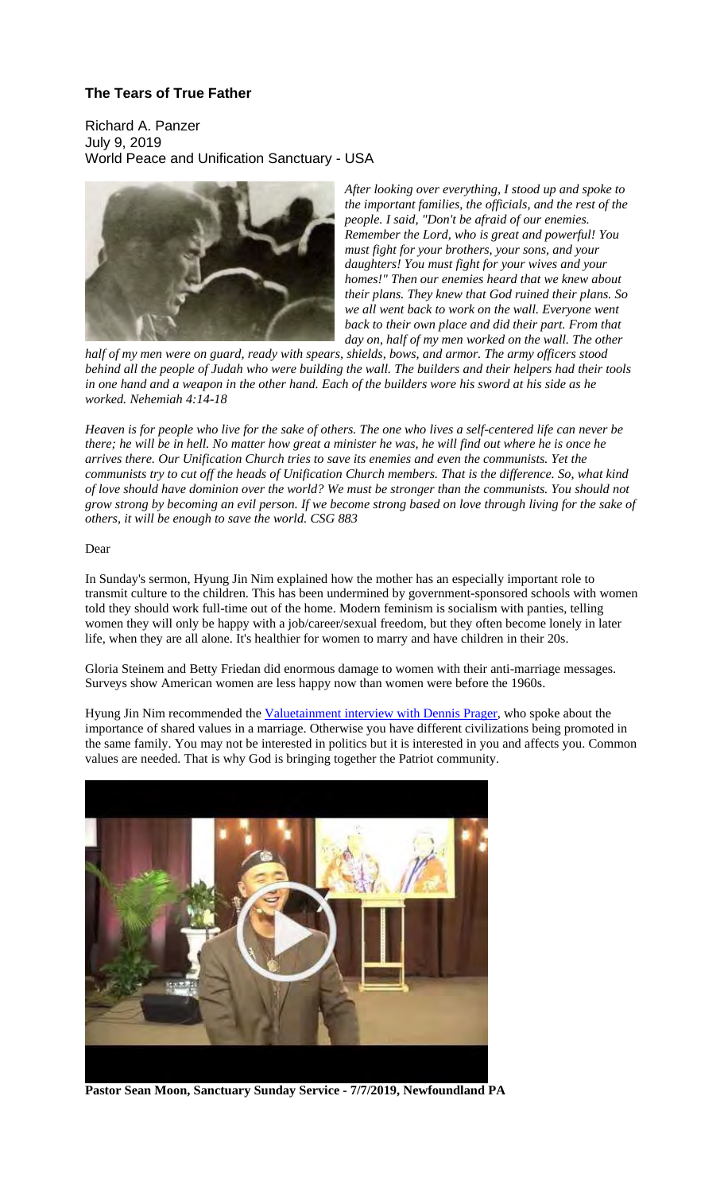#### **The Tears of True Father**

Richard A. Panzer July 9, 2019 World Peace and Unification Sanctuary - USA



*After looking over everything, I stood up and spoke to the important families, the officials, and the rest of the people. I said, "Don't be afraid of our enemies. Remember the Lord, who is great and powerful! You must fight for your brothers, your sons, and your daughters! You must fight for your wives and your homes!" Then our enemies heard that we knew about their plans. They knew that God ruined their plans. So we all went back to work on the wall. Everyone went back to their own place and did their part. From that day on, half of my men worked on the wall. The other* 

*half of my men were on guard, ready with spears, shields, bows, and armor. The army officers stood behind all the people of Judah who were building the wall. The builders and their helpers had their tools in one hand and a weapon in the other hand. Each of the builders wore his sword at his side as he worked. Nehemiah 4:14-18*

*Heaven is for people who live for the sake of others. The one who lives a self-centered life can never be there; he will be in hell. No matter how great a minister he was, he will find out where he is once he arrives there. Our Unification Church tries to save its enemies and even the communists. Yet the communists try to cut off the heads of Unification Church members. That is the difference. So, what kind of love should have dominion over the world? We must be stronger than the communists. You should not grow strong by becoming an evil person. If we become strong based on love through living for the sake of others, it will be enough to save the world. CSG 883*

#### Dear

In Sunday's sermon, Hyung Jin Nim explained how the mother has an especially important role to transmit culture to the children. This has been undermined by government-sponsored schools with women told they should work full-time out of the home. Modern feminism is socialism with panties, telling women they will only be happy with a job/career/sexual freedom, but they often become lonely in later life, when they are all alone. It's healthier for women to marry and have children in their 20s.

Gloria Steinem and Betty Friedan did enormous damage to women with their anti-marriage messages. Surveys show American women are less happy now than women were before the 1960s.

Hyung Jin Nim recommended the Valuetainment interview with Dennis Prager, who spoke about the importance of shared values in a marriage. Otherwise you have different civilizations being promoted in the same family. You may not be interested in politics but it is interested in you and affects you. Common values are needed. That is why God is bringing together the Patriot community.



**Pastor Sean Moon, Sanctuary Sunday Service - 7/7/2019, Newfoundland PA**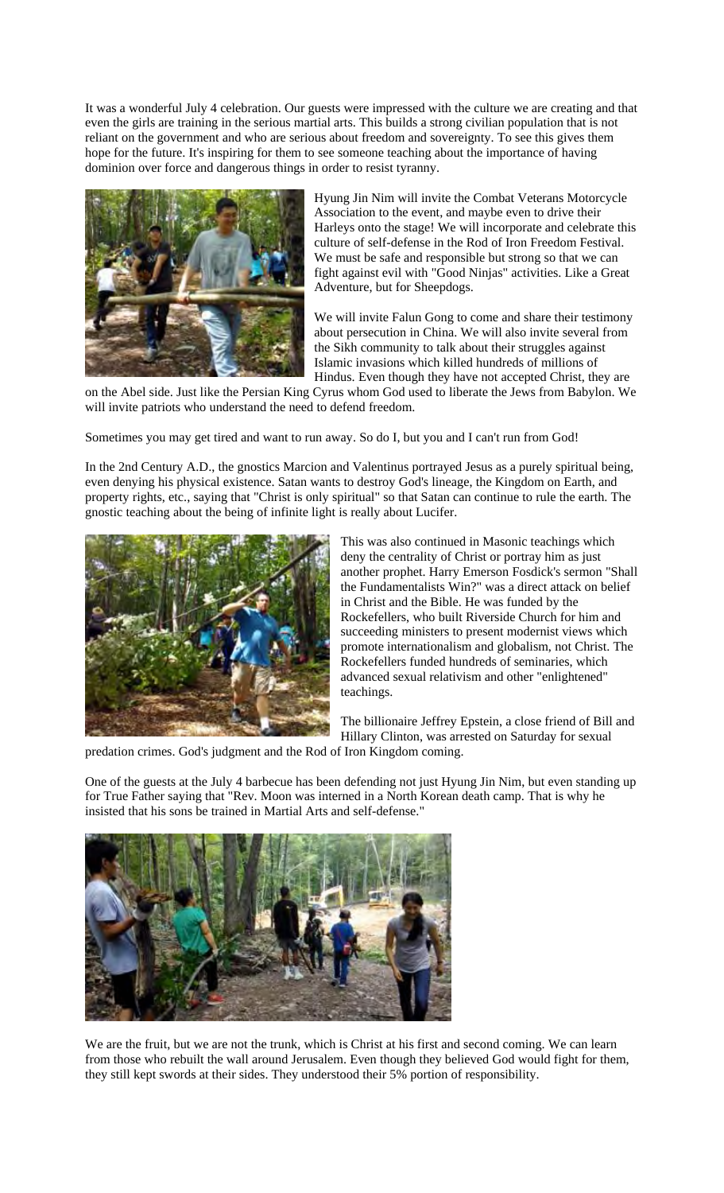It was a wonderful July 4 celebration. Our guests were impressed with the culture we are creating and that even the girls are training in the serious martial arts. This builds a strong civilian population that is not reliant on the government and who are serious about freedom and sovereignty. To see this gives them hope for the future. It's inspiring for them to see someone teaching about the importance of having dominion over force and dangerous things in order to resist tyranny.



Hyung Jin Nim will invite the Combat Veterans Motorcycle Association to the event, and maybe even to drive their Harleys onto the stage! We will incorporate and celebrate this culture of self-defense in the Rod of Iron Freedom Festival. We must be safe and responsible but strong so that we can fight against evil with "Good Ninjas" activities. Like a Great Adventure, but for Sheepdogs.

We will invite Falun Gong to come and share their testimony about persecution in China. We will also invite several from the Sikh community to talk about their struggles against Islamic invasions which killed hundreds of millions of Hindus. Even though they have not accepted Christ, they are

on the Abel side. Just like the Persian King Cyrus whom God used to liberate the Jews from Babylon. We will invite patriots who understand the need to defend freedom.

Sometimes you may get tired and want to run away. So do I, but you and I can't run from God!

In the 2nd Century A.D., the gnostics Marcion and Valentinus portrayed Jesus as a purely spiritual being, even denying his physical existence. Satan wants to destroy God's lineage, the Kingdom on Earth, and property rights, etc., saying that "Christ is only spiritual" so that Satan can continue to rule the earth. The gnostic teaching about the being of infinite light is really about Lucifer.



This was also continued in Masonic teachings which deny the centrality of Christ or portray him as just another prophet. Harry Emerson Fosdick's sermon "Shall the Fundamentalists Win?" was a direct attack on belief in Christ and the Bible. He was funded by the Rockefellers, who built Riverside Church for him and succeeding ministers to present modernist views which promote internationalism and globalism, not Christ. The Rockefellers funded hundreds of seminaries, which advanced sexual relativism and other "enlightened" teachings.

The billionaire Jeffrey Epstein, a close friend of Bill and Hillary Clinton, was arrested on Saturday for sexual

predation crimes. God's judgment and the Rod of Iron Kingdom coming.

One of the guests at the July 4 barbecue has been defending not just Hyung Jin Nim, but even standing up for True Father saying that "Rev. Moon was interned in a North Korean death camp. That is why he insisted that his sons be trained in Martial Arts and self-defense."



We are the fruit, but we are not the trunk, which is Christ at his first and second coming. We can learn from those who rebuilt the wall around Jerusalem. Even though they believed God would fight for them, they still kept swords at their sides. They understood their 5% portion of responsibility.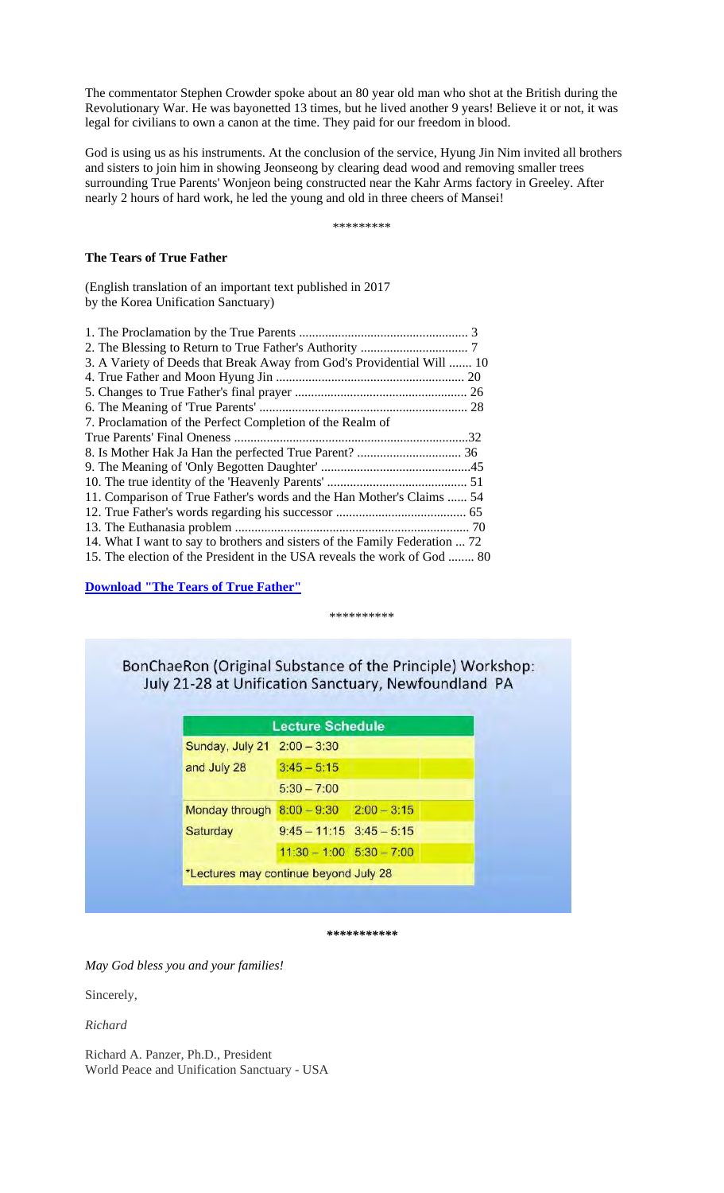The commentator Stephen Crowder spoke about an 80 year old man who shot at the British during the Revolutionary War. He was bayonetted 13 times, but he lived another 9 years! Believe it or not, it was legal for civilians to own a canon at the time. They paid for our freedom in blood.

God is using us as his instruments. At the conclusion of the service, Hyung Jin Nim invited all brothers and sisters to join him in showing Jeonseong by clearing dead wood and removing smaller trees surrounding True Parents' Wonjeon being constructed near the Kahr Arms factory in Greeley. After nearly 2 hours of hard work, he led the young and old in three cheers of Mansei!

\*\*\*\*\*\*\*\*\*

#### **The Tears of True Father**

(English translation of an important text published in 2017 by the Korea Unification Sanctuary)

| 3. A Variety of Deeds that Break Away from God's Providential Will  10      |  |
|-----------------------------------------------------------------------------|--|
|                                                                             |  |
|                                                                             |  |
|                                                                             |  |
| 7. Proclamation of the Perfect Completion of the Realm of                   |  |
|                                                                             |  |
|                                                                             |  |
|                                                                             |  |
|                                                                             |  |
| 11. Comparison of True Father's words and the Han Mother's Claims  54       |  |
|                                                                             |  |
|                                                                             |  |
| 14. What I want to say to brothers and sisters of the Family Federation  72 |  |
| 15. The election of the President in the USA reveals the work of God  80    |  |
|                                                                             |  |

**Download "The Tears of True Father"**

#### \*\*\*\*\*\*\*\*\*\*

BonChaeRon (Original Substance of the Principle) Workshop: July 21-28 at Unification Sanctuary, Newfoundland PA

|                                            | <b>Lecture Schedule</b>      |  |
|--------------------------------------------|------------------------------|--|
| Sunday, July 21 2:00 - 3:30                |                              |  |
| and July 28                                | $3:45 - 5:15$                |  |
|                                            | $5:30 - 7:00$                |  |
| Monday through $8:00 - 9:30$ $2:00 - 3:15$ |                              |  |
| Saturday                                   | $9:45 - 11:15$ $3:45 - 5:15$ |  |
|                                            | $11:30 - 1:00$ $5:30 - 7:00$ |  |
| *Lectures may continue beyond July 28      |                              |  |

*\*\*\*\*\*\*\*\*\*\*\**

*May God bless you and your families!*

Sincerely,

*Richard*

Richard A. Panzer, Ph.D., President World Peace and Unification Sanctuary - USA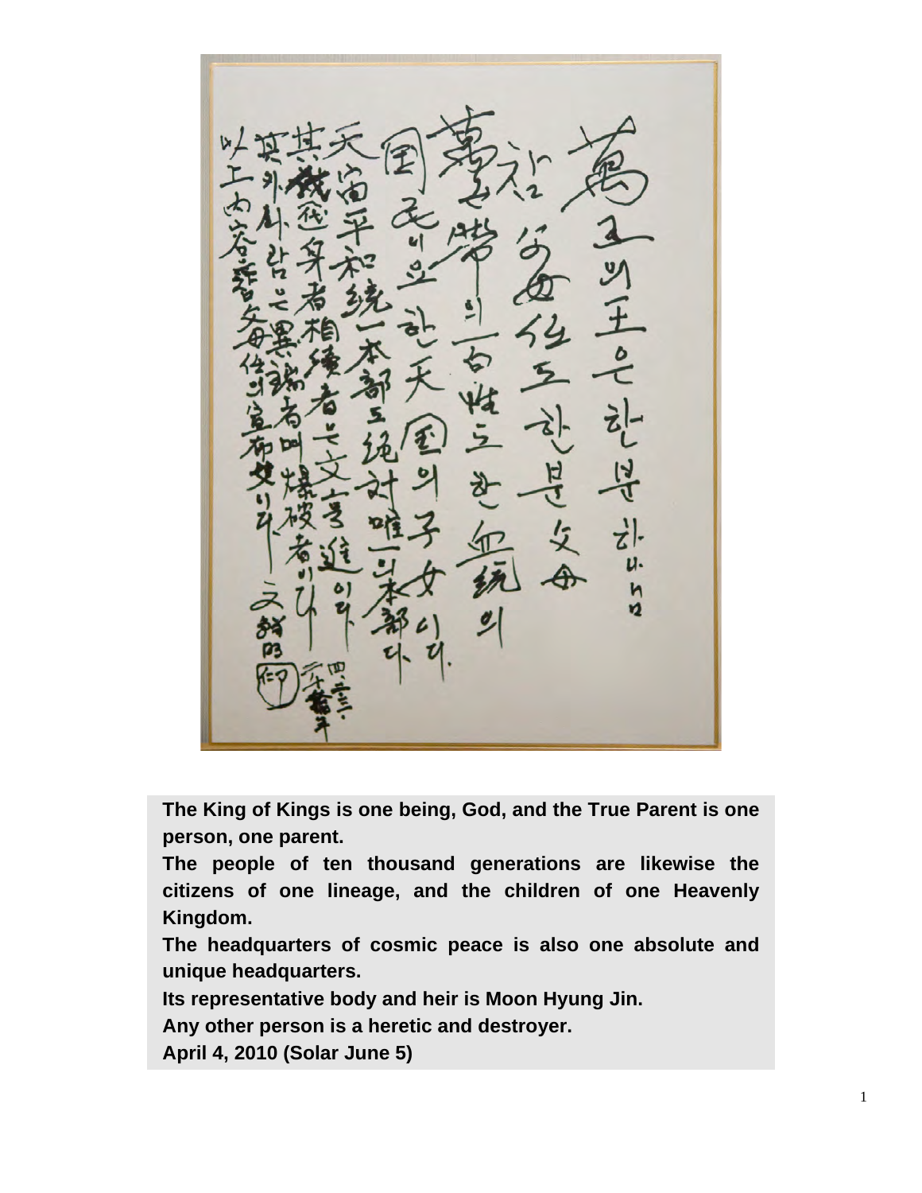Ŋ

**The King of Kings is one being, God, and the True Parent is one person, one parent.**

**The people of ten thousand generations are likewise the citizens of one lineage, and the children of one Heavenly Kingdom.**

**The headquarters of cosmic peace is also one absolute and unique headquarters.**

**Its representative body and heir is Moon Hyung Jin.**

**Any other person is a heretic and destroyer.**

**April 4, 2010 (Solar June 5)**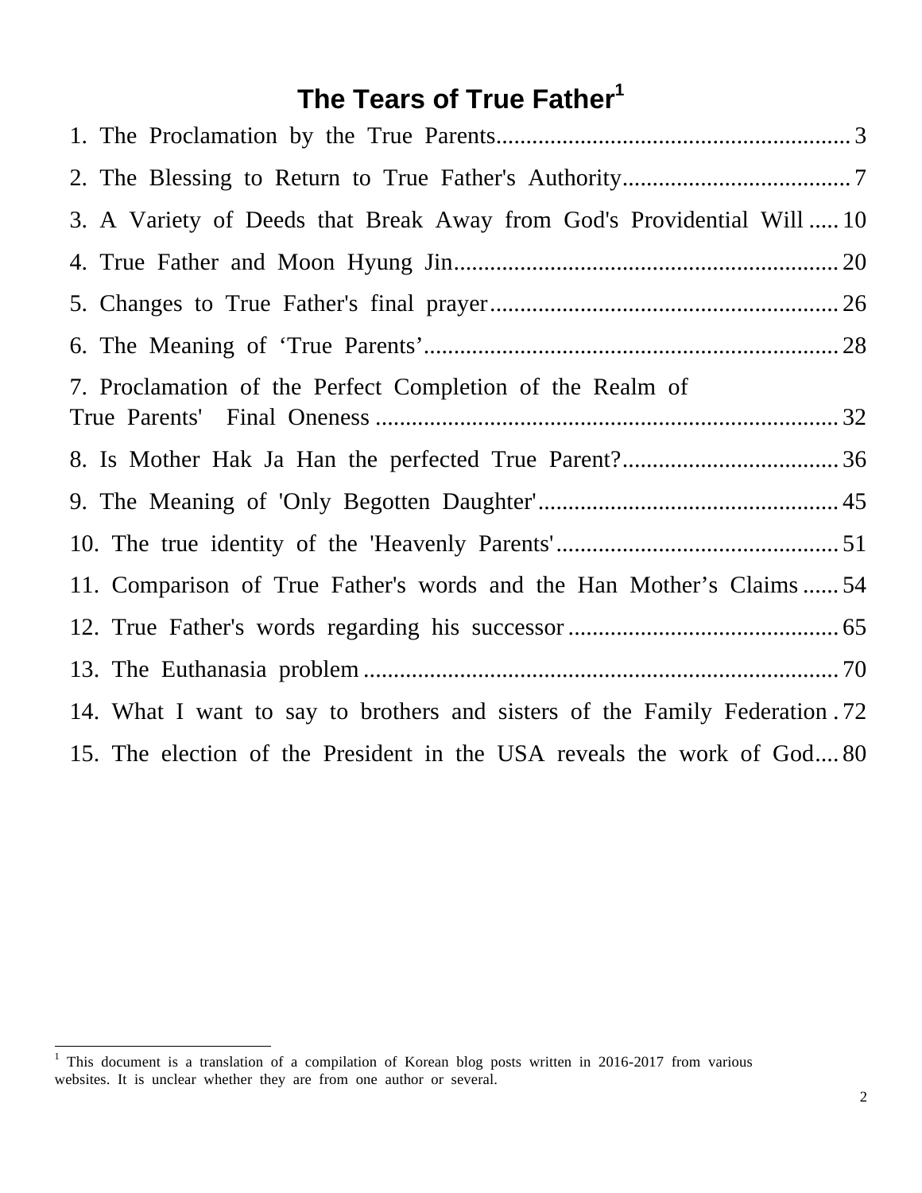# **The Tears of True Father<sup>1</sup>**

| 3. A Variety of Deeds that Break Away from God's Providential Will  10     |
|----------------------------------------------------------------------------|
|                                                                            |
|                                                                            |
|                                                                            |
| 7. Proclamation of the Perfect Completion of the Realm of                  |
|                                                                            |
|                                                                            |
|                                                                            |
| 11. Comparison of True Father's words and the Han Mother's Claims54        |
|                                                                            |
|                                                                            |
| 14. What I want to say to brothers and sisters of the Family Federation 72 |
| 15. The election of the President in the USA reveals the work of God80     |

 $\frac{1}{1}$  This document is a translation of a compilation of Korean blog posts written in 2016-2017 from various websites. It is unclear whether they are from one author or several.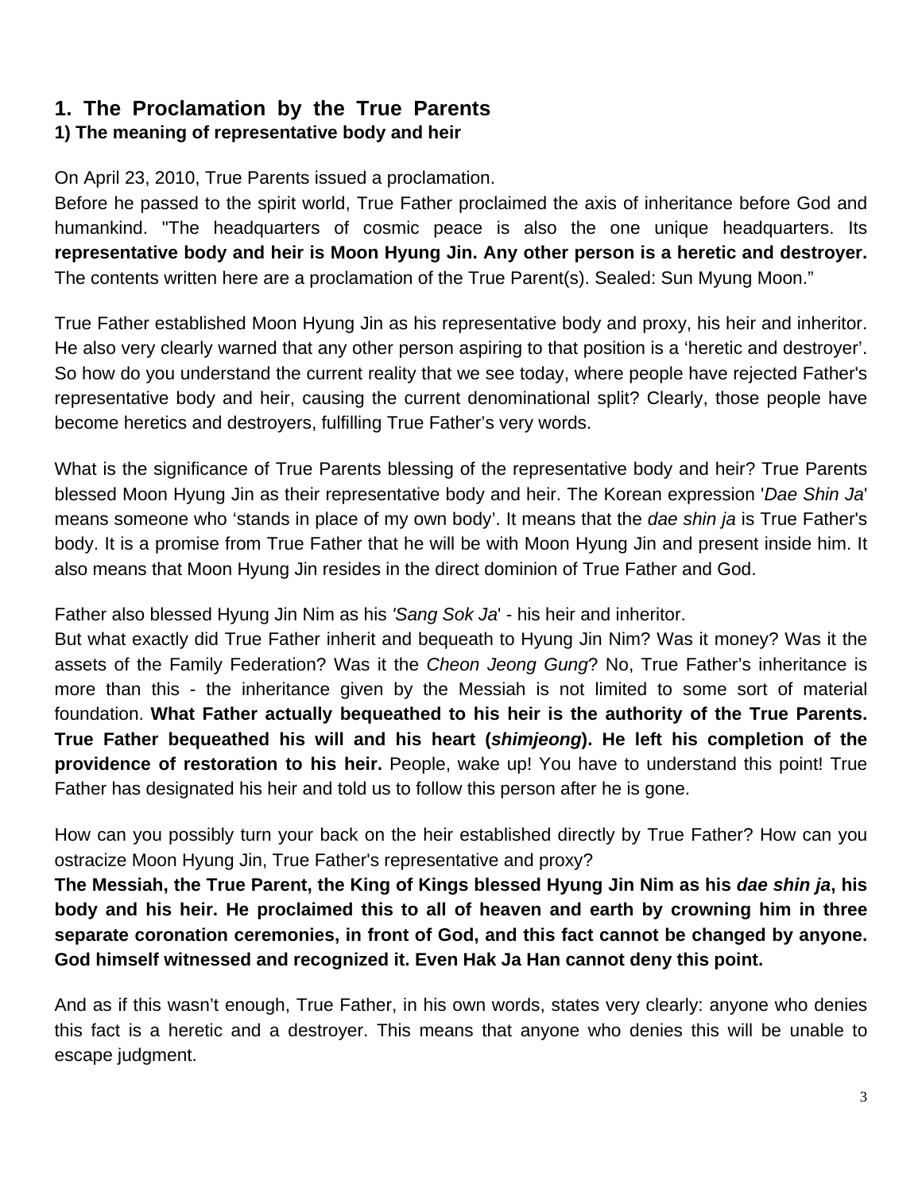# **1. The Proclamation by the True Parents**

#### **1) The meaning of representative body and heir**

On April 23, 2010, True Parents issued a proclamation.

Before he passed to the spirit world, True Father proclaimed the axis of inheritance before God and humankind. "The headquarters of cosmic peace is also the one unique headquarters. Its **representative body and heir is Moon Hyung Jin. Any other person is a heretic and destroyer.**  The contents written here are a proclamation of the True Parent(s). Sealed: Sun Myung Moon."

True Father established Moon Hyung Jin as his representative body and proxy, his heir and inheritor. He also very clearly warned that any other person aspiring to that position is a 'heretic and destroyer'. So how do you understand the current reality that we see today, where people have rejected Father's representative body and heir, causing the current denominational split? Clearly, those people have become heretics and destroyers, fulfilling True Father's very words.

What is the significance of True Parents blessing of the representative body and heir? True Parents blessed Moon Hyung Jin as their representative body and heir. The Korean expression '*Dae Shin Ja*' means someone who 'stands in place of my own body'. It means that the *dae shin ja* is True Father's body. It is a promise from True Father that he will be with Moon Hyung Jin and present inside him. It also means that Moon Hyung Jin resides in the direct dominion of True Father and God.

Father also blessed Hyung Jin Nim as his *'Sang Sok Ja*' - his heir and inheritor.

But what exactly did True Father inherit and bequeath to Hyung Jin Nim? Was it money? Was it the assets of the Family Federation? Was it the *Cheon Jeong Gung*? No, True Father's inheritance is more than this - the inheritance given by the Messiah is not limited to some sort of material foundation. **What Father actually bequeathed to his heir is the authority of the True Parents. True Father bequeathed his will and his heart (***shimjeong***). He left his completion of the providence of restoration to his heir.** People, wake up! You have to understand this point! True Father has designated his heir and told us to follow this person after he is gone.

How can you possibly turn your back on the heir established directly by True Father? How can you ostracize Moon Hyung Jin, True Father's representative and proxy?

**The Messiah, the True Parent, the King of Kings blessed Hyung Jin Nim as his** *dae shin ja***, his body and his heir. He proclaimed this to all of heaven and earth by crowning him in three separate coronation ceremonies, in front of God, and this fact cannot be changed by anyone. God himself witnessed and recognized it. Even Hak Ja Han cannot deny this point.**

And as if this wasn't enough, True Father, in his own words, states very clearly: anyone who denies this fact is a heretic and a destroyer. This means that anyone who denies this will be unable to escape judgment.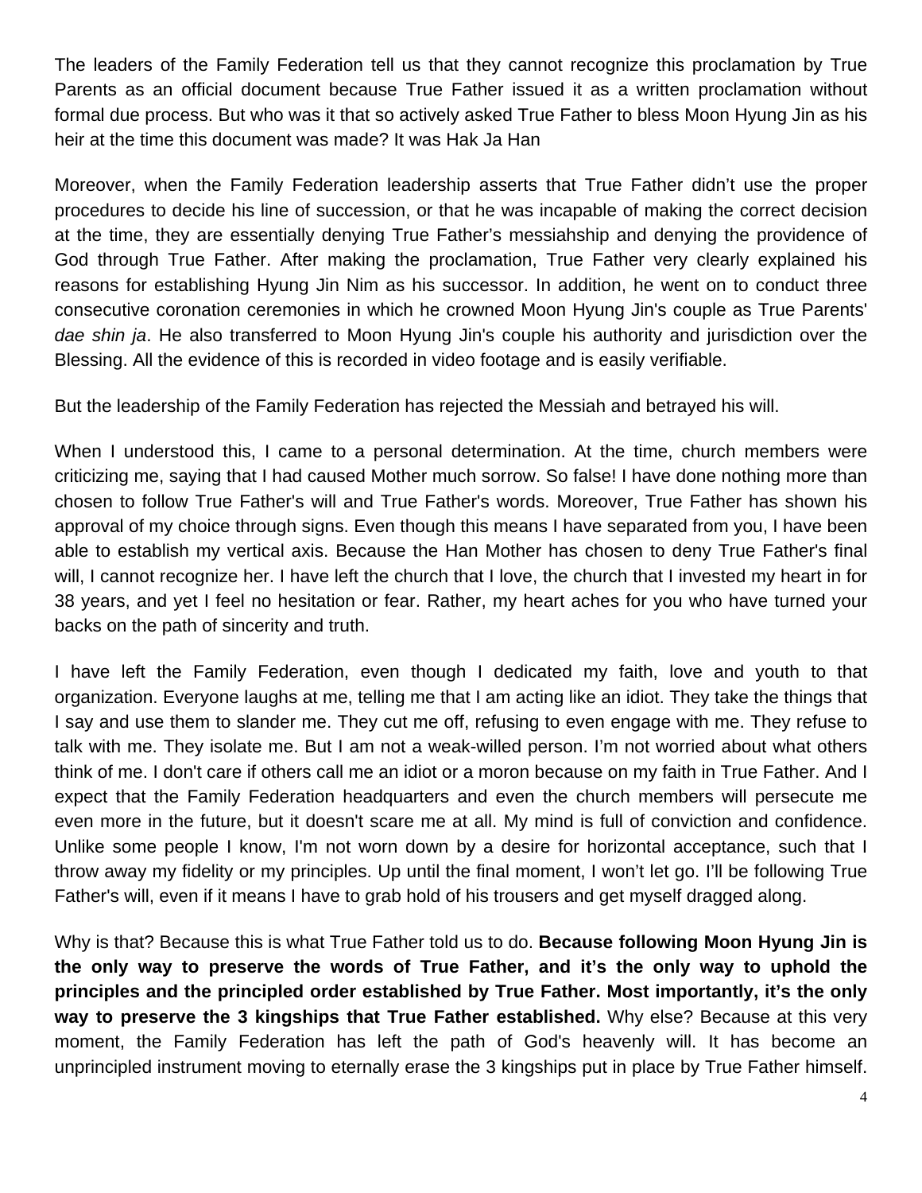The leaders of the Family Federation tell us that they cannot recognize this proclamation by True Parents as an official document because True Father issued it as a written proclamation without formal due process. But who was it that so actively asked True Father to bless Moon Hyung Jin as his heir at the time this document was made? It was Hak Ja Han

Moreover, when the Family Federation leadership asserts that True Father didn't use the proper procedures to decide his line of succession, or that he was incapable of making the correct decision at the time, they are essentially denying True Father's messiahship and denying the providence of God through True Father. After making the proclamation, True Father very clearly explained his reasons for establishing Hyung Jin Nim as his successor. In addition, he went on to conduct three consecutive coronation ceremonies in which he crowned Moon Hyung Jin's couple as True Parents' *dae shin ja*. He also transferred to Moon Hyung Jin's couple his authority and jurisdiction over the Blessing. All the evidence of this is recorded in video footage and is easily verifiable.

But the leadership of the Family Federation has rejected the Messiah and betrayed his will.

When I understood this, I came to a personal determination. At the time, church members were criticizing me, saying that I had caused Mother much sorrow. So false! I have done nothing more than chosen to follow True Father's will and True Father's words. Moreover, True Father has shown his approval of my choice through signs. Even though this means I have separated from you, I have been able to establish my vertical axis. Because the Han Mother has chosen to deny True Father's final will, I cannot recognize her. I have left the church that I love, the church that I invested my heart in for 38 years, and yet I feel no hesitation or fear. Rather, my heart aches for you who have turned your backs on the path of sincerity and truth.

I have left the Family Federation, even though I dedicated my faith, love and youth to that organization. Everyone laughs at me, telling me that I am acting like an idiot. They take the things that I say and use them to slander me. They cut me off, refusing to even engage with me. They refuse to talk with me. They isolate me. But I am not a weak-willed person. I'm not worried about what others think of me. I don't care if others call me an idiot or a moron because on my faith in True Father. And I expect that the Family Federation headquarters and even the church members will persecute me even more in the future, but it doesn't scare me at all. My mind is full of conviction and confidence. Unlike some people I know, I'm not worn down by a desire for horizontal acceptance, such that I throw away my fidelity or my principles. Up until the final moment, I won't let go. I'll be following True Father's will, even if it means I have to grab hold of his trousers and get myself dragged along.

Why is that? Because this is what True Father told us to do. **Because following Moon Hyung Jin is the only way to preserve the words of True Father, and it's the only way to uphold the principles and the principled order established by True Father. Most importantly, it's the only way to preserve the 3 kingships that True Father established.** Why else? Because at this very moment, the Family Federation has left the path of God's heavenly will. It has become an unprincipled instrument moving to eternally erase the 3 kingships put in place by True Father himself.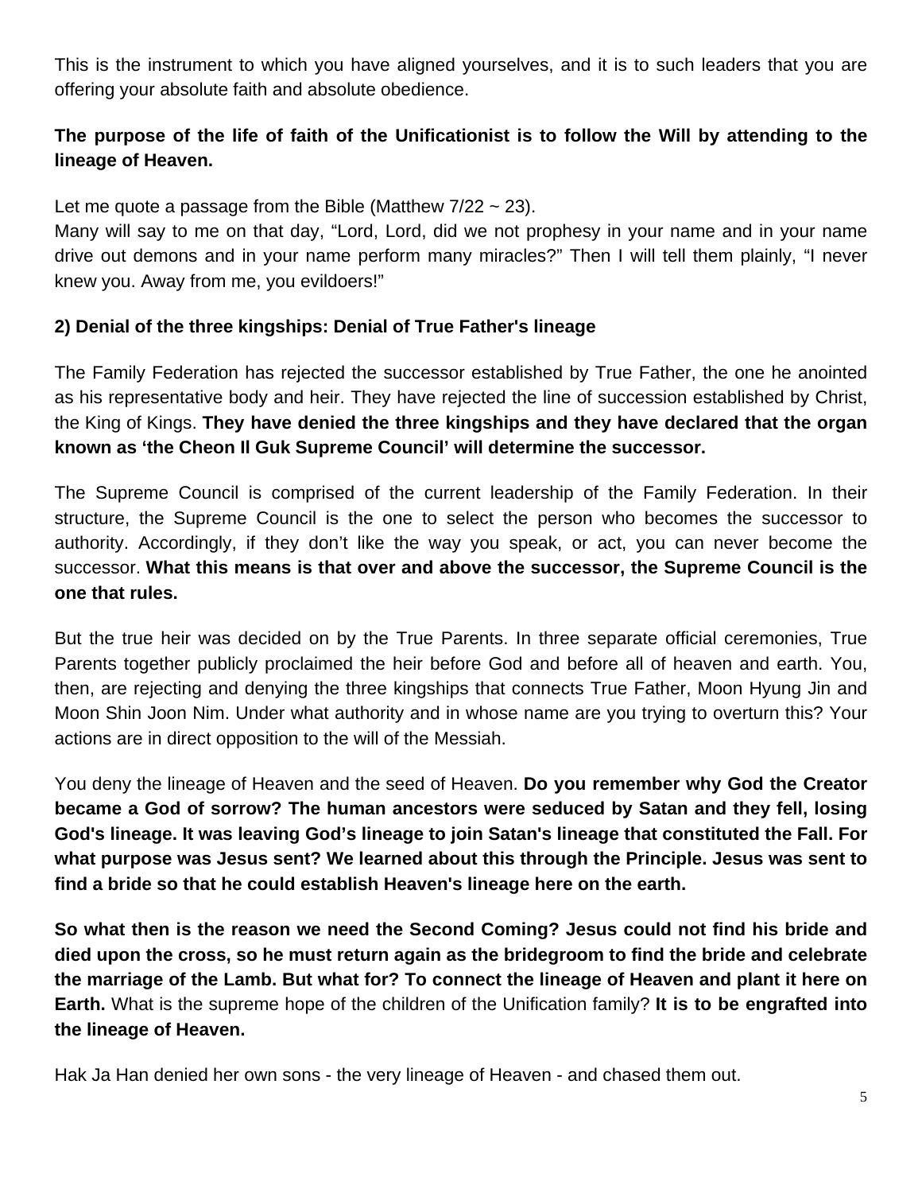This is the instrument to which you have aligned yourselves, and it is to such leaders that you are offering your absolute faith and absolute obedience.

## **The purpose of the life of faith of the Unificationist is to follow the Will by attending to the lineage of Heaven.**

Let me quote a passage from the Bible (Matthew  $7/22 \sim 23$ ).

Many will say to me on that day, "Lord, Lord, did we not prophesy in your name and in your name drive out demons and in your name perform many miracles?" Then I will tell them plainly, "I never knew you. Away from me, you evildoers!"

#### **2) Denial of the three kingships: Denial of True Father's lineage**

The Family Federation has rejected the successor established by True Father, the one he anointed as his representative body and heir. They have rejected the line of succession established by Christ, the King of Kings. **They have denied the three kingships and they have declared that the organ known as 'the Cheon Il Guk Supreme Council' will determine the successor.** 

The Supreme Council is comprised of the current leadership of the Family Federation. In their structure, the Supreme Council is the one to select the person who becomes the successor to authority. Accordingly, if they don't like the way you speak, or act, you can never become the successor. **What this means is that over and above the successor, the Supreme Council is the one that rules.**

But the true heir was decided on by the True Parents. In three separate official ceremonies, True Parents together publicly proclaimed the heir before God and before all of heaven and earth. You, then, are rejecting and denying the three kingships that connects True Father, Moon Hyung Jin and Moon Shin Joon Nim. Under what authority and in whose name are you trying to overturn this? Your actions are in direct opposition to the will of the Messiah.

You deny the lineage of Heaven and the seed of Heaven. **Do you remember why God the Creator became a God of sorrow? The human ancestors were seduced by Satan and they fell, losing God's lineage. It was leaving God's lineage to join Satan's lineage that constituted the Fall. For what purpose was Jesus sent? We learned about this through the Principle. Jesus was sent to find a bride so that he could establish Heaven's lineage here on the earth.** 

**So what then is the reason we need the Second Coming? Jesus could not find his bride and died upon the cross, so he must return again as the bridegroom to find the bride and celebrate the marriage of the Lamb. But what for? To connect the lineage of Heaven and plant it here on Earth.** What is the supreme hope of the children of the Unification family? **It is to be engrafted into the lineage of Heaven.** 

Hak Ja Han denied her own sons - the very lineage of Heaven - and chased them out.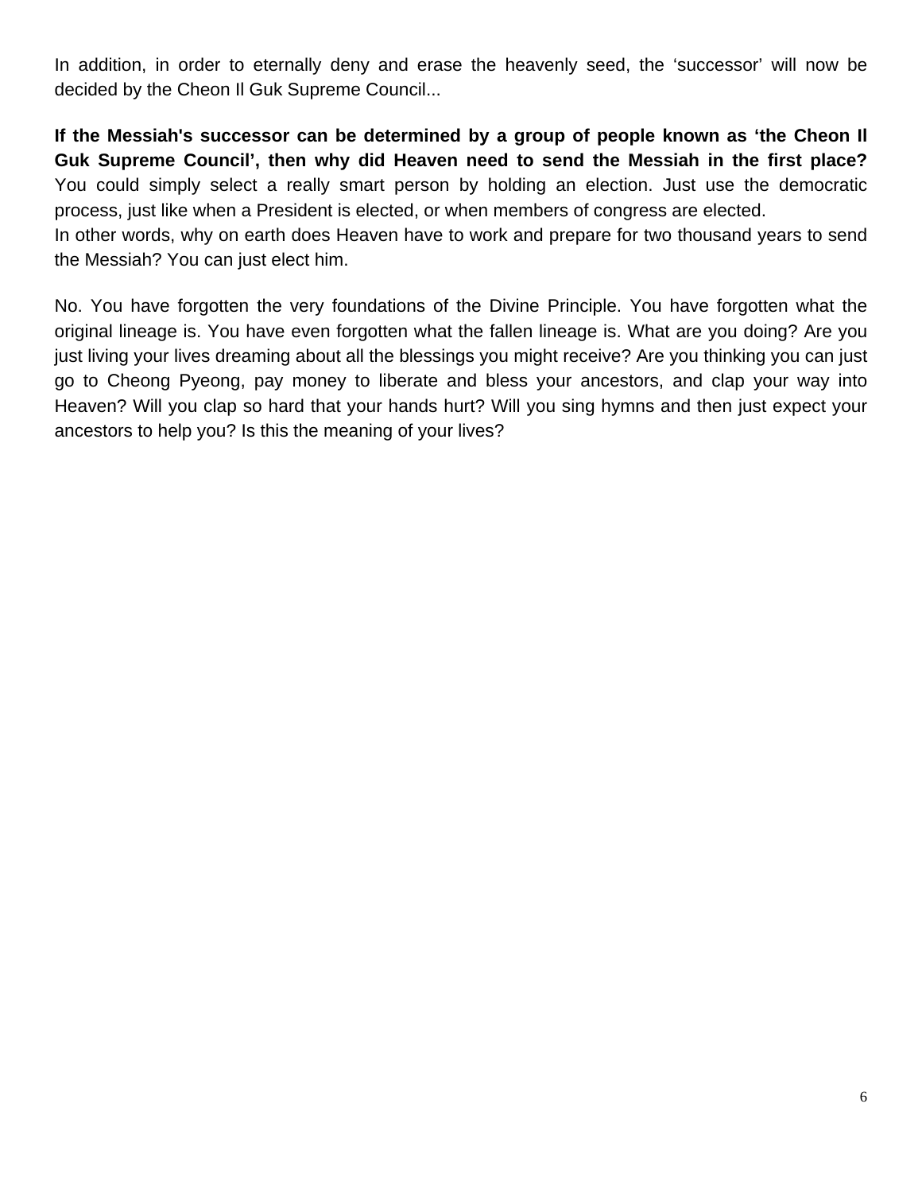In addition, in order to eternally deny and erase the heavenly seed, the 'successor' will now be decided by the Cheon Il Guk Supreme Council...

**If the Messiah's successor can be determined by a group of people known as 'the Cheon Il Guk Supreme Council', then why did Heaven need to send the Messiah in the first place?**  You could simply select a really smart person by holding an election. Just use the democratic process, just like when a President is elected, or when members of congress are elected.

In other words, why on earth does Heaven have to work and prepare for two thousand years to send the Messiah? You can just elect him.

No. You have forgotten the very foundations of the Divine Principle. You have forgotten what the original lineage is. You have even forgotten what the fallen lineage is. What are you doing? Are you just living your lives dreaming about all the blessings you might receive? Are you thinking you can just go to Cheong Pyeong, pay money to liberate and bless your ancestors, and clap your way into Heaven? Will you clap so hard that your hands hurt? Will you sing hymns and then just expect your ancestors to help you? Is this the meaning of your lives?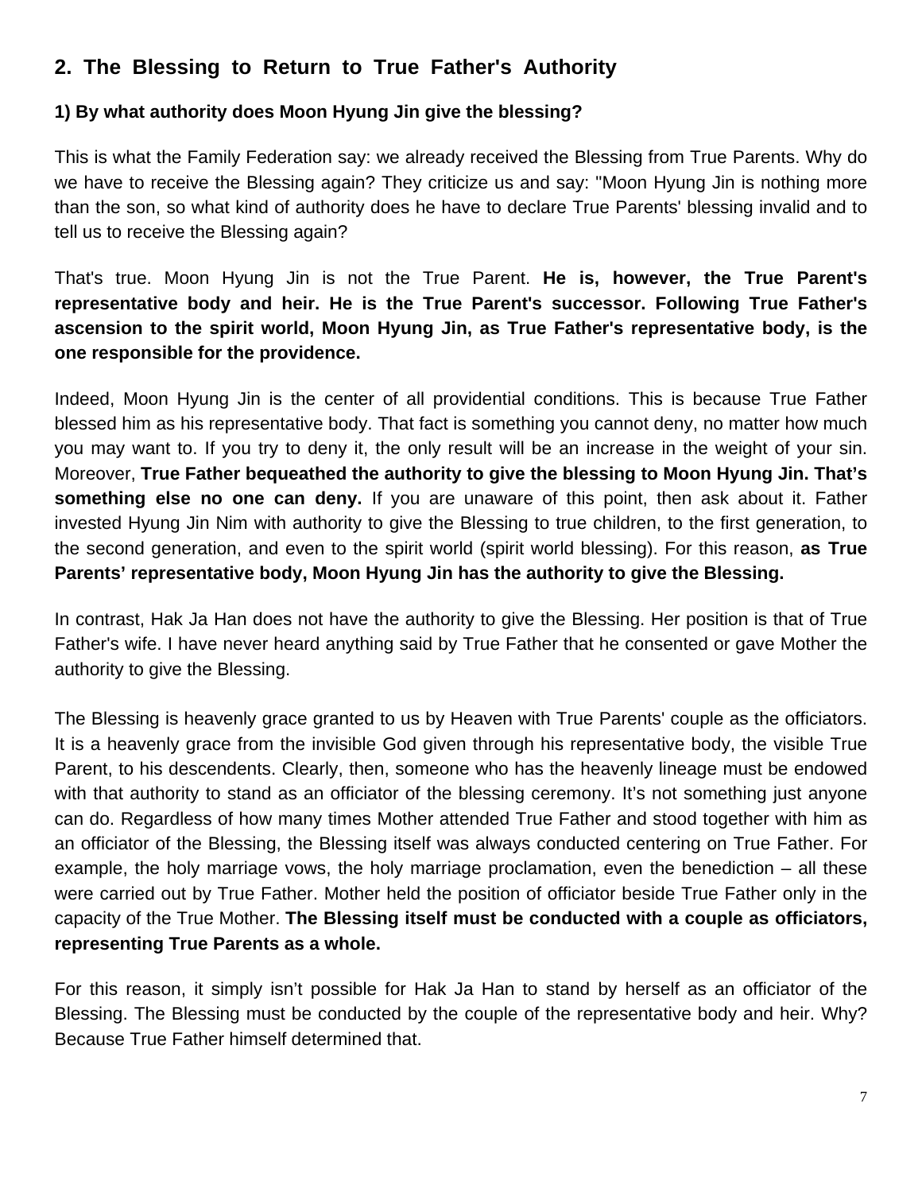# **2. The Blessing to Return to True Father's Authority**

#### **1) By what authority does Moon Hyung Jin give the blessing?**

This is what the Family Federation say: we already received the Blessing from True Parents. Why do we have to receive the Blessing again? They criticize us and say: "Moon Hyung Jin is nothing more than the son, so what kind of authority does he have to declare True Parents' blessing invalid and to tell us to receive the Blessing again?

That's true. Moon Hyung Jin is not the True Parent. **He is, however, the True Parent's representative body and heir. He is the True Parent's successor. Following True Father's ascension to the spirit world, Moon Hyung Jin, as True Father's representative body, is the one responsible for the providence.** 

Indeed, Moon Hyung Jin is the center of all providential conditions. This is because True Father blessed him as his representative body. That fact is something you cannot deny, no matter how much you may want to. If you try to deny it, the only result will be an increase in the weight of your sin. Moreover, **True Father bequeathed the authority to give the blessing to Moon Hyung Jin. That's something else no one can deny.** If you are unaware of this point, then ask about it. Father invested Hyung Jin Nim with authority to give the Blessing to true children, to the first generation, to the second generation, and even to the spirit world (spirit world blessing). For this reason, **as True Parents' representative body, Moon Hyung Jin has the authority to give the Blessing.** 

In contrast, Hak Ja Han does not have the authority to give the Blessing. Her position is that of True Father's wife. I have never heard anything said by True Father that he consented or gave Mother the authority to give the Blessing.

The Blessing is heavenly grace granted to us by Heaven with True Parents' couple as the officiators. It is a heavenly grace from the invisible God given through his representative body, the visible True Parent, to his descendents. Clearly, then, someone who has the heavenly lineage must be endowed with that authority to stand as an officiator of the blessing ceremony. It's not something just anyone can do. Regardless of how many times Mother attended True Father and stood together with him as an officiator of the Blessing, the Blessing itself was always conducted centering on True Father. For example, the holy marriage vows, the holy marriage proclamation, even the benediction – all these were carried out by True Father. Mother held the position of officiator beside True Father only in the capacity of the True Mother. **The Blessing itself must be conducted with a couple as officiators, representing True Parents as a whole.** 

For this reason, it simply isn't possible for Hak Ja Han to stand by herself as an officiator of the Blessing. The Blessing must be conducted by the couple of the representative body and heir. Why? Because True Father himself determined that.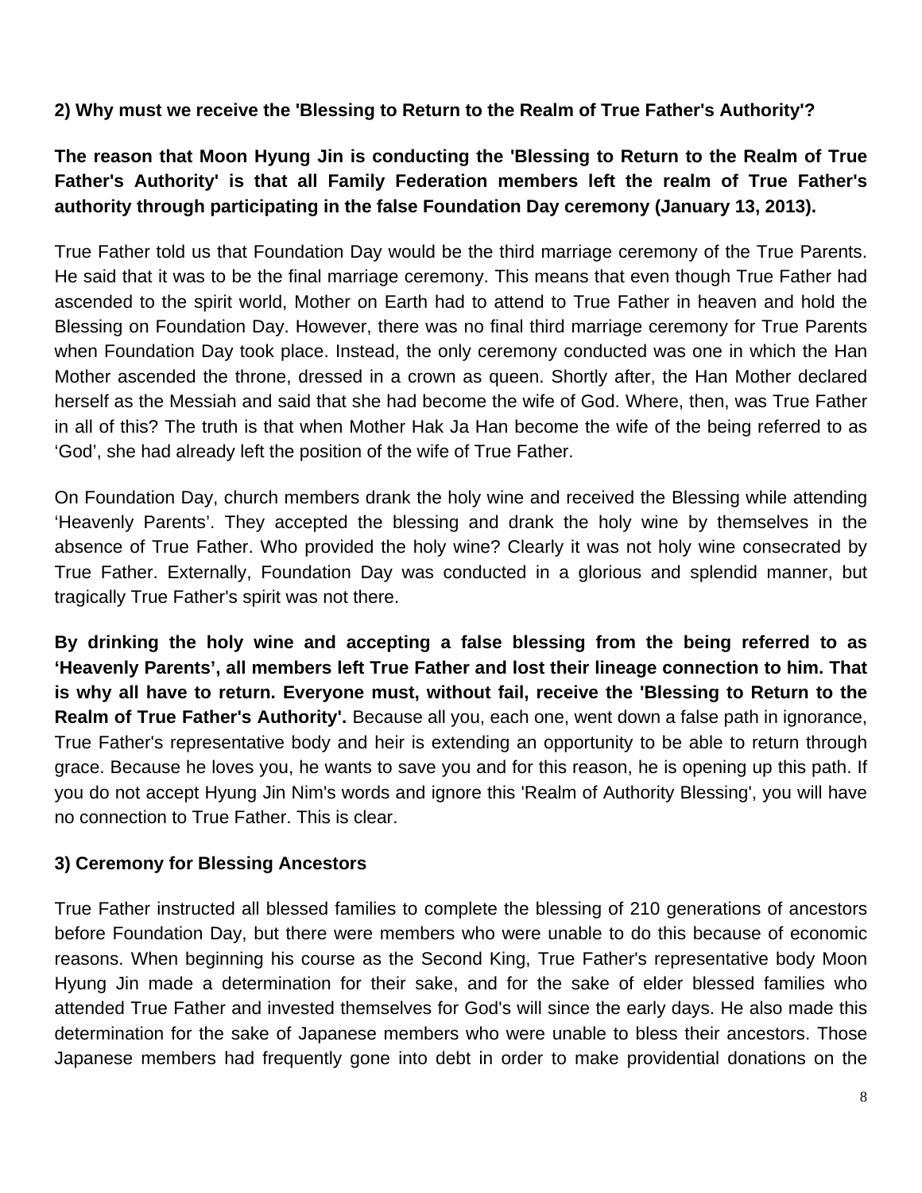#### **2) Why must we receive the 'Blessing to Return to the Realm of True Father's Authority'?**

## **The reason that Moon Hyung Jin is conducting the 'Blessing to Return to the Realm of True Father's Authority' is that all Family Federation members left the realm of True Father's authority through participating in the false Foundation Day ceremony (January 13, 2013).**

True Father told us that Foundation Day would be the third marriage ceremony of the True Parents. He said that it was to be the final marriage ceremony. This means that even though True Father had ascended to the spirit world, Mother on Earth had to attend to True Father in heaven and hold the Blessing on Foundation Day. However, there was no final third marriage ceremony for True Parents when Foundation Day took place. Instead, the only ceremony conducted was one in which the Han Mother ascended the throne, dressed in a crown as queen. Shortly after, the Han Mother declared herself as the Messiah and said that she had become the wife of God. Where, then, was True Father in all of this? The truth is that when Mother Hak Ja Han become the wife of the being referred to as 'God', she had already left the position of the wife of True Father.

On Foundation Day, church members drank the holy wine and received the Blessing while attending 'Heavenly Parents'. They accepted the blessing and drank the holy wine by themselves in the absence of True Father. Who provided the holy wine? Clearly it was not holy wine consecrated by True Father. Externally, Foundation Day was conducted in a glorious and splendid manner, but tragically True Father's spirit was not there.

**By drinking the holy wine and accepting a false blessing from the being referred to as 'Heavenly Parents', all members left True Father and lost their lineage connection to him. That is why all have to return. Everyone must, without fail, receive the 'Blessing to Return to the Realm of True Father's Authority'.** Because all you, each one, went down a false path in ignorance, True Father's representative body and heir is extending an opportunity to be able to return through grace. Because he loves you, he wants to save you and for this reason, he is opening up this path. If you do not accept Hyung Jin Nim's words and ignore this 'Realm of Authority Blessing', you will have no connection to True Father. This is clear.

#### **3) Ceremony for Blessing Ancestors**

True Father instructed all blessed families to complete the blessing of 210 generations of ancestors before Foundation Day, but there were members who were unable to do this because of economic reasons. When beginning his course as the Second King, True Father's representative body Moon Hyung Jin made a determination for their sake, and for the sake of elder blessed families who attended True Father and invested themselves for God's will since the early days. He also made this determination for the sake of Japanese members who were unable to bless their ancestors. Those Japanese members had frequently gone into debt in order to make providential donations on the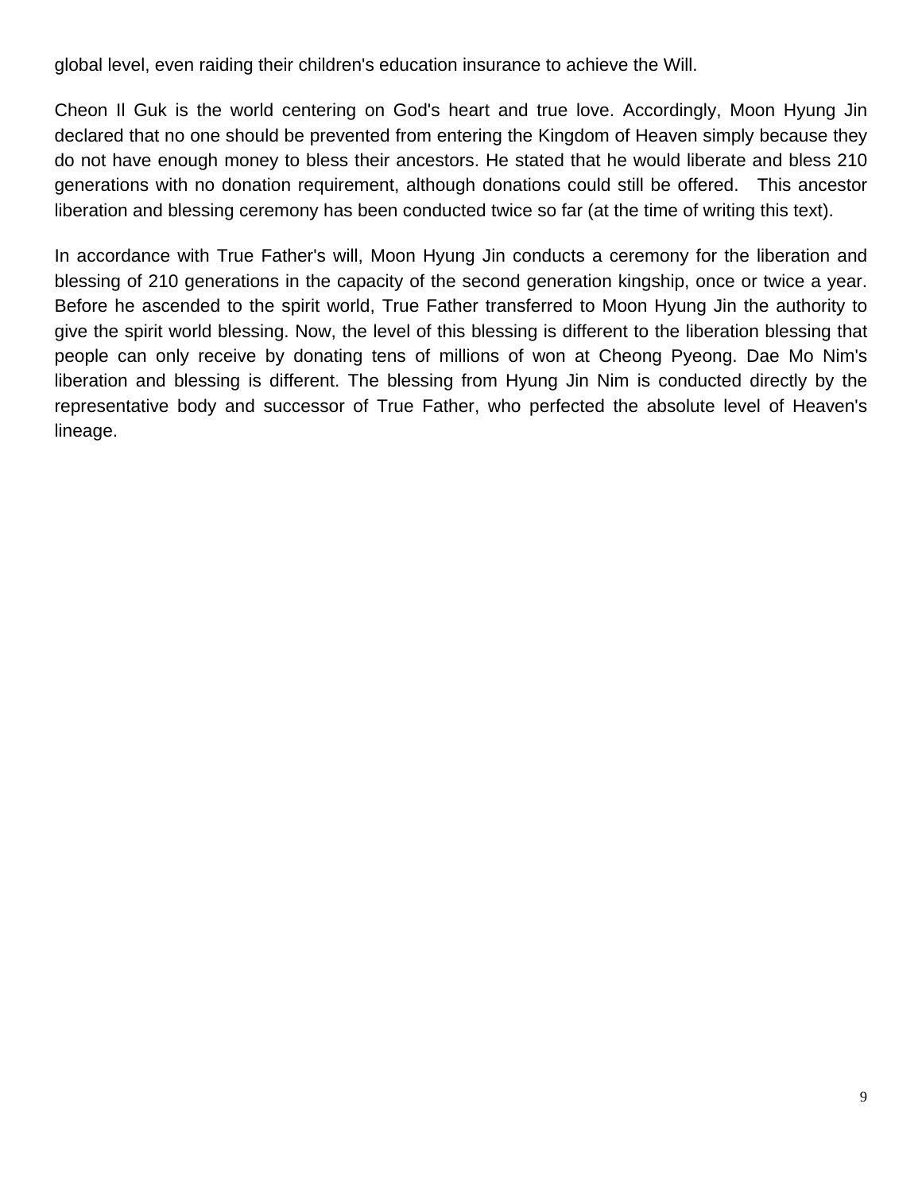global level, even raiding their children's education insurance to achieve the Will.

Cheon Il Guk is the world centering on God's heart and true love. Accordingly, Moon Hyung Jin declared that no one should be prevented from entering the Kingdom of Heaven simply because they do not have enough money to bless their ancestors. He stated that he would liberate and bless 210 generations with no donation requirement, although donations could still be offered. This ancestor liberation and blessing ceremony has been conducted twice so far (at the time of writing this text).

In accordance with True Father's will, Moon Hyung Jin conducts a ceremony for the liberation and blessing of 210 generations in the capacity of the second generation kingship, once or twice a year. Before he ascended to the spirit world, True Father transferred to Moon Hyung Jin the authority to give the spirit world blessing. Now, the level of this blessing is different to the liberation blessing that people can only receive by donating tens of millions of won at Cheong Pyeong. Dae Mo Nim's liberation and blessing is different. The blessing from Hyung Jin Nim is conducted directly by the representative body and successor of True Father, who perfected the absolute level of Heaven's lineage.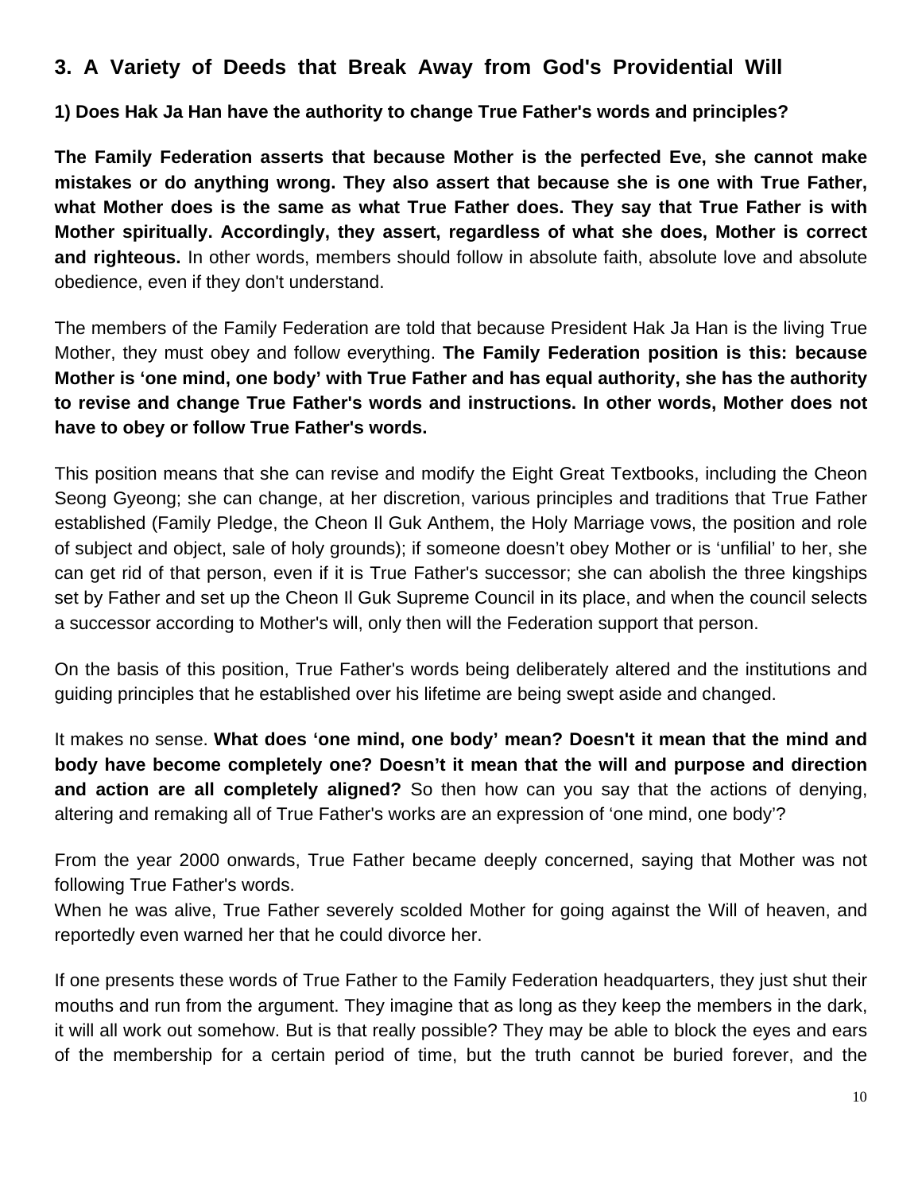# **3. A Variety of Deeds that Break Away from God's Providential Will**

**1) Does Hak Ja Han have the authority to change True Father's words and principles?**

**The Family Federation asserts that because Mother is the perfected Eve, she cannot make mistakes or do anything wrong. They also assert that because she is one with True Father, what Mother does is the same as what True Father does. They say that True Father is with Mother spiritually. Accordingly, they assert, regardless of what she does, Mother is correct and righteous.** In other words, members should follow in absolute faith, absolute love and absolute obedience, even if they don't understand.

The members of the Family Federation are told that because President Hak Ja Han is the living True Mother, they must obey and follow everything. **The Family Federation position is this: because Mother is 'one mind, one body' with True Father and has equal authority, she has the authority to revise and change True Father's words and instructions. In other words, Mother does not have to obey or follow True Father's words.** 

This position means that she can revise and modify the Eight Great Textbooks, including the Cheon Seong Gyeong; she can change, at her discretion, various principles and traditions that True Father established (Family Pledge, the Cheon Il Guk Anthem, the Holy Marriage vows, the position and role of subject and object, sale of holy grounds); if someone doesn't obey Mother or is 'unfilial' to her, she can get rid of that person, even if it is True Father's successor; she can abolish the three kingships set by Father and set up the Cheon II Guk Supreme Council in its place, and when the council selects a successor according to Mother's will, only then will the Federation support that person.

On the basis of this position, True Father's words being deliberately altered and the institutions and guiding principles that he established over his lifetime are being swept aside and changed.

It makes no sense. **What does 'one mind, one body' mean? Doesn't it mean that the mind and body have become completely one? Doesn't it mean that the will and purpose and direction and action are all completely aligned?** So then how can you say that the actions of denying, altering and remaking all of True Father's works are an expression of 'one mind, one body'?

From the year 2000 onwards, True Father became deeply concerned, saying that Mother was not following True Father's words.

When he was alive, True Father severely scolded Mother for going against the Will of heaven, and reportedly even warned her that he could divorce her.

If one presents these words of True Father to the Family Federation headquarters, they just shut their mouths and run from the argument. They imagine that as long as they keep the members in the dark, it will all work out somehow. But is that really possible? They may be able to block the eyes and ears of the membership for a certain period of time, but the truth cannot be buried forever, and the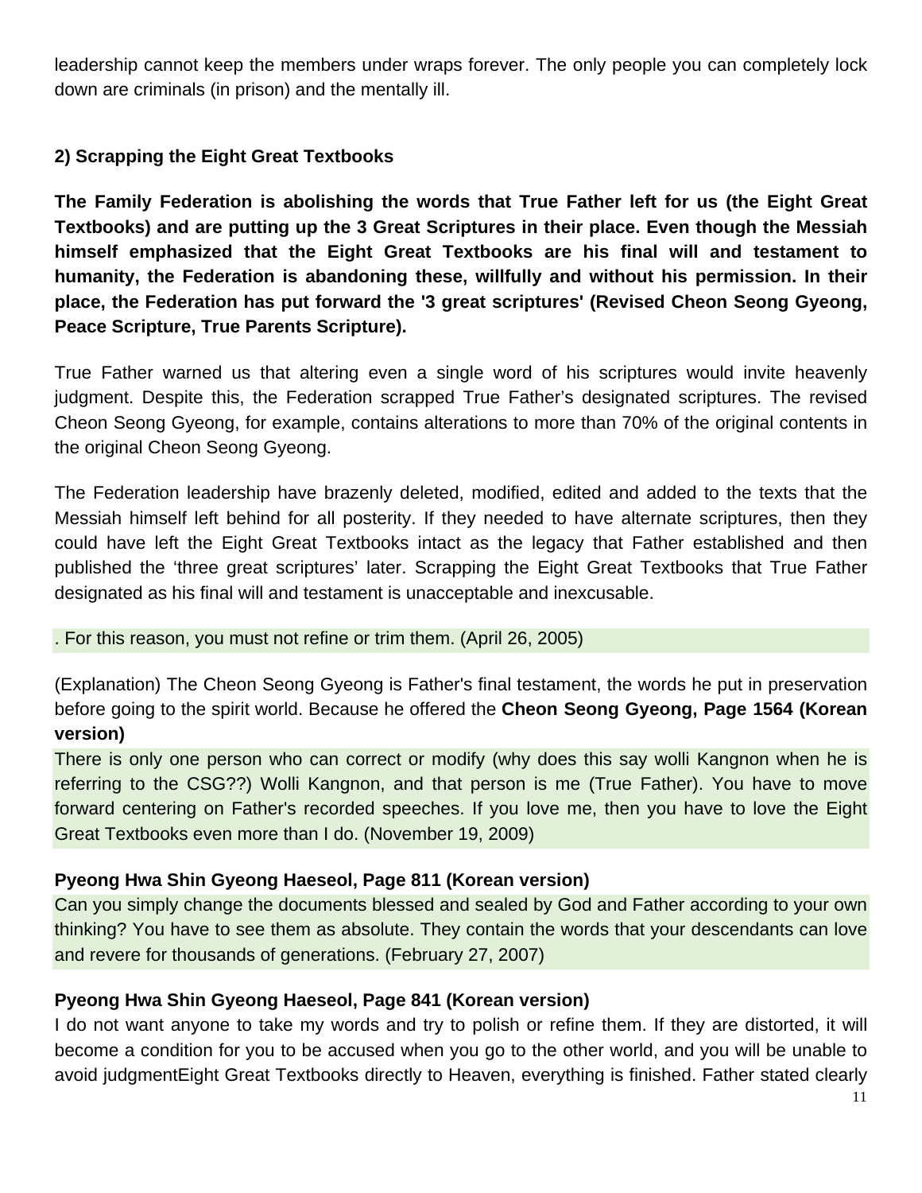leadership cannot keep the members under wraps forever. The only people you can completely lock down are criminals (in prison) and the mentally ill.

#### **2) Scrapping the Eight Great Textbooks**

**The Family Federation is abolishing the words that True Father left for us (the Eight Great Textbooks) and are putting up the 3 Great Scriptures in their place. Even though the Messiah himself emphasized that the Eight Great Textbooks are his final will and testament to humanity, the Federation is abandoning these, willfully and without his permission. In their place, the Federation has put forward the '3 great scriptures' (Revised Cheon Seong Gyeong, Peace Scripture, True Parents Scripture).** 

True Father warned us that altering even a single word of his scriptures would invite heavenly judgment. Despite this, the Federation scrapped True Father's designated scriptures. The revised Cheon Seong Gyeong, for example, contains alterations to more than 70% of the original contents in the original Cheon Seong Gyeong.

The Federation leadership have brazenly deleted, modified, edited and added to the texts that the Messiah himself left behind for all posterity. If they needed to have alternate scriptures, then they could have left the Eight Great Textbooks intact as the legacy that Father established and then published the 'three great scriptures' later. Scrapping the Eight Great Textbooks that True Father designated as his final will and testament is unacceptable and inexcusable.

#### . For this reason, you must not refine or trim them. (April 26, 2005)

(Explanation) The Cheon Seong Gyeong is Father's final testament, the words he put in preservation before going to the spirit world. Because he offered the **Cheon Seong Gyeong, Page 1564 (Korean version)**

There is only one person who can correct or modify (why does this say wolli Kangnon when he is referring to the CSG??) Wolli Kangnon, and that person is me (True Father). You have to move forward centering on Father's recorded speeches. If you love me, then you have to love the Eight Great Textbooks even more than I do. (November 19, 2009)

#### **Pyeong Hwa Shin Gyeong Haeseol, Page 811 (Korean version)**

Can you simply change the documents blessed and sealed by God and Father according to your own thinking? You have to see them as absolute. They contain the words that your descendants can love and revere for thousands of generations. (February 27, 2007)

#### **Pyeong Hwa Shin Gyeong Haeseol, Page 841 (Korean version)**

I do not want anyone to take my words and try to polish or refine them. If they are distorted, it will become a condition for you to be accused when you go to the other world, and you will be unable to avoid judgmentEight Great Textbooks directly to Heaven, everything is finished. Father stated clearly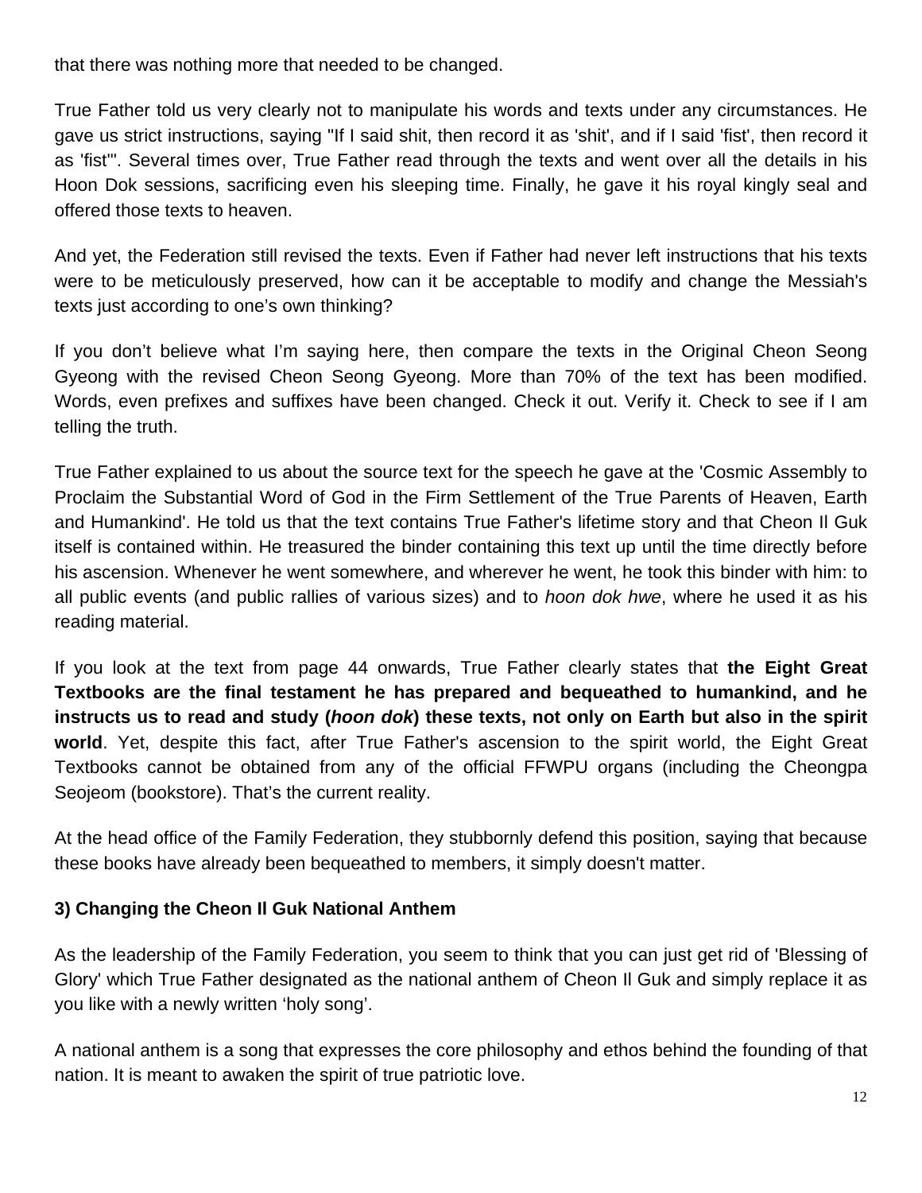that there was nothing more that needed to be changed.

True Father told us very clearly not to manipulate his words and texts under any circumstances. He gave us strict instructions, saying "If I said shit, then record it as 'shit', and if I said 'fist', then record it as 'fist'". Several times over, True Father read through the texts and went over all the details in his Hoon Dok sessions, sacrificing even his sleeping time. Finally, he gave it his royal kingly seal and offered those texts to heaven.

And yet, the Federation still revised the texts. Even if Father had never left instructions that his texts were to be meticulously preserved, how can it be acceptable to modify and change the Messiah's texts just according to one's own thinking?

If you don't believe what I'm saying here, then compare the texts in the Original Cheon Seong Gyeong with the revised Cheon Seong Gyeong. More than 70% of the text has been modified. Words, even prefixes and suffixes have been changed. Check it out. Verify it. Check to see if I am telling the truth.

True Father explained to us about the source text for the speech he gave at the 'Cosmic Assembly to Proclaim the Substantial Word of God in the Firm Settlement of the True Parents of Heaven, Earth and Humankind'. He told us that the text contains True Father's lifetime story and that Cheon Il Guk itself is contained within. He treasured the binder containing this text up until the time directly before his ascension. Whenever he went somewhere, and wherever he went, he took this binder with him: to all public events (and public rallies of various sizes) and to *hoon dok hwe*, where he used it as his reading material.

If you look at the text from page 44 onwards, True Father clearly states that **the Eight Great Textbooks are the final testament he has prepared and bequeathed to humankind, and he instructs us to read and study (***hoon dok***) these texts, not only on Earth but also in the spirit world**. Yet, despite this fact, after True Father's ascension to the spirit world, the Eight Great Textbooks cannot be obtained from any of the official FFWPU organs (including the Cheongpa Seojeom (bookstore). That's the current reality.

At the head office of the Family Federation, they stubbornly defend this position, saying that because these books have already been bequeathed to members, it simply doesn't matter.

#### **3) Changing the Cheon Il Guk National Anthem**

As the leadership of the Family Federation, you seem to think that you can just get rid of 'Blessing of Glory' which True Father designated as the national anthem of Cheon Il Guk and simply replace it as you like with a newly written 'holy song'.

A national anthem is a song that expresses the core philosophy and ethos behind the founding of that nation. It is meant to awaken the spirit of true patriotic love.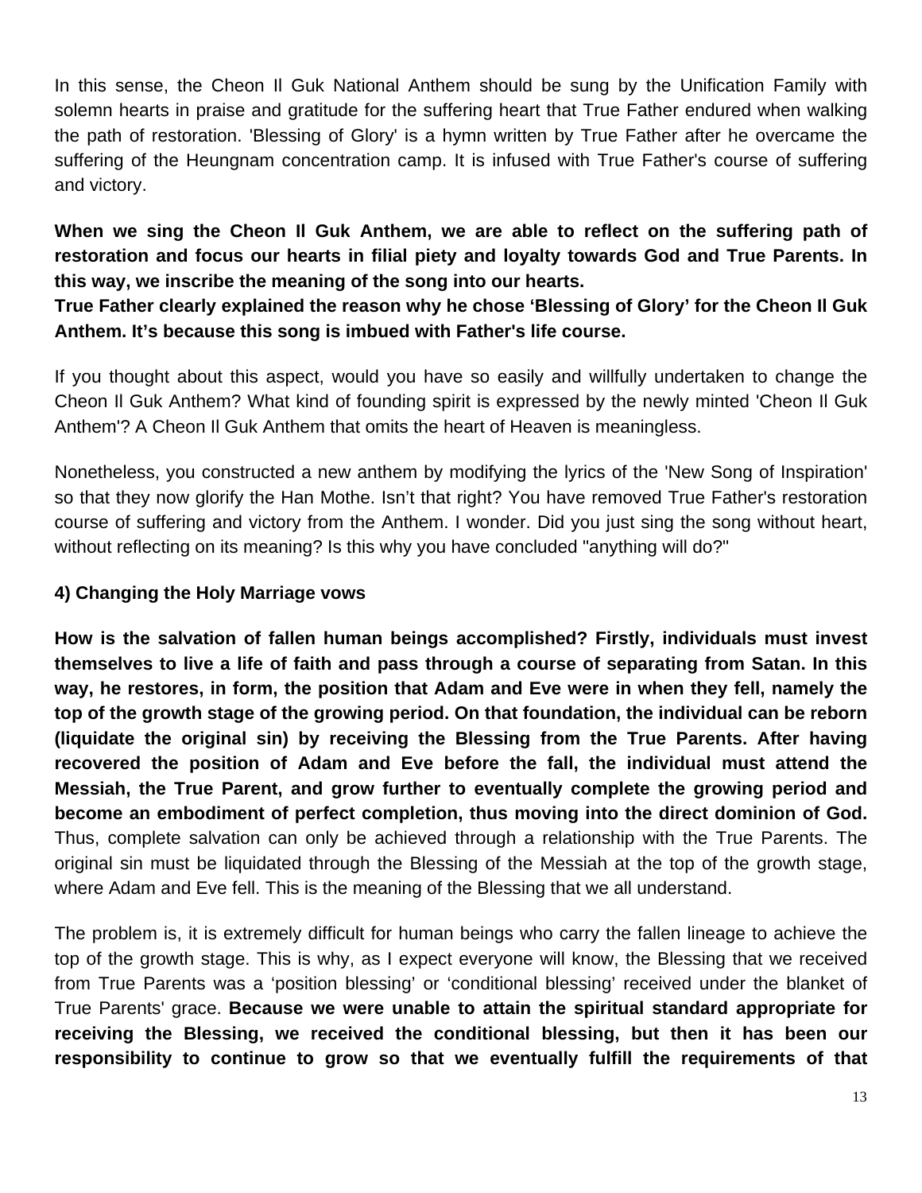In this sense, the Cheon Il Guk National Anthem should be sung by the Unification Family with solemn hearts in praise and gratitude for the suffering heart that True Father endured when walking the path of restoration. 'Blessing of Glory' is a hymn written by True Father after he overcame the suffering of the Heungnam concentration camp. It is infused with True Father's course of suffering and victory.

**When we sing the Cheon Il Guk Anthem, we are able to reflect on the suffering path of restoration and focus our hearts in filial piety and loyalty towards God and True Parents. In this way, we inscribe the meaning of the song into our hearts.** 

**True Father clearly explained the reason why he chose 'Blessing of Glory' for the Cheon Il Guk Anthem. It's because this song is imbued with Father's life course.** 

If you thought about this aspect, would you have so easily and willfully undertaken to change the Cheon Il Guk Anthem? What kind of founding spirit is expressed by the newly minted 'Cheon Il Guk Anthem'? A Cheon Il Guk Anthem that omits the heart of Heaven is meaningless.

Nonetheless, you constructed a new anthem by modifying the lyrics of the 'New Song of Inspiration' so that they now glorify the Han Mothe. Isn't that right? You have removed True Father's restoration course of suffering and victory from the Anthem. I wonder. Did you just sing the song without heart, without reflecting on its meaning? Is this why you have concluded "anything will do?"

#### **4) Changing the Holy Marriage vows**

**How is the salvation of fallen human beings accomplished? Firstly, individuals must invest themselves to live a life of faith and pass through a course of separating from Satan. In this way, he restores, in form, the position that Adam and Eve were in when they fell, namely the top of the growth stage of the growing period. On that foundation, the individual can be reborn (liquidate the original sin) by receiving the Blessing from the True Parents. After having recovered the position of Adam and Eve before the fall, the individual must attend the Messiah, the True Parent, and grow further to eventually complete the growing period and become an embodiment of perfect completion, thus moving into the direct dominion of God.**  Thus, complete salvation can only be achieved through a relationship with the True Parents. The original sin must be liquidated through the Blessing of the Messiah at the top of the growth stage, where Adam and Eve fell. This is the meaning of the Blessing that we all understand.

The problem is, it is extremely difficult for human beings who carry the fallen lineage to achieve the top of the growth stage. This is why, as I expect everyone will know, the Blessing that we received from True Parents was a 'position blessing' or 'conditional blessing' received under the blanket of True Parents' grace. **Because we were unable to attain the spiritual standard appropriate for receiving the Blessing, we received the conditional blessing, but then it has been our responsibility to continue to grow so that we eventually fulfill the requirements of that**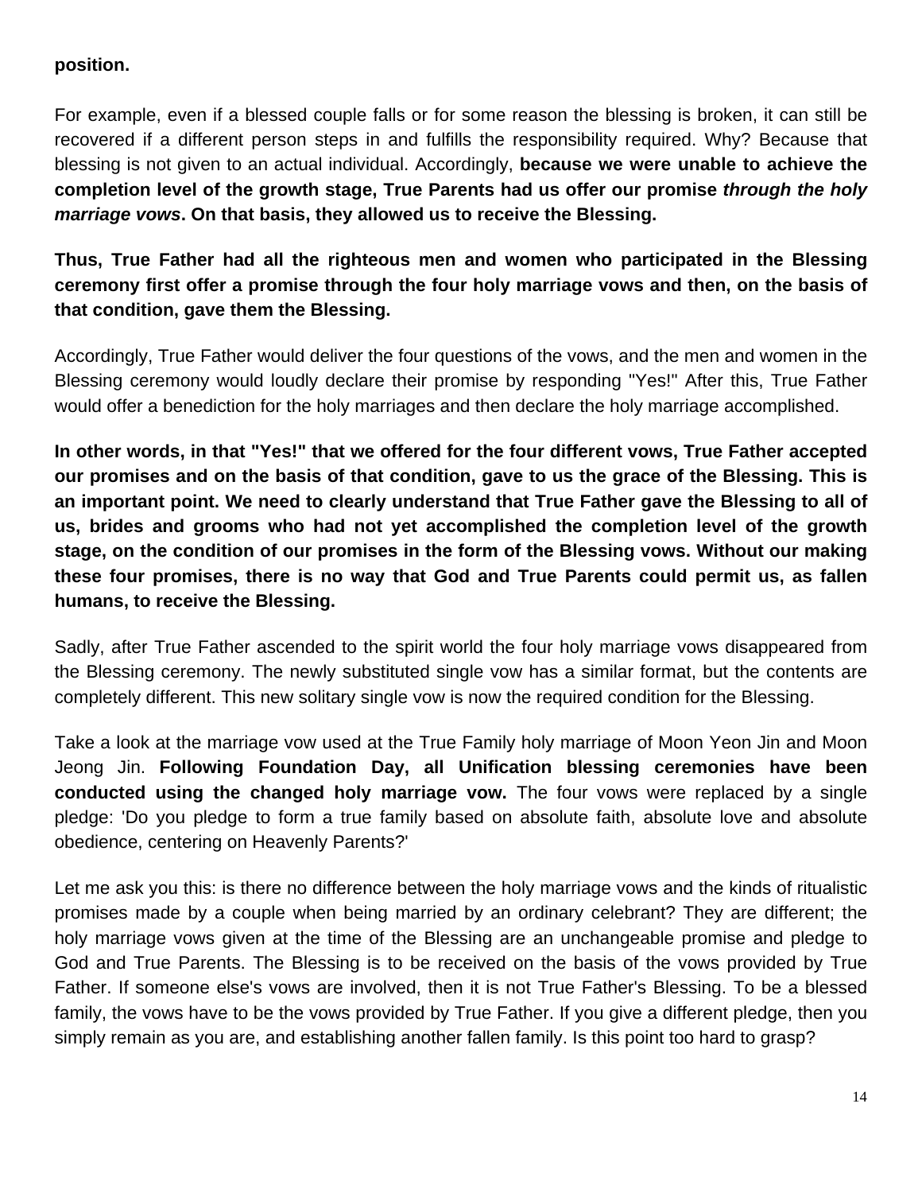#### **position.**

For example, even if a blessed couple falls or for some reason the blessing is broken, it can still be recovered if a different person steps in and fulfills the responsibility required. Why? Because that blessing is not given to an actual individual. Accordingly, **because we were unable to achieve the completion level of the growth stage, True Parents had us offer our promise** *through the holy marriage vows***. On that basis, they allowed us to receive the Blessing.**

**Thus, True Father had all the righteous men and women who participated in the Blessing ceremony first offer a promise through the four holy marriage vows and then, on the basis of that condition, gave them the Blessing.** 

Accordingly, True Father would deliver the four questions of the vows, and the men and women in the Blessing ceremony would loudly declare their promise by responding "Yes!" After this, True Father would offer a benediction for the holy marriages and then declare the holy marriage accomplished.

**In other words, in that "Yes!" that we offered for the four different vows, True Father accepted our promises and on the basis of that condition, gave to us the grace of the Blessing. This is an important point. We need to clearly understand that True Father gave the Blessing to all of us, brides and grooms who had not yet accomplished the completion level of the growth stage, on the condition of our promises in the form of the Blessing vows. Without our making these four promises, there is no way that God and True Parents could permit us, as fallen humans, to receive the Blessing.**

Sadly, after True Father ascended to the spirit world the four holy marriage vows disappeared from the Blessing ceremony. The newly substituted single vow has a similar format, but the contents are completely different. This new solitary single vow is now the required condition for the Blessing.

Take a look at the marriage vow used at the True Family holy marriage of Moon Yeon Jin and Moon Jeong Jin. **Following Foundation Day, all Unification blessing ceremonies have been conducted using the changed holy marriage vow.** The four vows were replaced by a single pledge: 'Do you pledge to form a true family based on absolute faith, absolute love and absolute obedience, centering on Heavenly Parents?'

Let me ask you this: is there no difference between the holy marriage vows and the kinds of ritualistic promises made by a couple when being married by an ordinary celebrant? They are different; the holy marriage vows given at the time of the Blessing are an unchangeable promise and pledge to God and True Parents. The Blessing is to be received on the basis of the vows provided by True Father. If someone else's vows are involved, then it is not True Father's Blessing. To be a blessed family, the vows have to be the vows provided by True Father. If you give a different pledge, then you simply remain as you are, and establishing another fallen family. Is this point too hard to grasp?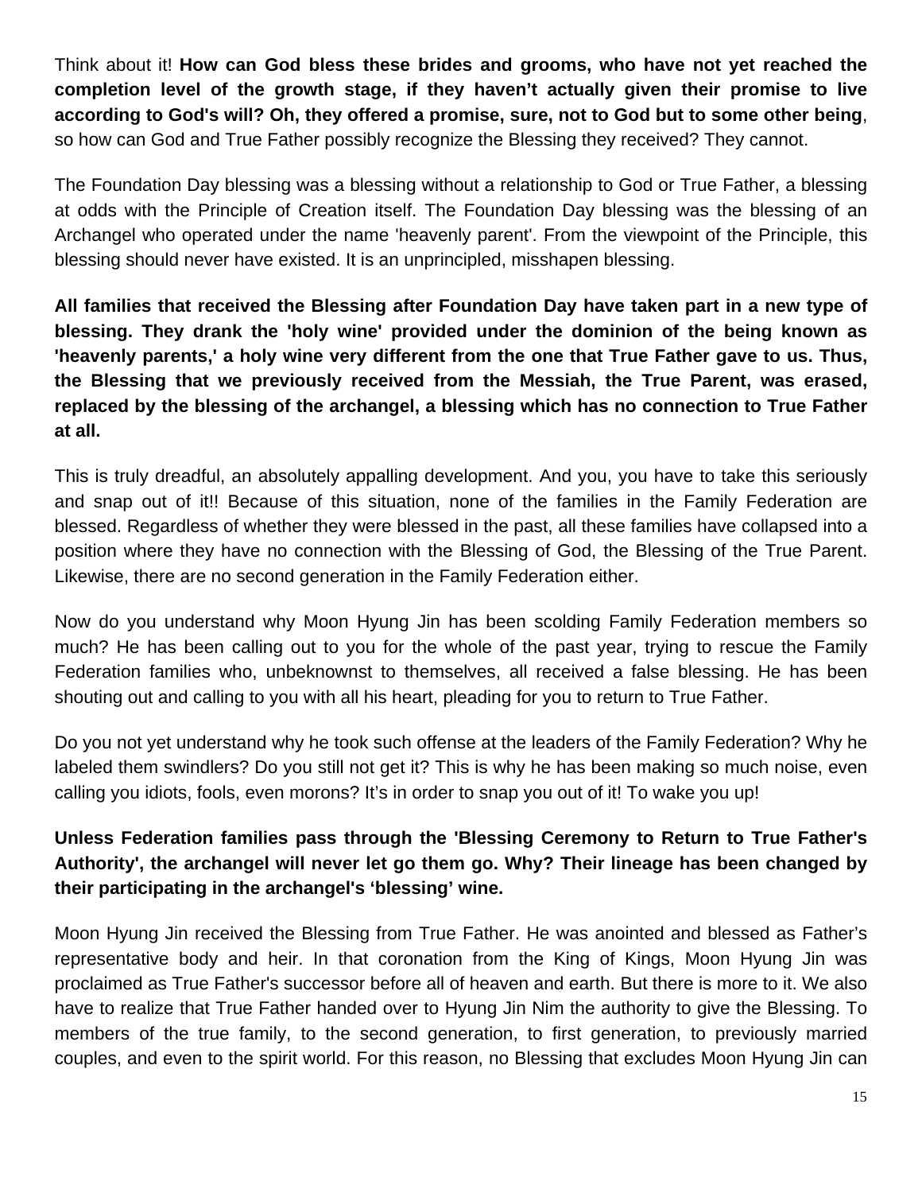Think about it! **How can God bless these brides and grooms, who have not yet reached the completion level of the growth stage, if they haven't actually given their promise to live according to God's will? Oh, they offered a promise, sure, not to God but to some other being**, so how can God and True Father possibly recognize the Blessing they received? They cannot.

The Foundation Day blessing was a blessing without a relationship to God or True Father, a blessing at odds with the Principle of Creation itself. The Foundation Day blessing was the blessing of an Archangel who operated under the name 'heavenly parent'. From the viewpoint of the Principle, this blessing should never have existed. It is an unprincipled, misshapen blessing.

**All families that received the Blessing after Foundation Day have taken part in a new type of blessing. They drank the 'holy wine' provided under the dominion of the being known as 'heavenly parents,' a holy wine very different from the one that True Father gave to us. Thus, the Blessing that we previously received from the Messiah, the True Parent, was erased, replaced by the blessing of the archangel, a blessing which has no connection to True Father at all.**

This is truly dreadful, an absolutely appalling development. And you, you have to take this seriously and snap out of it!! Because of this situation, none of the families in the Family Federation are blessed. Regardless of whether they were blessed in the past, all these families have collapsed into a position where they have no connection with the Blessing of God, the Blessing of the True Parent. Likewise, there are no second generation in the Family Federation either.

Now do you understand why Moon Hyung Jin has been scolding Family Federation members so much? He has been calling out to you for the whole of the past year, trying to rescue the Family Federation families who, unbeknownst to themselves, all received a false blessing. He has been shouting out and calling to you with all his heart, pleading for you to return to True Father.

Do you not yet understand why he took such offense at the leaders of the Family Federation? Why he labeled them swindlers? Do you still not get it? This is why he has been making so much noise, even calling you idiots, fools, even morons? It's in order to snap you out of it! To wake you up!

## **Unless Federation families pass through the 'Blessing Ceremony to Return to True Father's Authority', the archangel will never let go them go. Why? Their lineage has been changed by their participating in the archangel's 'blessing' wine.**

Moon Hyung Jin received the Blessing from True Father. He was anointed and blessed as Father's representative body and heir. In that coronation from the King of Kings, Moon Hyung Jin was proclaimed as True Father's successor before all of heaven and earth. But there is more to it. We also have to realize that True Father handed over to Hyung Jin Nim the authority to give the Blessing. To members of the true family, to the second generation, to first generation, to previously married couples, and even to the spirit world. For this reason, no Blessing that excludes Moon Hyung Jin can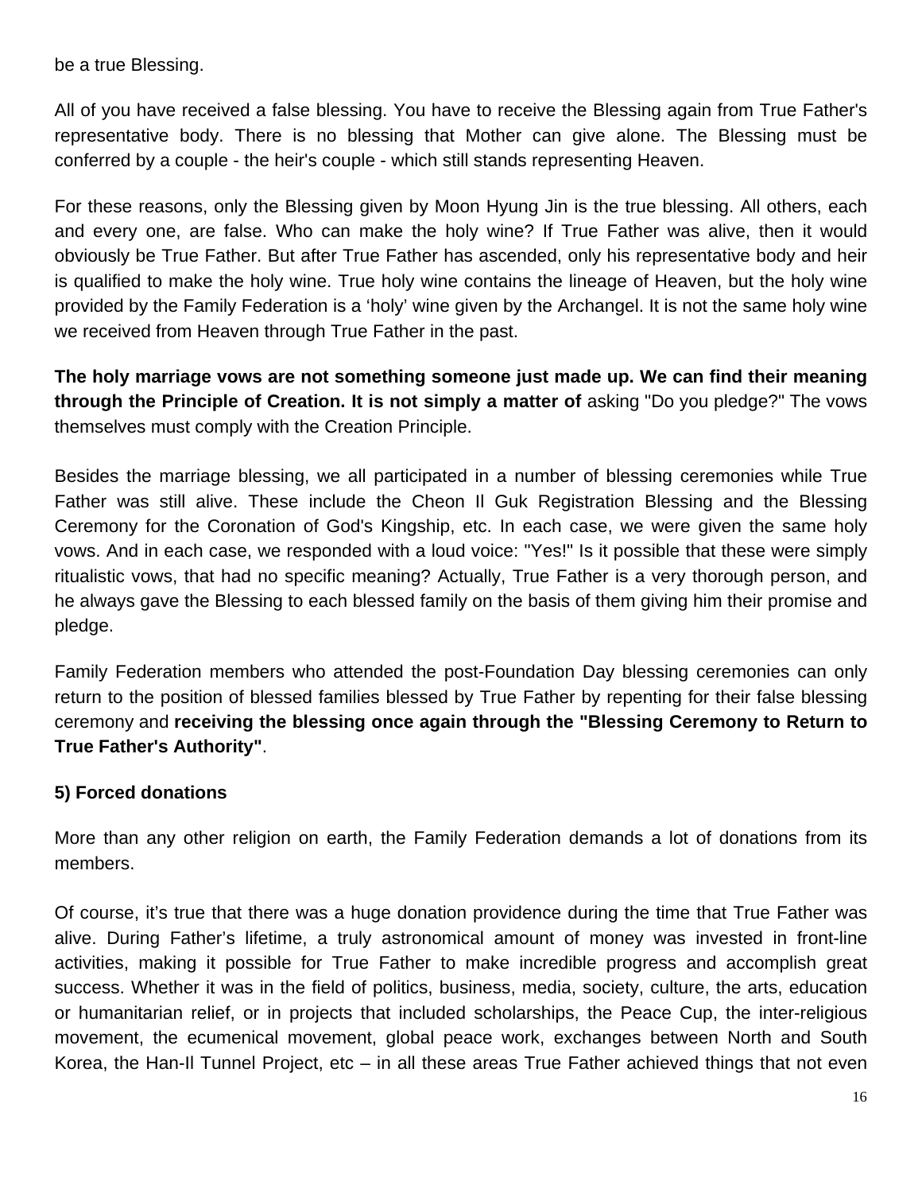be a true Blessing.

All of you have received a false blessing. You have to receive the Blessing again from True Father's representative body. There is no blessing that Mother can give alone. The Blessing must be conferred by a couple - the heir's couple - which still stands representing Heaven.

For these reasons, only the Blessing given by Moon Hyung Jin is the true blessing. All others, each and every one, are false. Who can make the holy wine? If True Father was alive, then it would obviously be True Father. But after True Father has ascended, only his representative body and heir is qualified to make the holy wine. True holy wine contains the lineage of Heaven, but the holy wine provided by the Family Federation is a 'holy' wine given by the Archangel. It is not the same holy wine we received from Heaven through True Father in the past.

**The holy marriage vows are not something someone just made up. We can find their meaning through the Principle of Creation. It is not simply a matter of** asking "Do you pledge?" The vows themselves must comply with the Creation Principle.

Besides the marriage blessing, we all participated in a number of blessing ceremonies while True Father was still alive. These include the Cheon Il Guk Registration Blessing and the Blessing Ceremony for the Coronation of God's Kingship, etc. In each case, we were given the same holy vows. And in each case, we responded with a loud voice: "Yes!" Is it possible that these were simply ritualistic vows, that had no specific meaning? Actually, True Father is a very thorough person, and he always gave the Blessing to each blessed family on the basis of them giving him their promise and pledge.

Family Federation members who attended the post-Foundation Day blessing ceremonies can only return to the position of blessed families blessed by True Father by repenting for their false blessing ceremony and **receiving the blessing once again through the "Blessing Ceremony to Return to True Father's Authority"**.

#### **5) Forced donations**

More than any other religion on earth, the Family Federation demands a lot of donations from its members.

Of course, it's true that there was a huge donation providence during the time that True Father was alive. During Father's lifetime, a truly astronomical amount of money was invested in front-line activities, making it possible for True Father to make incredible progress and accomplish great success. Whether it was in the field of politics, business, media, society, culture, the arts, education or humanitarian relief, or in projects that included scholarships, the Peace Cup, the inter-religious movement, the ecumenical movement, global peace work, exchanges between North and South Korea, the Han-Il Tunnel Project, etc – in all these areas True Father achieved things that not even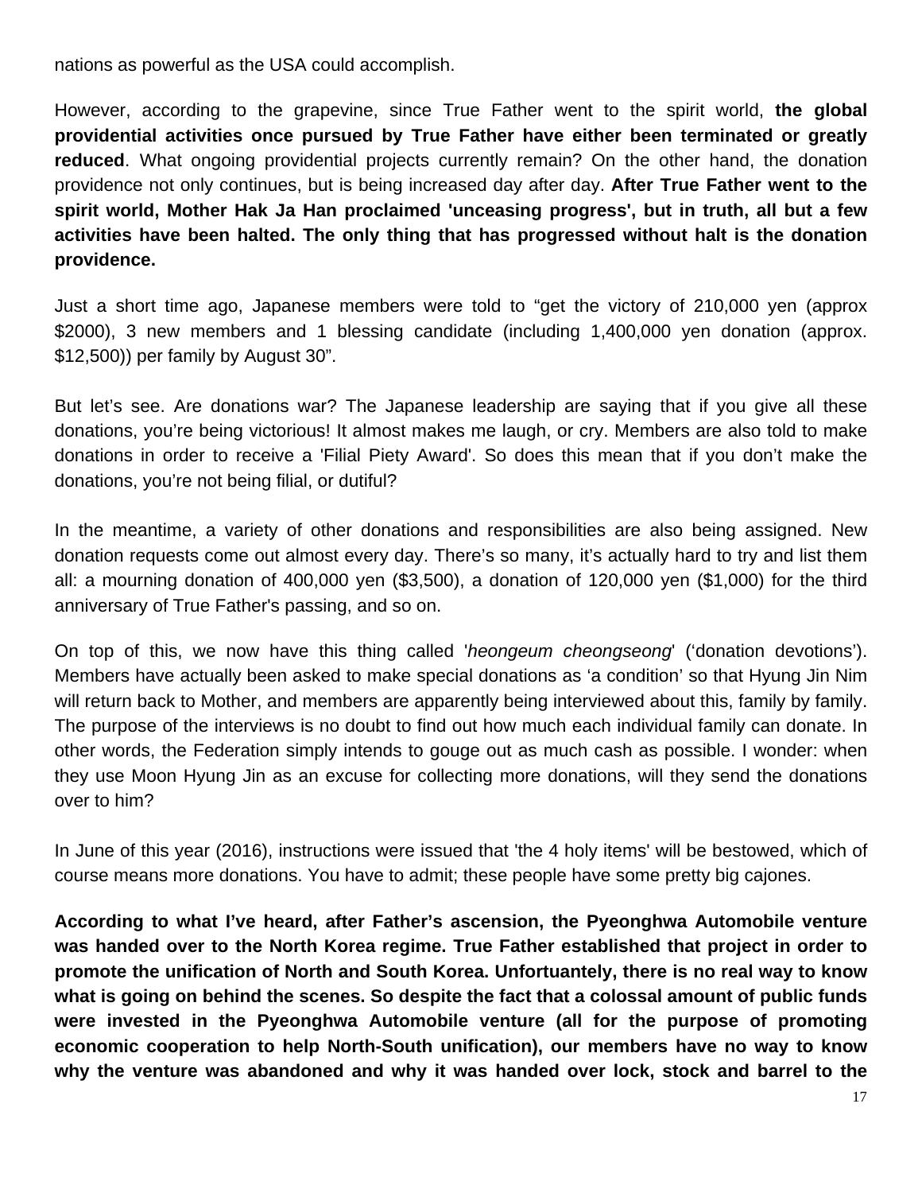nations as powerful as the USA could accomplish.

However, according to the grapevine, since True Father went to the spirit world, **the global providential activities once pursued by True Father have either been terminated or greatly reduced**. What ongoing providential projects currently remain? On the other hand, the donation providence not only continues, but is being increased day after day. **After True Father went to the spirit world, Mother Hak Ja Han proclaimed 'unceasing progress', but in truth, all but a few activities have been halted. The only thing that has progressed without halt is the donation providence.**

Just a short time ago, Japanese members were told to "get the victory of 210,000 yen (approx \$2000), 3 new members and 1 blessing candidate (including 1,400,000 yen donation (approx. \$12,500)) per family by August 30".

But let's see. Are donations war? The Japanese leadership are saying that if you give all these donations, you're being victorious! It almost makes me laugh, or cry. Members are also told to make donations in order to receive a 'Filial Piety Award'. So does this mean that if you don't make the donations, you're not being filial, or dutiful?

In the meantime, a variety of other donations and responsibilities are also being assigned. New donation requests come out almost every day. There's so many, it's actually hard to try and list them all: a mourning donation of 400,000 yen (\$3,500), a donation of 120,000 yen (\$1,000) for the third anniversary of True Father's passing, and so on.

On top of this, we now have this thing called '*heongeum cheongseong*' ('donation devotions'). Members have actually been asked to make special donations as 'a condition' so that Hyung Jin Nim will return back to Mother, and members are apparently being interviewed about this, family by family. The purpose of the interviews is no doubt to find out how much each individual family can donate. In other words, the Federation simply intends to gouge out as much cash as possible. I wonder: when they use Moon Hyung Jin as an excuse for collecting more donations, will they send the donations over to him?

In June of this year (2016), instructions were issued that 'the 4 holy items' will be bestowed, which of course means more donations. You have to admit; these people have some pretty big cajones.

**According to what I've heard, after Father's ascension, the Pyeonghwa Automobile venture was handed over to the North Korea regime. True Father established that project in order to promote the unification of North and South Korea. Unfortuantely, there is no real way to know what is going on behind the scenes. So despite the fact that a colossal amount of public funds were invested in the Pyeonghwa Automobile venture (all for the purpose of promoting economic cooperation to help North-South unification), our members have no way to know why the venture was abandoned and why it was handed over lock, stock and barrel to the**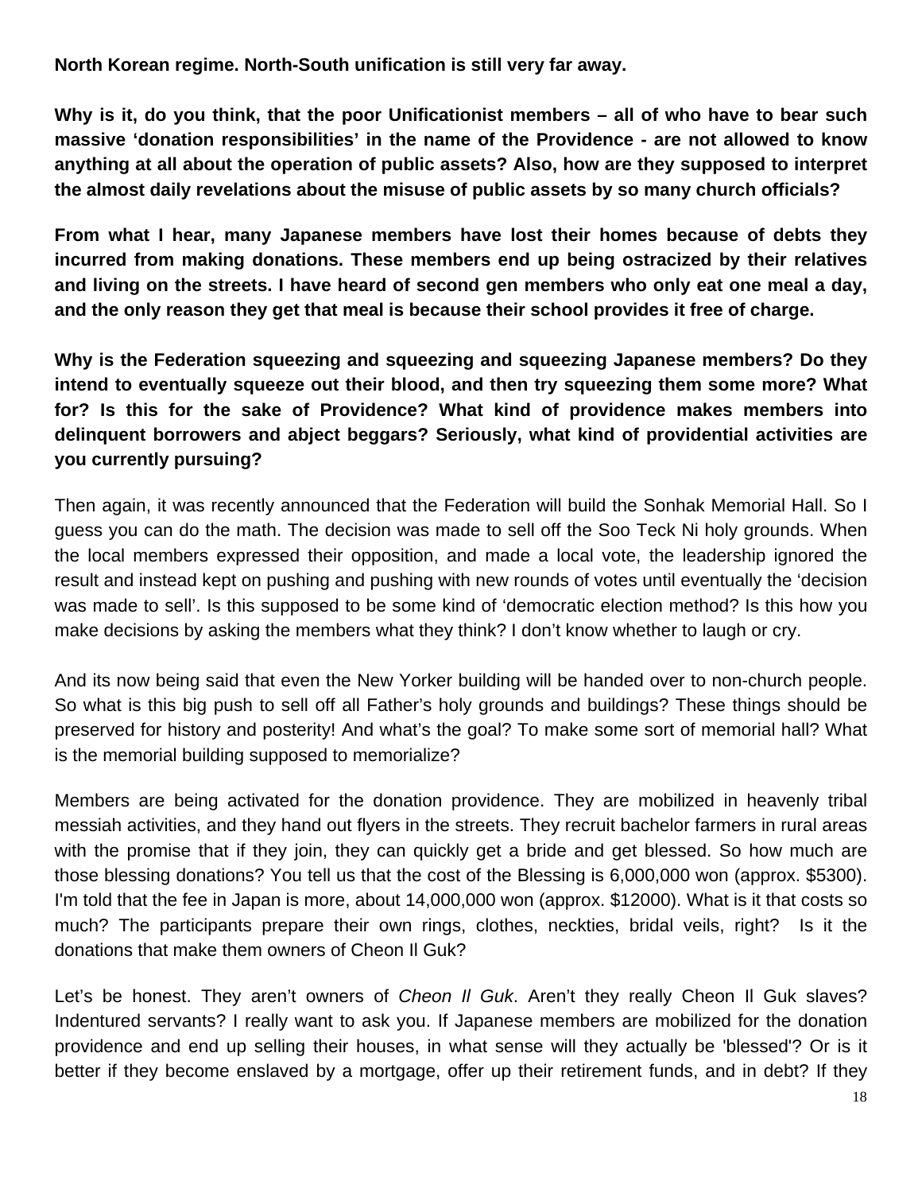**North Korean regime. North-South unification is still very far away.** 

**Why is it, do you think, that the poor Unificationist members – all of who have to bear such massive 'donation responsibilities' in the name of the Providence - are not allowed to know anything at all about the operation of public assets? Also, how are they supposed to interpret the almost daily revelations about the misuse of public assets by so many church officials?**

**From what I hear, many Japanese members have lost their homes because of debts they incurred from making donations. These members end up being ostracized by their relatives and living on the streets. I have heard of second gen members who only eat one meal a day, and the only reason they get that meal is because their school provides it free of charge.** 

**Why is the Federation squeezing and squeezing and squeezing Japanese members? Do they intend to eventually squeeze out their blood, and then try squeezing them some more? What for? Is this for the sake of Providence? What kind of providence makes members into delinquent borrowers and abject beggars? Seriously, what kind of providential activities are you currently pursuing?** 

Then again, it was recently announced that the Federation will build the Sonhak Memorial Hall. So I guess you can do the math. The decision was made to sell off the Soo Teck Ni holy grounds. When the local members expressed their opposition, and made a local vote, the leadership ignored the result and instead kept on pushing and pushing with new rounds of votes until eventually the 'decision was made to sell'. Is this supposed to be some kind of 'democratic election method? Is this how you make decisions by asking the members what they think? I don't know whether to laugh or cry.

And its now being said that even the New Yorker building will be handed over to non-church people. So what is this big push to sell off all Father's holy grounds and buildings? These things should be preserved for history and posterity! And what's the goal? To make some sort of memorial hall? What is the memorial building supposed to memorialize?

Members are being activated for the donation providence. They are mobilized in heavenly tribal messiah activities, and they hand out flyers in the streets. They recruit bachelor farmers in rural areas with the promise that if they join, they can quickly get a bride and get blessed. So how much are those blessing donations? You tell us that the cost of the Blessing is 6,000,000 won (approx. \$5300). I'm told that the fee in Japan is more, about 14,000,000 won (approx. \$12000). What is it that costs so much? The participants prepare their own rings, clothes, neckties, bridal veils, right? Is it the donations that make them owners of Cheon Il Guk?

Let's be honest. They aren't owners of *Cheon Il Guk*. Aren't they really Cheon Il Guk slaves? Indentured servants? I really want to ask you. If Japanese members are mobilized for the donation providence and end up selling their houses, in what sense will they actually be 'blessed'? Or is it better if they become enslaved by a mortgage, offer up their retirement funds, and in debt? If they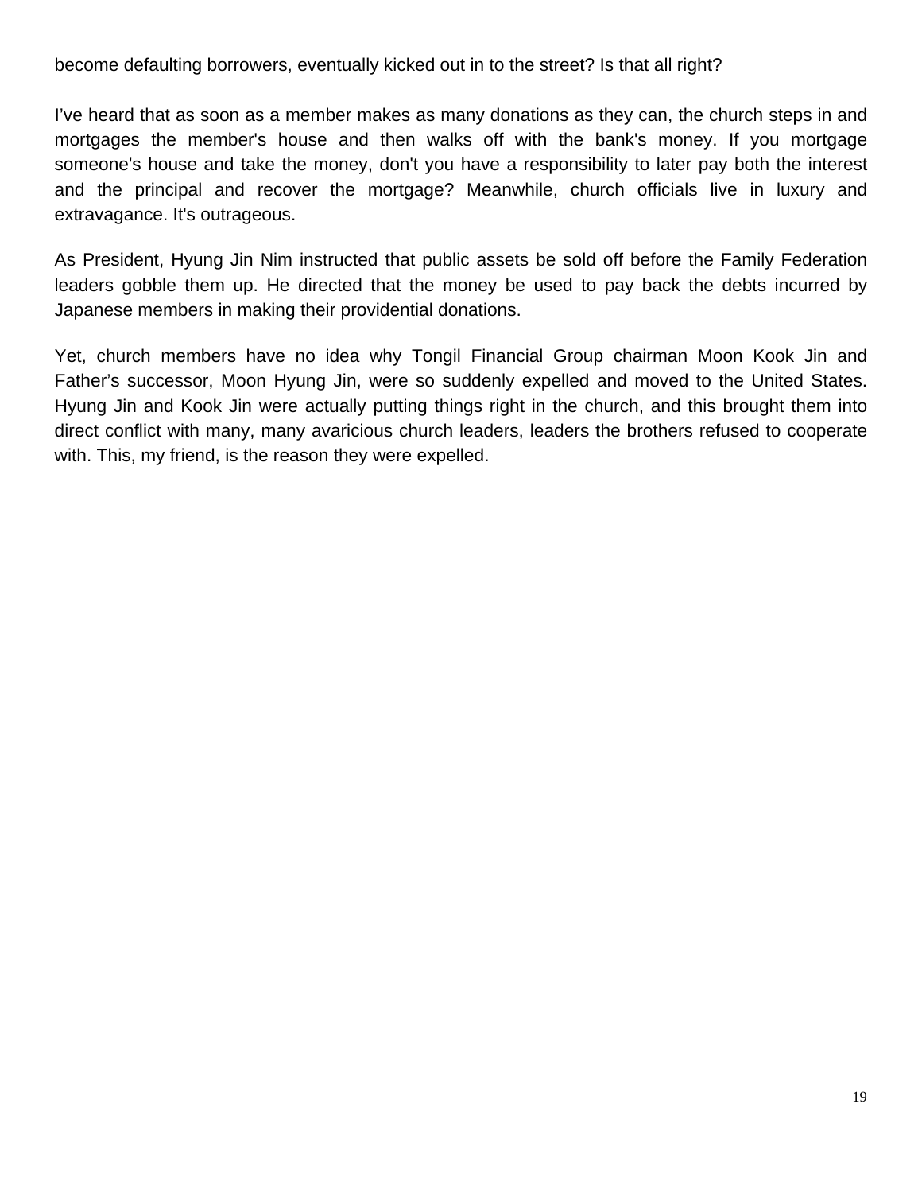become defaulting borrowers, eventually kicked out in to the street? Is that all right?

I've heard that as soon as a member makes as many donations as they can, the church steps in and mortgages the member's house and then walks off with the bank's money. If you mortgage someone's house and take the money, don't you have a responsibility to later pay both the interest and the principal and recover the mortgage? Meanwhile, church officials live in luxury and extravagance. It's outrageous.

As President, Hyung Jin Nim instructed that public assets be sold off before the Family Federation leaders gobble them up. He directed that the money be used to pay back the debts incurred by Japanese members in making their providential donations.

Yet, church members have no idea why Tongil Financial Group chairman Moon Kook Jin and Father's successor, Moon Hyung Jin, were so suddenly expelled and moved to the United States. Hyung Jin and Kook Jin were actually putting things right in the church, and this brought them into direct conflict with many, many avaricious church leaders, leaders the brothers refused to cooperate with. This, my friend, is the reason they were expelled.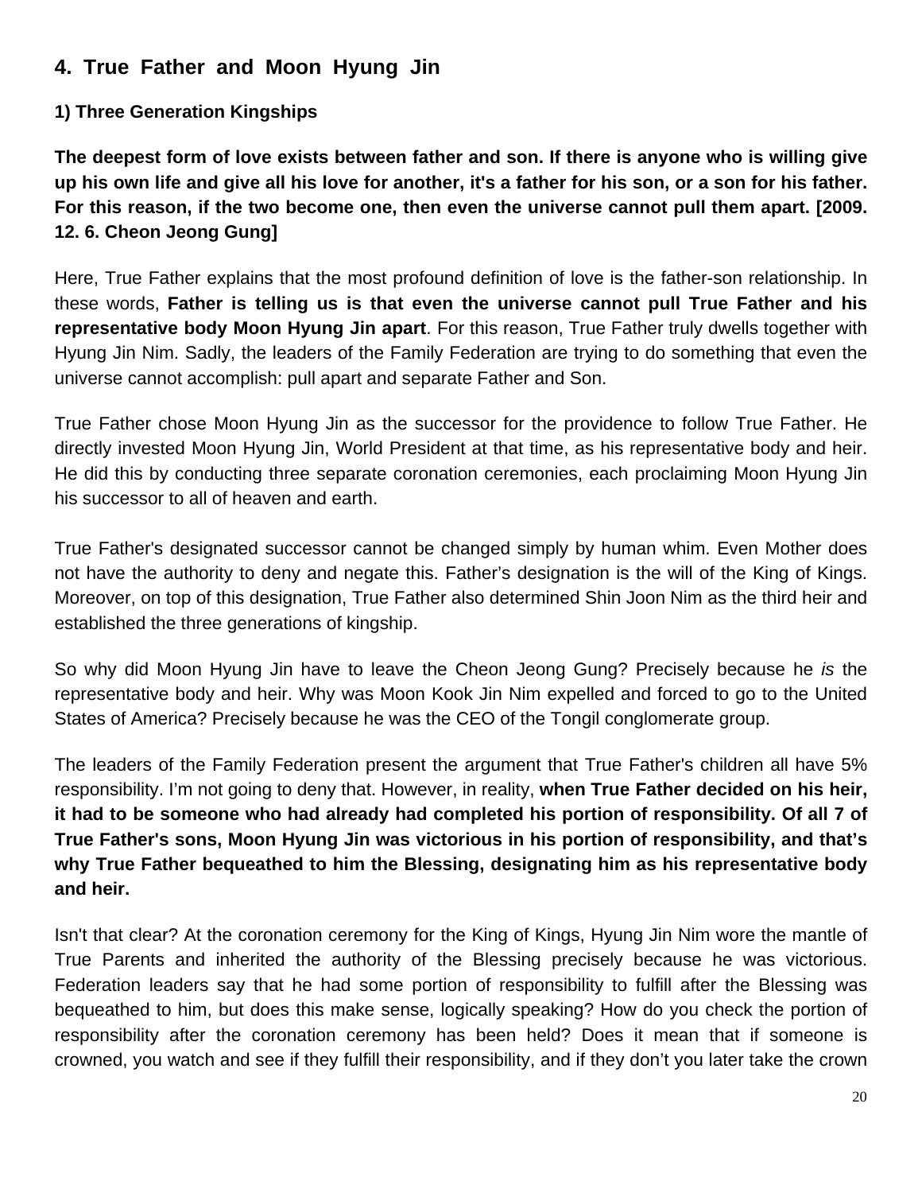# **4. True Father and Moon Hyung Jin**

#### **1) Three Generation Kingships**

**The deepest form of love exists between father and son. If there is anyone who is willing give up his own life and give all his love for another, it's a father for his son, or a son for his father. For this reason, if the two become one, then even the universe cannot pull them apart. [2009. 12. 6. Cheon Jeong Gung]**

Here, True Father explains that the most profound definition of love is the father-son relationship. In these words, **Father is telling us is that even the universe cannot pull True Father and his representative body Moon Hyung Jin apart**. For this reason, True Father truly dwells together with Hyung Jin Nim. Sadly, the leaders of the Family Federation are trying to do something that even the universe cannot accomplish: pull apart and separate Father and Son.

True Father chose Moon Hyung Jin as the successor for the providence to follow True Father. He directly invested Moon Hyung Jin, World President at that time, as his representative body and heir. He did this by conducting three separate coronation ceremonies, each proclaiming Moon Hyung Jin his successor to all of heaven and earth.

True Father's designated successor cannot be changed simply by human whim. Even Mother does not have the authority to deny and negate this. Father's designation is the will of the King of Kings. Moreover, on top of this designation, True Father also determined Shin Joon Nim as the third heir and established the three generations of kingship.

So why did Moon Hyung Jin have to leave the Cheon Jeong Gung? Precisely because he *is* the representative body and heir. Why was Moon Kook Jin Nim expelled and forced to go to the United States of America? Precisely because he was the CEO of the Tongil conglomerate group.

The leaders of the Family Federation present the argument that True Father's children all have 5% responsibility. I'm not going to deny that. However, in reality, **when True Father decided on his heir, it had to be someone who had already had completed his portion of responsibility. Of all 7 of True Father's sons, Moon Hyung Jin was victorious in his portion of responsibility, and that's why True Father bequeathed to him the Blessing, designating him as his representative body and heir.** 

Isn't that clear? At the coronation ceremony for the King of Kings, Hyung Jin Nim wore the mantle of True Parents and inherited the authority of the Blessing precisely because he was victorious. Federation leaders say that he had some portion of responsibility to fulfill after the Blessing was bequeathed to him, but does this make sense, logically speaking? How do you check the portion of responsibility after the coronation ceremony has been held? Does it mean that if someone is crowned, you watch and see if they fulfill their responsibility, and if they don't you later take the crown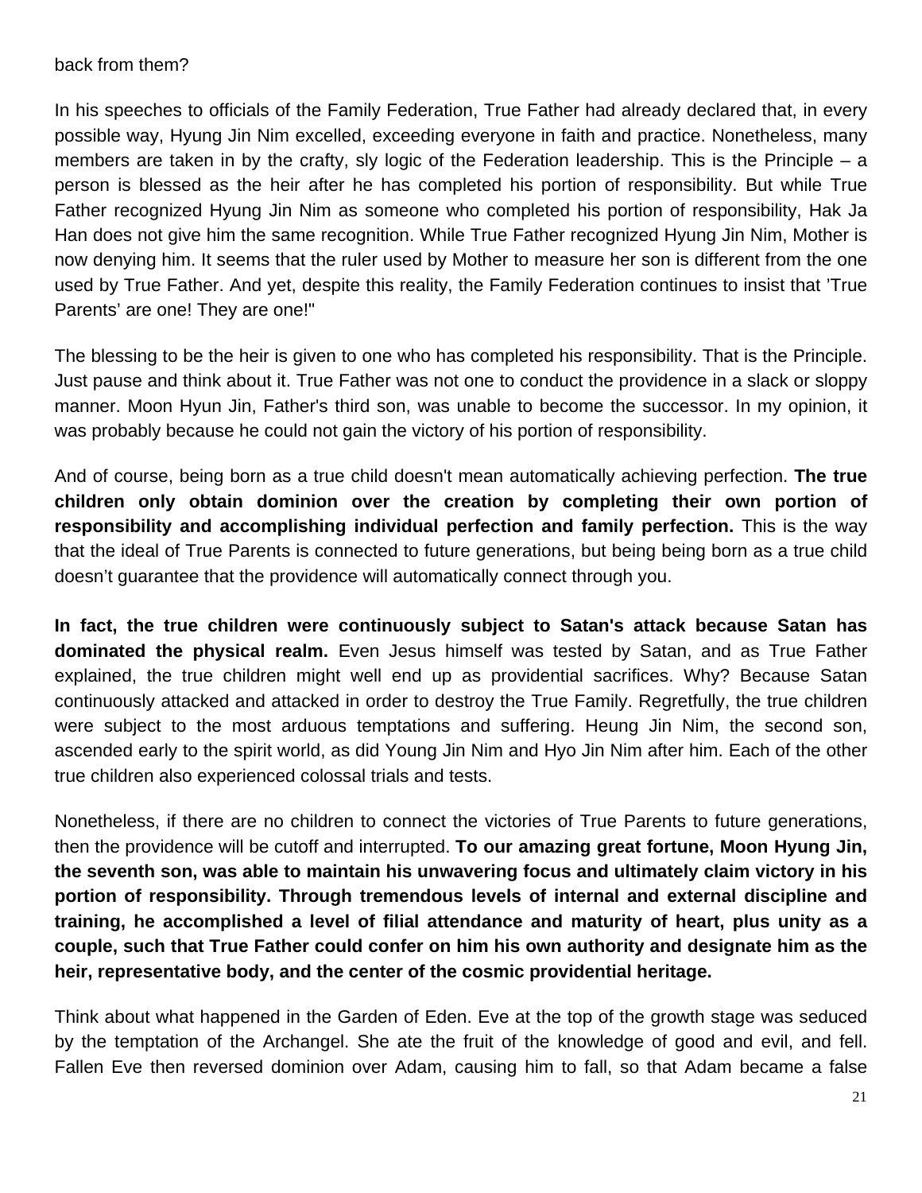#### back from them?

In his speeches to officials of the Family Federation, True Father had already declared that, in every possible way, Hyung Jin Nim excelled, exceeding everyone in faith and practice. Nonetheless, many members are taken in by the crafty, sly logic of the Federation leadership. This is the Principle – a person is blessed as the heir after he has completed his portion of responsibility. But while True Father recognized Hyung Jin Nim as someone who completed his portion of responsibility, Hak Ja Han does not give him the same recognition. While True Father recognized Hyung Jin Nim, Mother is now denying him. It seems that the ruler used by Mother to measure her son is different from the one used by True Father. And yet, despite this reality, the Family Federation continues to insist that 'True Parents' are one! They are one!"

The blessing to be the heir is given to one who has completed his responsibility. That is the Principle. Just pause and think about it. True Father was not one to conduct the providence in a slack or sloppy manner. Moon Hyun Jin, Father's third son, was unable to become the successor. In my opinion, it was probably because he could not gain the victory of his portion of responsibility.

And of course, being born as a true child doesn't mean automatically achieving perfection. **The true children only obtain dominion over the creation by completing their own portion of responsibility and accomplishing individual perfection and family perfection.** This is the way that the ideal of True Parents is connected to future generations, but being being born as a true child doesn't guarantee that the providence will automatically connect through you.

**In fact, the true children were continuously subject to Satan's attack because Satan has dominated the physical realm.** Even Jesus himself was tested by Satan, and as True Father explained, the true children might well end up as providential sacrifices. Why? Because Satan continuously attacked and attacked in order to destroy the True Family. Regretfully, the true children were subject to the most arduous temptations and suffering. Heung Jin Nim, the second son, ascended early to the spirit world, as did Young Jin Nim and Hyo Jin Nim after him. Each of the other true children also experienced colossal trials and tests.

Nonetheless, if there are no children to connect the victories of True Parents to future generations, then the providence will be cutoff and interrupted. **To our amazing great fortune, Moon Hyung Jin, the seventh son, was able to maintain his unwavering focus and ultimately claim victory in his portion of responsibility. Through tremendous levels of internal and external discipline and training, he accomplished a level of filial attendance and maturity of heart, plus unity as a couple, such that True Father could confer on him his own authority and designate him as the heir, representative body, and the center of the cosmic providential heritage.**

Think about what happened in the Garden of Eden. Eve at the top of the growth stage was seduced by the temptation of the Archangel. She ate the fruit of the knowledge of good and evil, and fell. Fallen Eve then reversed dominion over Adam, causing him to fall, so that Adam became a false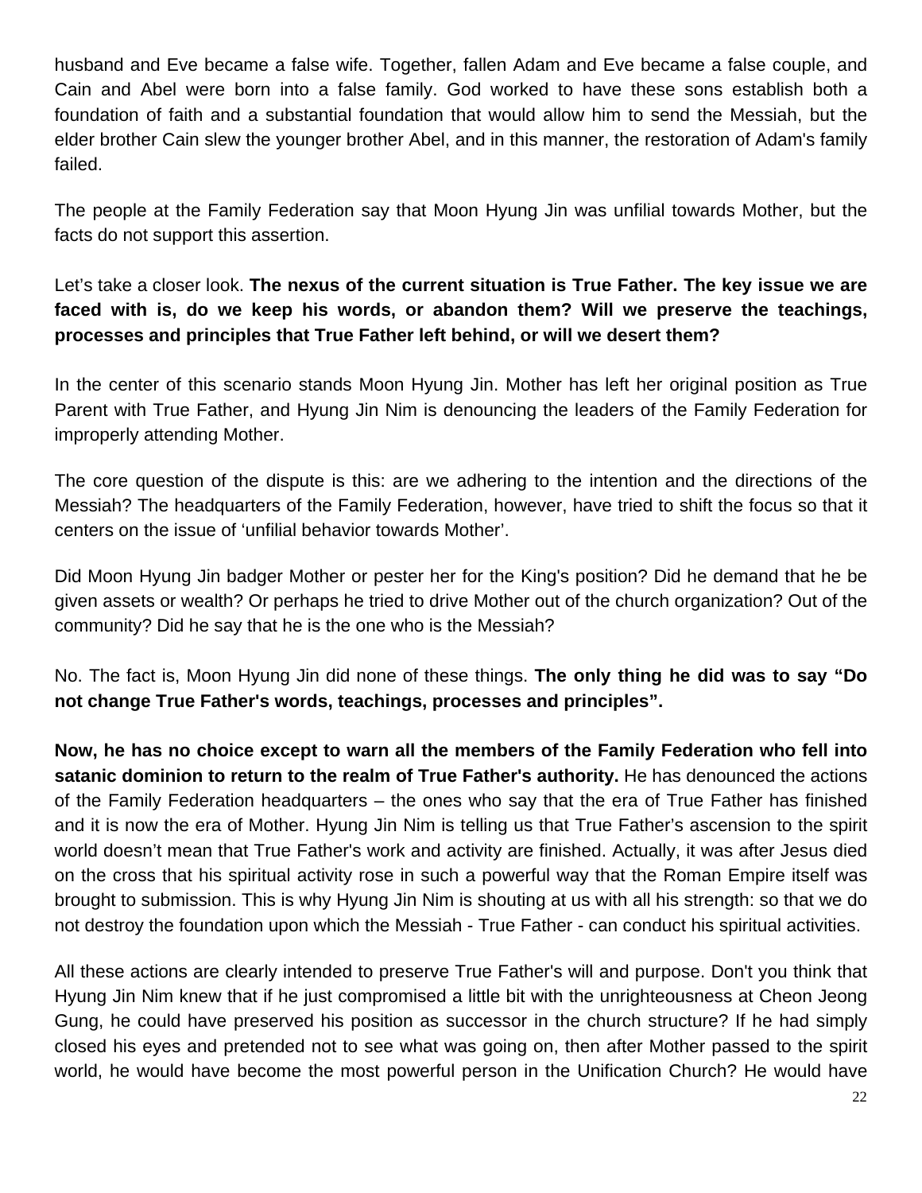husband and Eve became a false wife. Together, fallen Adam and Eve became a false couple, and Cain and Abel were born into a false family. God worked to have these sons establish both a foundation of faith and a substantial foundation that would allow him to send the Messiah, but the elder brother Cain slew the younger brother Abel, and in this manner, the restoration of Adam's family failed.

The people at the Family Federation say that Moon Hyung Jin was unfilial towards Mother, but the facts do not support this assertion.

Let's take a closer look. **The nexus of the current situation is True Father. The key issue we are faced with is, do we keep his words, or abandon them? Will we preserve the teachings, processes and principles that True Father left behind, or will we desert them?**

In the center of this scenario stands Moon Hyung Jin. Mother has left her original position as True Parent with True Father, and Hyung Jin Nim is denouncing the leaders of the Family Federation for improperly attending Mother.

The core question of the dispute is this: are we adhering to the intention and the directions of the Messiah? The headquarters of the Family Federation, however, have tried to shift the focus so that it centers on the issue of 'unfilial behavior towards Mother'.

Did Moon Hyung Jin badger Mother or pester her for the King's position? Did he demand that he be given assets or wealth? Or perhaps he tried to drive Mother out of the church organization? Out of the community? Did he say that he is the one who is the Messiah?

No. The fact is, Moon Hyung Jin did none of these things. **The only thing he did was to say "Do not change True Father's words, teachings, processes and principles".** 

**Now, he has no choice except to warn all the members of the Family Federation who fell into satanic dominion to return to the realm of True Father's authority.** He has denounced the actions of the Family Federation headquarters – the ones who say that the era of True Father has finished and it is now the era of Mother. Hyung Jin Nim is telling us that True Father's ascension to the spirit world doesn't mean that True Father's work and activity are finished. Actually, it was after Jesus died on the cross that his spiritual activity rose in such a powerful way that the Roman Empire itself was brought to submission. This is why Hyung Jin Nim is shouting at us with all his strength: so that we do not destroy the foundation upon which the Messiah - True Father - can conduct his spiritual activities.

All these actions are clearly intended to preserve True Father's will and purpose. Don't you think that Hyung Jin Nim knew that if he just compromised a little bit with the unrighteousness at Cheon Jeong Gung, he could have preserved his position as successor in the church structure? If he had simply closed his eyes and pretended not to see what was going on, then after Mother passed to the spirit world, he would have become the most powerful person in the Unification Church? He would have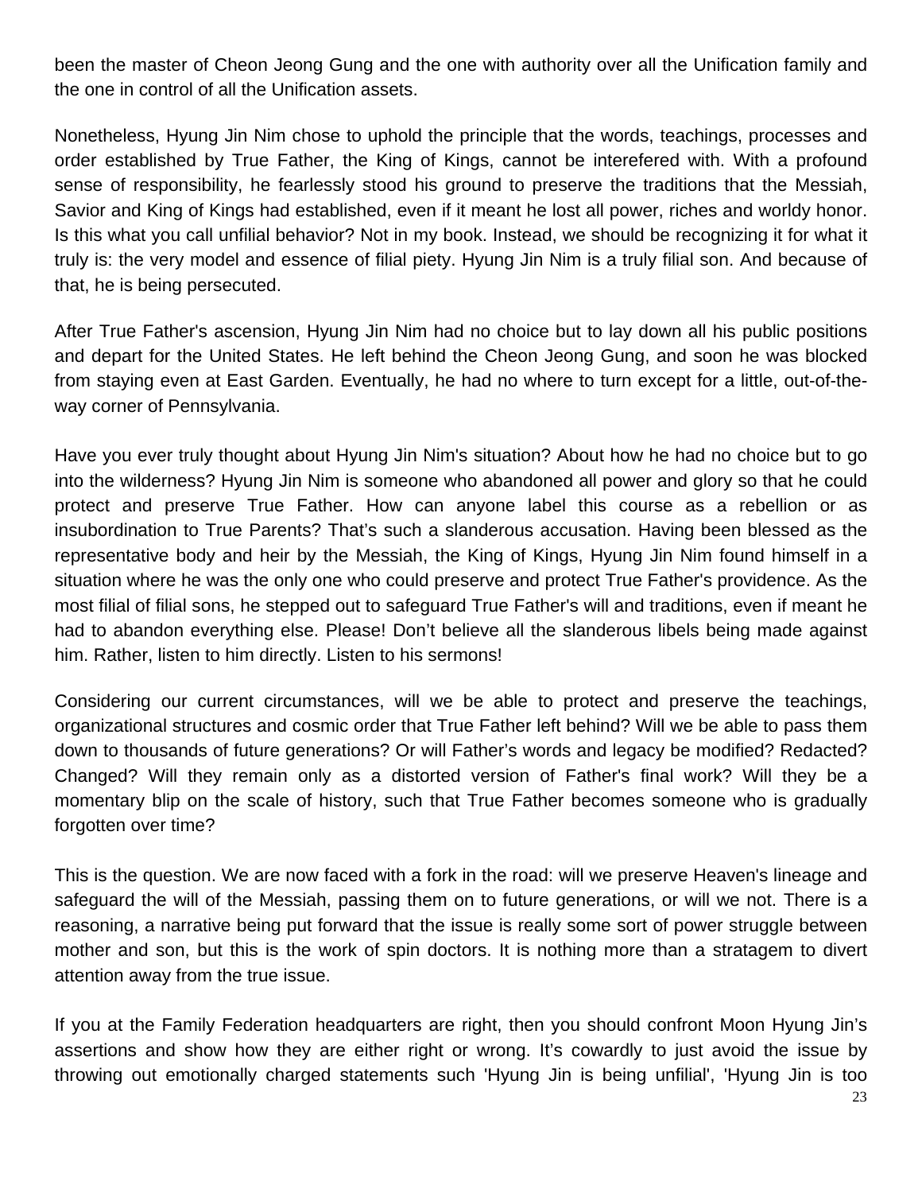been the master of Cheon Jeong Gung and the one with authority over all the Unification family and the one in control of all the Unification assets.

Nonetheless, Hyung Jin Nim chose to uphold the principle that the words, teachings, processes and order established by True Father, the King of Kings, cannot be interefered with. With a profound sense of responsibility, he fearlessly stood his ground to preserve the traditions that the Messiah, Savior and King of Kings had established, even if it meant he lost all power, riches and worldy honor. Is this what you call unfilial behavior? Not in my book. Instead, we should be recognizing it for what it truly is: the very model and essence of filial piety. Hyung Jin Nim is a truly filial son. And because of that, he is being persecuted.

After True Father's ascension, Hyung Jin Nim had no choice but to lay down all his public positions and depart for the United States. He left behind the Cheon Jeong Gung, and soon he was blocked from staying even at East Garden. Eventually, he had no where to turn except for a little, out-of-theway corner of Pennsylvania.

Have you ever truly thought about Hyung Jin Nim's situation? About how he had no choice but to go into the wilderness? Hyung Jin Nim is someone who abandoned all power and glory so that he could protect and preserve True Father. How can anyone label this course as a rebellion or as insubordination to True Parents? That's such a slanderous accusation. Having been blessed as the representative body and heir by the Messiah, the King of Kings, Hyung Jin Nim found himself in a situation where he was the only one who could preserve and protect True Father's providence. As the most filial of filial sons, he stepped out to safeguard True Father's will and traditions, even if meant he had to abandon everything else. Please! Don't believe all the slanderous libels being made against him. Rather, listen to him directly. Listen to his sermons!

Considering our current circumstances, will we be able to protect and preserve the teachings, organizational structures and cosmic order that True Father left behind? Will we be able to pass them down to thousands of future generations? Or will Father's words and legacy be modified? Redacted? Changed? Will they remain only as a distorted version of Father's final work? Will they be a momentary blip on the scale of history, such that True Father becomes someone who is gradually forgotten over time?

This is the question. We are now faced with a fork in the road: will we preserve Heaven's lineage and safeguard the will of the Messiah, passing them on to future generations, or will we not. There is a reasoning, a narrative being put forward that the issue is really some sort of power struggle between mother and son, but this is the work of spin doctors. It is nothing more than a stratagem to divert attention away from the true issue.

If you at the Family Federation headquarters are right, then you should confront Moon Hyung Jin's assertions and show how they are either right or wrong. It's cowardly to just avoid the issue by throwing out emotionally charged statements such 'Hyung Jin is being unfilial', 'Hyung Jin is too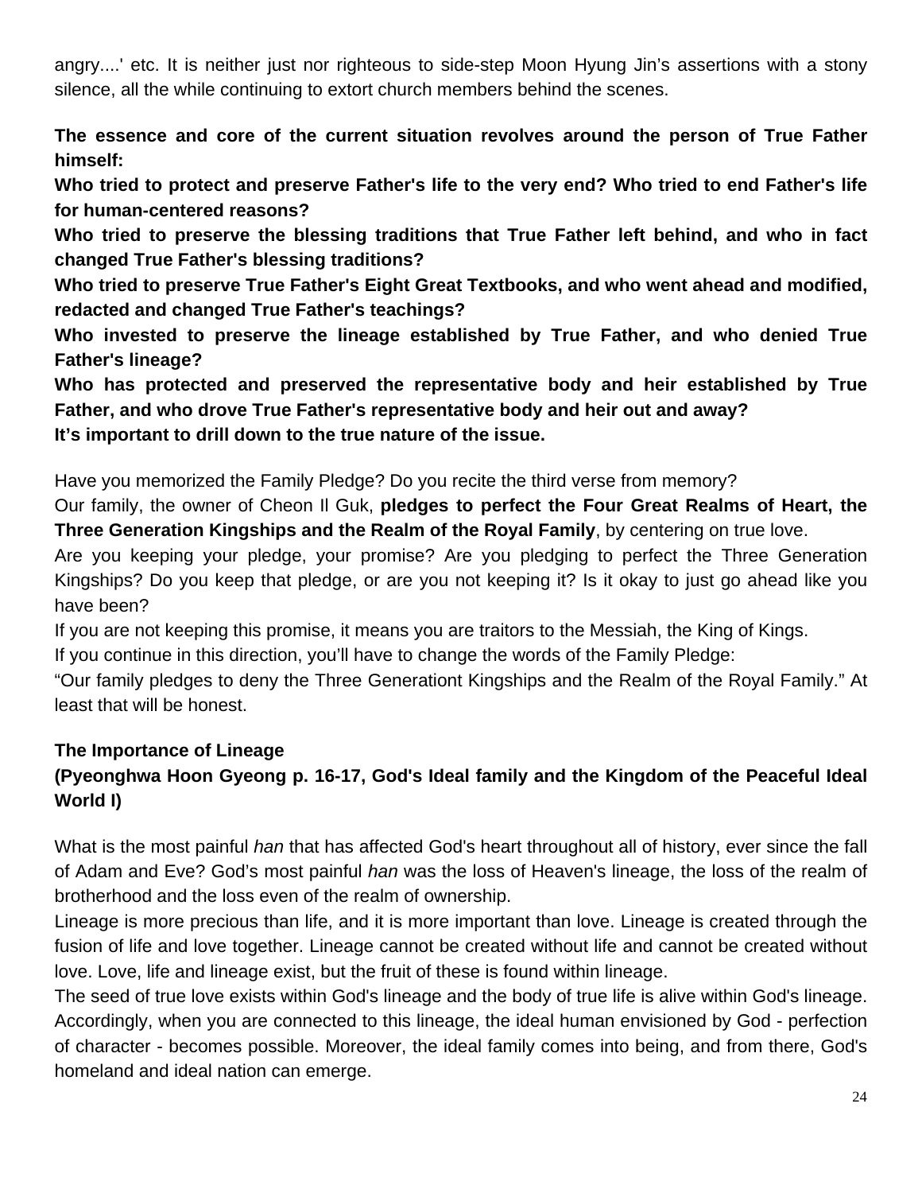angry....' etc. It is neither just nor righteous to side-step Moon Hyung Jin's assertions with a stony silence, all the while continuing to extort church members behind the scenes.

**The essence and core of the current situation revolves around the person of True Father himself:**

**Who tried to protect and preserve Father's life to the very end? Who tried to end Father's life for human-centered reasons?** 

**Who tried to preserve the blessing traditions that True Father left behind, and who in fact changed True Father's blessing traditions?** 

**Who tried to preserve True Father's Eight Great Textbooks, and who went ahead and modified, redacted and changed True Father's teachings?** 

**Who invested to preserve the lineage established by True Father, and who denied True Father's lineage?** 

**Who has protected and preserved the representative body and heir established by True Father, and who drove True Father's representative body and heir out and away? It's important to drill down to the true nature of the issue.**

Have you memorized the Family Pledge? Do you recite the third verse from memory?

Our family, the owner of Cheon Il Guk, **pledges to perfect the Four Great Realms of Heart, the Three Generation Kingships and the Realm of the Royal Family**, by centering on true love.

Are you keeping your pledge, your promise? Are you pledging to perfect the Three Generation Kingships? Do you keep that pledge, or are you not keeping it? Is it okay to just go ahead like you have been?

If you are not keeping this promise, it means you are traitors to the Messiah, the King of Kings.

If you continue in this direction, you'll have to change the words of the Family Pledge:

"Our family pledges to deny the Three Generationt Kingships and the Realm of the Royal Family." At least that will be honest.

#### **The Importance of Lineage (Pyeonghwa Hoon Gyeong p. 16-17, God's Ideal family and the Kingdom of the Peaceful Ideal World I)**

What is the most painful *han* that has affected God's heart throughout all of history, ever since the fall of Adam and Eve? God's most painful *han* was the loss of Heaven's lineage, the loss of the realm of brotherhood and the loss even of the realm of ownership.

Lineage is more precious than life, and it is more important than love. Lineage is created through the fusion of life and love together. Lineage cannot be created without life and cannot be created without love. Love, life and lineage exist, but the fruit of these is found within lineage.

The seed of true love exists within God's lineage and the body of true life is alive within God's lineage. Accordingly, when you are connected to this lineage, the ideal human envisioned by God - perfection of character - becomes possible. Moreover, the ideal family comes into being, and from there, God's homeland and ideal nation can emerge.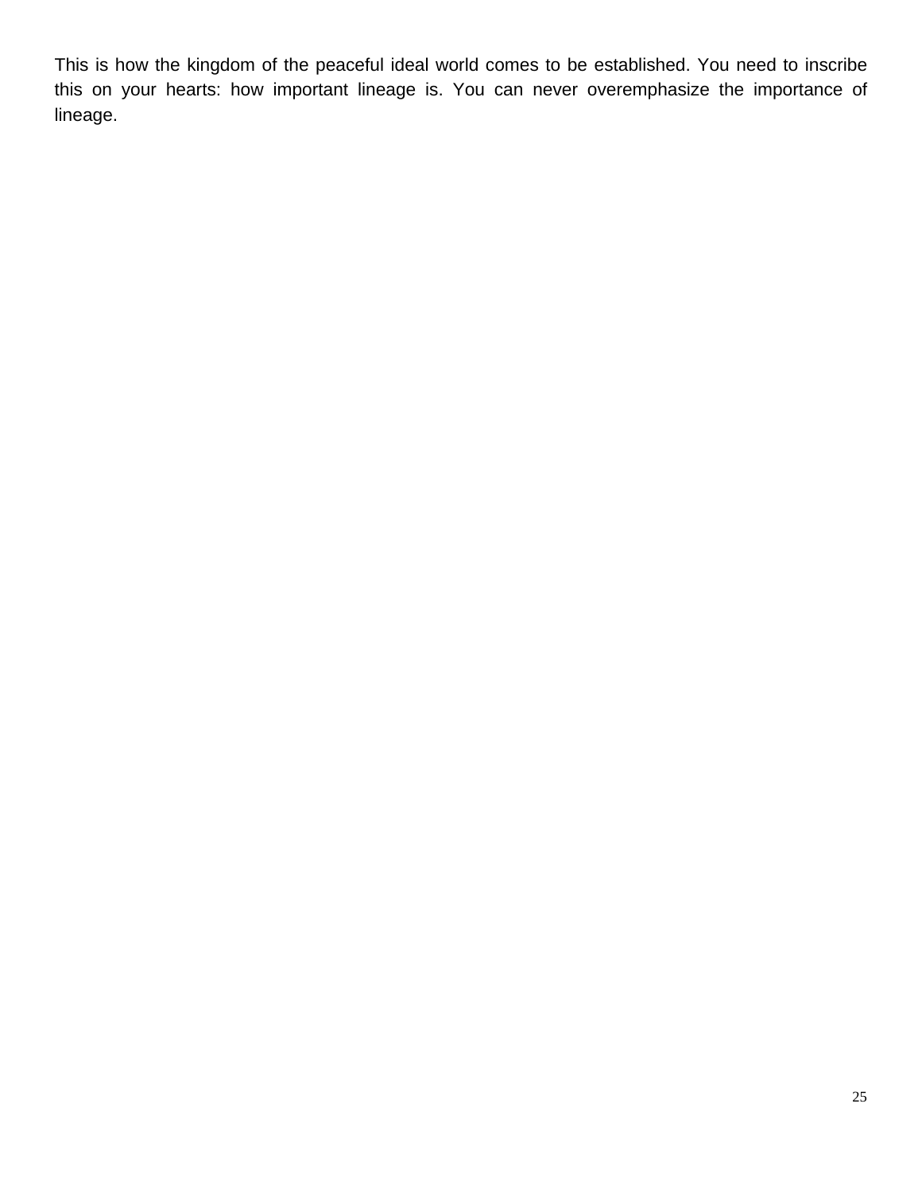This is how the kingdom of the peaceful ideal world comes to be established. You need to inscribe this on your hearts: how important lineage is. You can never overemphasize the importance of lineage.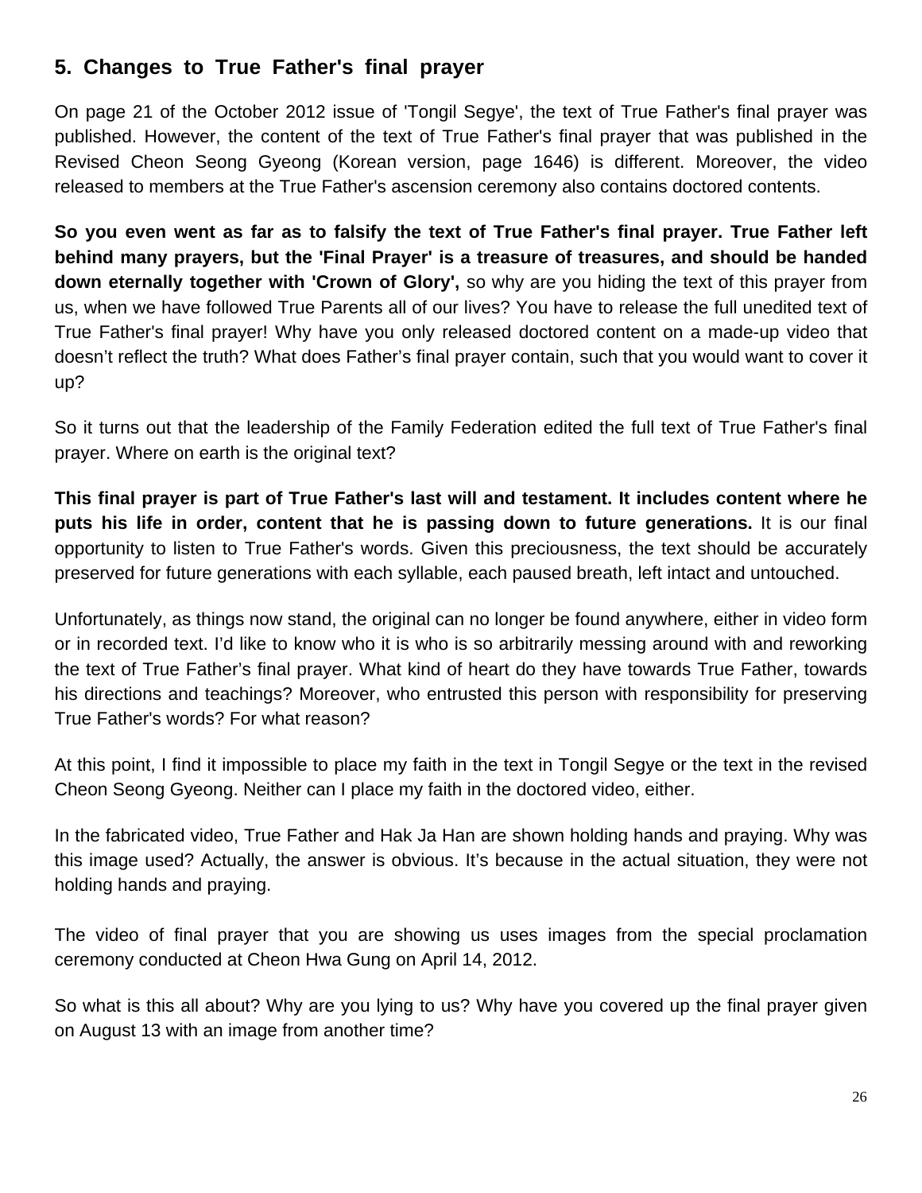# **5. Changes to True Father's final prayer**

On page 21 of the October 2012 issue of 'Tongil Segye', the text of True Father's final prayer was published. However, the content of the text of True Father's final prayer that was published in the Revised Cheon Seong Gyeong (Korean version, page 1646) is different. Moreover, the video released to members at the True Father's ascension ceremony also contains doctored contents.

**So you even went as far as to falsify the text of True Father's final prayer. True Father left behind many prayers, but the 'Final Prayer' is a treasure of treasures, and should be handed down eternally together with 'Crown of Glory',** so why are you hiding the text of this prayer from us, when we have followed True Parents all of our lives? You have to release the full unedited text of True Father's final prayer! Why have you only released doctored content on a made-up video that doesn't reflect the truth? What does Father's final prayer contain, such that you would want to cover it up?

So it turns out that the leadership of the Family Federation edited the full text of True Father's final prayer. Where on earth is the original text?

**This final prayer is part of True Father's last will and testament. It includes content where he puts his life in order, content that he is passing down to future generations.** It is our final opportunity to listen to True Father's words. Given this preciousness, the text should be accurately preserved for future generations with each syllable, each paused breath, left intact and untouched.

Unfortunately, as things now stand, the original can no longer be found anywhere, either in video form or in recorded text. I'd like to know who it is who is so arbitrarily messing around with and reworking the text of True Father's final prayer. What kind of heart do they have towards True Father, towards his directions and teachings? Moreover, who entrusted this person with responsibility for preserving True Father's words? For what reason?

At this point, I find it impossible to place my faith in the text in Tongil Segye or the text in the revised Cheon Seong Gyeong. Neither can I place my faith in the doctored video, either.

In the fabricated video, True Father and Hak Ja Han are shown holding hands and praying. Why was this image used? Actually, the answer is obvious. It's because in the actual situation, they were not holding hands and praying.

The video of final prayer that you are showing us uses images from the special proclamation ceremony conducted at Cheon Hwa Gung on April 14, 2012.

So what is this all about? Why are you lying to us? Why have you covered up the final prayer given on August 13 with an image from another time?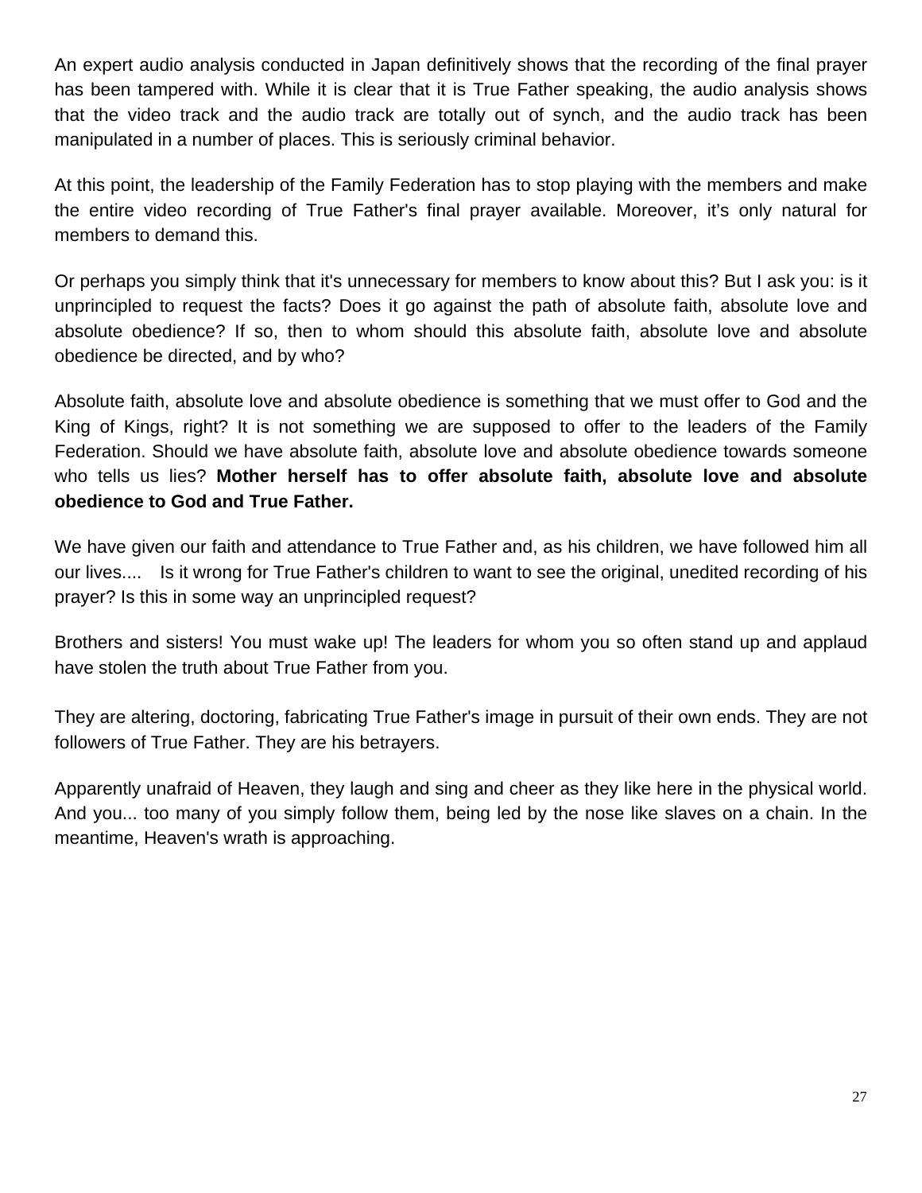An expert audio analysis conducted in Japan definitively shows that the recording of the final prayer has been tampered with. While it is clear that it is True Father speaking, the audio analysis shows that the video track and the audio track are totally out of synch, and the audio track has been manipulated in a number of places. This is seriously criminal behavior.

At this point, the leadership of the Family Federation has to stop playing with the members and make the entire video recording of True Father's final prayer available. Moreover, it's only natural for members to demand this.

Or perhaps you simply think that it's unnecessary for members to know about this? But I ask you: is it unprincipled to request the facts? Does it go against the path of absolute faith, absolute love and absolute obedience? If so, then to whom should this absolute faith, absolute love and absolute obedience be directed, and by who?

Absolute faith, absolute love and absolute obedience is something that we must offer to God and the King of Kings, right? It is not something we are supposed to offer to the leaders of the Family Federation. Should we have absolute faith, absolute love and absolute obedience towards someone who tells us lies? **Mother herself has to offer absolute faith, absolute love and absolute obedience to God and True Father.**

We have given our faith and attendance to True Father and, as his children, we have followed him all our lives.... Is it wrong for True Father's children to want to see the original, unedited recording of his prayer? Is this in some way an unprincipled request?

Brothers and sisters! You must wake up! The leaders for whom you so often stand up and applaud have stolen the truth about True Father from you.

They are altering, doctoring, fabricating True Father's image in pursuit of their own ends. They are not followers of True Father. They are his betrayers.

Apparently unafraid of Heaven, they laugh and sing and cheer as they like here in the physical world. And you... too many of you simply follow them, being led by the nose like slaves on a chain. In the meantime, Heaven's wrath is approaching.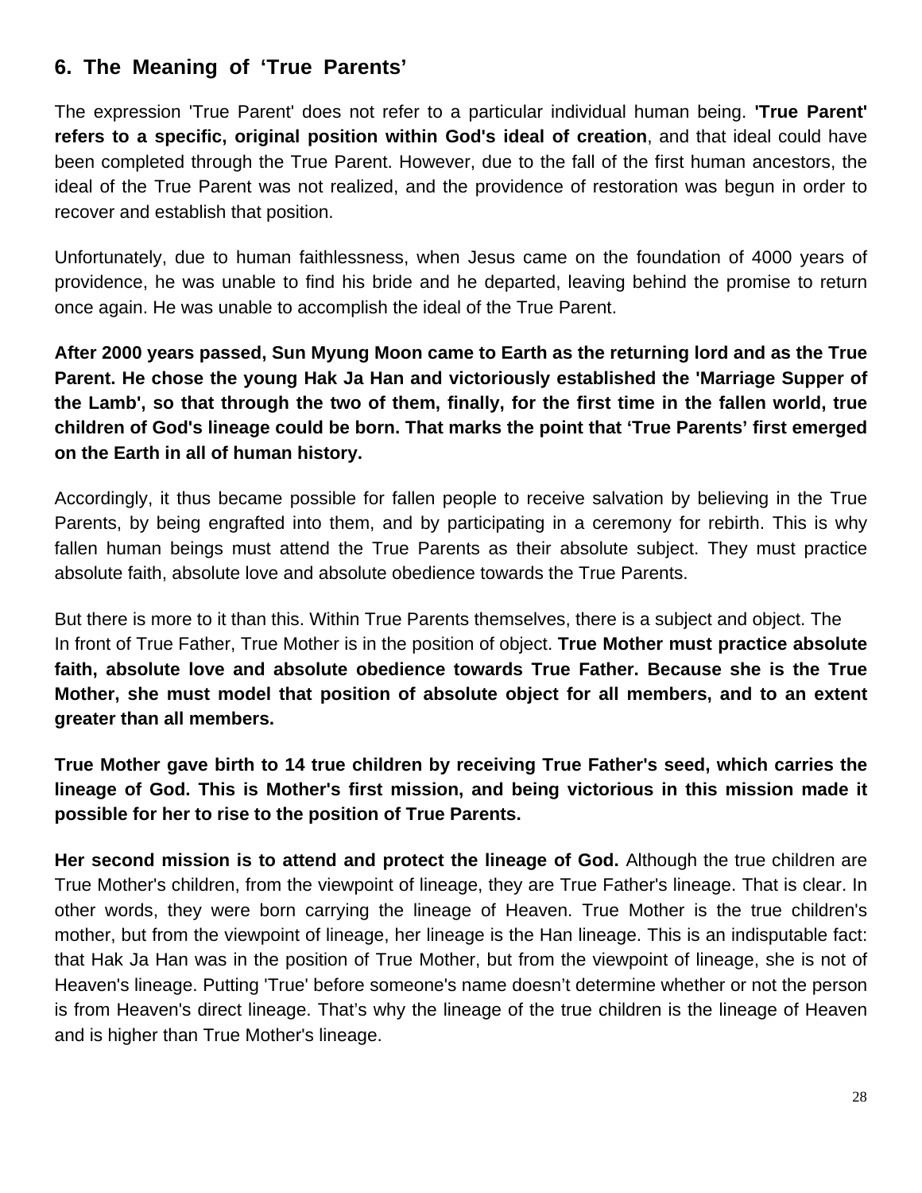# **6. The Meaning of 'True Parents'**

The expression 'True Parent' does not refer to a particular individual human being. **'True Parent' refers to a specific, original position within God's ideal of creation**, and that ideal could have been completed through the True Parent. However, due to the fall of the first human ancestors, the ideal of the True Parent was not realized, and the providence of restoration was begun in order to recover and establish that position.

Unfortunately, due to human faithlessness, when Jesus came on the foundation of 4000 years of providence, he was unable to find his bride and he departed, leaving behind the promise to return once again. He was unable to accomplish the ideal of the True Parent.

**After 2000 years passed, Sun Myung Moon came to Earth as the returning lord and as the True Parent. He chose the young Hak Ja Han and victoriously established the 'Marriage Supper of the Lamb', so that through the two of them, finally, for the first time in the fallen world, true children of God's lineage could be born. That marks the point that 'True Parents' first emerged on the Earth in all of human history.** 

Accordingly, it thus became possible for fallen people to receive salvation by believing in the True Parents, by being engrafted into them, and by participating in a ceremony for rebirth. This is why fallen human beings must attend the True Parents as their absolute subject. They must practice absolute faith, absolute love and absolute obedience towards the True Parents.

But there is more to it than this. Within True Parents themselves, there is a subject and object. The In front of True Father, True Mother is in the position of object. **True Mother must practice absolute faith, absolute love and absolute obedience towards True Father. Because she is the True Mother, she must model that position of absolute object for all members, and to an extent greater than all members.** 

**True Mother gave birth to 14 true children by receiving True Father's seed, which carries the lineage of God. This is Mother's first mission, and being victorious in this mission made it possible for her to rise to the position of True Parents.** 

**Her second mission is to attend and protect the lineage of God.** Although the true children are True Mother's children, from the viewpoint of lineage, they are True Father's lineage. That is clear. In other words, they were born carrying the lineage of Heaven. True Mother is the true children's mother, but from the viewpoint of lineage, her lineage is the Han lineage. This is an indisputable fact: that Hak Ja Han was in the position of True Mother, but from the viewpoint of lineage, she is not of Heaven's lineage. Putting 'True' before someone's name doesn't determine whether or not the person is from Heaven's direct lineage. That's why the lineage of the true children is the lineage of Heaven and is higher than True Mother's lineage.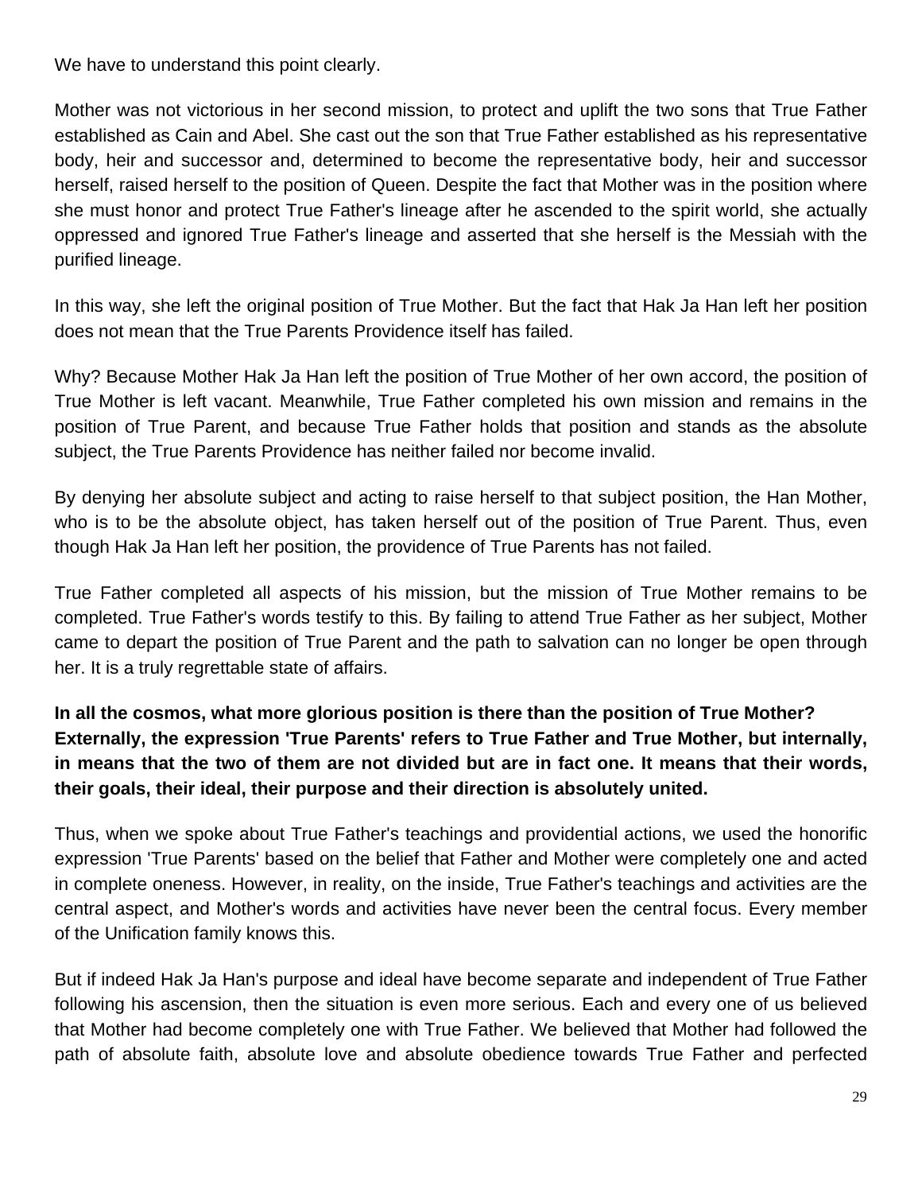We have to understand this point clearly.

Mother was not victorious in her second mission, to protect and uplift the two sons that True Father established as Cain and Abel. She cast out the son that True Father established as his representative body, heir and successor and, determined to become the representative body, heir and successor herself, raised herself to the position of Queen. Despite the fact that Mother was in the position where she must honor and protect True Father's lineage after he ascended to the spirit world, she actually oppressed and ignored True Father's lineage and asserted that she herself is the Messiah with the purified lineage.

In this way, she left the original position of True Mother. But the fact that Hak Ja Han left her position does not mean that the True Parents Providence itself has failed.

Why? Because Mother Hak Ja Han left the position of True Mother of her own accord, the position of True Mother is left vacant. Meanwhile, True Father completed his own mission and remains in the position of True Parent, and because True Father holds that position and stands as the absolute subject, the True Parents Providence has neither failed nor become invalid.

By denying her absolute subject and acting to raise herself to that subject position, the Han Mother, who is to be the absolute object, has taken herself out of the position of True Parent. Thus, even though Hak Ja Han left her position, the providence of True Parents has not failed.

True Father completed all aspects of his mission, but the mission of True Mother remains to be completed. True Father's words testify to this. By failing to attend True Father as her subject, Mother came to depart the position of True Parent and the path to salvation can no longer be open through her. It is a truly regrettable state of affairs.

**In all the cosmos, what more glorious position is there than the position of True Mother? Externally, the expression 'True Parents' refers to True Father and True Mother, but internally, in means that the two of them are not divided but are in fact one. It means that their words, their goals, their ideal, their purpose and their direction is absolutely united.** 

Thus, when we spoke about True Father's teachings and providential actions, we used the honorific expression 'True Parents' based on the belief that Father and Mother were completely one and acted in complete oneness. However, in reality, on the inside, True Father's teachings and activities are the central aspect, and Mother's words and activities have never been the central focus. Every member of the Unification family knows this.

But if indeed Hak Ja Han's purpose and ideal have become separate and independent of True Father following his ascension, then the situation is even more serious. Each and every one of us believed that Mother had become completely one with True Father. We believed that Mother had followed the path of absolute faith, absolute love and absolute obedience towards True Father and perfected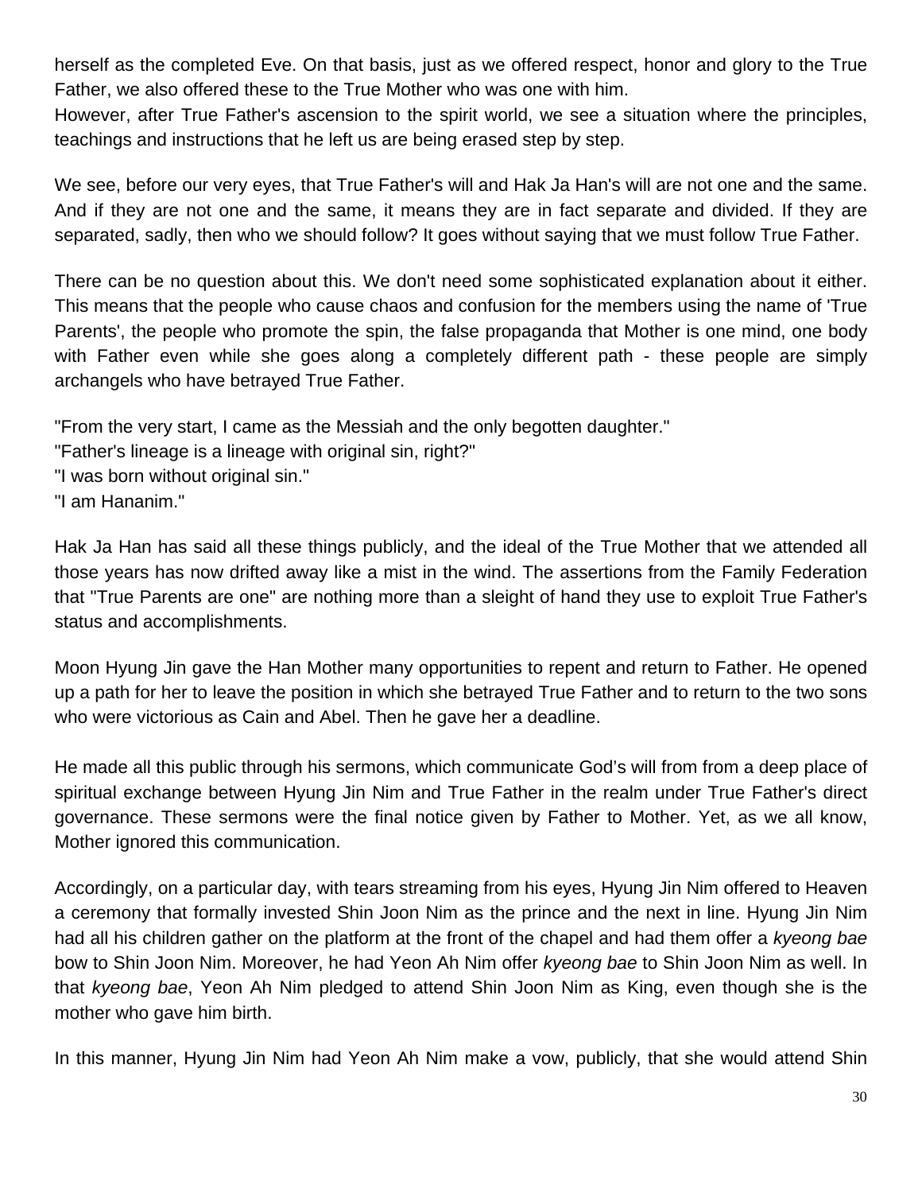herself as the completed Eve. On that basis, just as we offered respect, honor and glory to the True Father, we also offered these to the True Mother who was one with him.

However, after True Father's ascension to the spirit world, we see a situation where the principles, teachings and instructions that he left us are being erased step by step.

We see, before our very eyes, that True Father's will and Hak Ja Han's will are not one and the same. And if they are not one and the same, it means they are in fact separate and divided. If they are separated, sadly, then who we should follow? It goes without saying that we must follow True Father.

There can be no question about this. We don't need some sophisticated explanation about it either. This means that the people who cause chaos and confusion for the members using the name of 'True Parents', the people who promote the spin, the false propaganda that Mother is one mind, one body with Father even while she goes along a completely different path - these people are simply archangels who have betrayed True Father.

"From the very start, I came as the Messiah and the only begotten daughter."

"Father's lineage is a lineage with original sin, right?"

"I was born without original sin."

"I am Hananim."

Hak Ja Han has said all these things publicly, and the ideal of the True Mother that we attended all those years has now drifted away like a mist in the wind. The assertions from the Family Federation that "True Parents are one" are nothing more than a sleight of hand they use to exploit True Father's status and accomplishments.

Moon Hyung Jin gave the Han Mother many opportunities to repent and return to Father. He opened up a path for her to leave the position in which she betrayed True Father and to return to the two sons who were victorious as Cain and Abel. Then he gave her a deadline.

He made all this public through his sermons, which communicate God's will from from a deep place of spiritual exchange between Hyung Jin Nim and True Father in the realm under True Father's direct governance. These sermons were the final notice given by Father to Mother. Yet, as we all know, Mother ignored this communication.

Accordingly, on a particular day, with tears streaming from his eyes, Hyung Jin Nim offered to Heaven a ceremony that formally invested Shin Joon Nim as the prince and the next in line. Hyung Jin Nim had all his children gather on the platform at the front of the chapel and had them offer a *kyeong bae* bow to Shin Joon Nim. Moreover, he had Yeon Ah Nim offer *kyeong bae* to Shin Joon Nim as well. In that *kyeong bae*, Yeon Ah Nim pledged to attend Shin Joon Nim as King, even though she is the mother who gave him birth.

In this manner, Hyung Jin Nim had Yeon Ah Nim make a vow, publicly, that she would attend Shin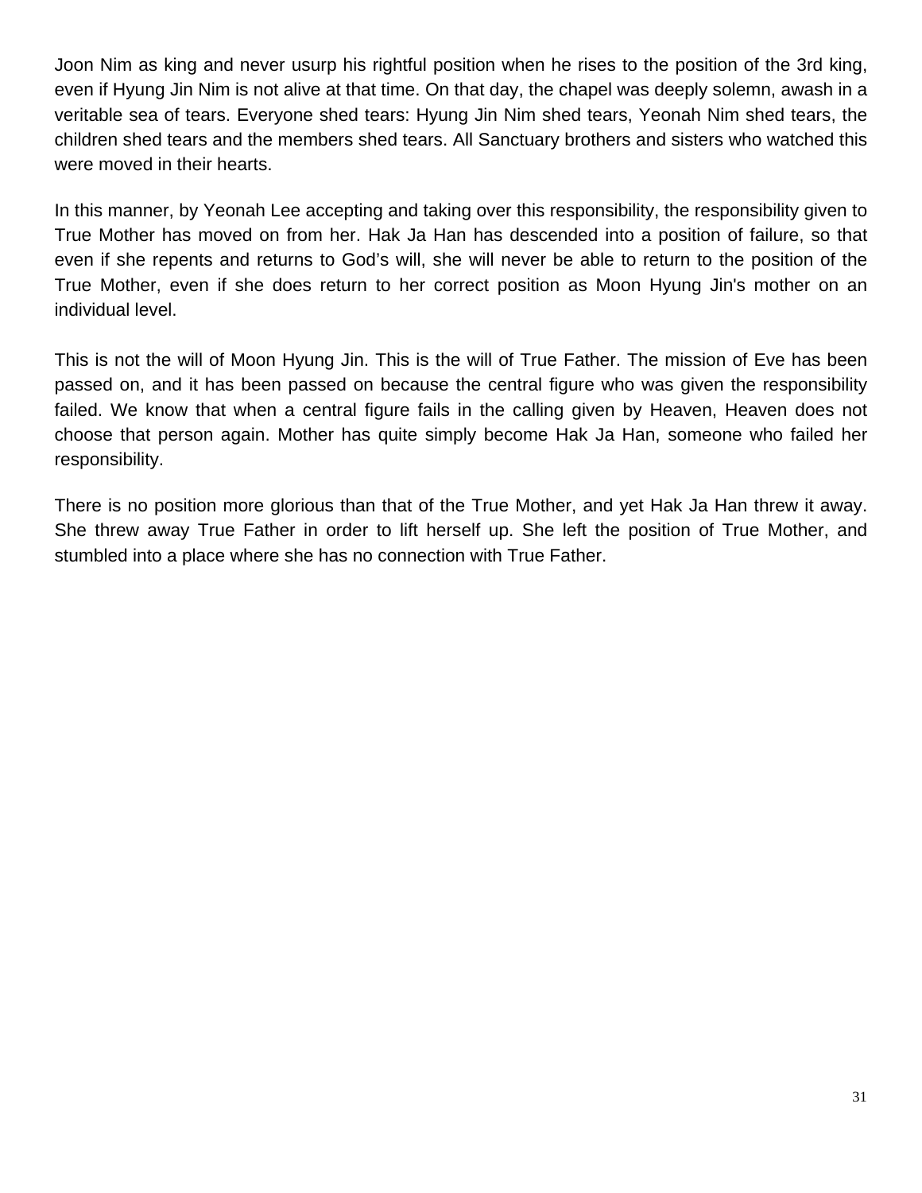Joon Nim as king and never usurp his rightful position when he rises to the position of the 3rd king, even if Hyung Jin Nim is not alive at that time. On that day, the chapel was deeply solemn, awash in a veritable sea of tears. Everyone shed tears: Hyung Jin Nim shed tears, Yeonah Nim shed tears, the children shed tears and the members shed tears. All Sanctuary brothers and sisters who watched this were moved in their hearts.

In this manner, by Yeonah Lee accepting and taking over this responsibility, the responsibility given to True Mother has moved on from her. Hak Ja Han has descended into a position of failure, so that even if she repents and returns to God's will, she will never be able to return to the position of the True Mother, even if she does return to her correct position as Moon Hyung Jin's mother on an individual level.

This is not the will of Moon Hyung Jin. This is the will of True Father. The mission of Eve has been passed on, and it has been passed on because the central figure who was given the responsibility failed. We know that when a central figure fails in the calling given by Heaven, Heaven does not choose that person again. Mother has quite simply become Hak Ja Han, someone who failed her responsibility.

There is no position more glorious than that of the True Mother, and yet Hak Ja Han threw it away. She threw away True Father in order to lift herself up. She left the position of True Mother, and stumbled into a place where she has no connection with True Father.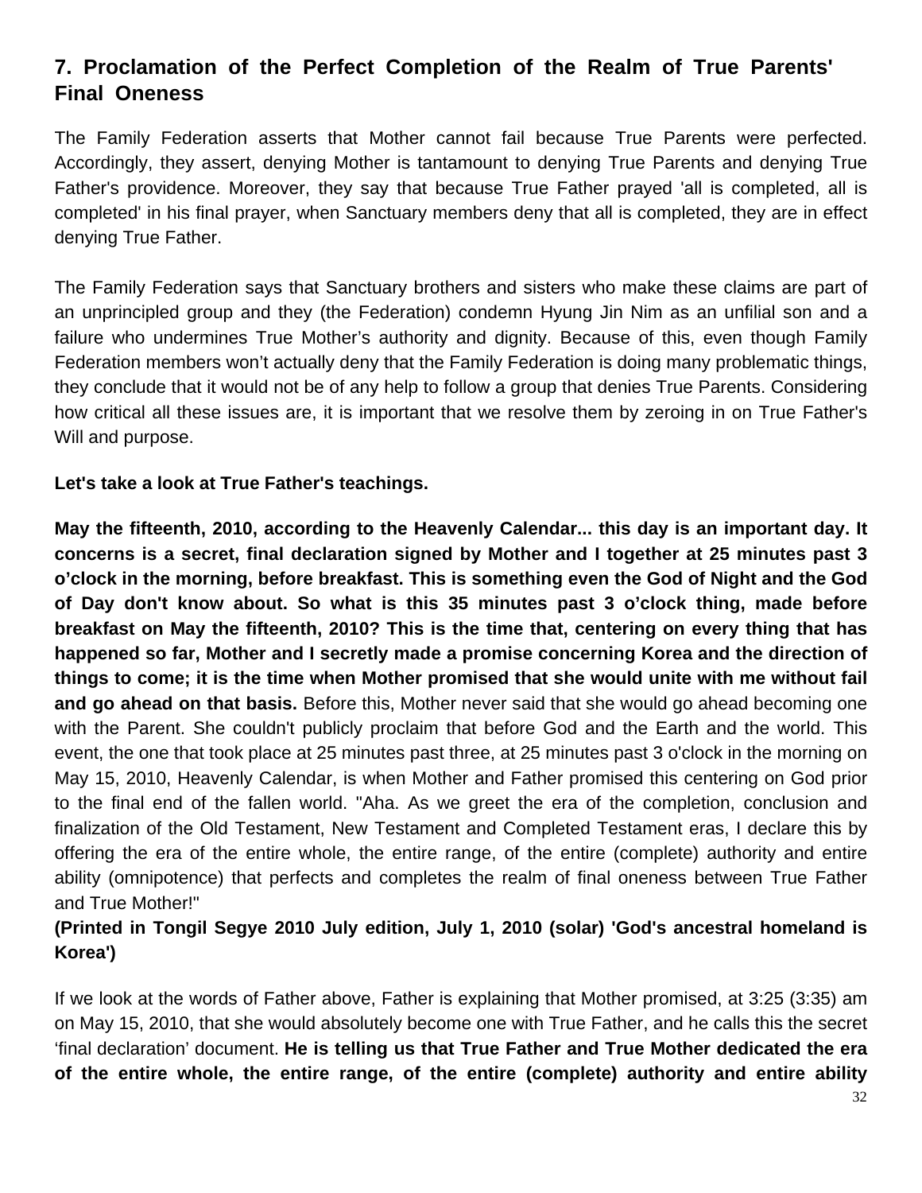# **7. Proclamation of the Perfect Completion of the Realm of True Parents' Final Oneness**

The Family Federation asserts that Mother cannot fail because True Parents were perfected. Accordingly, they assert, denying Mother is tantamount to denying True Parents and denying True Father's providence. Moreover, they say that because True Father prayed 'all is completed, all is completed' in his final prayer, when Sanctuary members deny that all is completed, they are in effect denying True Father.

The Family Federation says that Sanctuary brothers and sisters who make these claims are part of an unprincipled group and they (the Federation) condemn Hyung Jin Nim as an unfilial son and a failure who undermines True Mother's authority and dignity. Because of this, even though Family Federation members won't actually deny that the Family Federation is doing many problematic things, they conclude that it would not be of any help to follow a group that denies True Parents. Considering how critical all these issues are, it is important that we resolve them by zeroing in on True Father's Will and purpose.

**Let's take a look at True Father's teachings.**

**May the fifteenth, 2010, according to the Heavenly Calendar... this day is an important day. It concerns is a secret, final declaration signed by Mother and I together at 25 minutes past 3 o'clock in the morning, before breakfast. This is something even the God of Night and the God of Day don't know about. So what is this 35 minutes past 3 o'clock thing, made before breakfast on May the fifteenth, 2010? This is the time that, centering on every thing that has happened so far, Mother and I secretly made a promise concerning Korea and the direction of things to come; it is the time when Mother promised that she would unite with me without fail and go ahead on that basis.** Before this, Mother never said that she would go ahead becoming one with the Parent. She couldn't publicly proclaim that before God and the Earth and the world. This event, the one that took place at 25 minutes past three, at 25 minutes past 3 o'clock in the morning on May 15, 2010, Heavenly Calendar, is when Mother and Father promised this centering on God prior to the final end of the fallen world. "Aha. As we greet the era of the completion, conclusion and finalization of the Old Testament, New Testament and Completed Testament eras, I declare this by offering the era of the entire whole, the entire range, of the entire (complete) authority and entire ability (omnipotence) that perfects and completes the realm of final oneness between True Father and True Mother!"

## **(Printed in Tongil Segye 2010 July edition, July 1, 2010 (solar) 'God's ancestral homeland is Korea')**

If we look at the words of Father above, Father is explaining that Mother promised, at 3:25 (3:35) am on May 15, 2010, that she would absolutely become one with True Father, and he calls this the secret 'final declaration' document. **He is telling us that True Father and True Mother dedicated the era of the entire whole, the entire range, of the entire (complete) authority and entire ability**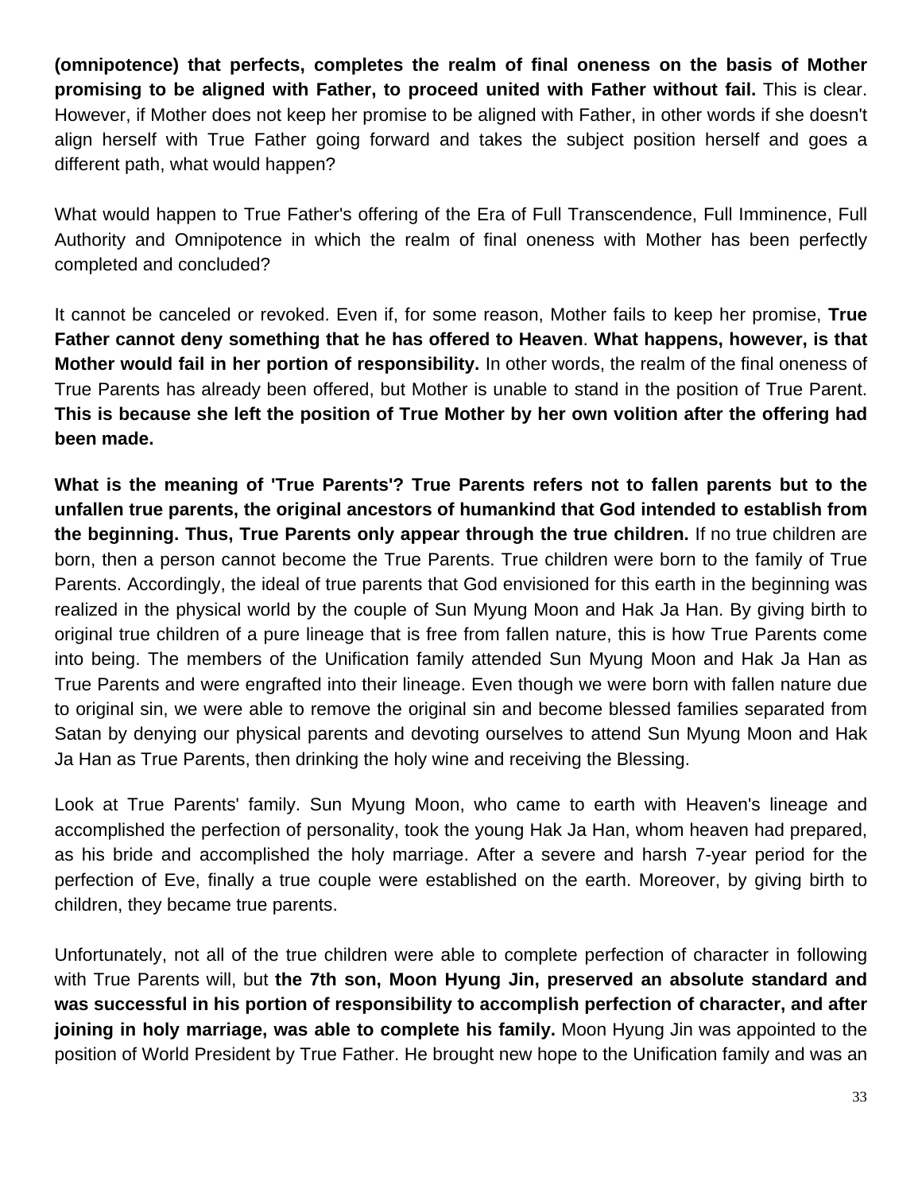**(omnipotence) that perfects, completes the realm of final oneness on the basis of Mother promising to be aligned with Father, to proceed united with Father without fail.** This is clear. However, if Mother does not keep her promise to be aligned with Father, in other words if she doesn't align herself with True Father going forward and takes the subject position herself and goes a different path, what would happen?

What would happen to True Father's offering of the Era of Full Transcendence, Full Imminence, Full Authority and Omnipotence in which the realm of final oneness with Mother has been perfectly completed and concluded?

It cannot be canceled or revoked. Even if, for some reason, Mother fails to keep her promise, **True Father cannot deny something that he has offered to Heaven**. **What happens, however, is that Mother would fail in her portion of responsibility.** In other words, the realm of the final oneness of True Parents has already been offered, but Mother is unable to stand in the position of True Parent. **This is because she left the position of True Mother by her own volition after the offering had been made.**

**What is the meaning of 'True Parents'? True Parents refers not to fallen parents but to the unfallen true parents, the original ancestors of humankind that God intended to establish from the beginning. Thus, True Parents only appear through the true children.** If no true children are born, then a person cannot become the True Parents. True children were born to the family of True Parents. Accordingly, the ideal of true parents that God envisioned for this earth in the beginning was realized in the physical world by the couple of Sun Myung Moon and Hak Ja Han. By giving birth to original true children of a pure lineage that is free from fallen nature, this is how True Parents come into being. The members of the Unification family attended Sun Myung Moon and Hak Ja Han as True Parents and were engrafted into their lineage. Even though we were born with fallen nature due to original sin, we were able to remove the original sin and become blessed families separated from Satan by denying our physical parents and devoting ourselves to attend Sun Myung Moon and Hak Ja Han as True Parents, then drinking the holy wine and receiving the Blessing.

Look at True Parents' family. Sun Myung Moon, who came to earth with Heaven's lineage and accomplished the perfection of personality, took the young Hak Ja Han, whom heaven had prepared, as his bride and accomplished the holy marriage. After a severe and harsh 7-year period for the perfection of Eve, finally a true couple were established on the earth. Moreover, by giving birth to children, they became true parents.

Unfortunately, not all of the true children were able to complete perfection of character in following with True Parents will, but **the 7th son, Moon Hyung Jin, preserved an absolute standard and was successful in his portion of responsibility to accomplish perfection of character, and after joining in holy marriage, was able to complete his family.** Moon Hyung Jin was appointed to the position of World President by True Father. He brought new hope to the Unification family and was an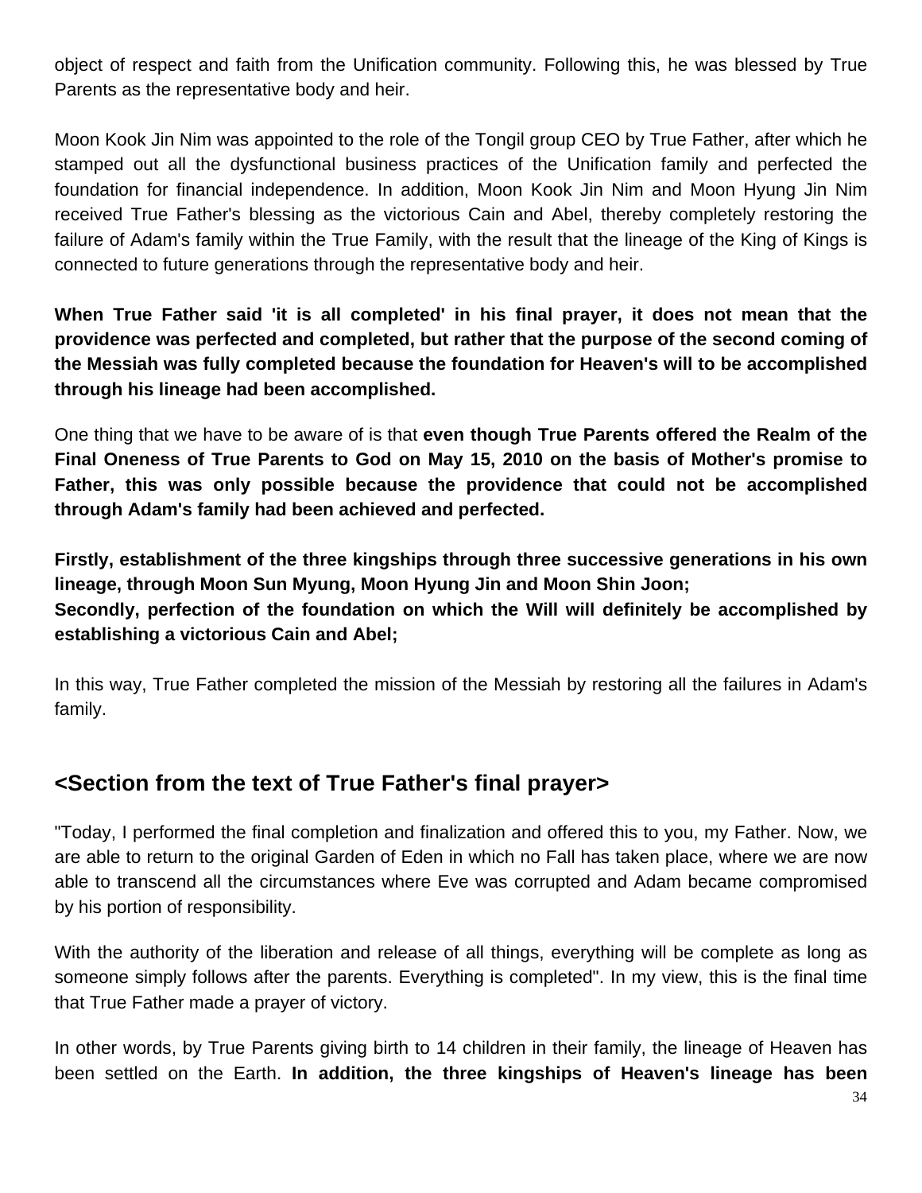object of respect and faith from the Unification community. Following this, he was blessed by True Parents as the representative body and heir.

Moon Kook Jin Nim was appointed to the role of the Tongil group CEO by True Father, after which he stamped out all the dysfunctional business practices of the Unification family and perfected the foundation for financial independence. In addition, Moon Kook Jin Nim and Moon Hyung Jin Nim received True Father's blessing as the victorious Cain and Abel, thereby completely restoring the failure of Adam's family within the True Family, with the result that the lineage of the King of Kings is connected to future generations through the representative body and heir.

**When True Father said 'it is all completed' in his final prayer, it does not mean that the providence was perfected and completed, but rather that the purpose of the second coming of the Messiah was fully completed because the foundation for Heaven's will to be accomplished through his lineage had been accomplished.**

One thing that we have to be aware of is that **even though True Parents offered the Realm of the Final Oneness of True Parents to God on May 15, 2010 on the basis of Mother's promise to Father, this was only possible because the providence that could not be accomplished through Adam's family had been achieved and perfected.**

**Firstly, establishment of the three kingships through three successive generations in his own lineage, through Moon Sun Myung, Moon Hyung Jin and Moon Shin Joon; Secondly, perfection of the foundation on which the Will will definitely be accomplished by establishing a victorious Cain and Abel;**

In this way, True Father completed the mission of the Messiah by restoring all the failures in Adam's family.

# **<Section from the text of True Father's final prayer>**

"Today, I performed the final completion and finalization and offered this to you, my Father. Now, we are able to return to the original Garden of Eden in which no Fall has taken place, where we are now able to transcend all the circumstances where Eve was corrupted and Adam became compromised by his portion of responsibility.

With the authority of the liberation and release of all things, everything will be complete as long as someone simply follows after the parents. Everything is completed". In my view, this is the final time that True Father made a prayer of victory.

In other words, by True Parents giving birth to 14 children in their family, the lineage of Heaven has been settled on the Earth. **In addition, the three kingships of Heaven's lineage has been**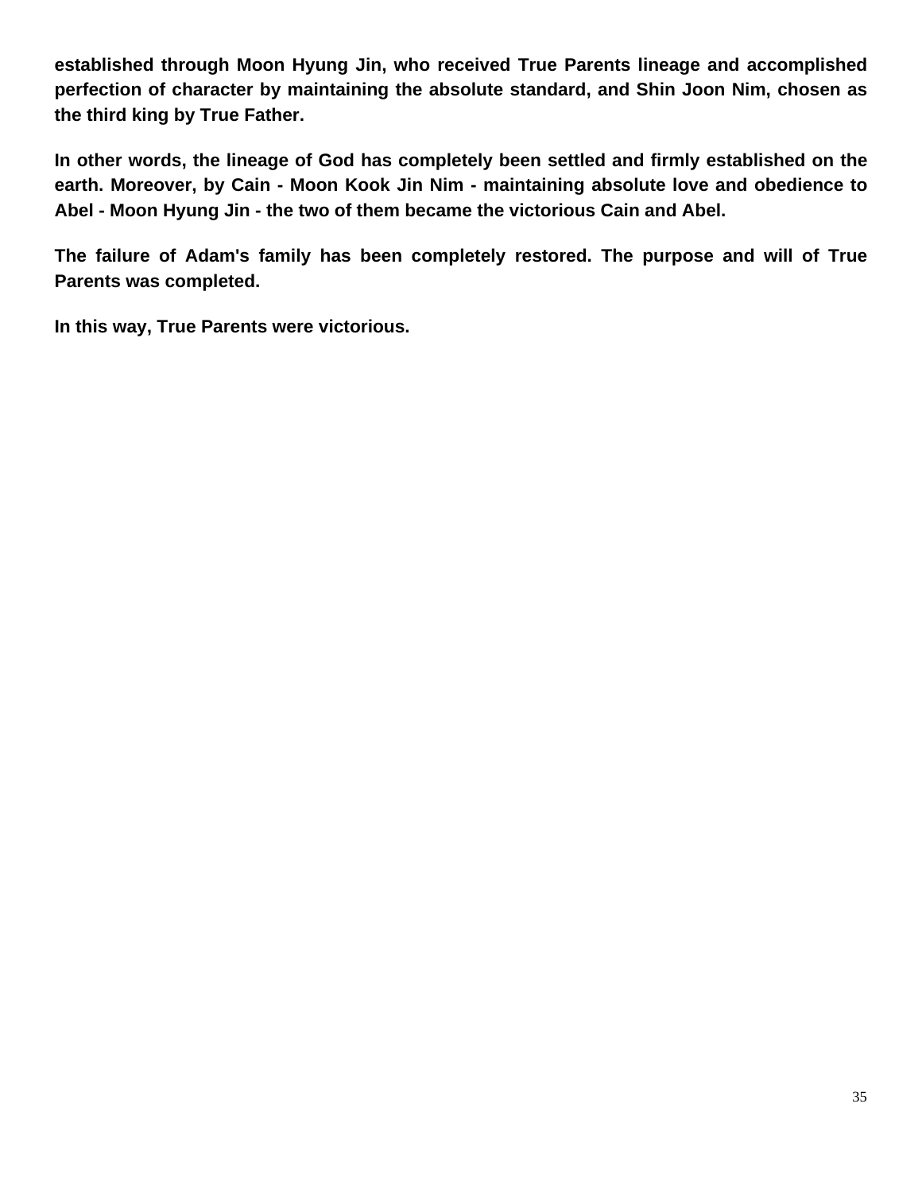**established through Moon Hyung Jin, who received True Parents lineage and accomplished perfection of character by maintaining the absolute standard, and Shin Joon Nim, chosen as the third king by True Father.** 

**In other words, the lineage of God has completely been settled and firmly established on the earth. Moreover, by Cain - Moon Kook Jin Nim - maintaining absolute love and obedience to Abel - Moon Hyung Jin - the two of them became the victorious Cain and Abel.** 

**The failure of Adam's family has been completely restored. The purpose and will of True Parents was completed.** 

**In this way, True Parents were victorious.**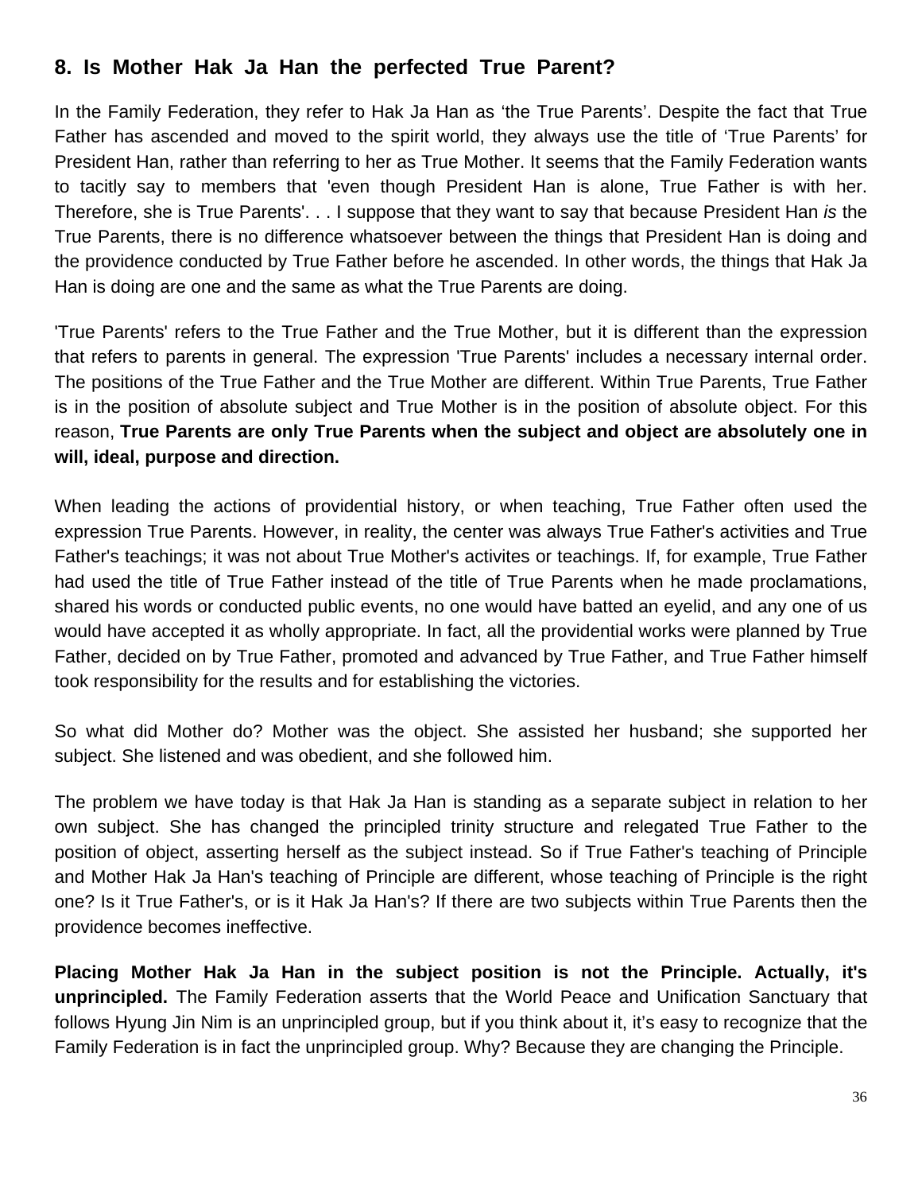# **8. Is Mother Hak Ja Han the perfected True Parent?**

In the Family Federation, they refer to Hak Ja Han as 'the True Parents'. Despite the fact that True Father has ascended and moved to the spirit world, they always use the title of 'True Parents' for President Han, rather than referring to her as True Mother. It seems that the Family Federation wants to tacitly say to members that 'even though President Han is alone, True Father is with her. Therefore, she is True Parents'. . . I suppose that they want to say that because President Han *is* the True Parents, there is no difference whatsoever between the things that President Han is doing and the providence conducted by True Father before he ascended. In other words, the things that Hak Ja Han is doing are one and the same as what the True Parents are doing.

'True Parents' refers to the True Father and the True Mother, but it is different than the expression that refers to parents in general. The expression 'True Parents' includes a necessary internal order. The positions of the True Father and the True Mother are different. Within True Parents, True Father is in the position of absolute subject and True Mother is in the position of absolute object. For this reason, **True Parents are only True Parents when the subject and object are absolutely one in will, ideal, purpose and direction.**

When leading the actions of providential history, or when teaching, True Father often used the expression True Parents. However, in reality, the center was always True Father's activities and True Father's teachings; it was not about True Mother's activites or teachings. If, for example, True Father had used the title of True Father instead of the title of True Parents when he made proclamations, shared his words or conducted public events, no one would have batted an eyelid, and any one of us would have accepted it as wholly appropriate. In fact, all the providential works were planned by True Father, decided on by True Father, promoted and advanced by True Father, and True Father himself took responsibility for the results and for establishing the victories.

So what did Mother do? Mother was the object. She assisted her husband; she supported her subject. She listened and was obedient, and she followed him.

The problem we have today is that Hak Ja Han is standing as a separate subject in relation to her own subject. She has changed the principled trinity structure and relegated True Father to the position of object, asserting herself as the subject instead. So if True Father's teaching of Principle and Mother Hak Ja Han's teaching of Principle are different, whose teaching of Principle is the right one? Is it True Father's, or is it Hak Ja Han's? If there are two subjects within True Parents then the providence becomes ineffective.

**Placing Mother Hak Ja Han in the subject position is not the Principle. Actually, it's unprincipled.** The Family Federation asserts that the World Peace and Unification Sanctuary that follows Hyung Jin Nim is an unprincipled group, but if you think about it, it's easy to recognize that the Family Federation is in fact the unprincipled group. Why? Because they are changing the Principle.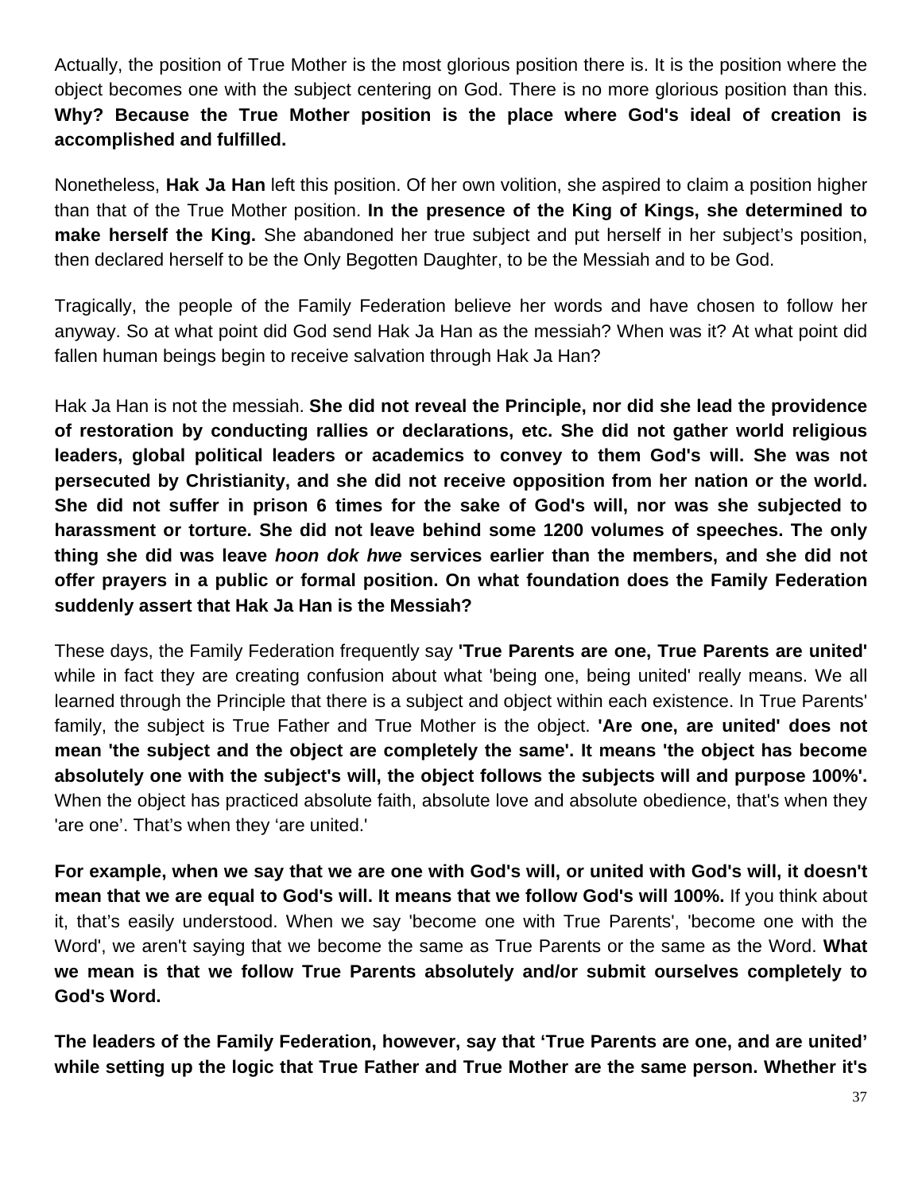Actually, the position of True Mother is the most glorious position there is. It is the position where the object becomes one with the subject centering on God. There is no more glorious position than this. **Why? Because the True Mother position is the place where God's ideal of creation is accomplished and fulfilled.** 

Nonetheless, **Hak Ja Han** left this position. Of her own volition, she aspired to claim a position higher than that of the True Mother position. **In the presence of the King of Kings, she determined to make herself the King.** She abandoned her true subject and put herself in her subject's position, then declared herself to be the Only Begotten Daughter, to be the Messiah and to be God.

Tragically, the people of the Family Federation believe her words and have chosen to follow her anyway. So at what point did God send Hak Ja Han as the messiah? When was it? At what point did fallen human beings begin to receive salvation through Hak Ja Han?

Hak Ja Han is not the messiah. **She did not reveal the Principle, nor did she lead the providence of restoration by conducting rallies or declarations, etc. She did not gather world religious leaders, global political leaders or academics to convey to them God's will. She was not persecuted by Christianity, and she did not receive opposition from her nation or the world. She did not suffer in prison 6 times for the sake of God's will, nor was she subjected to harassment or torture. She did not leave behind some 1200 volumes of speeches. The only thing she did was leave** *hoon dok hwe* **services earlier than the members, and she did not offer prayers in a public or formal position. On what foundation does the Family Federation suddenly assert that Hak Ja Han is the Messiah?** 

These days, the Family Federation frequently say **'True Parents are one, True Parents are united'** while in fact they are creating confusion about what 'being one, being united' really means. We all learned through the Principle that there is a subject and object within each existence. In True Parents' family, the subject is True Father and True Mother is the object. **'Are one, are united' does not mean 'the subject and the object are completely the same'. It means 'the object has become absolutely one with the subject's will, the object follows the subjects will and purpose 100%'.**  When the object has practiced absolute faith, absolute love and absolute obedience, that's when they 'are one'. That's when they 'are united.'

**For example, when we say that we are one with God's will, or united with God's will, it doesn't mean that we are equal to God's will. It means that we follow God's will 100%.** If you think about it, that's easily understood. When we say 'become one with True Parents', 'become one with the Word', we aren't saying that we become the same as True Parents or the same as the Word. **What we mean is that we follow True Parents absolutely and/or submit ourselves completely to God's Word.**

**The leaders of the Family Federation, however, say that 'True Parents are one, and are united' while setting up the logic that True Father and True Mother are the same person. Whether it's**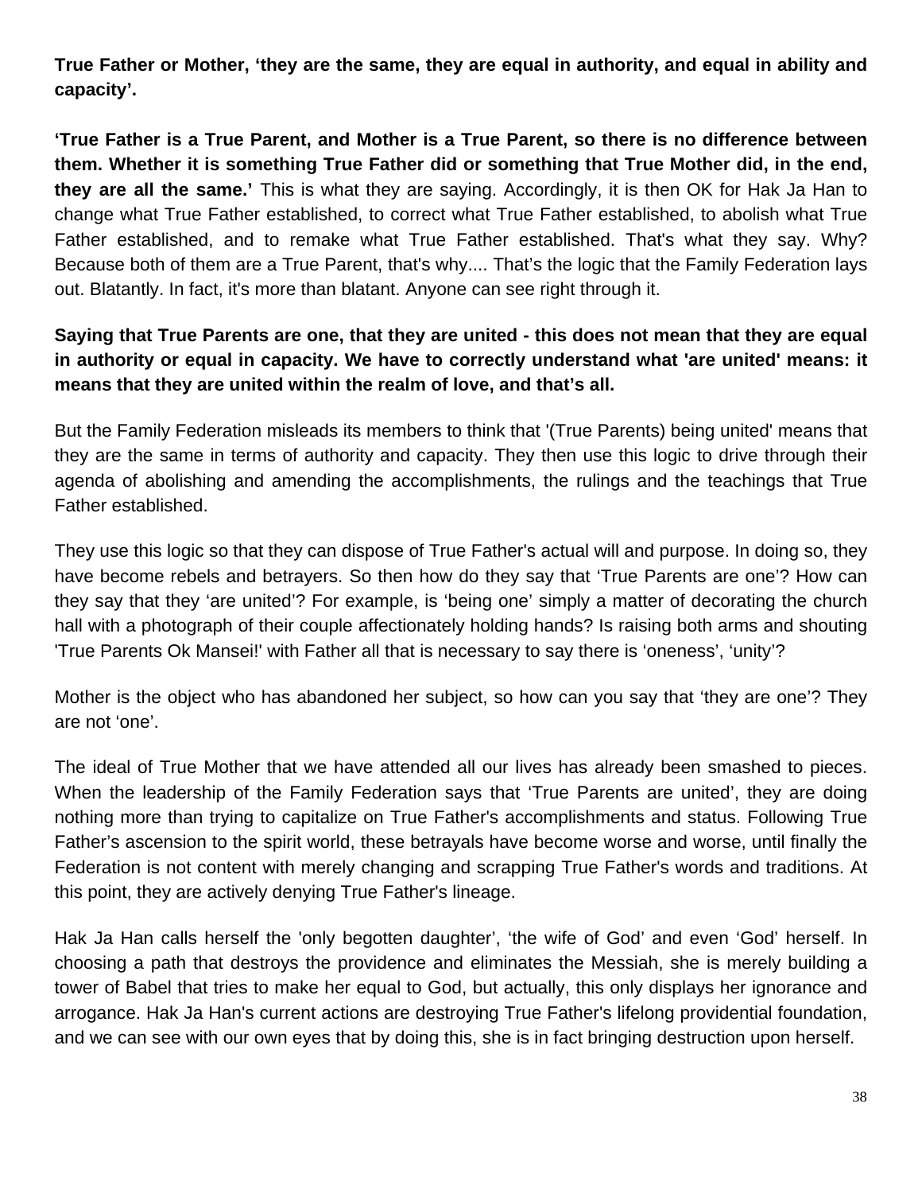**True Father or Mother, 'they are the same, they are equal in authority, and equal in ability and capacity'.** 

**'True Father is a True Parent, and Mother is a True Parent, so there is no difference between them. Whether it is something True Father did or something that True Mother did, in the end, they are all the same.'** This is what they are saying. Accordingly, it is then OK for Hak Ja Han to change what True Father established, to correct what True Father established, to abolish what True Father established, and to remake what True Father established. That's what they say. Why? Because both of them are a True Parent, that's why.... That's the logic that the Family Federation lays out. Blatantly. In fact, it's more than blatant. Anyone can see right through it.

# **Saying that True Parents are one, that they are united - this does not mean that they are equal in authority or equal in capacity. We have to correctly understand what 'are united' means: it means that they are united within the realm of love, and that's all.**

But the Family Federation misleads its members to think that '(True Parents) being united' means that they are the same in terms of authority and capacity. They then use this logic to drive through their agenda of abolishing and amending the accomplishments, the rulings and the teachings that True Father established.

They use this logic so that they can dispose of True Father's actual will and purpose. In doing so, they have become rebels and betrayers. So then how do they say that 'True Parents are one'? How can they say that they 'are united'? For example, is 'being one' simply a matter of decorating the church hall with a photograph of their couple affectionately holding hands? Is raising both arms and shouting 'True Parents Ok Mansei!' with Father all that is necessary to say there is 'oneness', 'unity'?

Mother is the object who has abandoned her subject, so how can you say that 'they are one'? They are not 'one'.

The ideal of True Mother that we have attended all our lives has already been smashed to pieces. When the leadership of the Family Federation says that 'True Parents are united', they are doing nothing more than trying to capitalize on True Father's accomplishments and status. Following True Father's ascension to the spirit world, these betrayals have become worse and worse, until finally the Federation is not content with merely changing and scrapping True Father's words and traditions. At this point, they are actively denying True Father's lineage.

Hak Ja Han calls herself the 'only begotten daughter', 'the wife of God' and even 'God' herself. In choosing a path that destroys the providence and eliminates the Messiah, she is merely building a tower of Babel that tries to make her equal to God, but actually, this only displays her ignorance and arrogance. Hak Ja Han's current actions are destroying True Father's lifelong providential foundation, and we can see with our own eyes that by doing this, she is in fact bringing destruction upon herself.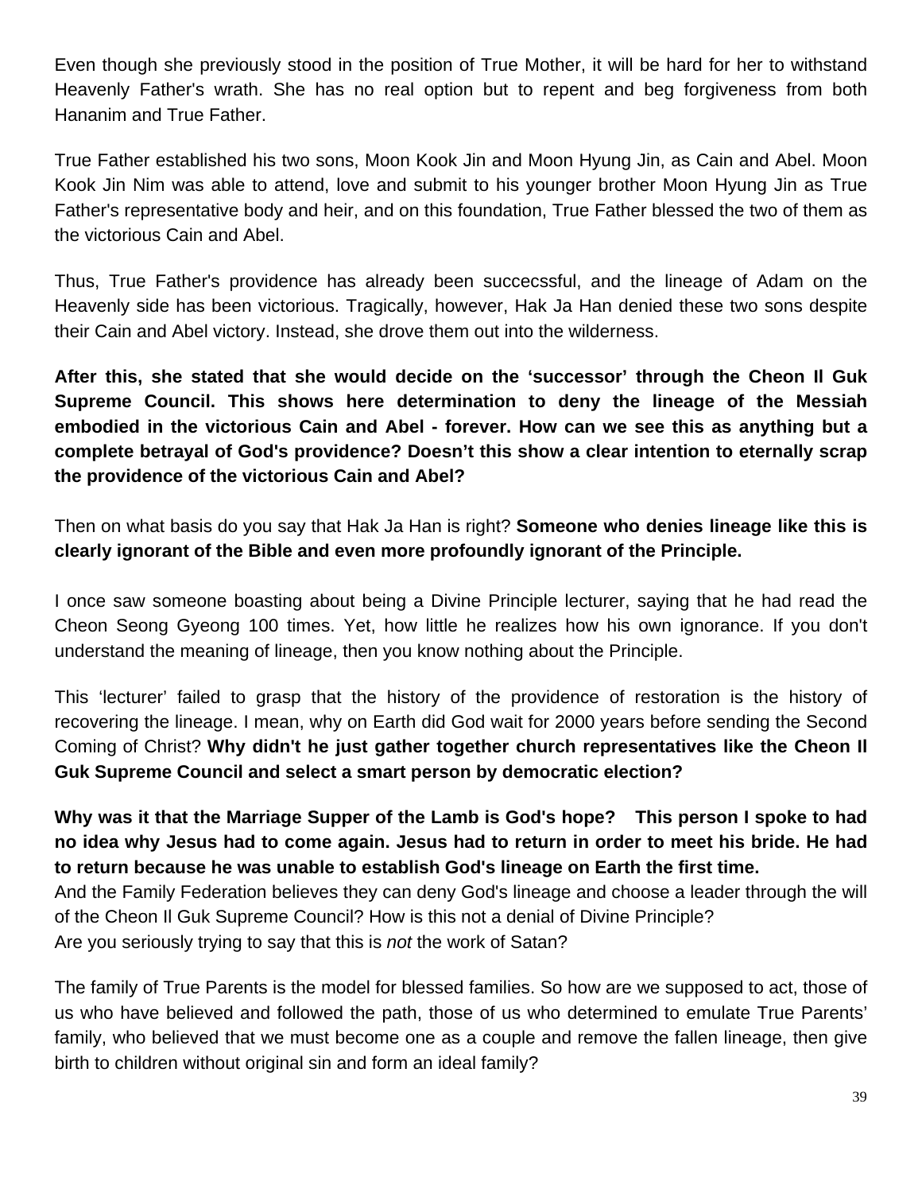Even though she previously stood in the position of True Mother, it will be hard for her to withstand Heavenly Father's wrath. She has no real option but to repent and beg forgiveness from both Hananim and True Father.

True Father established his two sons, Moon Kook Jin and Moon Hyung Jin, as Cain and Abel. Moon Kook Jin Nim was able to attend, love and submit to his younger brother Moon Hyung Jin as True Father's representative body and heir, and on this foundation, True Father blessed the two of them as the victorious Cain and Abel.

Thus, True Father's providence has already been succecssful, and the lineage of Adam on the Heavenly side has been victorious. Tragically, however, Hak Ja Han denied these two sons despite their Cain and Abel victory. Instead, she drove them out into the wilderness.

**After this, she stated that she would decide on the 'successor' through the Cheon Il Guk Supreme Council. This shows here determination to deny the lineage of the Messiah embodied in the victorious Cain and Abel - forever. How can we see this as anything but a complete betrayal of God's providence? Doesn't this show a clear intention to eternally scrap the providence of the victorious Cain and Abel?** 

Then on what basis do you say that Hak Ja Han is right? **Someone who denies lineage like this is clearly ignorant of the Bible and even more profoundly ignorant of the Principle.** 

I once saw someone boasting about being a Divine Principle lecturer, saying that he had read the Cheon Seong Gyeong 100 times. Yet, how little he realizes how his own ignorance. If you don't understand the meaning of lineage, then you know nothing about the Principle.

This 'lecturer' failed to grasp that the history of the providence of restoration is the history of recovering the lineage. I mean, why on Earth did God wait for 2000 years before sending the Second Coming of Christ? **Why didn't he just gather together church representatives like the Cheon Il Guk Supreme Council and select a smart person by democratic election?** 

**Why was it that the Marriage Supper of the Lamb is God's hope? This person I spoke to had no idea why Jesus had to come again. Jesus had to return in order to meet his bride. He had to return because he was unable to establish God's lineage on Earth the first time.** 

And the Family Federation believes they can deny God's lineage and choose a leader through the will of the Cheon Il Guk Supreme Council? How is this not a denial of Divine Principle?

Are you seriously trying to say that this is *not* the work of Satan?

The family of True Parents is the model for blessed families. So how are we supposed to act, those of us who have believed and followed the path, those of us who determined to emulate True Parents' family, who believed that we must become one as a couple and remove the fallen lineage, then give birth to children without original sin and form an ideal family?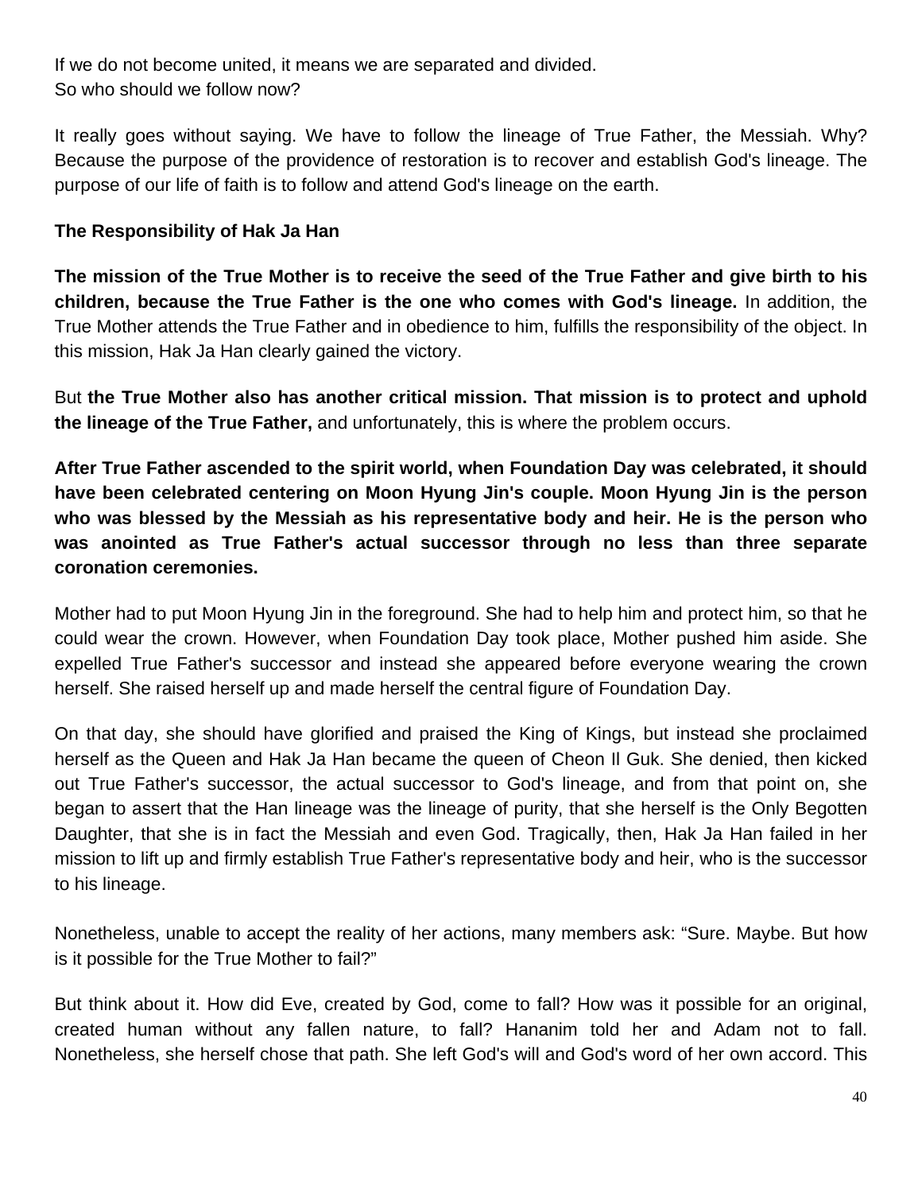If we do not become united, it means we are separated and divided. So who should we follow now?

It really goes without saying. We have to follow the lineage of True Father, the Messiah. Why? Because the purpose of the providence of restoration is to recover and establish God's lineage. The purpose of our life of faith is to follow and attend God's lineage on the earth.

#### **The Responsibility of Hak Ja Han**

**The mission of the True Mother is to receive the seed of the True Father and give birth to his children, because the True Father is the one who comes with God's lineage.** In addition, the True Mother attends the True Father and in obedience to him, fulfills the responsibility of the object. In this mission, Hak Ja Han clearly gained the victory.

But **the True Mother also has another critical mission. That mission is to protect and uphold the lineage of the True Father,** and unfortunately, this is where the problem occurs.

**After True Father ascended to the spirit world, when Foundation Day was celebrated, it should have been celebrated centering on Moon Hyung Jin's couple. Moon Hyung Jin is the person who was blessed by the Messiah as his representative body and heir. He is the person who was anointed as True Father's actual successor through no less than three separate coronation ceremonies.**

Mother had to put Moon Hyung Jin in the foreground. She had to help him and protect him, so that he could wear the crown. However, when Foundation Day took place, Mother pushed him aside. She expelled True Father's successor and instead she appeared before everyone wearing the crown herself. She raised herself up and made herself the central figure of Foundation Day.

On that day, she should have glorified and praised the King of Kings, but instead she proclaimed herself as the Queen and Hak Ja Han became the queen of Cheon Il Guk. She denied, then kicked out True Father's successor, the actual successor to God's lineage, and from that point on, she began to assert that the Han lineage was the lineage of purity, that she herself is the Only Begotten Daughter, that she is in fact the Messiah and even God. Tragically, then, Hak Ja Han failed in her mission to lift up and firmly establish True Father's representative body and heir, who is the successor to his lineage.

Nonetheless, unable to accept the reality of her actions, many members ask: "Sure. Maybe. But how is it possible for the True Mother to fail?"

But think about it. How did Eve, created by God, come to fall? How was it possible for an original, created human without any fallen nature, to fall? Hananim told her and Adam not to fall. Nonetheless, she herself chose that path. She left God's will and God's word of her own accord. This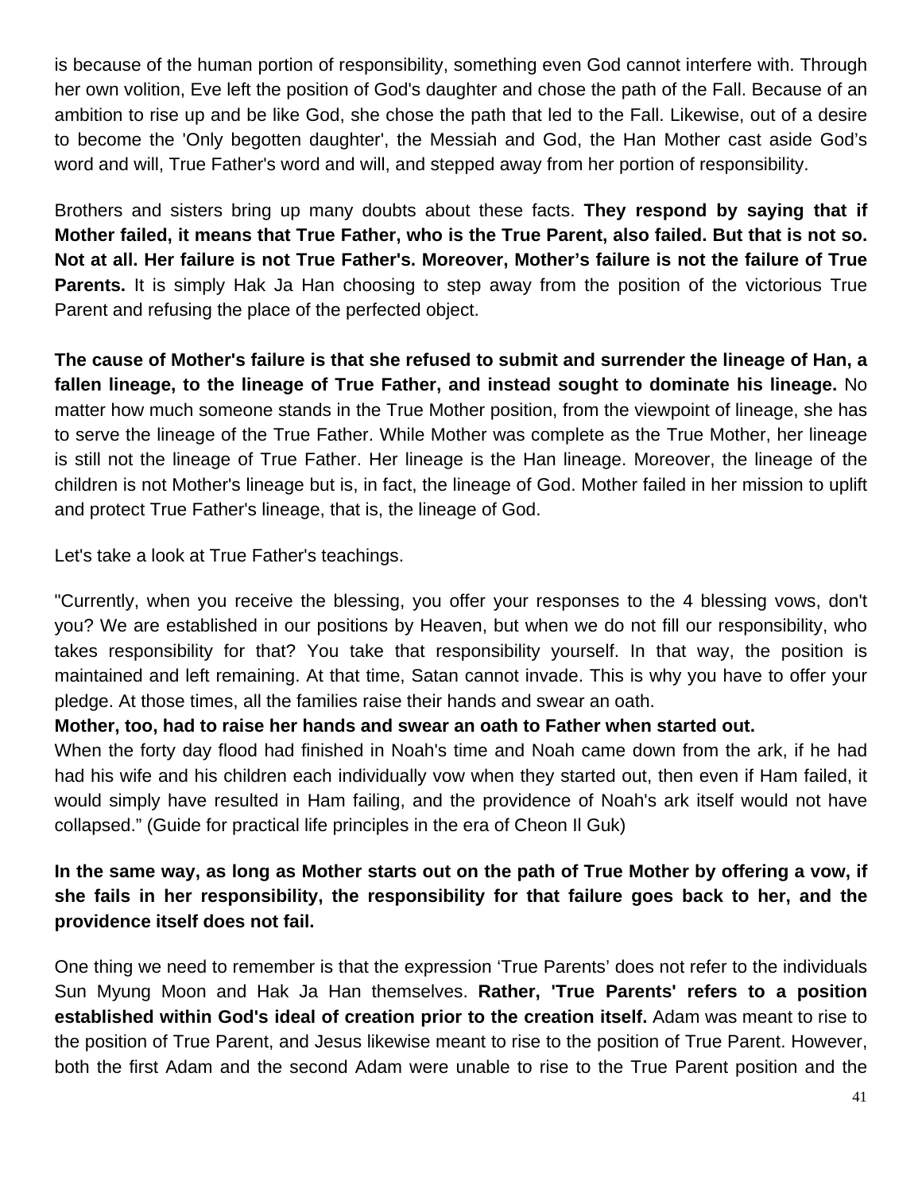is because of the human portion of responsibility, something even God cannot interfere with. Through her own volition, Eve left the position of God's daughter and chose the path of the Fall. Because of an ambition to rise up and be like God, she chose the path that led to the Fall. Likewise, out of a desire to become the 'Only begotten daughter', the Messiah and God, the Han Mother cast aside God's word and will, True Father's word and will, and stepped away from her portion of responsibility.

Brothers and sisters bring up many doubts about these facts. **They respond by saying that if Mother failed, it means that True Father, who is the True Parent, also failed. But that is not so. Not at all. Her failure is not True Father's. Moreover, Mother's failure is not the failure of True Parents.** It is simply Hak Ja Han choosing to step away from the position of the victorious True Parent and refusing the place of the perfected object.

**The cause of Mother's failure is that she refused to submit and surrender the lineage of Han, a fallen lineage, to the lineage of True Father, and instead sought to dominate his lineage.** No matter how much someone stands in the True Mother position, from the viewpoint of lineage, she has to serve the lineage of the True Father. While Mother was complete as the True Mother, her lineage is still not the lineage of True Father. Her lineage is the Han lineage. Moreover, the lineage of the children is not Mother's lineage but is, in fact, the lineage of God. Mother failed in her mission to uplift and protect True Father's lineage, that is, the lineage of God.

Let's take a look at True Father's teachings.

"Currently, when you receive the blessing, you offer your responses to the 4 blessing vows, don't you? We are established in our positions by Heaven, but when we do not fill our responsibility, who takes responsibility for that? You take that responsibility yourself. In that way, the position is maintained and left remaining. At that time, Satan cannot invade. This is why you have to offer your pledge. At those times, all the families raise their hands and swear an oath.

#### **Mother, too, had to raise her hands and swear an oath to Father when started out.**

When the forty day flood had finished in Noah's time and Noah came down from the ark, if he had had his wife and his children each individually vow when they started out, then even if Ham failed, it would simply have resulted in Ham failing, and the providence of Noah's ark itself would not have collapsed." (Guide for practical life principles in the era of Cheon Il Guk)

# **In the same way, as long as Mother starts out on the path of True Mother by offering a vow, if she fails in her responsibility, the responsibility for that failure goes back to her, and the providence itself does not fail.**

One thing we need to remember is that the expression 'True Parents' does not refer to the individuals Sun Myung Moon and Hak Ja Han themselves. **Rather, 'True Parents' refers to a position established within God's ideal of creation prior to the creation itself.** Adam was meant to rise to the position of True Parent, and Jesus likewise meant to rise to the position of True Parent. However, both the first Adam and the second Adam were unable to rise to the True Parent position and the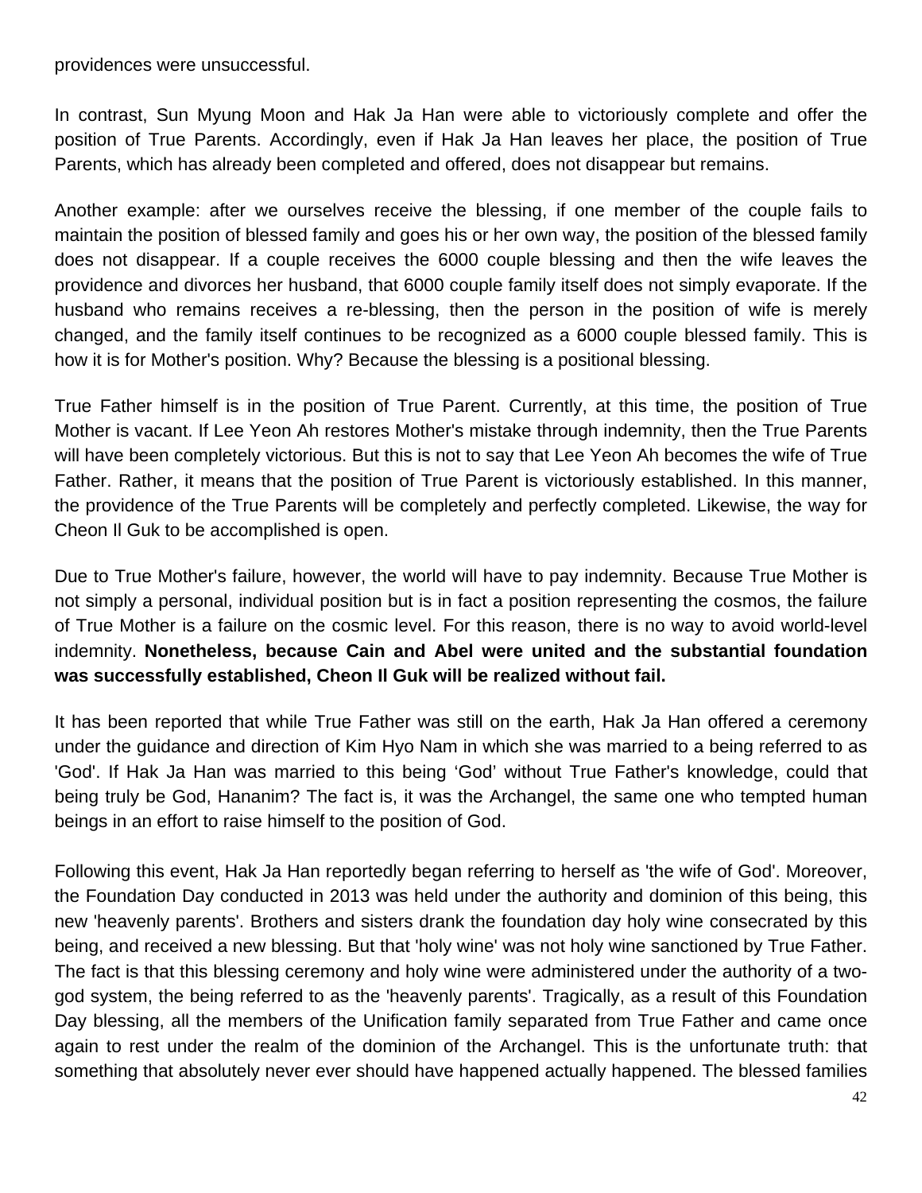providences were unsuccessful.

In contrast, Sun Myung Moon and Hak Ja Han were able to victoriously complete and offer the position of True Parents. Accordingly, even if Hak Ja Han leaves her place, the position of True Parents, which has already been completed and offered, does not disappear but remains.

Another example: after we ourselves receive the blessing, if one member of the couple fails to maintain the position of blessed family and goes his or her own way, the position of the blessed family does not disappear. If a couple receives the 6000 couple blessing and then the wife leaves the providence and divorces her husband, that 6000 couple family itself does not simply evaporate. If the husband who remains receives a re-blessing, then the person in the position of wife is merely changed, and the family itself continues to be recognized as a 6000 couple blessed family. This is how it is for Mother's position. Why? Because the blessing is a positional blessing.

True Father himself is in the position of True Parent. Currently, at this time, the position of True Mother is vacant. If Lee Yeon Ah restores Mother's mistake through indemnity, then the True Parents will have been completely victorious. But this is not to say that Lee Yeon Ah becomes the wife of True Father. Rather, it means that the position of True Parent is victoriously established. In this manner, the providence of the True Parents will be completely and perfectly completed. Likewise, the way for Cheon Il Guk to be accomplished is open.

Due to True Mother's failure, however, the world will have to pay indemnity. Because True Mother is not simply a personal, individual position but is in fact a position representing the cosmos, the failure of True Mother is a failure on the cosmic level. For this reason, there is no way to avoid world-level indemnity. **Nonetheless, because Cain and Abel were united and the substantial foundation was successfully established, Cheon Il Guk will be realized without fail.** 

It has been reported that while True Father was still on the earth, Hak Ja Han offered a ceremony under the guidance and direction of Kim Hyo Nam in which she was married to a being referred to as 'God'. If Hak Ja Han was married to this being 'God' without True Father's knowledge, could that being truly be God, Hananim? The fact is, it was the Archangel, the same one who tempted human beings in an effort to raise himself to the position of God.

Following this event, Hak Ja Han reportedly began referring to herself as 'the wife of God'. Moreover, the Foundation Day conducted in 2013 was held under the authority and dominion of this being, this new 'heavenly parents'. Brothers and sisters drank the foundation day holy wine consecrated by this being, and received a new blessing. But that 'holy wine' was not holy wine sanctioned by True Father. The fact is that this blessing ceremony and holy wine were administered under the authority of a twogod system, the being referred to as the 'heavenly parents'. Tragically, as a result of this Foundation Day blessing, all the members of the Unification family separated from True Father and came once again to rest under the realm of the dominion of the Archangel. This is the unfortunate truth: that something that absolutely never ever should have happened actually happened. The blessed families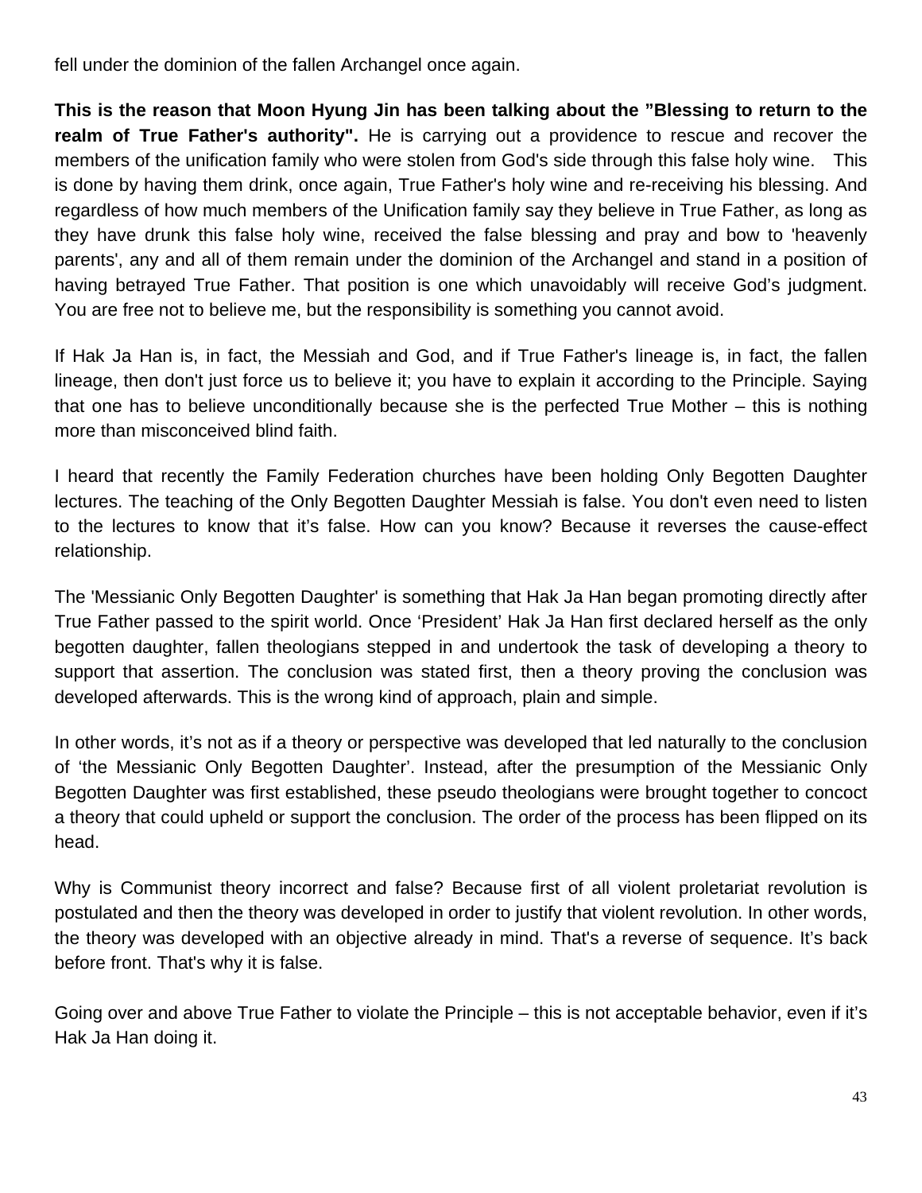fell under the dominion of the fallen Archangel once again.

**This is the reason that Moon Hyung Jin has been talking about the "Blessing to return to the realm of True Father's authority".** He is carrying out a providence to rescue and recover the members of the unification family who were stolen from God's side through this false holy wine. This is done by having them drink, once again, True Father's holy wine and re-receiving his blessing. And regardless of how much members of the Unification family say they believe in True Father, as long as they have drunk this false holy wine, received the false blessing and pray and bow to 'heavenly parents', any and all of them remain under the dominion of the Archangel and stand in a position of having betrayed True Father. That position is one which unavoidably will receive God's judgment. You are free not to believe me, but the responsibility is something you cannot avoid.

If Hak Ja Han is, in fact, the Messiah and God, and if True Father's lineage is, in fact, the fallen lineage, then don't just force us to believe it; you have to explain it according to the Principle. Saying that one has to believe unconditionally because she is the perfected True Mother – this is nothing more than misconceived blind faith.

I heard that recently the Family Federation churches have been holding Only Begotten Daughter lectures. The teaching of the Only Begotten Daughter Messiah is false. You don't even need to listen to the lectures to know that it's false. How can you know? Because it reverses the cause-effect relationship.

The 'Messianic Only Begotten Daughter' is something that Hak Ja Han began promoting directly after True Father passed to the spirit world. Once 'President' Hak Ja Han first declared herself as the only begotten daughter, fallen theologians stepped in and undertook the task of developing a theory to support that assertion. The conclusion was stated first, then a theory proving the conclusion was developed afterwards. This is the wrong kind of approach, plain and simple.

In other words, it's not as if a theory or perspective was developed that led naturally to the conclusion of 'the Messianic Only Begotten Daughter'. Instead, after the presumption of the Messianic Only Begotten Daughter was first established, these pseudo theologians were brought together to concoct a theory that could upheld or support the conclusion. The order of the process has been flipped on its head.

Why is Communist theory incorrect and false? Because first of all violent proletariat revolution is postulated and then the theory was developed in order to justify that violent revolution. In other words, the theory was developed with an objective already in mind. That's a reverse of sequence. It's back before front. That's why it is false.

Going over and above True Father to violate the Principle – this is not acceptable behavior, even if it's Hak Ja Han doing it.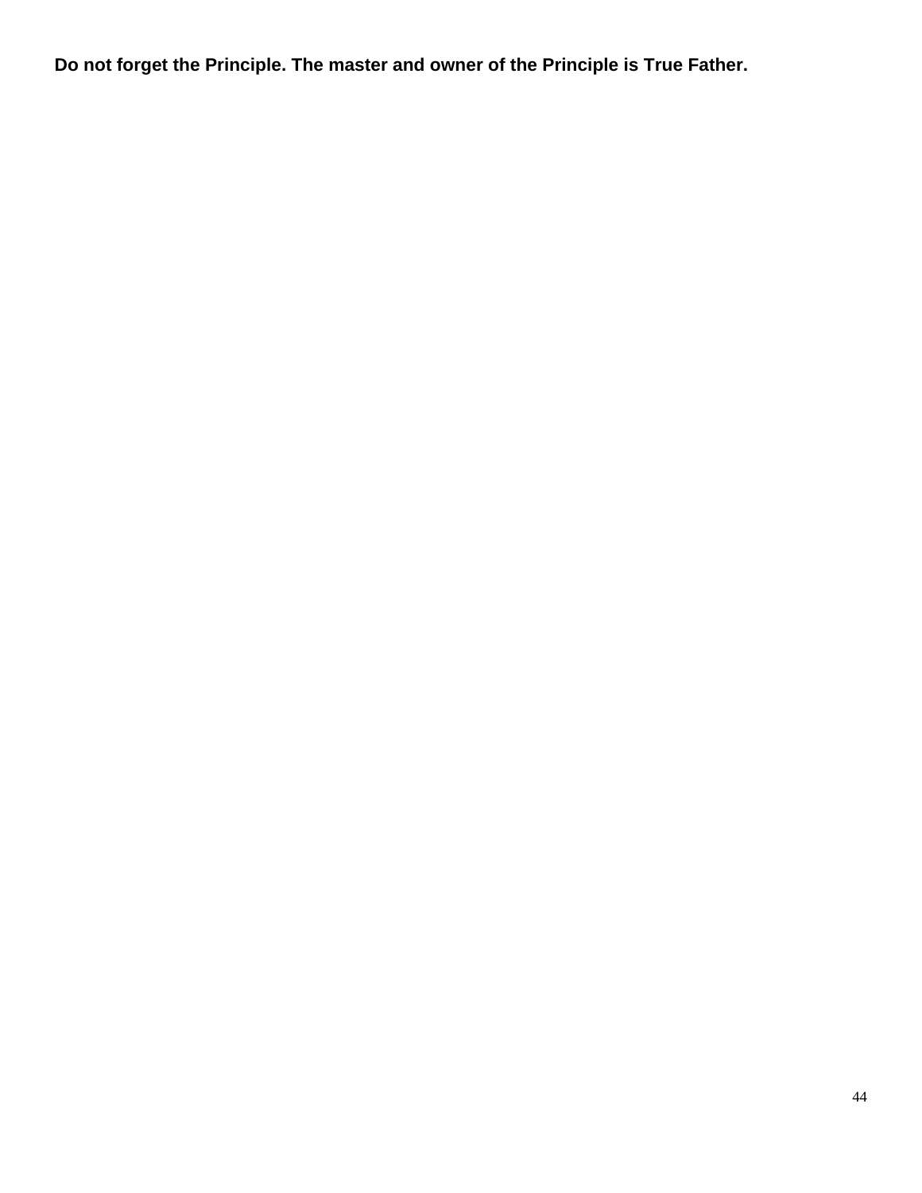**Do not forget the Principle. The master and owner of the Principle is True Father.**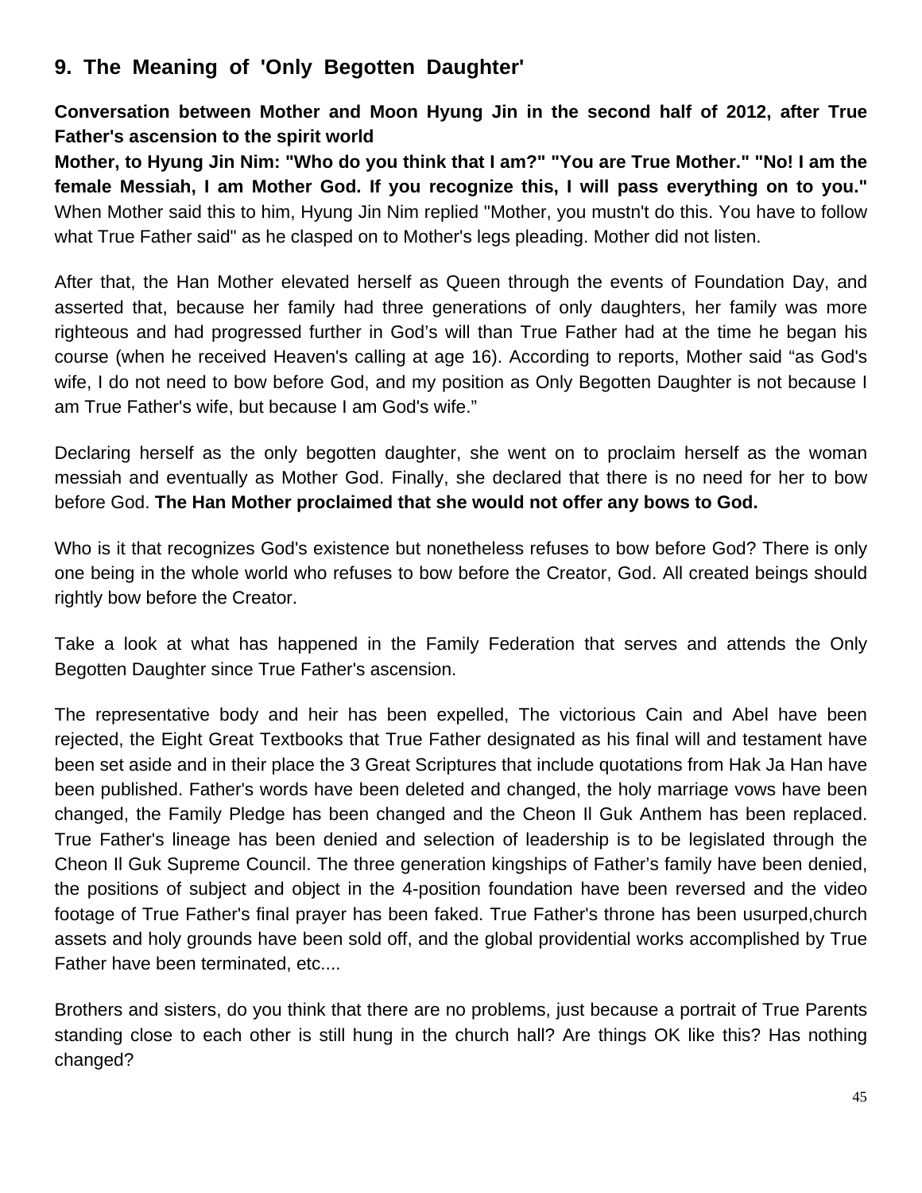# **9. The Meaning of 'Only Begotten Daughter'**

**Conversation between Mother and Moon Hyung Jin in the second half of 2012, after True Father's ascension to the spirit world**

**Mother, to Hyung Jin Nim: "Who do you think that I am?" "You are True Mother." "No! I am the female Messiah, I am Mother God. If you recognize this, I will pass everything on to you."**  When Mother said this to him, Hyung Jin Nim replied "Mother, you mustn't do this. You have to follow what True Father said" as he clasped on to Mother's legs pleading. Mother did not listen.

After that, the Han Mother elevated herself as Queen through the events of Foundation Day, and asserted that, because her family had three generations of only daughters, her family was more righteous and had progressed further in God's will than True Father had at the time he began his course (when he received Heaven's calling at age 16). According to reports, Mother said "as God's wife, I do not need to bow before God, and my position as Only Begotten Daughter is not because I am True Father's wife, but because I am God's wife."

Declaring herself as the only begotten daughter, she went on to proclaim herself as the woman messiah and eventually as Mother God. Finally, she declared that there is no need for her to bow before God. **The Han Mother proclaimed that she would not offer any bows to God.** 

Who is it that recognizes God's existence but nonetheless refuses to bow before God? There is only one being in the whole world who refuses to bow before the Creator, God. All created beings should rightly bow before the Creator.

Take a look at what has happened in the Family Federation that serves and attends the Only Begotten Daughter since True Father's ascension.

The representative body and heir has been expelled, The victorious Cain and Abel have been rejected, the Eight Great Textbooks that True Father designated as his final will and testament have been set aside and in their place the 3 Great Scriptures that include quotations from Hak Ja Han have been published. Father's words have been deleted and changed, the holy marriage vows have been changed, the Family Pledge has been changed and the Cheon Il Guk Anthem has been replaced. True Father's lineage has been denied and selection of leadership is to be legislated through the Cheon Il Guk Supreme Council. The three generation kingships of Father's family have been denied, the positions of subject and object in the 4-position foundation have been reversed and the video footage of True Father's final prayer has been faked. True Father's throne has been usurped,church assets and holy grounds have been sold off, and the global providential works accomplished by True Father have been terminated, etc....

Brothers and sisters, do you think that there are no problems, just because a portrait of True Parents standing close to each other is still hung in the church hall? Are things OK like this? Has nothing changed?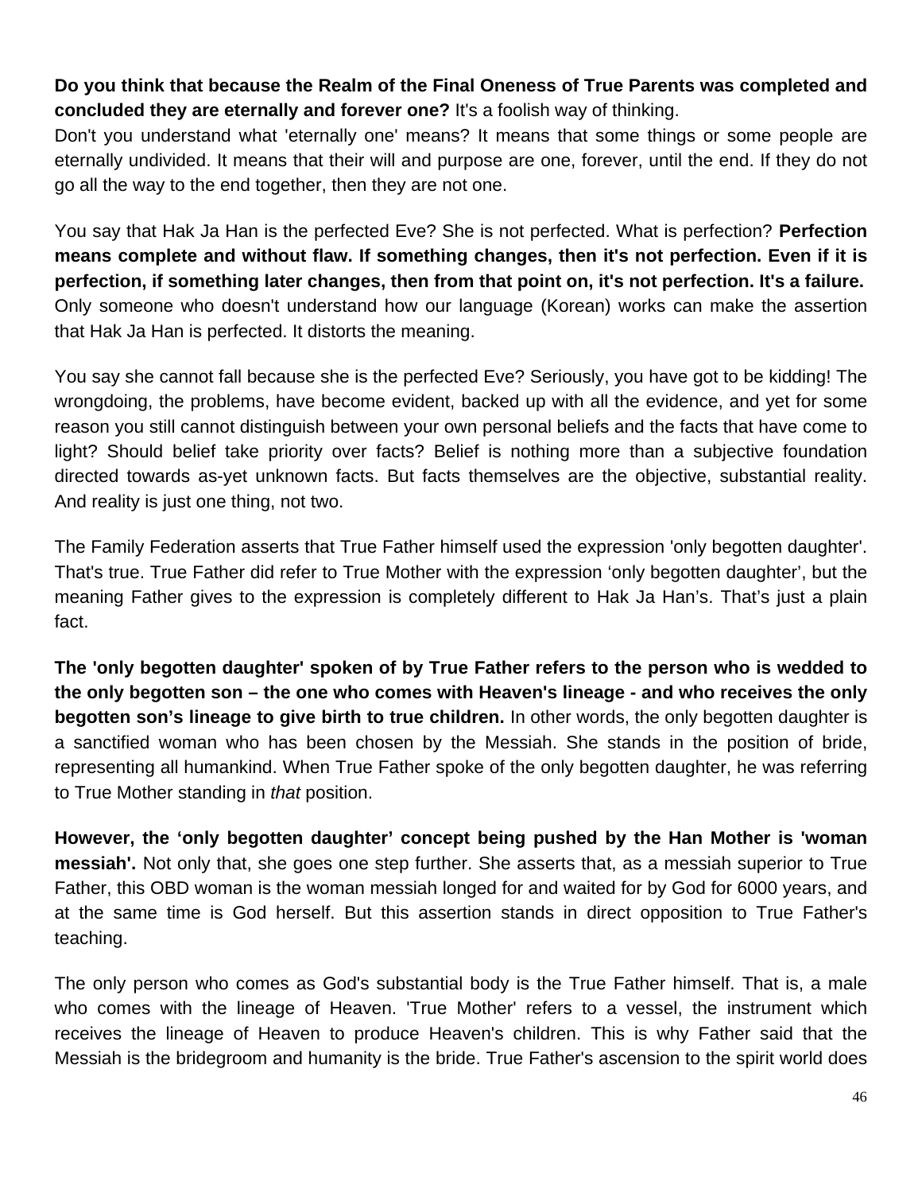# **Do you think that because the Realm of the Final Oneness of True Parents was completed and concluded they are eternally and forever one?** It's a foolish way of thinking.

Don't you understand what 'eternally one' means? It means that some things or some people are eternally undivided. It means that their will and purpose are one, forever, until the end. If they do not go all the way to the end together, then they are not one.

You say that Hak Ja Han is the perfected Eve? She is not perfected. What is perfection? **Perfection means complete and without flaw. If something changes, then it's not perfection. Even if it is perfection, if something later changes, then from that point on, it's not perfection. It's a failure.**  Only someone who doesn't understand how our language (Korean) works can make the assertion that Hak Ja Han is perfected. It distorts the meaning.

You say she cannot fall because she is the perfected Eve? Seriously, you have got to be kidding! The wrongdoing, the problems, have become evident, backed up with all the evidence, and yet for some reason you still cannot distinguish between your own personal beliefs and the facts that have come to light? Should belief take priority over facts? Belief is nothing more than a subjective foundation directed towards as-yet unknown facts. But facts themselves are the objective, substantial reality. And reality is just one thing, not two.

The Family Federation asserts that True Father himself used the expression 'only begotten daughter'. That's true. True Father did refer to True Mother with the expression 'only begotten daughter', but the meaning Father gives to the expression is completely different to Hak Ja Han's. That's just a plain fact.

**The 'only begotten daughter' spoken of by True Father refers to the person who is wedded to the only begotten son – the one who comes with Heaven's lineage - and who receives the only begotten son's lineage to give birth to true children.** In other words, the only begotten daughter is a sanctified woman who has been chosen by the Messiah. She stands in the position of bride, representing all humankind. When True Father spoke of the only begotten daughter, he was referring to True Mother standing in *that* position.

**However, the 'only begotten daughter' concept being pushed by the Han Mother is 'woman messiah'.** Not only that, she goes one step further. She asserts that, as a messiah superior to True Father, this OBD woman is the woman messiah longed for and waited for by God for 6000 years, and at the same time is God herself. But this assertion stands in direct opposition to True Father's teaching.

The only person who comes as God's substantial body is the True Father himself. That is, a male who comes with the lineage of Heaven. 'True Mother' refers to a vessel, the instrument which receives the lineage of Heaven to produce Heaven's children. This is why Father said that the Messiah is the bridegroom and humanity is the bride. True Father's ascension to the spirit world does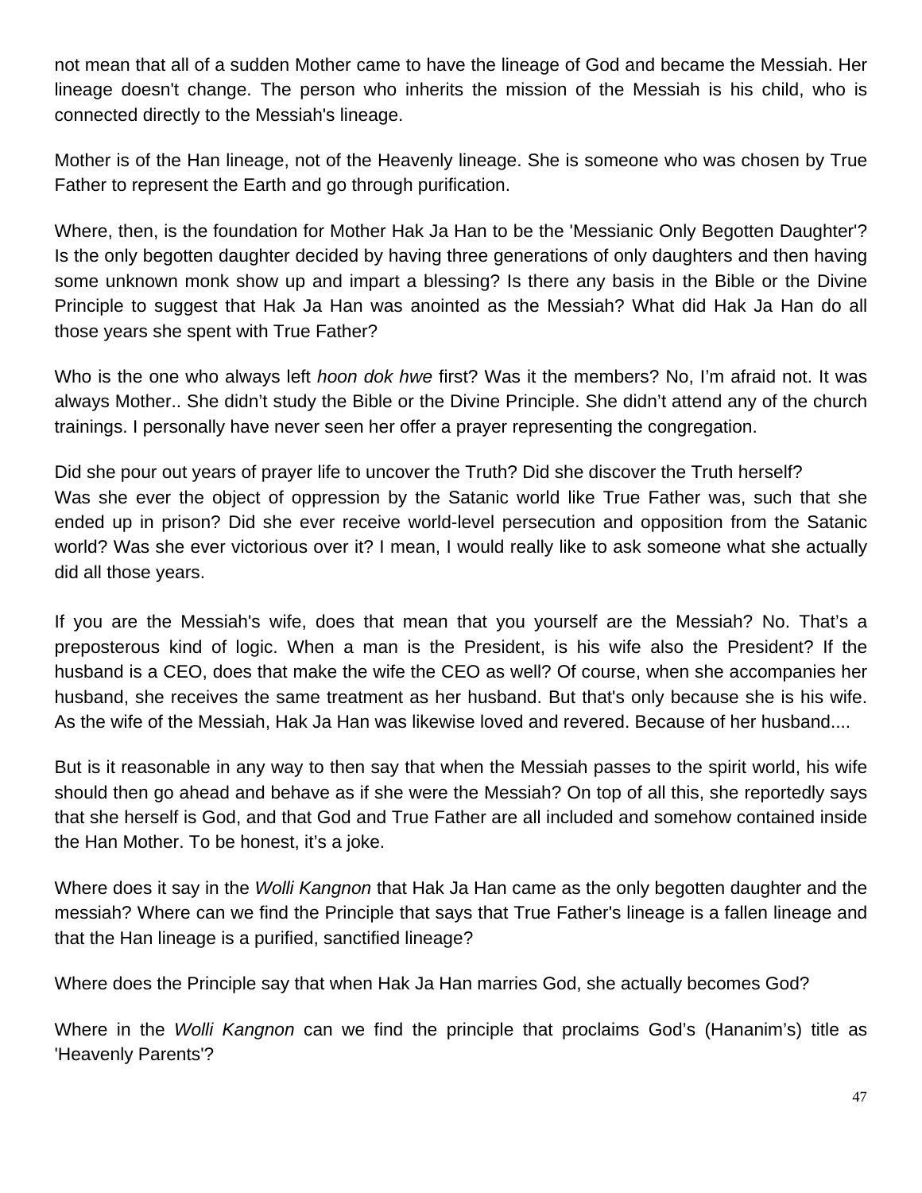not mean that all of a sudden Mother came to have the lineage of God and became the Messiah. Her lineage doesn't change. The person who inherits the mission of the Messiah is his child, who is connected directly to the Messiah's lineage.

Mother is of the Han lineage, not of the Heavenly lineage. She is someone who was chosen by True Father to represent the Earth and go through purification.

Where, then, is the foundation for Mother Hak Ja Han to be the 'Messianic Only Begotten Daughter'? Is the only begotten daughter decided by having three generations of only daughters and then having some unknown monk show up and impart a blessing? Is there any basis in the Bible or the Divine Principle to suggest that Hak Ja Han was anointed as the Messiah? What did Hak Ja Han do all those years she spent with True Father?

Who is the one who always left *hoon dok hwe* first? Was it the members? No, I'm afraid not. It was always Mother.. She didn't study the Bible or the Divine Principle. She didn't attend any of the church trainings. I personally have never seen her offer a prayer representing the congregation.

Did she pour out years of prayer life to uncover the Truth? Did she discover the Truth herself? Was she ever the object of oppression by the Satanic world like True Father was, such that she ended up in prison? Did she ever receive world-level persecution and opposition from the Satanic world? Was she ever victorious over it? I mean, I would really like to ask someone what she actually did all those years.

If you are the Messiah's wife, does that mean that you yourself are the Messiah? No. That's a preposterous kind of logic. When a man is the President, is his wife also the President? If the husband is a CEO, does that make the wife the CEO as well? Of course, when she accompanies her husband, she receives the same treatment as her husband. But that's only because she is his wife. As the wife of the Messiah, Hak Ja Han was likewise loved and revered. Because of her husband....

But is it reasonable in any way to then say that when the Messiah passes to the spirit world, his wife should then go ahead and behave as if she were the Messiah? On top of all this, she reportedly says that she herself is God, and that God and True Father are all included and somehow contained inside the Han Mother. To be honest, it's a joke.

Where does it say in the *Wolli Kangnon* that Hak Ja Han came as the only begotten daughter and the messiah? Where can we find the Principle that says that True Father's lineage is a fallen lineage and that the Han lineage is a purified, sanctified lineage?

Where does the Principle say that when Hak Ja Han marries God, she actually becomes God?

Where in the *Wolli Kangnon* can we find the principle that proclaims God's (Hananim's) title as 'Heavenly Parents'?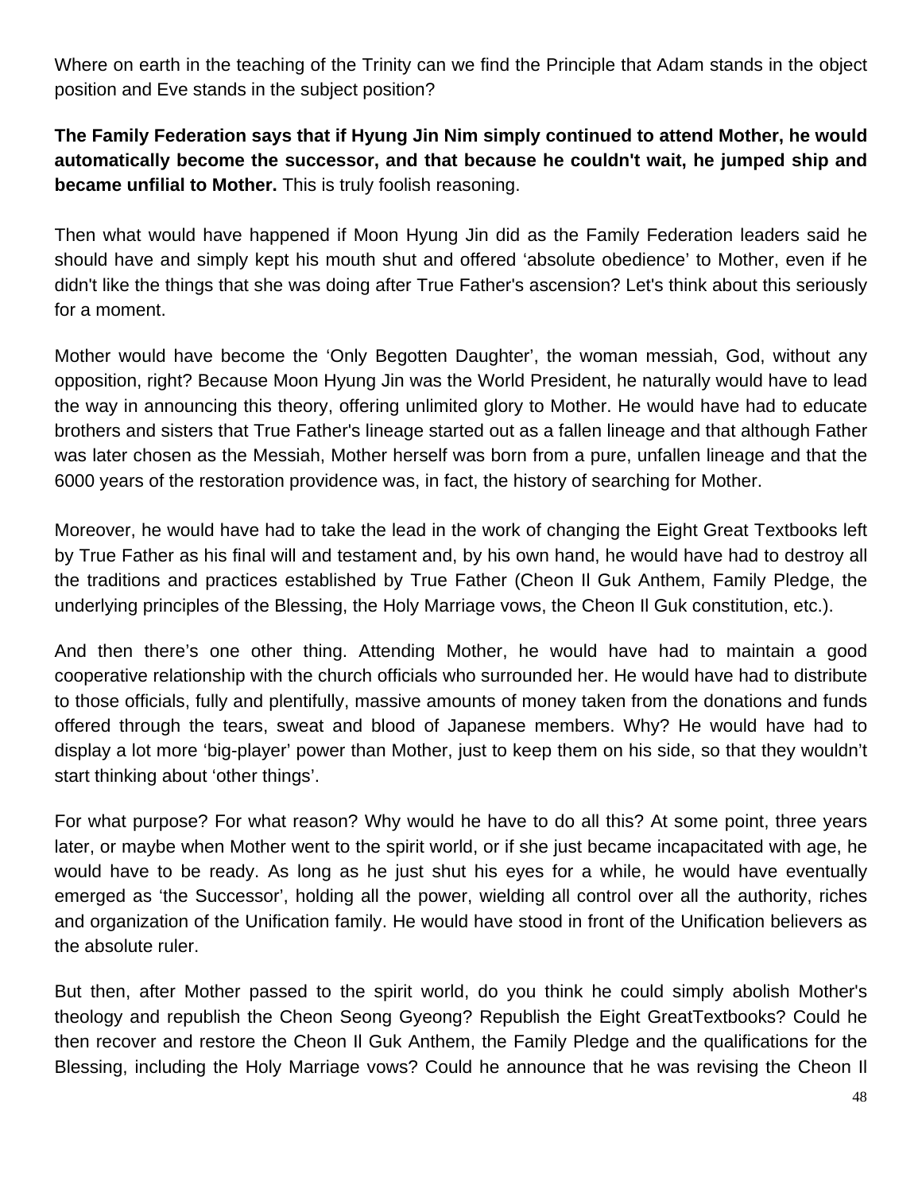Where on earth in the teaching of the Trinity can we find the Principle that Adam stands in the object position and Eve stands in the subject position?

**The Family Federation says that if Hyung Jin Nim simply continued to attend Mother, he would automatically become the successor, and that because he couldn't wait, he jumped ship and became unfilial to Mother.** This is truly foolish reasoning.

Then what would have happened if Moon Hyung Jin did as the Family Federation leaders said he should have and simply kept his mouth shut and offered 'absolute obedience' to Mother, even if he didn't like the things that she was doing after True Father's ascension? Let's think about this seriously for a moment.

Mother would have become the 'Only Begotten Daughter', the woman messiah, God, without any opposition, right? Because Moon Hyung Jin was the World President, he naturally would have to lead the way in announcing this theory, offering unlimited glory to Mother. He would have had to educate brothers and sisters that True Father's lineage started out as a fallen lineage and that although Father was later chosen as the Messiah, Mother herself was born from a pure, unfallen lineage and that the 6000 years of the restoration providence was, in fact, the history of searching for Mother.

Moreover, he would have had to take the lead in the work of changing the Eight Great Textbooks left by True Father as his final will and testament and, by his own hand, he would have had to destroy all the traditions and practices established by True Father (Cheon Il Guk Anthem, Family Pledge, the underlying principles of the Blessing, the Holy Marriage vows, the Cheon Il Guk constitution, etc.).

And then there's one other thing. Attending Mother, he would have had to maintain a good cooperative relationship with the church officials who surrounded her. He would have had to distribute to those officials, fully and plentifully, massive amounts of money taken from the donations and funds offered through the tears, sweat and blood of Japanese members. Why? He would have had to display a lot more 'big-player' power than Mother, just to keep them on his side, so that they wouldn't start thinking about 'other things'.

For what purpose? For what reason? Why would he have to do all this? At some point, three years later, or maybe when Mother went to the spirit world, or if she just became incapacitated with age, he would have to be ready. As long as he just shut his eyes for a while, he would have eventually emerged as 'the Successor', holding all the power, wielding all control over all the authority, riches and organization of the Unification family. He would have stood in front of the Unification believers as the absolute ruler.

But then, after Mother passed to the spirit world, do you think he could simply abolish Mother's theology and republish the Cheon Seong Gyeong? Republish the Eight GreatTextbooks? Could he then recover and restore the Cheon Il Guk Anthem, the Family Pledge and the qualifications for the Blessing, including the Holy Marriage vows? Could he announce that he was revising the Cheon Il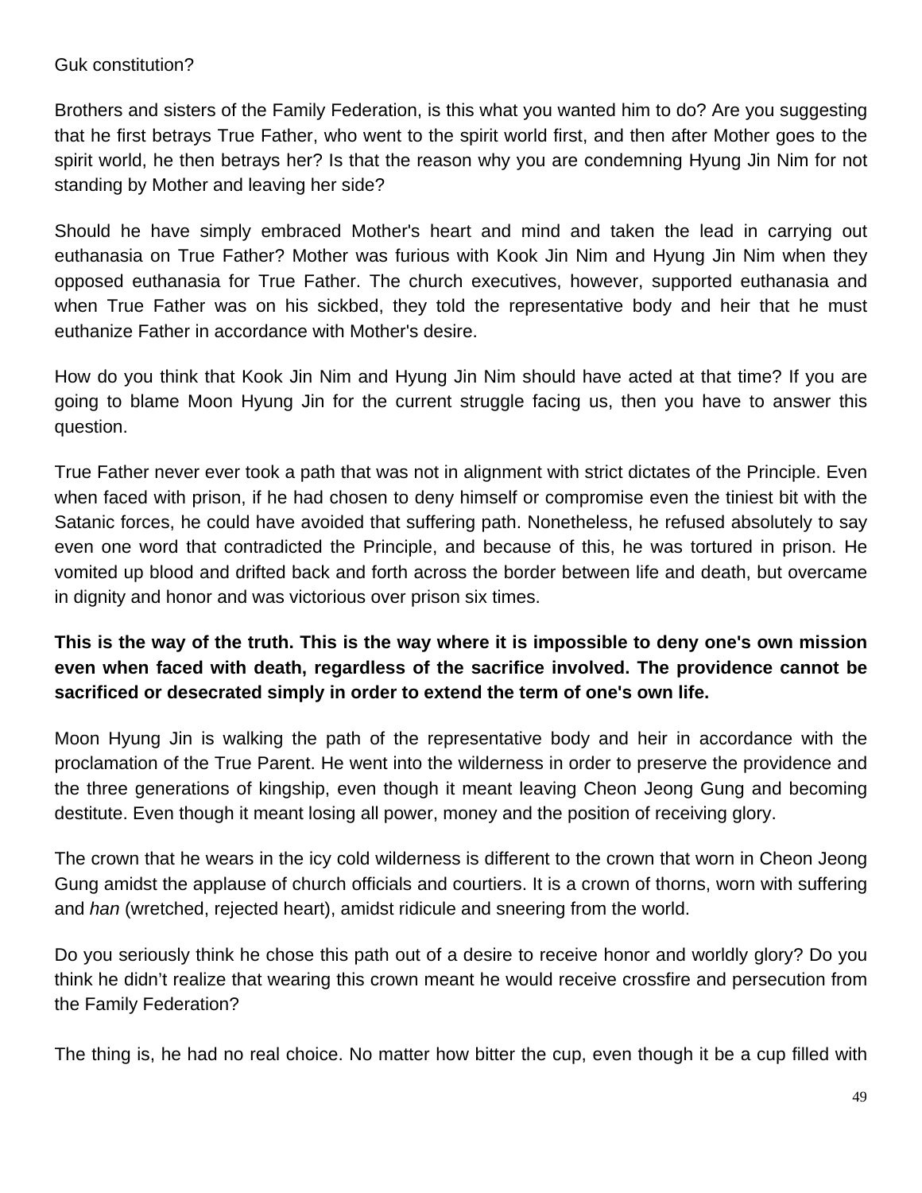#### Guk constitution?

Brothers and sisters of the Family Federation, is this what you wanted him to do? Are you suggesting that he first betrays True Father, who went to the spirit world first, and then after Mother goes to the spirit world, he then betrays her? Is that the reason why you are condemning Hyung Jin Nim for not standing by Mother and leaving her side?

Should he have simply embraced Mother's heart and mind and taken the lead in carrying out euthanasia on True Father? Mother was furious with Kook Jin Nim and Hyung Jin Nim when they opposed euthanasia for True Father. The church executives, however, supported euthanasia and when True Father was on his sickbed, they told the representative body and heir that he must euthanize Father in accordance with Mother's desire.

How do you think that Kook Jin Nim and Hyung Jin Nim should have acted at that time? If you are going to blame Moon Hyung Jin for the current struggle facing us, then you have to answer this question.

True Father never ever took a path that was not in alignment with strict dictates of the Principle. Even when faced with prison, if he had chosen to deny himself or compromise even the tiniest bit with the Satanic forces, he could have avoided that suffering path. Nonetheless, he refused absolutely to say even one word that contradicted the Principle, and because of this, he was tortured in prison. He vomited up blood and drifted back and forth across the border between life and death, but overcame in dignity and honor and was victorious over prison six times.

# **This is the way of the truth. This is the way where it is impossible to deny one's own mission even when faced with death, regardless of the sacrifice involved. The providence cannot be sacrificed or desecrated simply in order to extend the term of one's own life.**

Moon Hyung Jin is walking the path of the representative body and heir in accordance with the proclamation of the True Parent. He went into the wilderness in order to preserve the providence and the three generations of kingship, even though it meant leaving Cheon Jeong Gung and becoming destitute. Even though it meant losing all power, money and the position of receiving glory.

The crown that he wears in the icy cold wilderness is different to the crown that worn in Cheon Jeong Gung amidst the applause of church officials and courtiers. It is a crown of thorns, worn with suffering and *han* (wretched, rejected heart), amidst ridicule and sneering from the world.

Do you seriously think he chose this path out of a desire to receive honor and worldly glory? Do you think he didn't realize that wearing this crown meant he would receive crossfire and persecution from the Family Federation?

The thing is, he had no real choice. No matter how bitter the cup, even though it be a cup filled with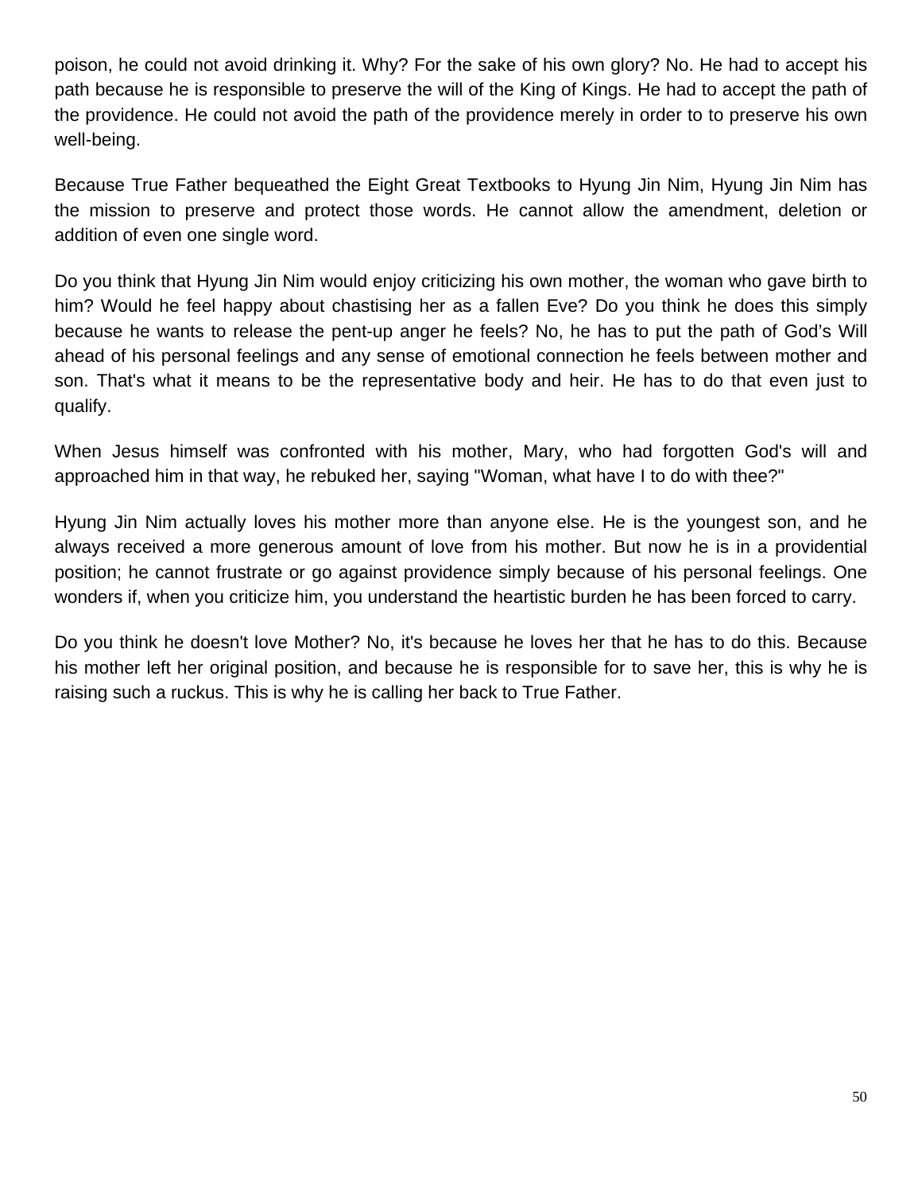poison, he could not avoid drinking it. Why? For the sake of his own glory? No. He had to accept his path because he is responsible to preserve the will of the King of Kings. He had to accept the path of the providence. He could not avoid the path of the providence merely in order to to preserve his own well-being.

Because True Father bequeathed the Eight Great Textbooks to Hyung Jin Nim, Hyung Jin Nim has the mission to preserve and protect those words. He cannot allow the amendment, deletion or addition of even one single word.

Do you think that Hyung Jin Nim would enjoy criticizing his own mother, the woman who gave birth to him? Would he feel happy about chastising her as a fallen Eve? Do you think he does this simply because he wants to release the pent-up anger he feels? No, he has to put the path of God's Will ahead of his personal feelings and any sense of emotional connection he feels between mother and son. That's what it means to be the representative body and heir. He has to do that even just to qualify.

When Jesus himself was confronted with his mother, Mary, who had forgotten God's will and approached him in that way, he rebuked her, saying "Woman, what have I to do with thee?"

Hyung Jin Nim actually loves his mother more than anyone else. He is the youngest son, and he always received a more generous amount of love from his mother. But now he is in a providential position; he cannot frustrate or go against providence simply because of his personal feelings. One wonders if, when you criticize him, you understand the heartistic burden he has been forced to carry.

Do you think he doesn't love Mother? No, it's because he loves her that he has to do this. Because his mother left her original position, and because he is responsible for to save her, this is why he is raising such a ruckus. This is why he is calling her back to True Father.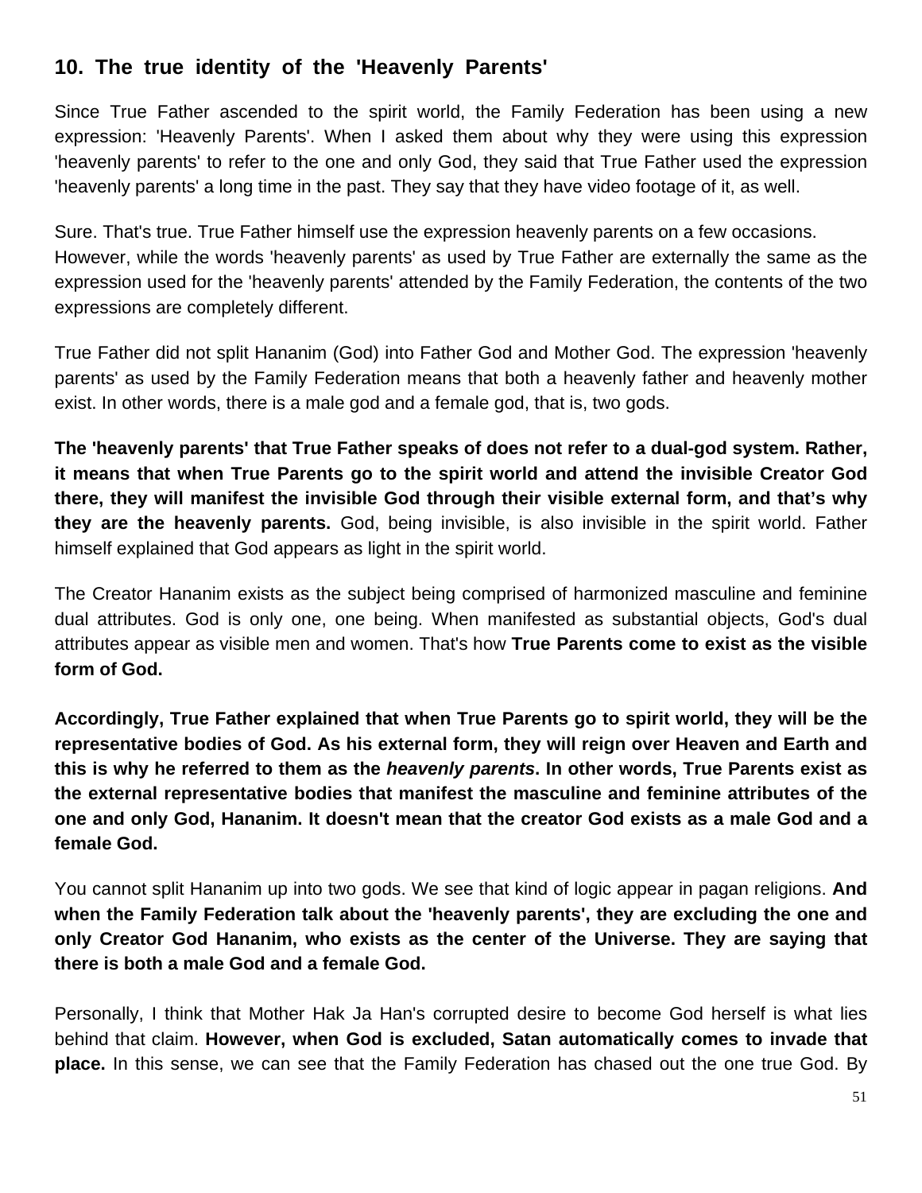# **10. The true identity of the 'Heavenly Parents'**

Since True Father ascended to the spirit world, the Family Federation has been using a new expression: 'Heavenly Parents'. When I asked them about why they were using this expression 'heavenly parents' to refer to the one and only God, they said that True Father used the expression 'heavenly parents' a long time in the past. They say that they have video footage of it, as well.

Sure. That's true. True Father himself use the expression heavenly parents on a few occasions. However, while the words 'heavenly parents' as used by True Father are externally the same as the expression used for the 'heavenly parents' attended by the Family Federation, the contents of the two expressions are completely different.

True Father did not split Hananim (God) into Father God and Mother God. The expression 'heavenly parents' as used by the Family Federation means that both a heavenly father and heavenly mother exist. In other words, there is a male god and a female god, that is, two gods.

**The 'heavenly parents' that True Father speaks of does not refer to a dual-god system. Rather, it means that when True Parents go to the spirit world and attend the invisible Creator God there, they will manifest the invisible God through their visible external form, and that's why they are the heavenly parents.** God, being invisible, is also invisible in the spirit world. Father himself explained that God appears as light in the spirit world.

The Creator Hananim exists as the subject being comprised of harmonized masculine and feminine dual attributes. God is only one, one being. When manifested as substantial objects, God's dual attributes appear as visible men and women. That's how **True Parents come to exist as the visible form of God.** 

**Accordingly, True Father explained that when True Parents go to spirit world, they will be the representative bodies of God. As his external form, they will reign over Heaven and Earth and this is why he referred to them as the** *heavenly parents***. In other words, True Parents exist as the external representative bodies that manifest the masculine and feminine attributes of the one and only God, Hananim. It doesn't mean that the creator God exists as a male God and a female God.** 

You cannot split Hananim up into two gods. We see that kind of logic appear in pagan religions. **And when the Family Federation talk about the 'heavenly parents', they are excluding the one and only Creator God Hananim, who exists as the center of the Universe. They are saying that there is both a male God and a female God.** 

Personally, I think that Mother Hak Ja Han's corrupted desire to become God herself is what lies behind that claim. **However, when God is excluded, Satan automatically comes to invade that place.** In this sense, we can see that the Family Federation has chased out the one true God. By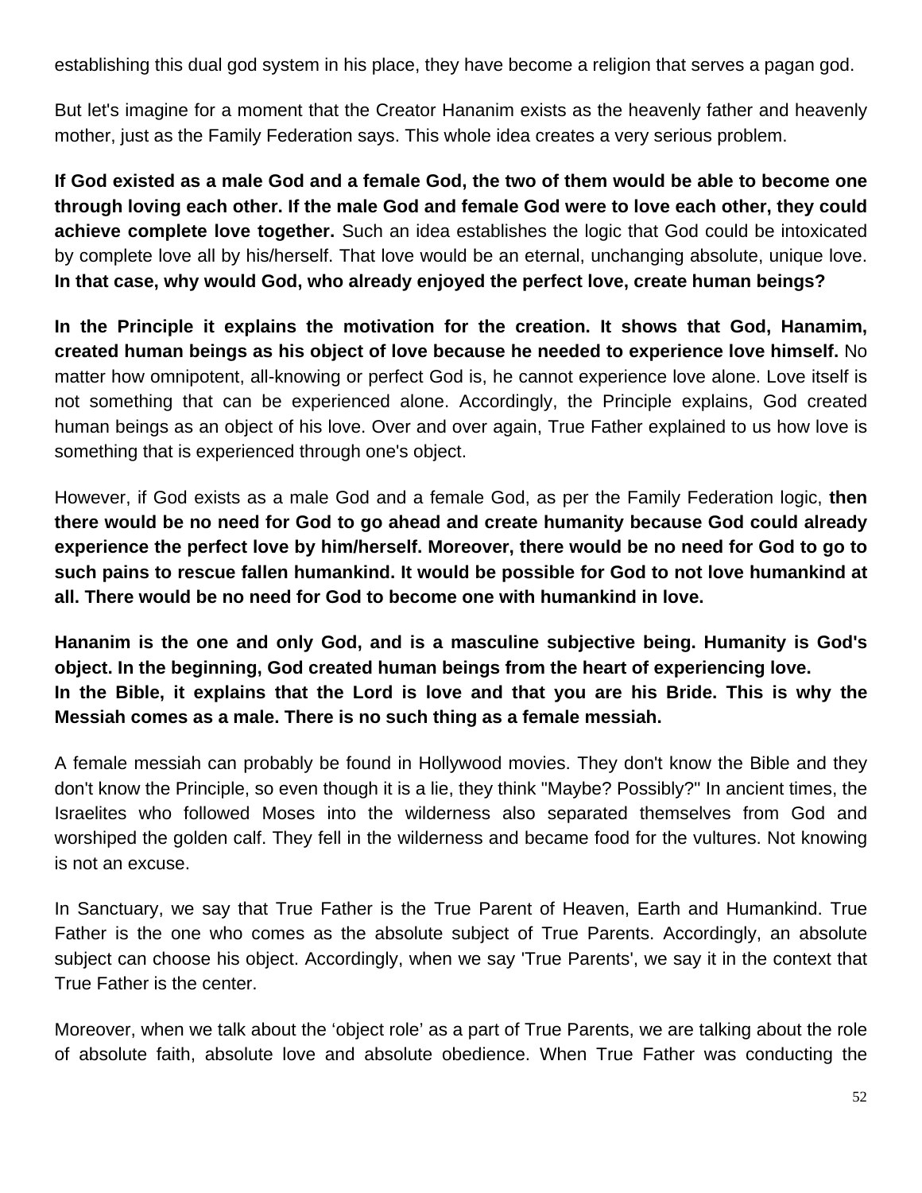establishing this dual god system in his place, they have become a religion that serves a pagan god.

But let's imagine for a moment that the Creator Hananim exists as the heavenly father and heavenly mother, just as the Family Federation says. This whole idea creates a very serious problem.

**If God existed as a male God and a female God, the two of them would be able to become one through loving each other. If the male God and female God were to love each other, they could achieve complete love together.** Such an idea establishes the logic that God could be intoxicated by complete love all by his/herself. That love would be an eternal, unchanging absolute, unique love. **In that case, why would God, who already enjoyed the perfect love, create human beings?**

**In the Principle it explains the motivation for the creation. It shows that God, Hanamim, created human beings as his object of love because he needed to experience love himself.** No matter how omnipotent, all-knowing or perfect God is, he cannot experience love alone. Love itself is not something that can be experienced alone. Accordingly, the Principle explains, God created human beings as an object of his love. Over and over again, True Father explained to us how love is something that is experienced through one's object.

However, if God exists as a male God and a female God, as per the Family Federation logic, **then there would be no need for God to go ahead and create humanity because God could already experience the perfect love by him/herself. Moreover, there would be no need for God to go to such pains to rescue fallen humankind. It would be possible for God to not love humankind at all. There would be no need for God to become one with humankind in love.**

**Hananim is the one and only God, and is a masculine subjective being. Humanity is God's object. In the beginning, God created human beings from the heart of experiencing love. In the Bible, it explains that the Lord is love and that you are his Bride. This is why the Messiah comes as a male. There is no such thing as a female messiah.** 

A female messiah can probably be found in Hollywood movies. They don't know the Bible and they don't know the Principle, so even though it is a lie, they think "Maybe? Possibly?" In ancient times, the Israelites who followed Moses into the wilderness also separated themselves from God and worshiped the golden calf. They fell in the wilderness and became food for the vultures. Not knowing is not an excuse.

In Sanctuary, we say that True Father is the True Parent of Heaven, Earth and Humankind. True Father is the one who comes as the absolute subject of True Parents. Accordingly, an absolute subject can choose his object. Accordingly, when we say 'True Parents', we say it in the context that True Father is the center.

Moreover, when we talk about the 'object role' as a part of True Parents, we are talking about the role of absolute faith, absolute love and absolute obedience. When True Father was conducting the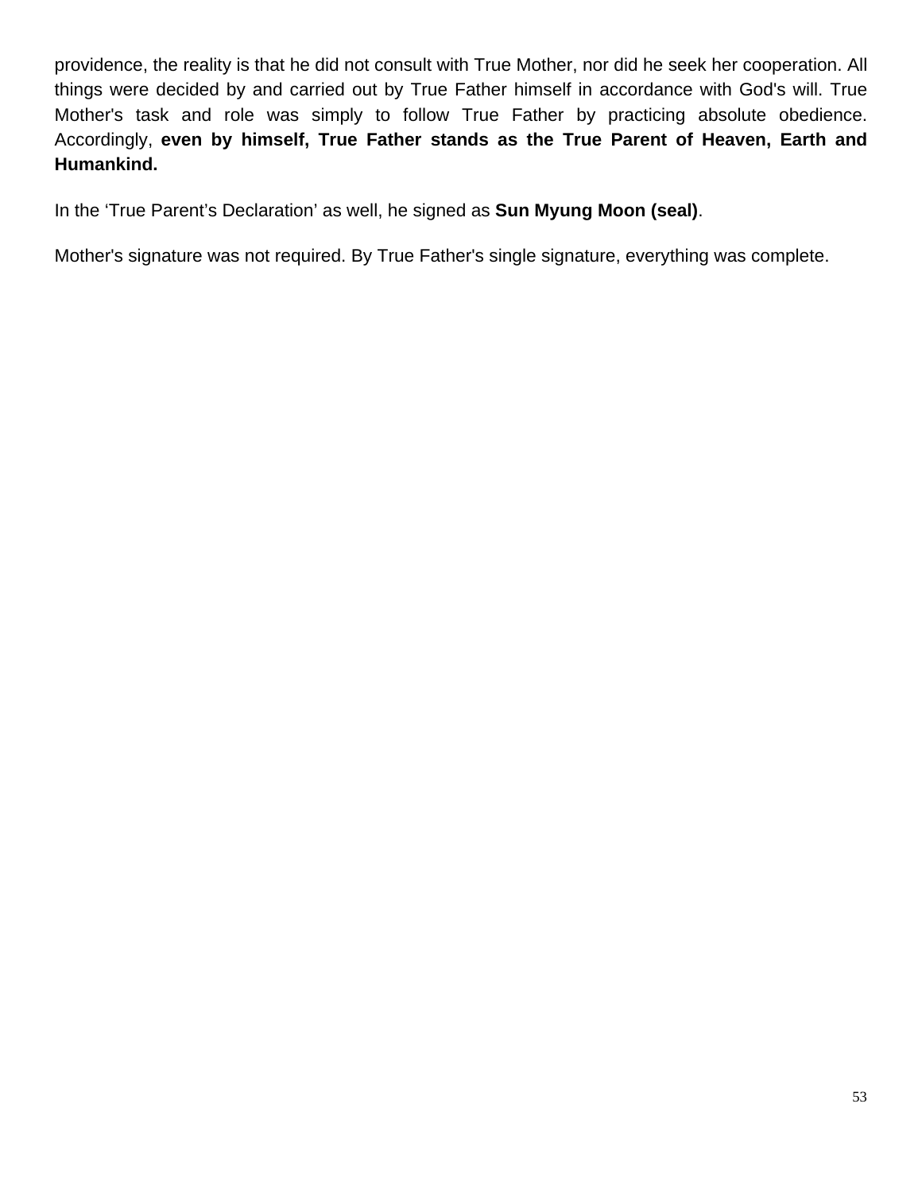providence, the reality is that he did not consult with True Mother, nor did he seek her cooperation. All things were decided by and carried out by True Father himself in accordance with God's will. True Mother's task and role was simply to follow True Father by practicing absolute obedience. Accordingly, **even by himself, True Father stands as the True Parent of Heaven, Earth and Humankind.** 

In the 'True Parent's Declaration' as well, he signed as **Sun Myung Moon (seal)**.

Mother's signature was not required. By True Father's single signature, everything was complete.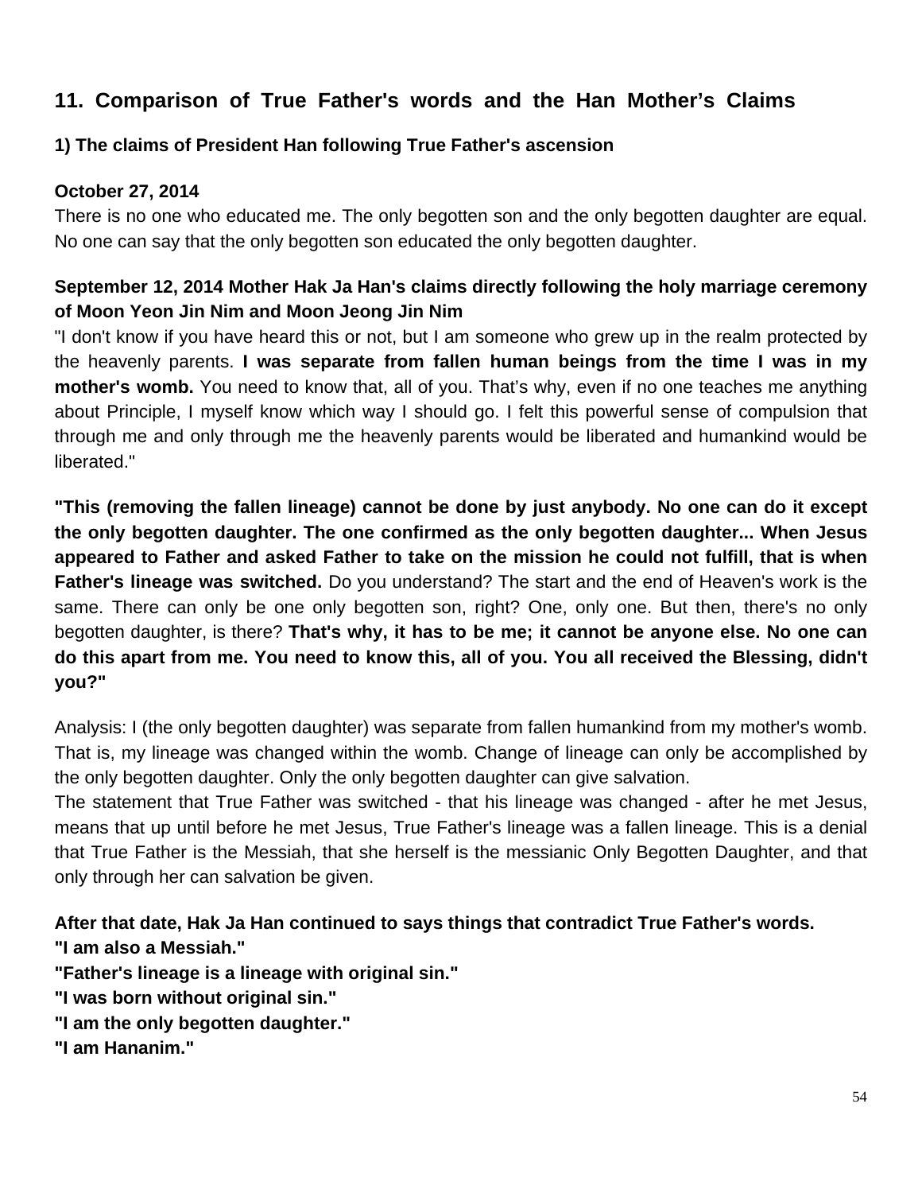# **11. Comparison of True Father's words and the Han Mother's Claims**

## **1) The claims of President Han following True Father's ascension**

#### **October 27, 2014**

There is no one who educated me. The only begotten son and the only begotten daughter are equal. No one can say that the only begotten son educated the only begotten daughter.

### **September 12, 2014 Mother Hak Ja Han's claims directly following the holy marriage ceremony of Moon Yeon Jin Nim and Moon Jeong Jin Nim**

"I don't know if you have heard this or not, but I am someone who grew up in the realm protected by the heavenly parents. **I was separate from fallen human beings from the time I was in my mother's womb.** You need to know that, all of you. That's why, even if no one teaches me anything about Principle, I myself know which way I should go. I felt this powerful sense of compulsion that through me and only through me the heavenly parents would be liberated and humankind would be liberated."

**"This (removing the fallen lineage) cannot be done by just anybody. No one can do it except the only begotten daughter. The one confirmed as the only begotten daughter... When Jesus appeared to Father and asked Father to take on the mission he could not fulfill, that is when Father's lineage was switched.** Do you understand? The start and the end of Heaven's work is the same. There can only be one only begotten son, right? One, only one. But then, there's no only begotten daughter, is there? **That's why, it has to be me; it cannot be anyone else. No one can do this apart from me. You need to know this, all of you. You all received the Blessing, didn't you?"** 

Analysis: I (the only begotten daughter) was separate from fallen humankind from my mother's womb. That is, my lineage was changed within the womb. Change of lineage can only be accomplished by the only begotten daughter. Only the only begotten daughter can give salvation.

The statement that True Father was switched - that his lineage was changed - after he met Jesus, means that up until before he met Jesus, True Father's lineage was a fallen lineage. This is a denial that True Father is the Messiah, that she herself is the messianic Only Begotten Daughter, and that only through her can salvation be given.

**After that date, Hak Ja Han continued to says things that contradict True Father's words. "I am also a Messiah."**

**"Father's lineage is a lineage with original sin."**

- **"I was born without original sin."**
- **"I am the only begotten daughter."**
- **"I am Hananim."**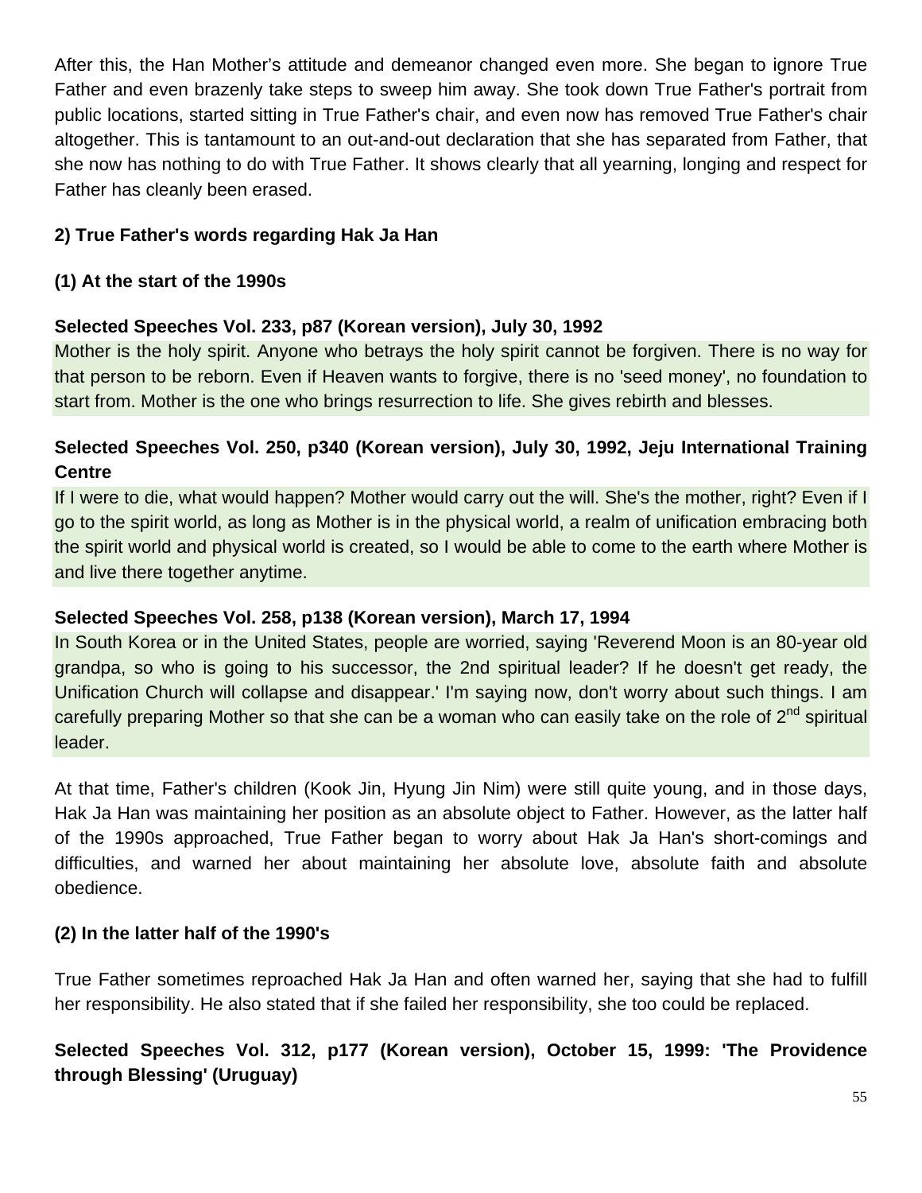After this, the Han Mother's attitude and demeanor changed even more. She began to ignore True Father and even brazenly take steps to sweep him away. She took down True Father's portrait from public locations, started sitting in True Father's chair, and even now has removed True Father's chair altogether. This is tantamount to an out-and-out declaration that she has separated from Father, that she now has nothing to do with True Father. It shows clearly that all yearning, longing and respect for Father has cleanly been erased.

### **2) True Father's words regarding Hak Ja Han**

#### **(1) At the start of the 1990s**

#### **Selected Speeches Vol. 233, p87 (Korean version), July 30, 1992**

Mother is the holy spirit. Anyone who betrays the holy spirit cannot be forgiven. There is no way for that person to be reborn. Even if Heaven wants to forgive, there is no 'seed money', no foundation to start from. Mother is the one who brings resurrection to life. She gives rebirth and blesses.

# **Selected Speeches Vol. 250, p340 (Korean version), July 30, 1992, Jeju International Training Centre**

If I were to die, what would happen? Mother would carry out the will. She's the mother, right? Even if I go to the spirit world, as long as Mother is in the physical world, a realm of unification embracing both the spirit world and physical world is created, so I would be able to come to the earth where Mother is and live there together anytime.

#### **Selected Speeches Vol. 258, p138 (Korean version), March 17, 1994**

In South Korea or in the United States, people are worried, saying 'Reverend Moon is an 80-year old grandpa, so who is going to his successor, the 2nd spiritual leader? If he doesn't get ready, the Unification Church will collapse and disappear.' I'm saying now, don't worry about such things. I am carefully preparing Mother so that she can be a woman who can easily take on the role of 2<sup>nd</sup> spiritual leader.

At that time, Father's children (Kook Jin, Hyung Jin Nim) were still quite young, and in those days, Hak Ja Han was maintaining her position as an absolute object to Father. However, as the latter half of the 1990s approached, True Father began to worry about Hak Ja Han's short-comings and difficulties, and warned her about maintaining her absolute love, absolute faith and absolute obedience.

#### **(2) In the latter half of the 1990's**

True Father sometimes reproached Hak Ja Han and often warned her, saying that she had to fulfill her responsibility. He also stated that if she failed her responsibility, she too could be replaced.

# **Selected Speeches Vol. 312, p177 (Korean version), October 15, 1999: 'The Providence through Blessing' (Uruguay)**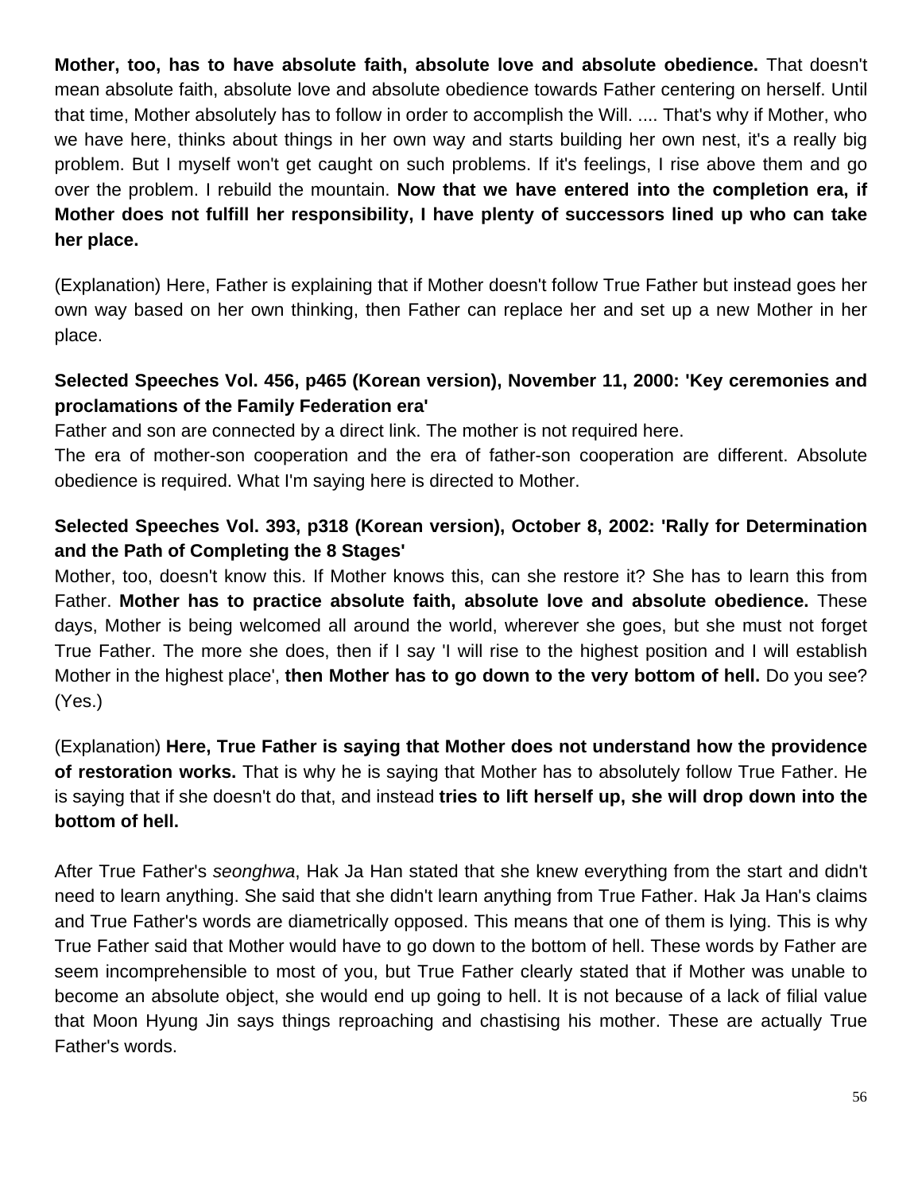**Mother, too, has to have absolute faith, absolute love and absolute obedience.** That doesn't mean absolute faith, absolute love and absolute obedience towards Father centering on herself. Until that time, Mother absolutely has to follow in order to accomplish the Will. .... That's why if Mother, who we have here, thinks about things in her own way and starts building her own nest, it's a really big problem. But I myself won't get caught on such problems. If it's feelings, I rise above them and go over the problem. I rebuild the mountain. **Now that we have entered into the completion era, if Mother does not fulfill her responsibility, I have plenty of successors lined up who can take her place.**

(Explanation) Here, Father is explaining that if Mother doesn't follow True Father but instead goes her own way based on her own thinking, then Father can replace her and set up a new Mother in her place.

# **Selected Speeches Vol. 456, p465 (Korean version), November 11, 2000: 'Key ceremonies and proclamations of the Family Federation era'**

Father and son are connected by a direct link. The mother is not required here.

The era of mother-son cooperation and the era of father-son cooperation are different. Absolute obedience is required. What I'm saying here is directed to Mother.

# **Selected Speeches Vol. 393, p318 (Korean version), October 8, 2002: 'Rally for Determination and the Path of Completing the 8 Stages'**

Mother, too, doesn't know this. If Mother knows this, can she restore it? She has to learn this from Father. **Mother has to practice absolute faith, absolute love and absolute obedience.** These days, Mother is being welcomed all around the world, wherever she goes, but she must not forget True Father. The more she does, then if I say 'I will rise to the highest position and I will establish Mother in the highest place', **then Mother has to go down to the very bottom of hell.** Do you see? (Yes.)

(Explanation) **Here, True Father is saying that Mother does not understand how the providence of restoration works.** That is why he is saying that Mother has to absolutely follow True Father. He is saying that if she doesn't do that, and instead **tries to lift herself up, she will drop down into the bottom of hell.**

After True Father's *seonghwa*, Hak Ja Han stated that she knew everything from the start and didn't need to learn anything. She said that she didn't learn anything from True Father. Hak Ja Han's claims and True Father's words are diametrically opposed. This means that one of them is lying. This is why True Father said that Mother would have to go down to the bottom of hell. These words by Father are seem incomprehensible to most of you, but True Father clearly stated that if Mother was unable to become an absolute object, she would end up going to hell. It is not because of a lack of filial value that Moon Hyung Jin says things reproaching and chastising his mother. These are actually True Father's words.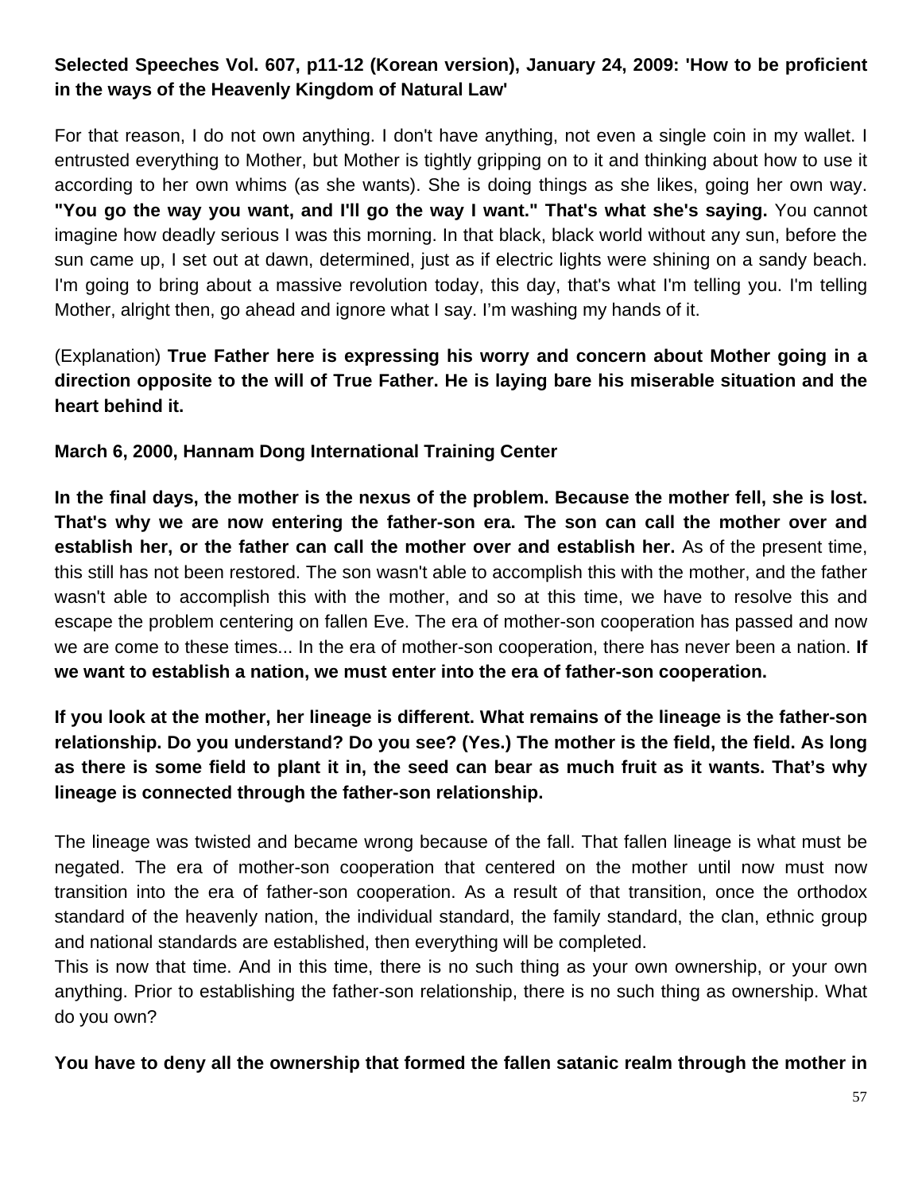# **Selected Speeches Vol. 607, p11-12 (Korean version), January 24, 2009: 'How to be proficient in the ways of the Heavenly Kingdom of Natural Law'**

For that reason, I do not own anything. I don't have anything, not even a single coin in my wallet. I entrusted everything to Mother, but Mother is tightly gripping on to it and thinking about how to use it according to her own whims (as she wants). She is doing things as she likes, going her own way. **"You go the way you want, and I'll go the way I want." That's what she's saying.** You cannot imagine how deadly serious I was this morning. In that black, black world without any sun, before the sun came up, I set out at dawn, determined, just as if electric lights were shining on a sandy beach. I'm going to bring about a massive revolution today, this day, that's what I'm telling you. I'm telling Mother, alright then, go ahead and ignore what I say. I'm washing my hands of it.

(Explanation) **True Father here is expressing his worry and concern about Mother going in a direction opposite to the will of True Father. He is laying bare his miserable situation and the heart behind it.**

#### **March 6, 2000, Hannam Dong International Training Center**

**In the final days, the mother is the nexus of the problem. Because the mother fell, she is lost. That's why we are now entering the father-son era. The son can call the mother over and establish her, or the father can call the mother over and establish her.** As of the present time, this still has not been restored. The son wasn't able to accomplish this with the mother, and the father wasn't able to accomplish this with the mother, and so at this time, we have to resolve this and escape the problem centering on fallen Eve. The era of mother-son cooperation has passed and now we are come to these times... In the era of mother-son cooperation, there has never been a nation. **If we want to establish a nation, we must enter into the era of father-son cooperation.**

# **If you look at the mother, her lineage is different. What remains of the lineage is the father-son relationship. Do you understand? Do you see? (Yes.) The mother is the field, the field. As long as there is some field to plant it in, the seed can bear as much fruit as it wants. That's why lineage is connected through the father-son relationship.**

The lineage was twisted and became wrong because of the fall. That fallen lineage is what must be negated. The era of mother-son cooperation that centered on the mother until now must now transition into the era of father-son cooperation. As a result of that transition, once the orthodox standard of the heavenly nation, the individual standard, the family standard, the clan, ethnic group and national standards are established, then everything will be completed.

This is now that time. And in this time, there is no such thing as your own ownership, or your own anything. Prior to establishing the father-son relationship, there is no such thing as ownership. What do you own?

#### **You have to deny all the ownership that formed the fallen satanic realm through the mother in**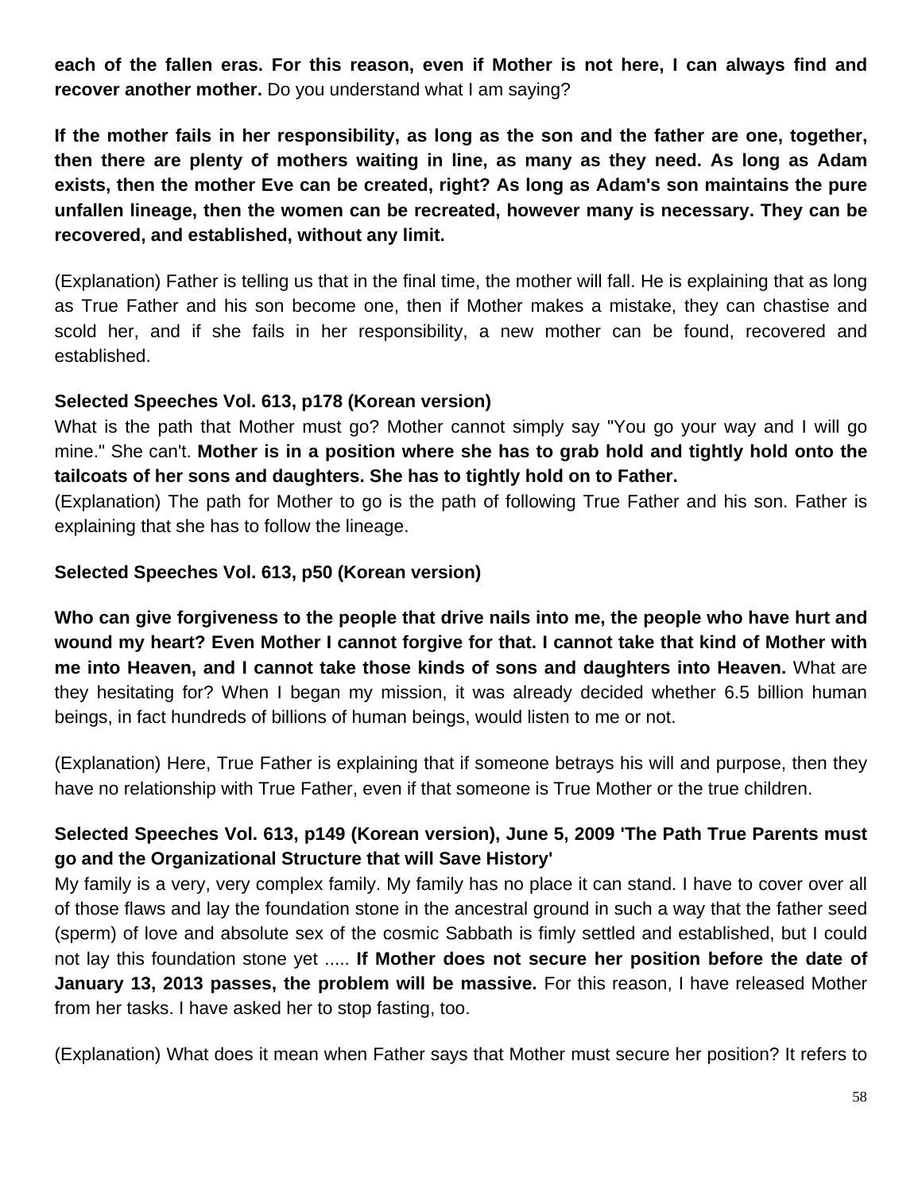**each of the fallen eras. For this reason, even if Mother is not here, I can always find and recover another mother.** Do you understand what I am saying?

**If the mother fails in her responsibility, as long as the son and the father are one, together, then there are plenty of mothers waiting in line, as many as they need. As long as Adam exists, then the mother Eve can be created, right? As long as Adam's son maintains the pure unfallen lineage, then the women can be recreated, however many is necessary. They can be recovered, and established, without any limit.**

(Explanation) Father is telling us that in the final time, the mother will fall. He is explaining that as long as True Father and his son become one, then if Mother makes a mistake, they can chastise and scold her, and if she fails in her responsibility, a new mother can be found, recovered and established.

#### **Selected Speeches Vol. 613, p178 (Korean version)**

What is the path that Mother must go? Mother cannot simply say "You go your way and I will go mine." She can't. **Mother is in a position where she has to grab hold and tightly hold onto the tailcoats of her sons and daughters. She has to tightly hold on to Father.** 

(Explanation) The path for Mother to go is the path of following True Father and his son. Father is explaining that she has to follow the lineage.

#### **Selected Speeches Vol. 613, p50 (Korean version)**

**Who can give forgiveness to the people that drive nails into me, the people who have hurt and wound my heart? Even Mother I cannot forgive for that. I cannot take that kind of Mother with me into Heaven, and I cannot take those kinds of sons and daughters into Heaven.** What are they hesitating for? When I began my mission, it was already decided whether 6.5 billion human beings, in fact hundreds of billions of human beings, would listen to me or not.

(Explanation) Here, True Father is explaining that if someone betrays his will and purpose, then they have no relationship with True Father, even if that someone is True Mother or the true children.

## **Selected Speeches Vol. 613, p149 (Korean version), June 5, 2009 'The Path True Parents must go and the Organizational Structure that will Save History'**

My family is a very, very complex family. My family has no place it can stand. I have to cover over all of those flaws and lay the foundation stone in the ancestral ground in such a way that the father seed (sperm) of love and absolute sex of the cosmic Sabbath is fimly settled and established, but I could not lay this foundation stone yet ..... **If Mother does not secure her position before the date of January 13, 2013 passes, the problem will be massive.** For this reason, I have released Mother from her tasks. I have asked her to stop fasting, too.

(Explanation) What does it mean when Father says that Mother must secure her position? It refers to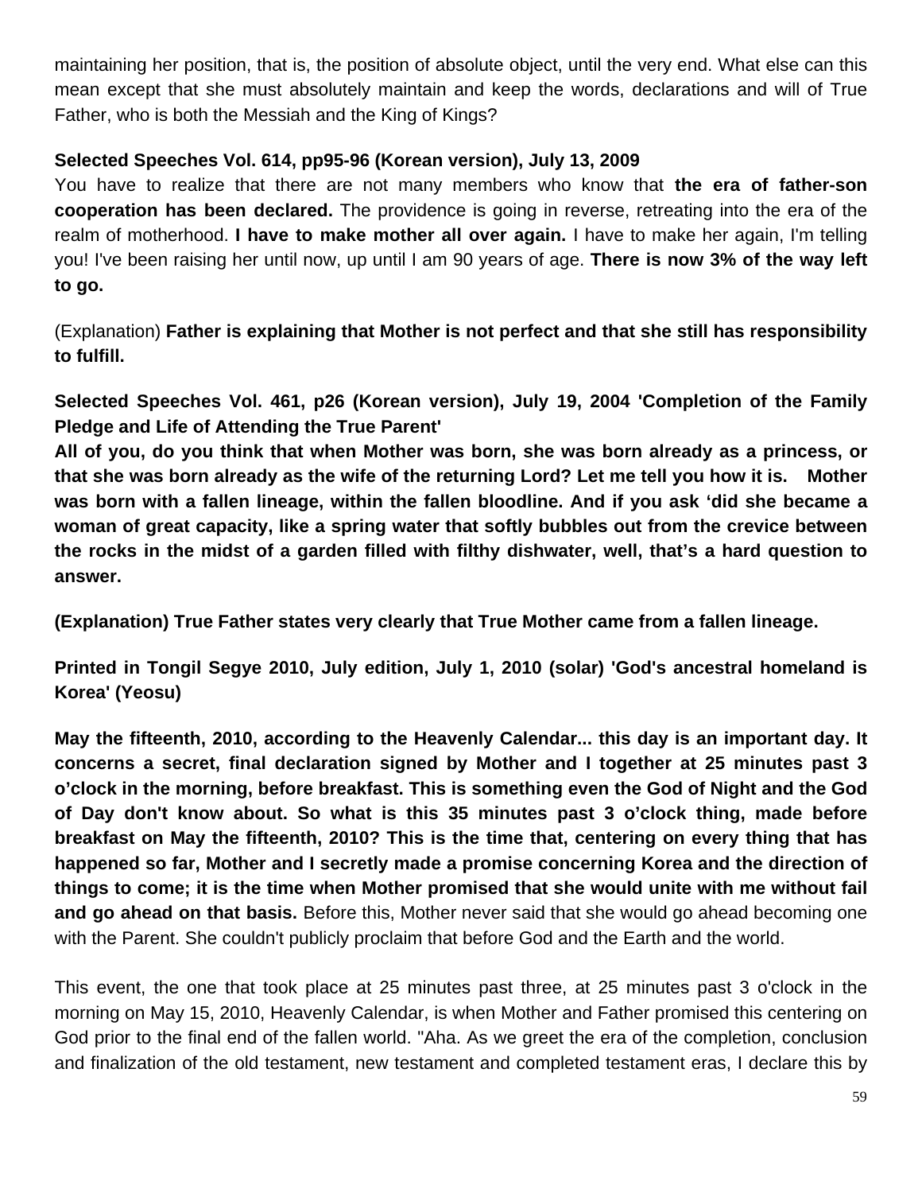maintaining her position, that is, the position of absolute object, until the very end. What else can this mean except that she must absolutely maintain and keep the words, declarations and will of True Father, who is both the Messiah and the King of Kings?

## **Selected Speeches Vol. 614, pp95-96 (Korean version), July 13, 2009**

You have to realize that there are not many members who know that **the era of father-son cooperation has been declared.** The providence is going in reverse, retreating into the era of the realm of motherhood. **I have to make mother all over again.** I have to make her again, I'm telling you! I've been raising her until now, up until I am 90 years of age. **There is now 3% of the way left to go.**

(Explanation) **Father is explaining that Mother is not perfect and that she still has responsibility to fulfill.**

**Selected Speeches Vol. 461, p26 (Korean version), July 19, 2004 'Completion of the Family Pledge and Life of Attending the True Parent'**

**All of you, do you think that when Mother was born, she was born already as a princess, or that she was born already as the wife of the returning Lord? Let me tell you how it is. Mother was born with a fallen lineage, within the fallen bloodline. And if you ask 'did she became a woman of great capacity, like a spring water that softly bubbles out from the crevice between the rocks in the midst of a garden filled with filthy dishwater, well, that's a hard question to answer.** 

**(Explanation) True Father states very clearly that True Mother came from a fallen lineage.**

**Printed in Tongil Segye 2010, July edition, July 1, 2010 (solar) 'God's ancestral homeland is Korea' (Yeosu)**

**May the fifteenth, 2010, according to the Heavenly Calendar... this day is an important day. It concerns a secret, final declaration signed by Mother and I together at 25 minutes past 3 o'clock in the morning, before breakfast. This is something even the God of Night and the God of Day don't know about. So what is this 35 minutes past 3 o'clock thing, made before breakfast on May the fifteenth, 2010? This is the time that, centering on every thing that has happened so far, Mother and I secretly made a promise concerning Korea and the direction of things to come; it is the time when Mother promised that she would unite with me without fail and go ahead on that basis.** Before this, Mother never said that she would go ahead becoming one with the Parent. She couldn't publicly proclaim that before God and the Earth and the world.

This event, the one that took place at 25 minutes past three, at 25 minutes past 3 o'clock in the morning on May 15, 2010, Heavenly Calendar, is when Mother and Father promised this centering on God prior to the final end of the fallen world. "Aha. As we greet the era of the completion, conclusion and finalization of the old testament, new testament and completed testament eras, I declare this by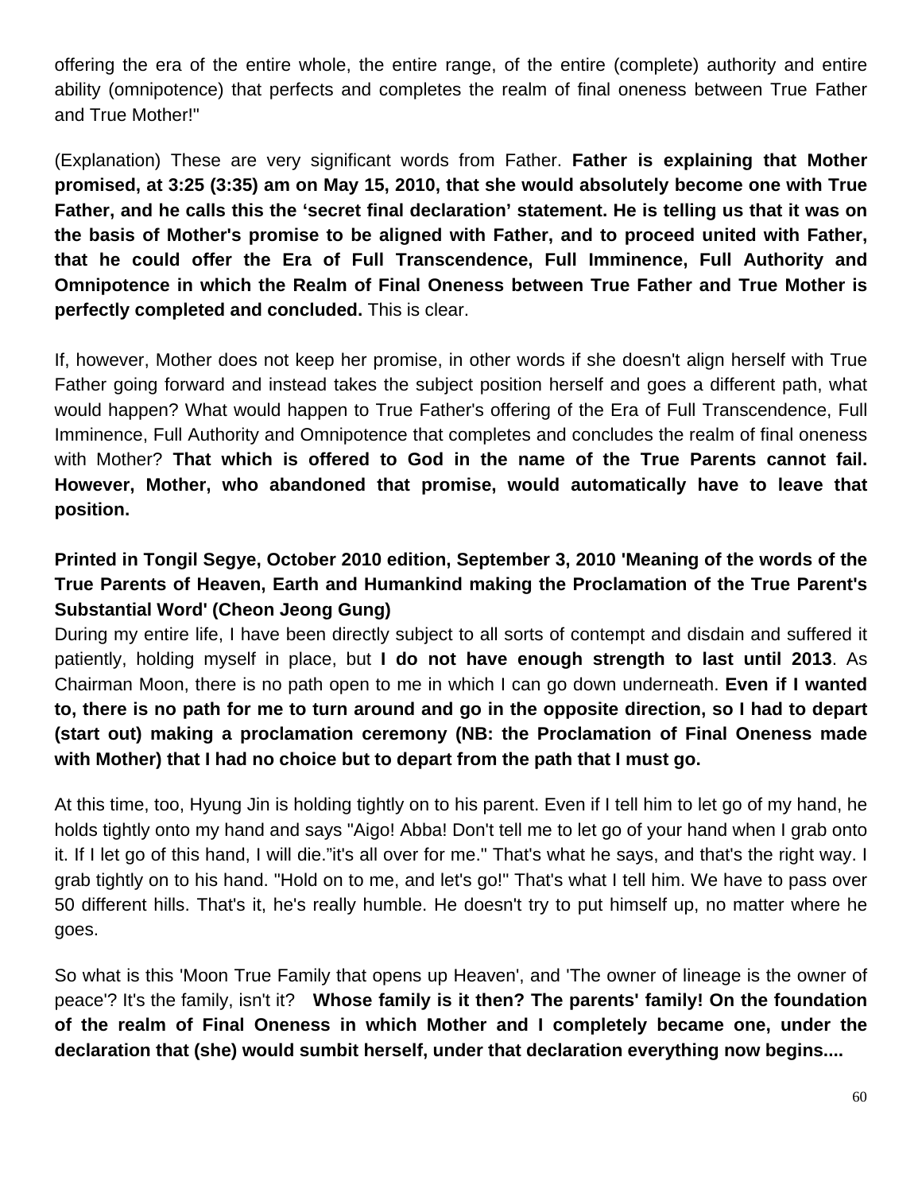offering the era of the entire whole, the entire range, of the entire (complete) authority and entire ability (omnipotence) that perfects and completes the realm of final oneness between True Father and True Mother!"

(Explanation) These are very significant words from Father. **Father is explaining that Mother promised, at 3:25 (3:35) am on May 15, 2010, that she would absolutely become one with True Father, and he calls this the 'secret final declaration' statement. He is telling us that it was on the basis of Mother's promise to be aligned with Father, and to proceed united with Father, that he could offer the Era of Full Transcendence, Full Imminence, Full Authority and Omnipotence in which the Realm of Final Oneness between True Father and True Mother is perfectly completed and concluded.** This is clear.

If, however, Mother does not keep her promise, in other words if she doesn't align herself with True Father going forward and instead takes the subject position herself and goes a different path, what would happen? What would happen to True Father's offering of the Era of Full Transcendence, Full Imminence, Full Authority and Omnipotence that completes and concludes the realm of final oneness with Mother? **That which is offered to God in the name of the True Parents cannot fail. However, Mother, who abandoned that promise, would automatically have to leave that position.**

# **Printed in Tongil Segye, October 2010 edition, September 3, 2010 'Meaning of the words of the True Parents of Heaven, Earth and Humankind making the Proclamation of the True Parent's Substantial Word' (Cheon Jeong Gung)**

During my entire life, I have been directly subject to all sorts of contempt and disdain and suffered it patiently, holding myself in place, but **I do not have enough strength to last until 2013**. As Chairman Moon, there is no path open to me in which I can go down underneath. **Even if I wanted to, there is no path for me to turn around and go in the opposite direction, so I had to depart (start out) making a proclamation ceremony (NB: the Proclamation of Final Oneness made with Mother) that I had no choice but to depart from the path that I must go.**

At this time, too, Hyung Jin is holding tightly on to his parent. Even if I tell him to let go of my hand, he holds tightly onto my hand and says "Aigo! Abba! Don't tell me to let go of your hand when I grab onto it. If I let go of this hand, I will die."it's all over for me." That's what he says, and that's the right way. I grab tightly on to his hand. "Hold on to me, and let's go!" That's what I tell him. We have to pass over 50 different hills. That's it, he's really humble. He doesn't try to put himself up, no matter where he goes.

So what is this 'Moon True Family that opens up Heaven', and 'The owner of lineage is the owner of peace'? It's the family, isn't it? **Whose family is it then? The parents' family! On the foundation of the realm of Final Oneness in which Mother and I completely became one, under the declaration that (she) would sumbit herself, under that declaration everything now begins....**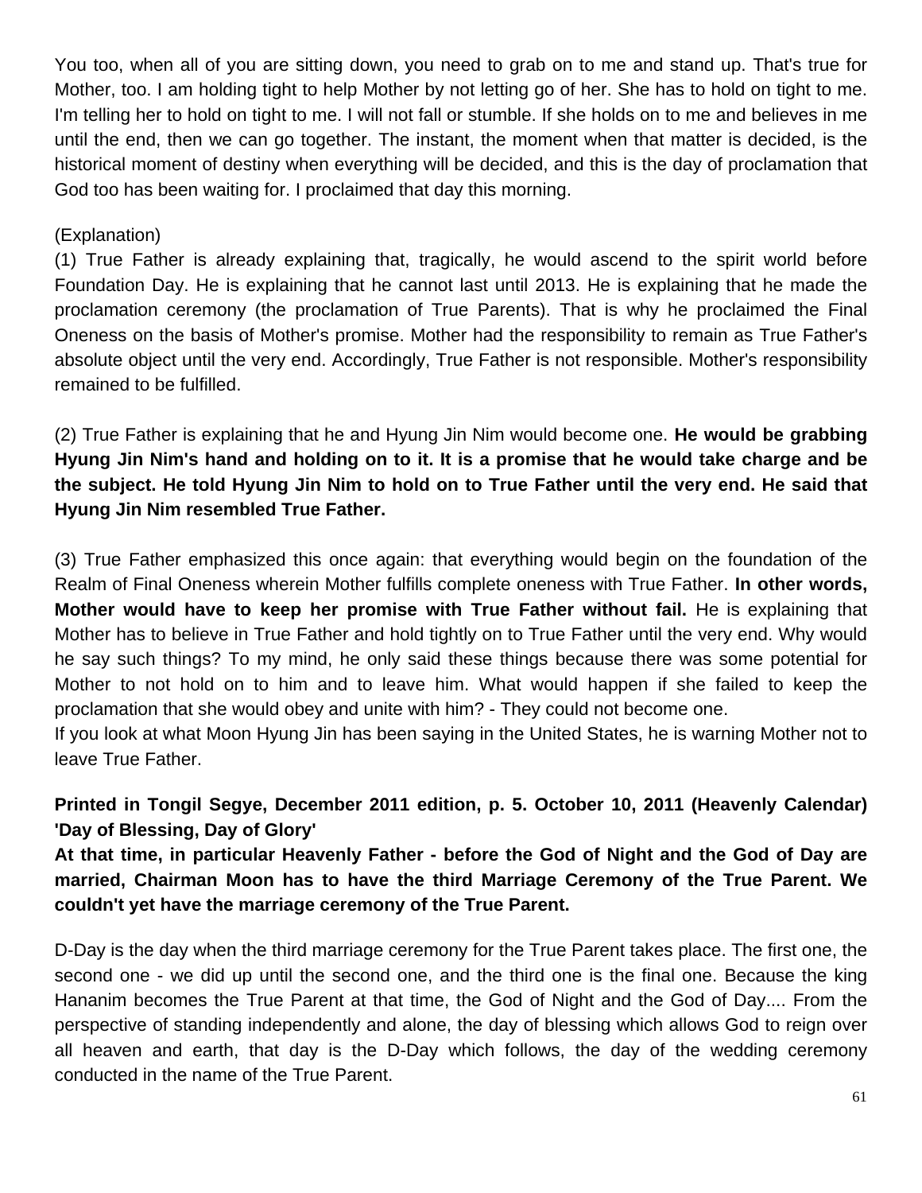You too, when all of you are sitting down, you need to grab on to me and stand up. That's true for Mother, too. I am holding tight to help Mother by not letting go of her. She has to hold on tight to me. I'm telling her to hold on tight to me. I will not fall or stumble. If she holds on to me and believes in me until the end, then we can go together. The instant, the moment when that matter is decided, is the historical moment of destiny when everything will be decided, and this is the day of proclamation that God too has been waiting for. I proclaimed that day this morning.

### (Explanation)

(1) True Father is already explaining that, tragically, he would ascend to the spirit world before Foundation Day. He is explaining that he cannot last until 2013. He is explaining that he made the proclamation ceremony (the proclamation of True Parents). That is why he proclaimed the Final Oneness on the basis of Mother's promise. Mother had the responsibility to remain as True Father's absolute object until the very end. Accordingly, True Father is not responsible. Mother's responsibility remained to be fulfilled.

(2) True Father is explaining that he and Hyung Jin Nim would become one. **He would be grabbing Hyung Jin Nim's hand and holding on to it. It is a promise that he would take charge and be the subject. He told Hyung Jin Nim to hold on to True Father until the very end. He said that Hyung Jin Nim resembled True Father.** 

(3) True Father emphasized this once again: that everything would begin on the foundation of the Realm of Final Oneness wherein Mother fulfills complete oneness with True Father. **In other words, Mother would have to keep her promise with True Father without fail.** He is explaining that Mother has to believe in True Father and hold tightly on to True Father until the very end. Why would he say such things? To my mind, he only said these things because there was some potential for Mother to not hold on to him and to leave him. What would happen if she failed to keep the proclamation that she would obey and unite with him? - They could not become one.

If you look at what Moon Hyung Jin has been saying in the United States, he is warning Mother not to leave True Father.

**Printed in Tongil Segye, December 2011 edition, p. 5. October 10, 2011 (Heavenly Calendar) 'Day of Blessing, Day of Glory'**

**At that time, in particular Heavenly Father - before the God of Night and the God of Day are married, Chairman Moon has to have the third Marriage Ceremony of the True Parent. We couldn't yet have the marriage ceremony of the True Parent.** 

D-Day is the day when the third marriage ceremony for the True Parent takes place. The first one, the second one - we did up until the second one, and the third one is the final one. Because the king Hananim becomes the True Parent at that time, the God of Night and the God of Day.... From the perspective of standing independently and alone, the day of blessing which allows God to reign over all heaven and earth, that day is the D-Day which follows, the day of the wedding ceremony conducted in the name of the True Parent.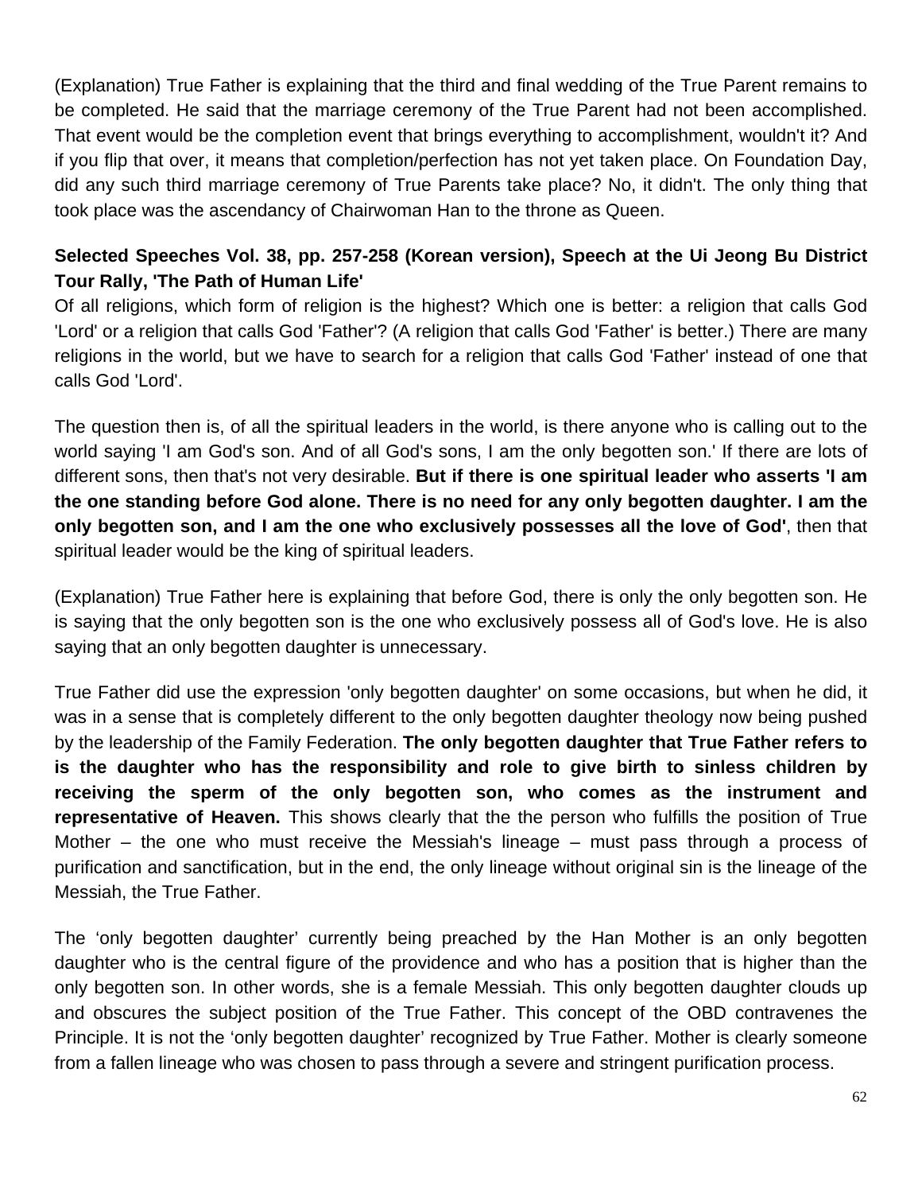(Explanation) True Father is explaining that the third and final wedding of the True Parent remains to be completed. He said that the marriage ceremony of the True Parent had not been accomplished. That event would be the completion event that brings everything to accomplishment, wouldn't it? And if you flip that over, it means that completion/perfection has not yet taken place. On Foundation Day, did any such third marriage ceremony of True Parents take place? No, it didn't. The only thing that took place was the ascendancy of Chairwoman Han to the throne as Queen.

## **Selected Speeches Vol. 38, pp. 257-258 (Korean version), Speech at the Ui Jeong Bu District Tour Rally, 'The Path of Human Life'**

Of all religions, which form of religion is the highest? Which one is better: a religion that calls God 'Lord' or a religion that calls God 'Father'? (A religion that calls God 'Father' is better.) There are many religions in the world, but we have to search for a religion that calls God 'Father' instead of one that calls God 'Lord'.

The question then is, of all the spiritual leaders in the world, is there anyone who is calling out to the world saying 'I am God's son. And of all God's sons, I am the only begotten son.' If there are lots of different sons, then that's not very desirable. **But if there is one spiritual leader who asserts 'I am the one standing before God alone. There is no need for any only begotten daughter. I am the only begotten son, and I am the one who exclusively possesses all the love of God'**, then that spiritual leader would be the king of spiritual leaders.

(Explanation) True Father here is explaining that before God, there is only the only begotten son. He is saying that the only begotten son is the one who exclusively possess all of God's love. He is also saying that an only begotten daughter is unnecessary.

True Father did use the expression 'only begotten daughter' on some occasions, but when he did, it was in a sense that is completely different to the only begotten daughter theology now being pushed by the leadership of the Family Federation. **The only begotten daughter that True Father refers to is the daughter who has the responsibility and role to give birth to sinless children by receiving the sperm of the only begotten son, who comes as the instrument and representative of Heaven.** This shows clearly that the the person who fulfills the position of True Mother – the one who must receive the Messiah's lineage – must pass through a process of purification and sanctification, but in the end, the only lineage without original sin is the lineage of the Messiah, the True Father.

The 'only begotten daughter' currently being preached by the Han Mother is an only begotten daughter who is the central figure of the providence and who has a position that is higher than the only begotten son. In other words, she is a female Messiah. This only begotten daughter clouds up and obscures the subject position of the True Father. This concept of the OBD contravenes the Principle. It is not the 'only begotten daughter' recognized by True Father. Mother is clearly someone from a fallen lineage who was chosen to pass through a severe and stringent purification process.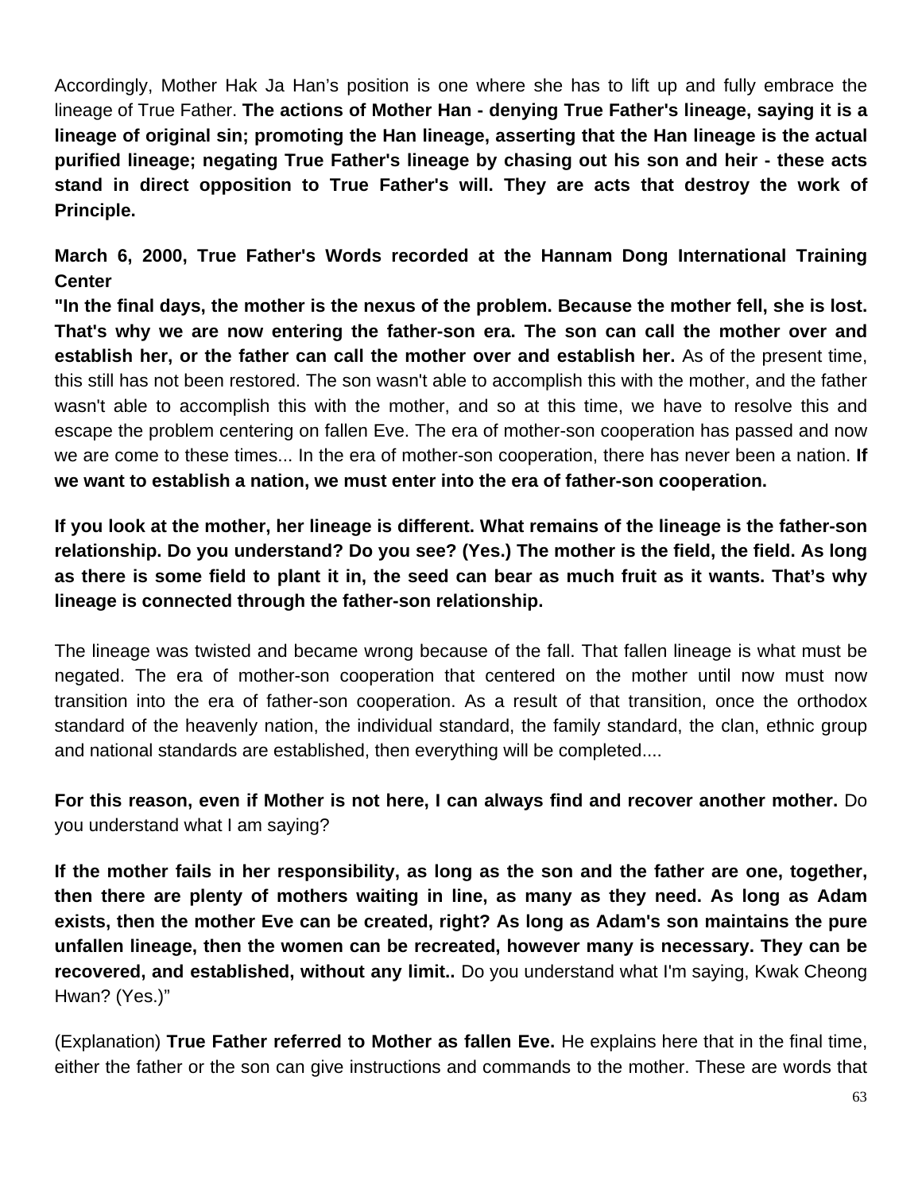Accordingly, Mother Hak Ja Han's position is one where she has to lift up and fully embrace the lineage of True Father. **The actions of Mother Han - denying True Father's lineage, saying it is a lineage of original sin; promoting the Han lineage, asserting that the Han lineage is the actual purified lineage; negating True Father's lineage by chasing out his son and heir - these acts stand in direct opposition to True Father's will. They are acts that destroy the work of Principle.**

**March 6, 2000, True Father's Words recorded at the Hannam Dong International Training Center**

**"In the final days, the mother is the nexus of the problem. Because the mother fell, she is lost. That's why we are now entering the father-son era. The son can call the mother over and establish her, or the father can call the mother over and establish her.** As of the present time, this still has not been restored. The son wasn't able to accomplish this with the mother, and the father wasn't able to accomplish this with the mother, and so at this time, we have to resolve this and escape the problem centering on fallen Eve. The era of mother-son cooperation has passed and now we are come to these times... In the era of mother-son cooperation, there has never been a nation. **If we want to establish a nation, we must enter into the era of father-son cooperation.**

**If you look at the mother, her lineage is different. What remains of the lineage is the father-son relationship. Do you understand? Do you see? (Yes.) The mother is the field, the field. As long as there is some field to plant it in, the seed can bear as much fruit as it wants. That's why lineage is connected through the father-son relationship.**

The lineage was twisted and became wrong because of the fall. That fallen lineage is what must be negated. The era of mother-son cooperation that centered on the mother until now must now transition into the era of father-son cooperation. As a result of that transition, once the orthodox standard of the heavenly nation, the individual standard, the family standard, the clan, ethnic group and national standards are established, then everything will be completed....

**For this reason, even if Mother is not here, I can always find and recover another mother.** Do you understand what I am saying?

**If the mother fails in her responsibility, as long as the son and the father are one, together, then there are plenty of mothers waiting in line, as many as they need. As long as Adam exists, then the mother Eve can be created, right? As long as Adam's son maintains the pure unfallen lineage, then the women can be recreated, however many is necessary. They can be recovered, and established, without any limit..** Do you understand what I'm saying, Kwak Cheong Hwan? (Yes.)"

(Explanation) **True Father referred to Mother as fallen Eve.** He explains here that in the final time, either the father or the son can give instructions and commands to the mother. These are words that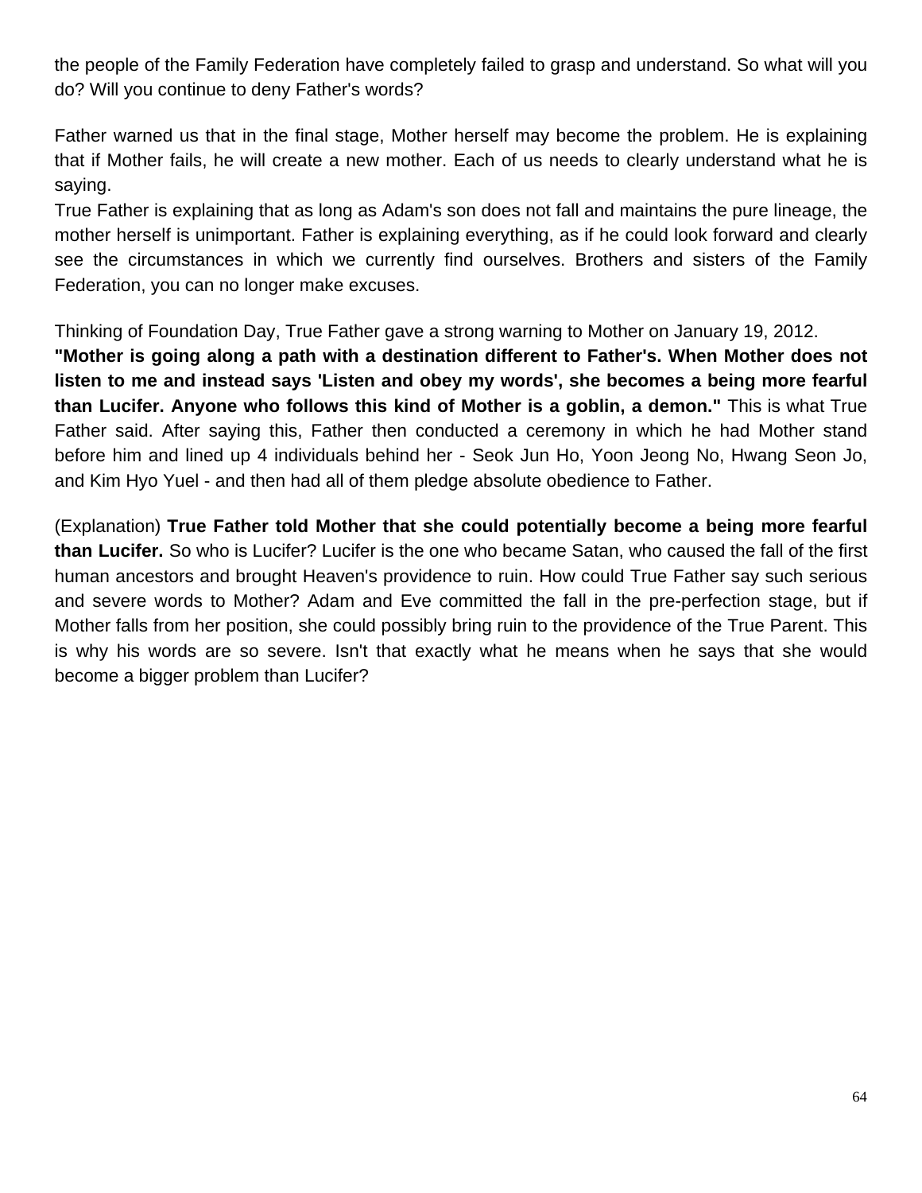the people of the Family Federation have completely failed to grasp and understand. So what will you do? Will you continue to deny Father's words?

Father warned us that in the final stage, Mother herself may become the problem. He is explaining that if Mother fails, he will create a new mother. Each of us needs to clearly understand what he is saying.

True Father is explaining that as long as Adam's son does not fall and maintains the pure lineage, the mother herself is unimportant. Father is explaining everything, as if he could look forward and clearly see the circumstances in which we currently find ourselves. Brothers and sisters of the Family Federation, you can no longer make excuses.

Thinking of Foundation Day, True Father gave a strong warning to Mother on January 19, 2012.

**"Mother is going along a path with a destination different to Father's. When Mother does not listen to me and instead says 'Listen and obey my words', she becomes a being more fearful than Lucifer. Anyone who follows this kind of Mother is a goblin, a demon."** This is what True Father said. After saying this, Father then conducted a ceremony in which he had Mother stand before him and lined up 4 individuals behind her - Seok Jun Ho, Yoon Jeong No, Hwang Seon Jo, and Kim Hyo Yuel - and then had all of them pledge absolute obedience to Father.

(Explanation) **True Father told Mother that she could potentially become a being more fearful than Lucifer.** So who is Lucifer? Lucifer is the one who became Satan, who caused the fall of the first human ancestors and brought Heaven's providence to ruin. How could True Father say such serious and severe words to Mother? Adam and Eve committed the fall in the pre-perfection stage, but if Mother falls from her position, she could possibly bring ruin to the providence of the True Parent. This is why his words are so severe. Isn't that exactly what he means when he says that she would become a bigger problem than Lucifer?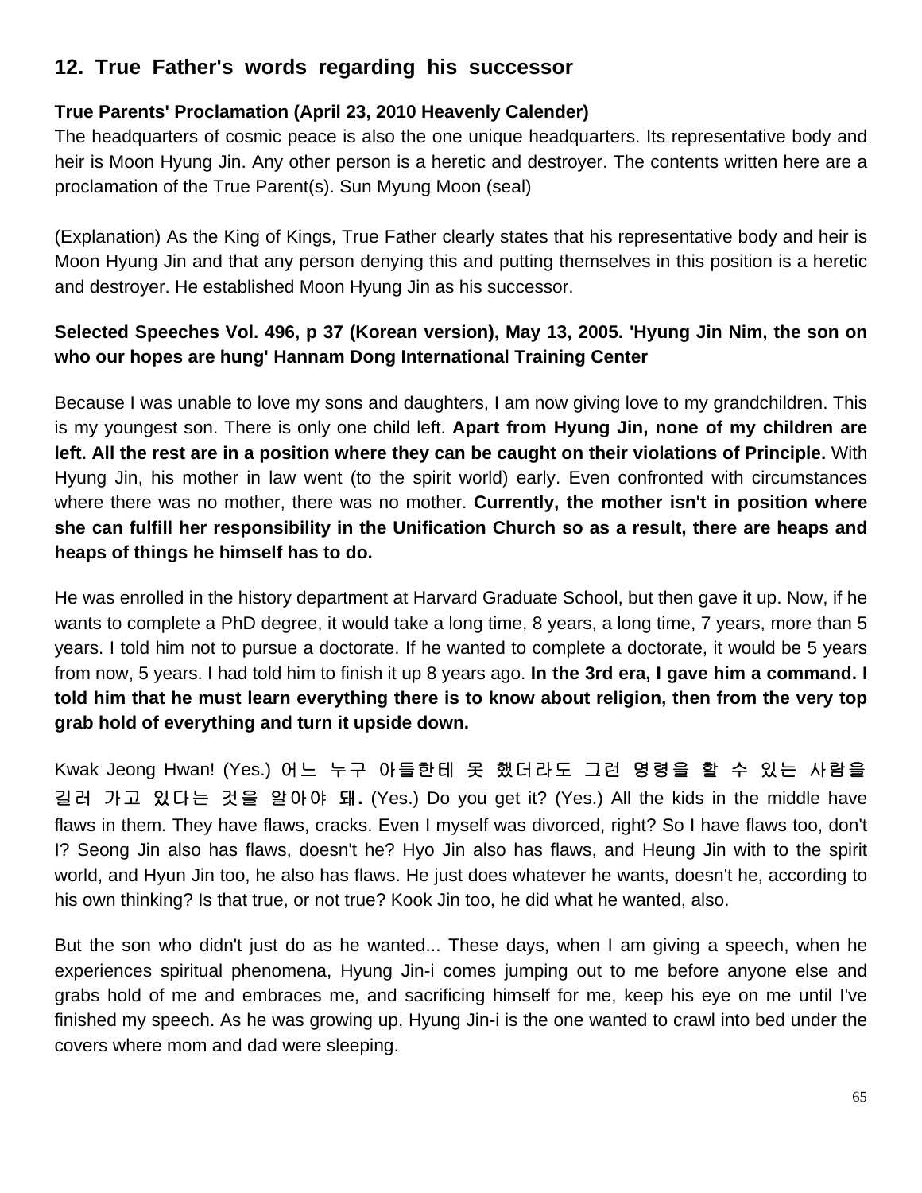# **12. True Father's words regarding his successor**

## **True Parents' Proclamation (April 23, 2010 Heavenly Calender)**

The headquarters of cosmic peace is also the one unique headquarters. Its representative body and heir is Moon Hyung Jin. Any other person is a heretic and destroyer. The contents written here are a proclamation of the True Parent(s). Sun Myung Moon (seal)

(Explanation) As the King of Kings, True Father clearly states that his representative body and heir is Moon Hyung Jin and that any person denying this and putting themselves in this position is a heretic and destroyer. He established Moon Hyung Jin as his successor.

## **Selected Speeches Vol. 496, p 37 (Korean version), May 13, 2005. 'Hyung Jin Nim, the son on who our hopes are hung' Hannam Dong International Training Center**

Because I was unable to love my sons and daughters, I am now giving love to my grandchildren. This is my youngest son. There is only one child left. **Apart from Hyung Jin, none of my children are left. All the rest are in a position where they can be caught on their violations of Principle.** With Hyung Jin, his mother in law went (to the spirit world) early. Even confronted with circumstances where there was no mother, there was no mother. **Currently, the mother isn't in position where she can fulfill her responsibility in the Unification Church so as a result, there are heaps and heaps of things he himself has to do.**

He was enrolled in the history department at Harvard Graduate School, but then gave it up. Now, if he wants to complete a PhD degree, it would take a long time, 8 years, a long time, 7 years, more than 5 years. I told him not to pursue a doctorate. If he wanted to complete a doctorate, it would be 5 years from now, 5 years. I had told him to finish it up 8 years ago. **In the 3rd era, I gave him a command. I told him that he must learn everything there is to know about religion, then from the very top grab hold of everything and turn it upside down.**

Kwak Jeong Hwan! (Yes.) 어느 누구 아들한테 못 했더라도 그런 명령을 할 수 있는 사람을 길러 가고 있다는 것을 알아야 돼**.** (Yes.) Do you get it? (Yes.) All the kids in the middle have flaws in them. They have flaws, cracks. Even I myself was divorced, right? So I have flaws too, don't I? Seong Jin also has flaws, doesn't he? Hyo Jin also has flaws, and Heung Jin with to the spirit world, and Hyun Jin too, he also has flaws. He just does whatever he wants, doesn't he, according to his own thinking? Is that true, or not true? Kook Jin too, he did what he wanted, also.

But the son who didn't just do as he wanted... These days, when I am giving a speech, when he experiences spiritual phenomena, Hyung Jin-i comes jumping out to me before anyone else and grabs hold of me and embraces me, and sacrificing himself for me, keep his eye on me until I've finished my speech. As he was growing up, Hyung Jin-i is the one wanted to crawl into bed under the covers where mom and dad were sleeping.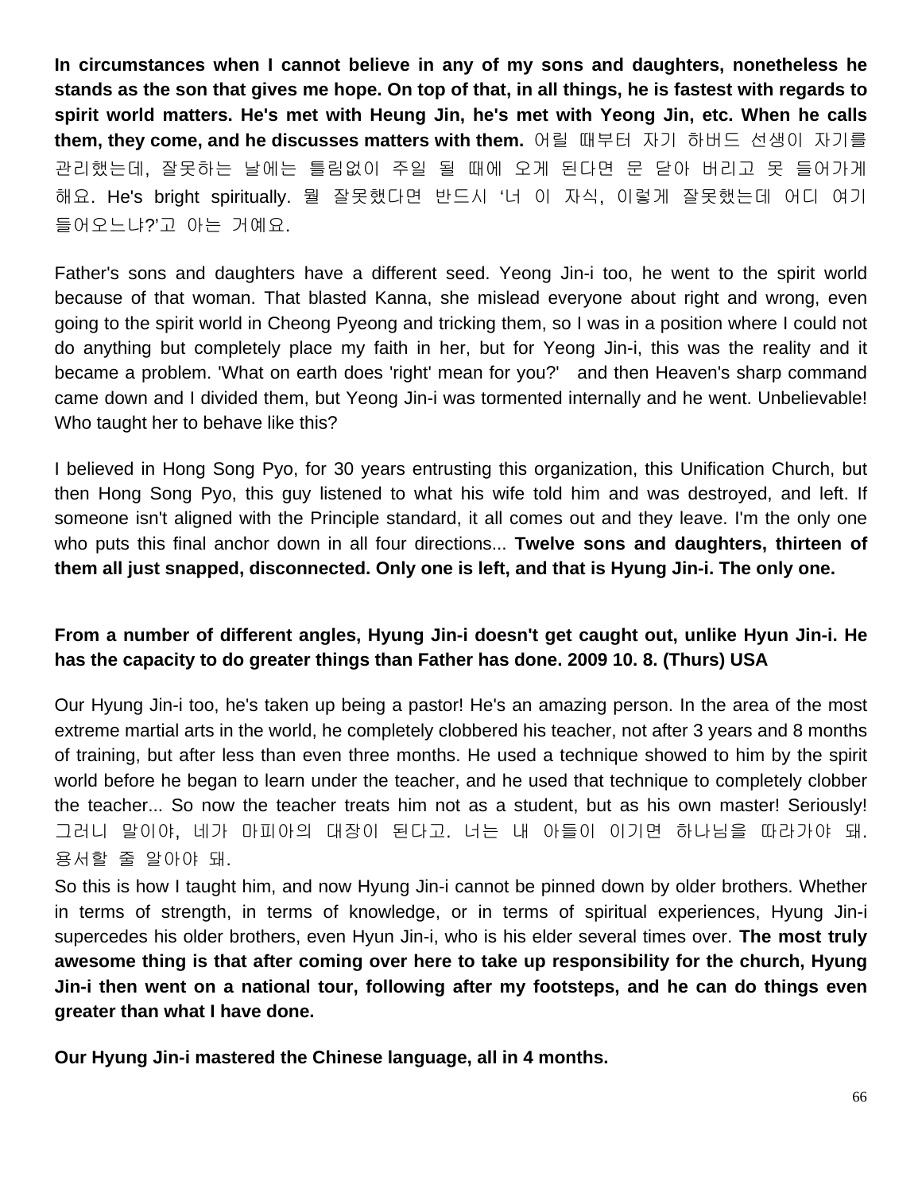**In circumstances when I cannot believe in any of my sons and daughters, nonetheless he stands as the son that gives me hope. On top of that, in all things, he is fastest with regards to spirit world matters. He's met with Heung Jin, he's met with Yeong Jin, etc. When he calls them, they come, and he discusses matters with them.** 어릴 때부터 자기 하버드 선생이 자기를 관리했는데, 잘못하는 날에는 틀림없이 주일 될 때에 오게 된다면 문 닫아 버리고 못 들어가게 해요. He's bright spiritually. 뭘 잘못했다면 반드시 '너 이 자식, 이렇게 잘못했는데 어디 여기 들어오느냐?'고 아는 거예요.

Father's sons and daughters have a different seed. Yeong Jin-i too, he went to the spirit world because of that woman. That blasted Kanna, she mislead everyone about right and wrong, even going to the spirit world in Cheong Pyeong and tricking them, so I was in a position where I could not do anything but completely place my faith in her, but for Yeong Jin-i, this was the reality and it became a problem. 'What on earth does 'right' mean for you?' and then Heaven's sharp command came down and I divided them, but Yeong Jin-i was tormented internally and he went. Unbelievable! Who taught her to behave like this?

I believed in Hong Song Pyo, for 30 years entrusting this organization, this Unification Church, but then Hong Song Pyo, this guy listened to what his wife told him and was destroyed, and left. If someone isn't aligned with the Principle standard, it all comes out and they leave. I'm the only one who puts this final anchor down in all four directions... **Twelve sons and daughters, thirteen of them all just snapped, disconnected. Only one is left, and that is Hyung Jin-i. The only one.**

## **From a number of different angles, Hyung Jin-i doesn't get caught out, unlike Hyun Jin-i. He has the capacity to do greater things than Father has done. 2009 10. 8. (Thurs) USA**

Our Hyung Jin-i too, he's taken up being a pastor! He's an amazing person. In the area of the most extreme martial arts in the world, he completely clobbered his teacher, not after 3 years and 8 months of training, but after less than even three months. He used a technique showed to him by the spirit world before he began to learn under the teacher, and he used that technique to completely clobber the teacher... So now the teacher treats him not as a student, but as his own master! Seriously! 그러니 말이야, 네가 마피아의 대장이 된다고. 너는 내 아들이 이기면 하나님을 따라가야 돼. 용서할 줄 알아야 돼.

So this is how I taught him, and now Hyung Jin-i cannot be pinned down by older brothers. Whether in terms of strength, in terms of knowledge, or in terms of spiritual experiences, Hyung Jin-i supercedes his older brothers, even Hyun Jin-i, who is his elder several times over. **The most truly awesome thing is that after coming over here to take up responsibility for the church, Hyung Jin-i then went on a national tour, following after my footsteps, and he can do things even greater than what I have done.** 

**Our Hyung Jin-i mastered the Chinese language, all in 4 months.**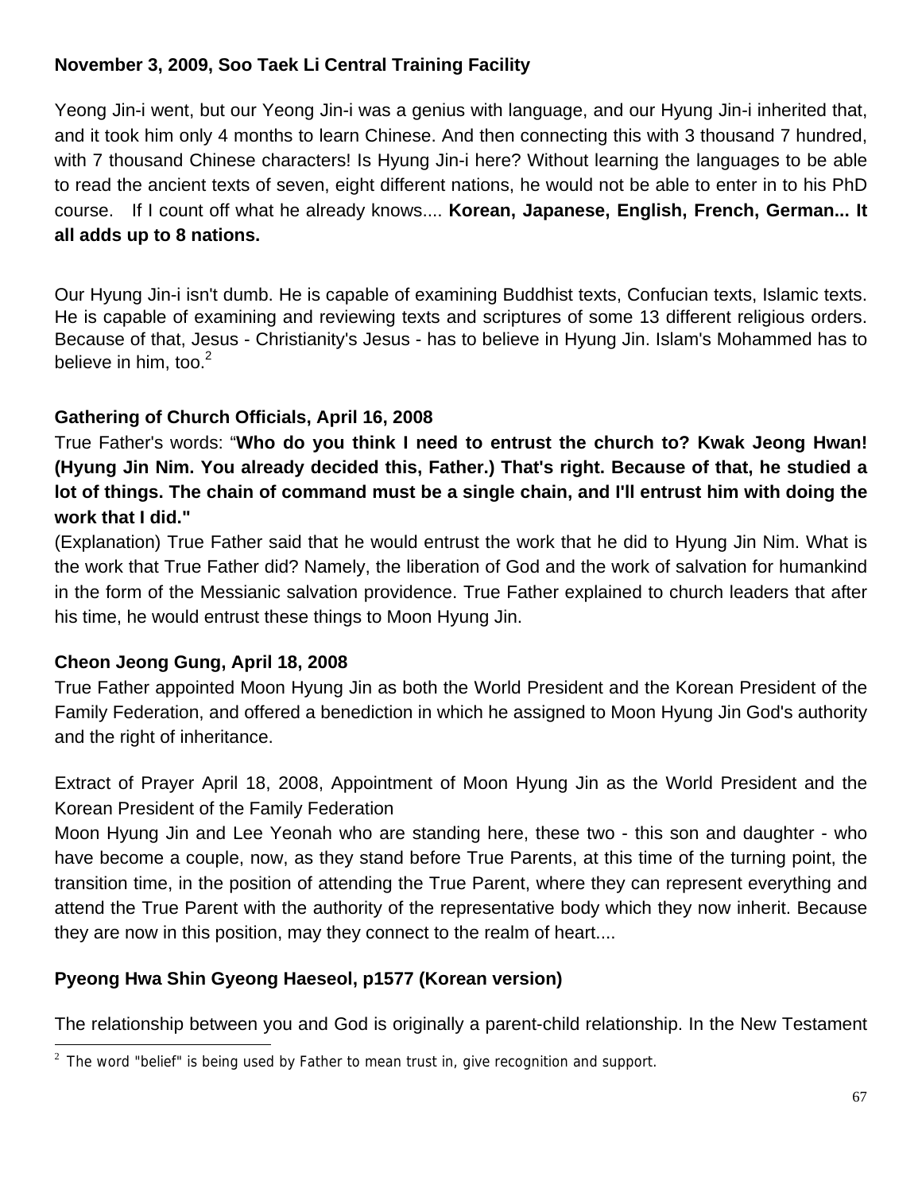## **November 3, 2009, Soo Taek Li Central Training Facility**

Yeong Jin-i went, but our Yeong Jin-i was a genius with language, and our Hyung Jin-i inherited that, and it took him only 4 months to learn Chinese. And then connecting this with 3 thousand 7 hundred, with 7 thousand Chinese characters! Is Hyung Jin-i here? Without learning the languages to be able to read the ancient texts of seven, eight different nations, he would not be able to enter in to his PhD course. If I count off what he already knows.... **Korean, Japanese, English, French, German... It all adds up to 8 nations.** 

Our Hyung Jin-i isn't dumb. He is capable of examining Buddhist texts, Confucian texts, Islamic texts. He is capable of examining and reviewing texts and scriptures of some 13 different religious orders. Because of that, Jesus - Christianity's Jesus - has to believe in Hyung Jin. Islam's Mohammed has to believe in him, too. $2^2$ 

## **Gathering of Church Officials, April 16, 2008**

True Father's words: "**Who do you think I need to entrust the church to? Kwak Jeong Hwan! (Hyung Jin Nim. You already decided this, Father.) That's right. Because of that, he studied a lot of things. The chain of command must be a single chain, and I'll entrust him with doing the work that I did."**

(Explanation) True Father said that he would entrust the work that he did to Hyung Jin Nim. What is the work that True Father did? Namely, the liberation of God and the work of salvation for humankind in the form of the Messianic salvation providence. True Father explained to church leaders that after his time, he would entrust these things to Moon Hyung Jin.

## **Cheon Jeong Gung, April 18, 2008**

True Father appointed Moon Hyung Jin as both the World President and the Korean President of the Family Federation, and offered a benediction in which he assigned to Moon Hyung Jin God's authority and the right of inheritance.

Extract of Prayer April 18, 2008, Appointment of Moon Hyung Jin as the World President and the Korean President of the Family Federation

Moon Hyung Jin and Lee Yeonah who are standing here, these two - this son and daughter - who have become a couple, now, as they stand before True Parents, at this time of the turning point, the transition time, in the position of attending the True Parent, where they can represent everything and attend the True Parent with the authority of the representative body which they now inherit. Because they are now in this position, may they connect to the realm of heart....

## **Pyeong Hwa Shin Gyeong Haeseol, p1577 (Korean version)**

The relationship between you and God is originally a parent-child relationship. In the New Testament

 $2$  The word "belief" is being used by Father to mean trust in, give recognition and support.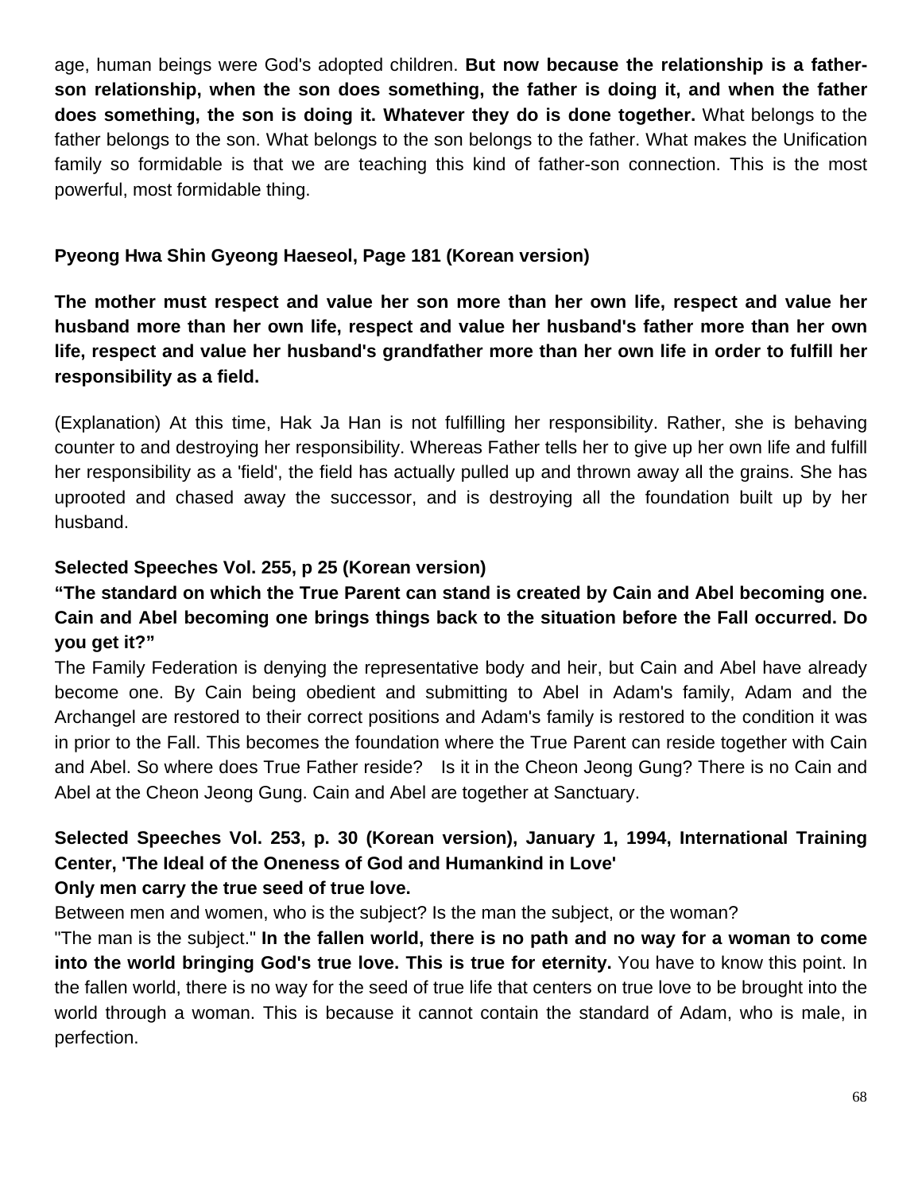age, human beings were God's adopted children. **But now because the relationship is a fatherson relationship, when the son does something, the father is doing it, and when the father does something, the son is doing it. Whatever they do is done together.** What belongs to the father belongs to the son. What belongs to the son belongs to the father. What makes the Unification family so formidable is that we are teaching this kind of father-son connection. This is the most powerful, most formidable thing.

#### **Pyeong Hwa Shin Gyeong Haeseol, Page 181 (Korean version)**

**The mother must respect and value her son more than her own life, respect and value her husband more than her own life, respect and value her husband's father more than her own life, respect and value her husband's grandfather more than her own life in order to fulfill her responsibility as a field.**

(Explanation) At this time, Hak Ja Han is not fulfilling her responsibility. Rather, she is behaving counter to and destroying her responsibility. Whereas Father tells her to give up her own life and fulfill her responsibility as a 'field', the field has actually pulled up and thrown away all the grains. She has uprooted and chased away the successor, and is destroying all the foundation built up by her husband.

## **Selected Speeches Vol. 255, p 25 (Korean version)**

## **"The standard on which the True Parent can stand is created by Cain and Abel becoming one. Cain and Abel becoming one brings things back to the situation before the Fall occurred. Do you get it?"**

The Family Federation is denying the representative body and heir, but Cain and Abel have already become one. By Cain being obedient and submitting to Abel in Adam's family, Adam and the Archangel are restored to their correct positions and Adam's family is restored to the condition it was in prior to the Fall. This becomes the foundation where the True Parent can reside together with Cain and Abel. So where does True Father reside? Is it in the Cheon Jeong Gung? There is no Cain and Abel at the Cheon Jeong Gung. Cain and Abel are together at Sanctuary.

### **Selected Speeches Vol. 253, p. 30 (Korean version), January 1, 1994, International Training Center, 'The Ideal of the Oneness of God and Humankind in Love' Only men carry the true seed of true love.**

Between men and women, who is the subject? Is the man the subject, or the woman?

"The man is the subject." **In the fallen world, there is no path and no way for a woman to come into the world bringing God's true love. This is true for eternity.** You have to know this point. In the fallen world, there is no way for the seed of true life that centers on true love to be brought into the world through a woman. This is because it cannot contain the standard of Adam, who is male, in perfection.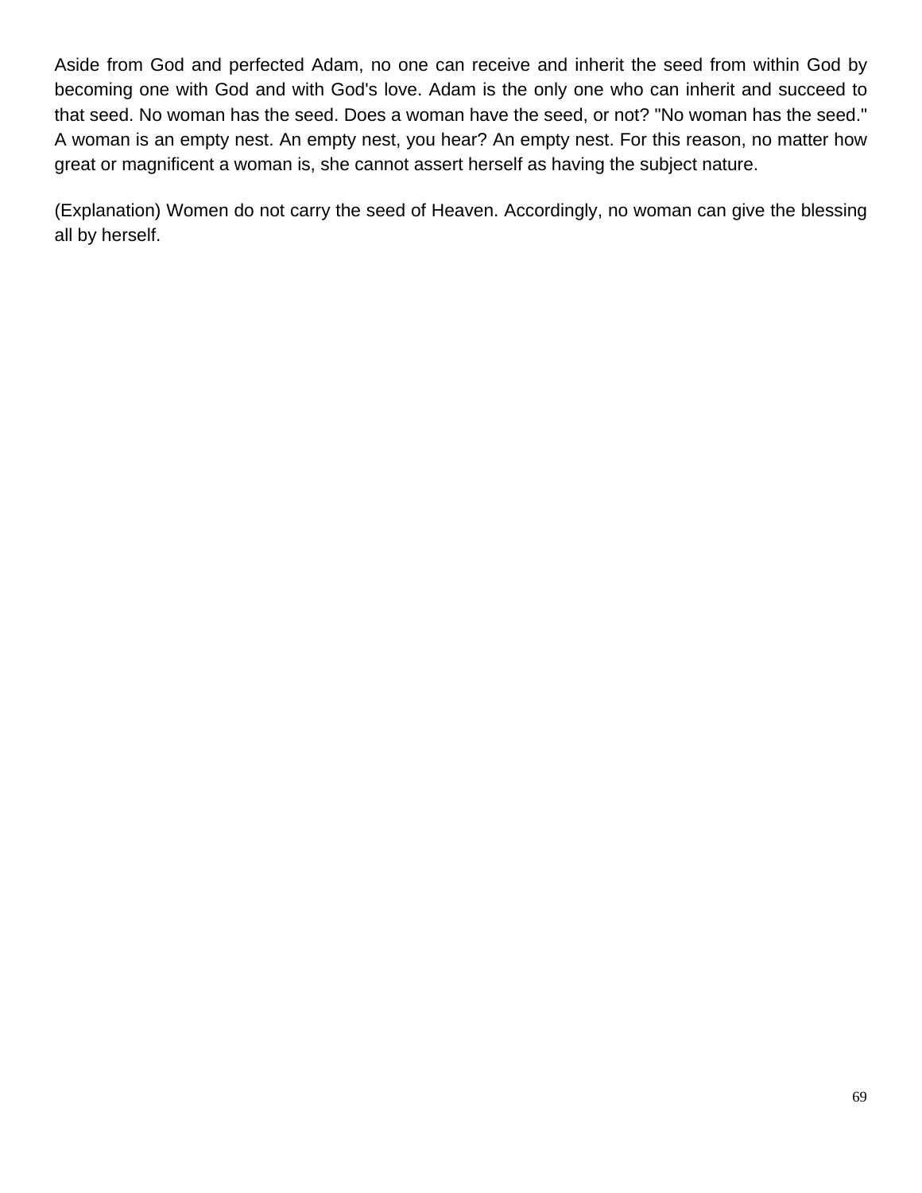Aside from God and perfected Adam, no one can receive and inherit the seed from within God by becoming one with God and with God's love. Adam is the only one who can inherit and succeed to that seed. No woman has the seed. Does a woman have the seed, or not? "No woman has the seed." A woman is an empty nest. An empty nest, you hear? An empty nest. For this reason, no matter how great or magnificent a woman is, she cannot assert herself as having the subject nature.

(Explanation) Women do not carry the seed of Heaven. Accordingly, no woman can give the blessing all by herself.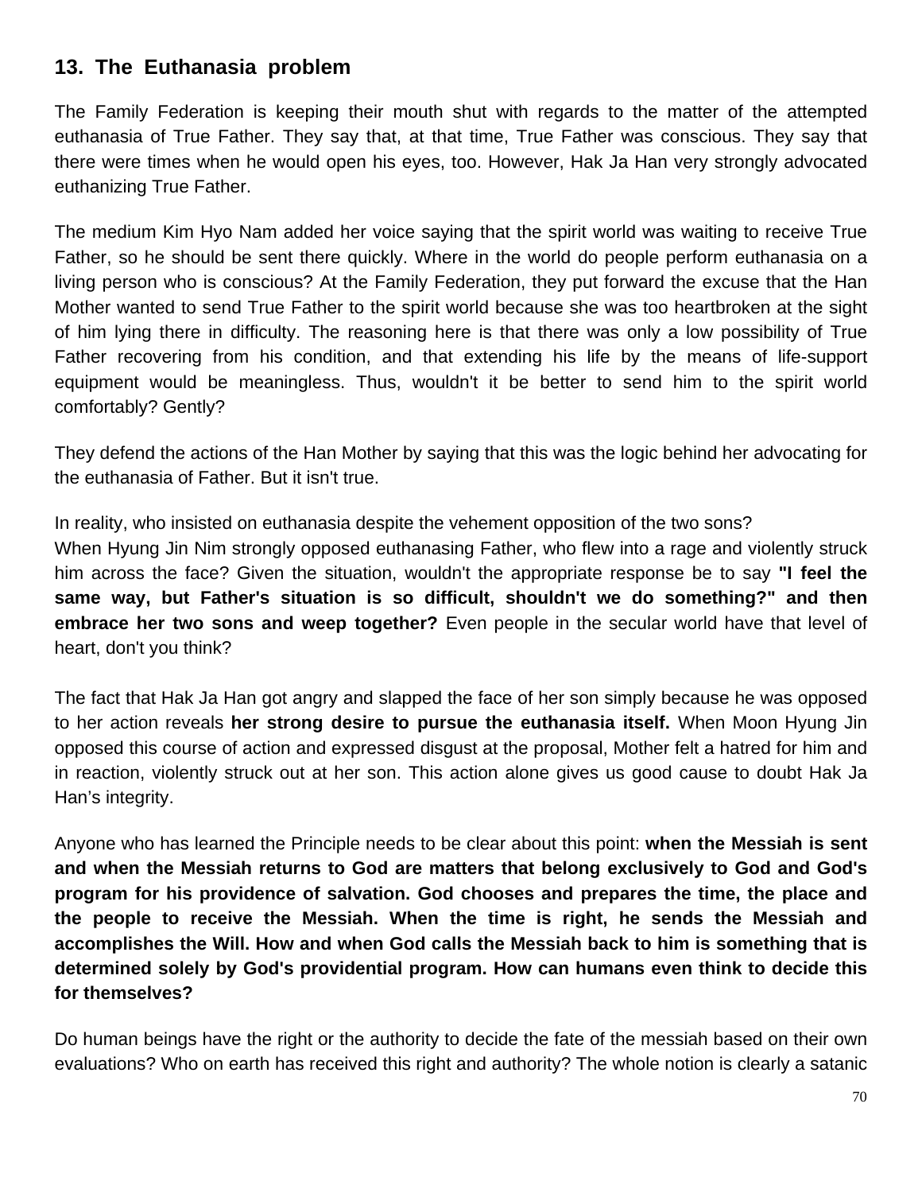## **13. The Euthanasia problem**

The Family Federation is keeping their mouth shut with regards to the matter of the attempted euthanasia of True Father. They say that, at that time, True Father was conscious. They say that there were times when he would open his eyes, too. However, Hak Ja Han very strongly advocated euthanizing True Father.

The medium Kim Hyo Nam added her voice saying that the spirit world was waiting to receive True Father, so he should be sent there quickly. Where in the world do people perform euthanasia on a living person who is conscious? At the Family Federation, they put forward the excuse that the Han Mother wanted to send True Father to the spirit world because she was too heartbroken at the sight of him lying there in difficulty. The reasoning here is that there was only a low possibility of True Father recovering from his condition, and that extending his life by the means of life-support equipment would be meaningless. Thus, wouldn't it be better to send him to the spirit world comfortably? Gently?

They defend the actions of the Han Mother by saying that this was the logic behind her advocating for the euthanasia of Father. But it isn't true.

In reality, who insisted on euthanasia despite the vehement opposition of the two sons? When Hyung Jin Nim strongly opposed euthanasing Father, who flew into a rage and violently struck him across the face? Given the situation, wouldn't the appropriate response be to say **"I feel the same way, but Father's situation is so difficult, shouldn't we do something?" and then embrace her two sons and weep together?** Even people in the secular world have that level of heart, don't you think?

The fact that Hak Ja Han got angry and slapped the face of her son simply because he was opposed to her action reveals **her strong desire to pursue the euthanasia itself.** When Moon Hyung Jin opposed this course of action and expressed disgust at the proposal, Mother felt a hatred for him and in reaction, violently struck out at her son. This action alone gives us good cause to doubt Hak Ja Han's integrity.

Anyone who has learned the Principle needs to be clear about this point: **when the Messiah is sent and when the Messiah returns to God are matters that belong exclusively to God and God's program for his providence of salvation. God chooses and prepares the time, the place and the people to receive the Messiah. When the time is right, he sends the Messiah and accomplishes the Will. How and when God calls the Messiah back to him is something that is determined solely by God's providential program. How can humans even think to decide this for themselves?** 

Do human beings have the right or the authority to decide the fate of the messiah based on their own evaluations? Who on earth has received this right and authority? The whole notion is clearly a satanic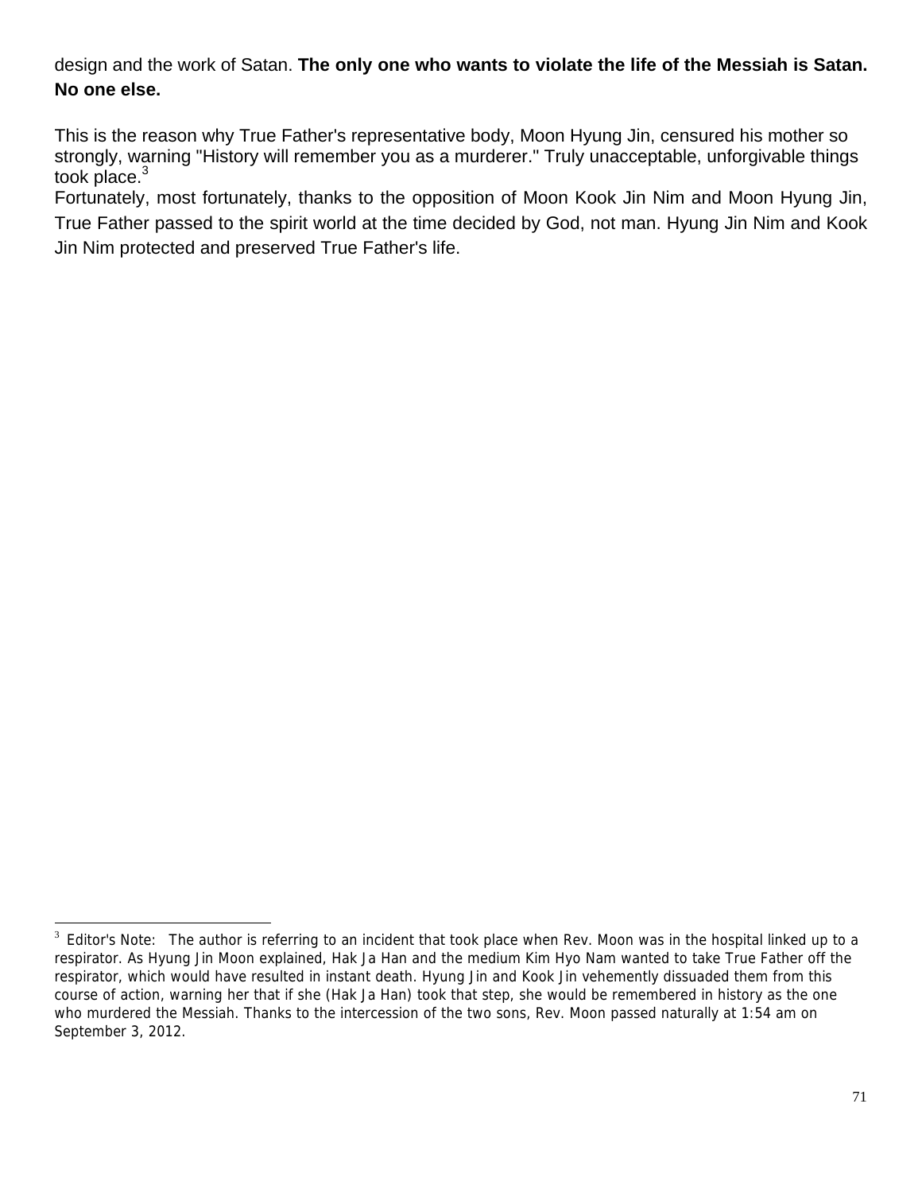design and the work of Satan. **The only one who wants to violate the life of the Messiah is Satan. No one else.** 

This is the reason why True Father's representative body, Moon Hyung Jin, censured his mother so strongly, warning "History will remember you as a murderer." Truly unacceptable, unforgivable things took place. $3$ 

Fortunately, most fortunately, thanks to the opposition of Moon Kook Jin Nim and Moon Hyung Jin, True Father passed to the spirit world at the time decided by God, not man. Hyung Jin Nim and Kook Jin Nim protected and preserved True Father's life.

 $3$  Editor's Note: The author is referring to an incident that took place when Rev. Moon was in the hospital linked up to a respirator. As Hyung Jin Moon explained, Hak Ja Han and the medium Kim Hyo Nam wanted to take True Father off the respirator, which would have resulted in instant death. Hyung Jin and Kook Jin vehemently dissuaded them from this course of action, warning her that if she (Hak Ja Han) took that step, she would be remembered in history as the one who murdered the Messiah. Thanks to the intercession of the two sons, Rev. Moon passed naturally at 1:54 am on September 3, 2012.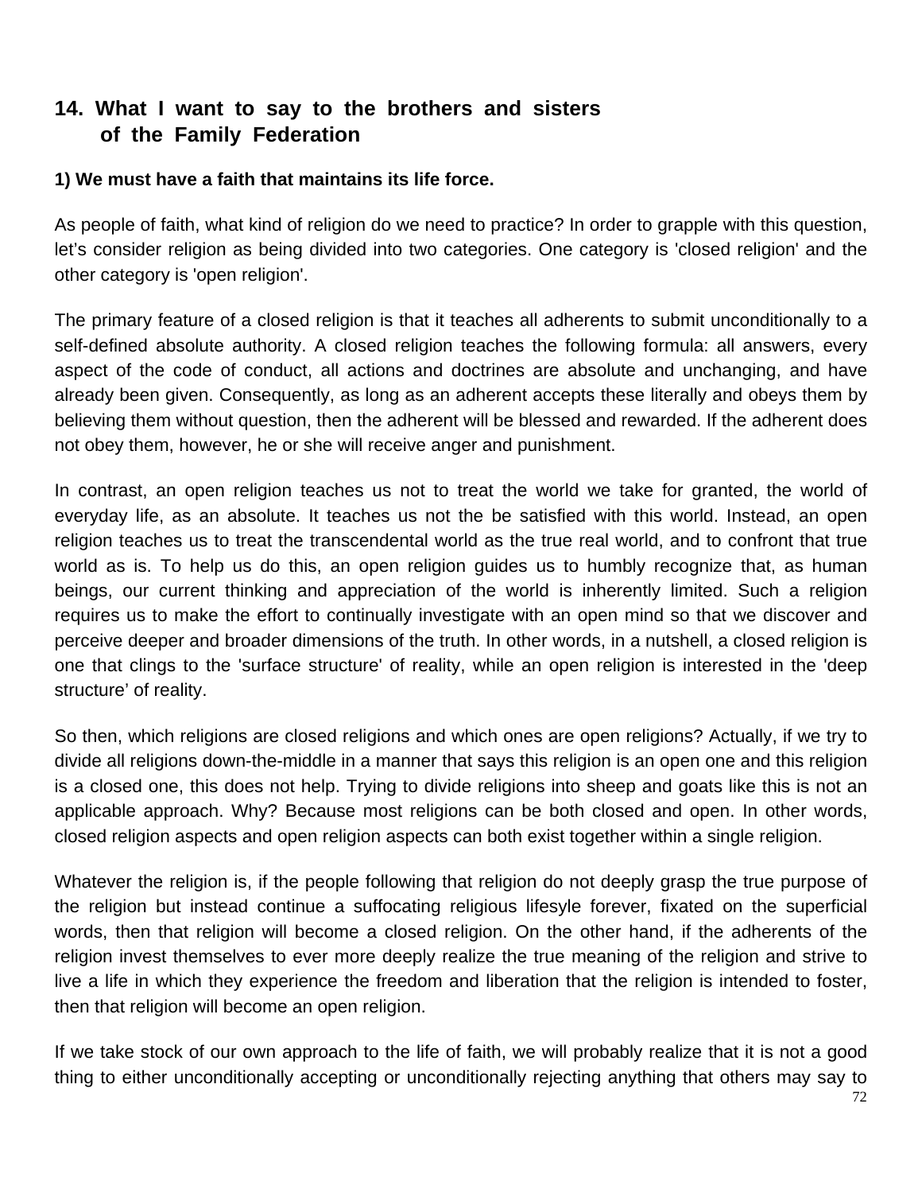# **14. What I want to say to the brothers and sisters of the Family Federation**

#### **1) We must have a faith that maintains its life force.**

As people of faith, what kind of religion do we need to practice? In order to grapple with this question, let's consider religion as being divided into two categories. One category is 'closed religion' and the other category is 'open religion'.

The primary feature of a closed religion is that it teaches all adherents to submit unconditionally to a self-defined absolute authority. A closed religion teaches the following formula: all answers, every aspect of the code of conduct, all actions and doctrines are absolute and unchanging, and have already been given. Consequently, as long as an adherent accepts these literally and obeys them by believing them without question, then the adherent will be blessed and rewarded. If the adherent does not obey them, however, he or she will receive anger and punishment.

In contrast, an open religion teaches us not to treat the world we take for granted, the world of everyday life, as an absolute. It teaches us not the be satisfied with this world. Instead, an open religion teaches us to treat the transcendental world as the true real world, and to confront that true world as is. To help us do this, an open religion guides us to humbly recognize that, as human beings, our current thinking and appreciation of the world is inherently limited. Such a religion requires us to make the effort to continually investigate with an open mind so that we discover and perceive deeper and broader dimensions of the truth. In other words, in a nutshell, a closed religion is one that clings to the 'surface structure' of reality, while an open religion is interested in the 'deep structure' of reality.

So then, which religions are closed religions and which ones are open religions? Actually, if we try to divide all religions down-the-middle in a manner that says this religion is an open one and this religion is a closed one, this does not help. Trying to divide religions into sheep and goats like this is not an applicable approach. Why? Because most religions can be both closed and open. In other words, closed religion aspects and open religion aspects can both exist together within a single religion.

Whatever the religion is, if the people following that religion do not deeply grasp the true purpose of the religion but instead continue a suffocating religious lifesyle forever, fixated on the superficial words, then that religion will become a closed religion. On the other hand, if the adherents of the religion invest themselves to ever more deeply realize the true meaning of the religion and strive to live a life in which they experience the freedom and liberation that the religion is intended to foster, then that religion will become an open religion.

If we take stock of our own approach to the life of faith, we will probably realize that it is not a good thing to either unconditionally accepting or unconditionally rejecting anything that others may say to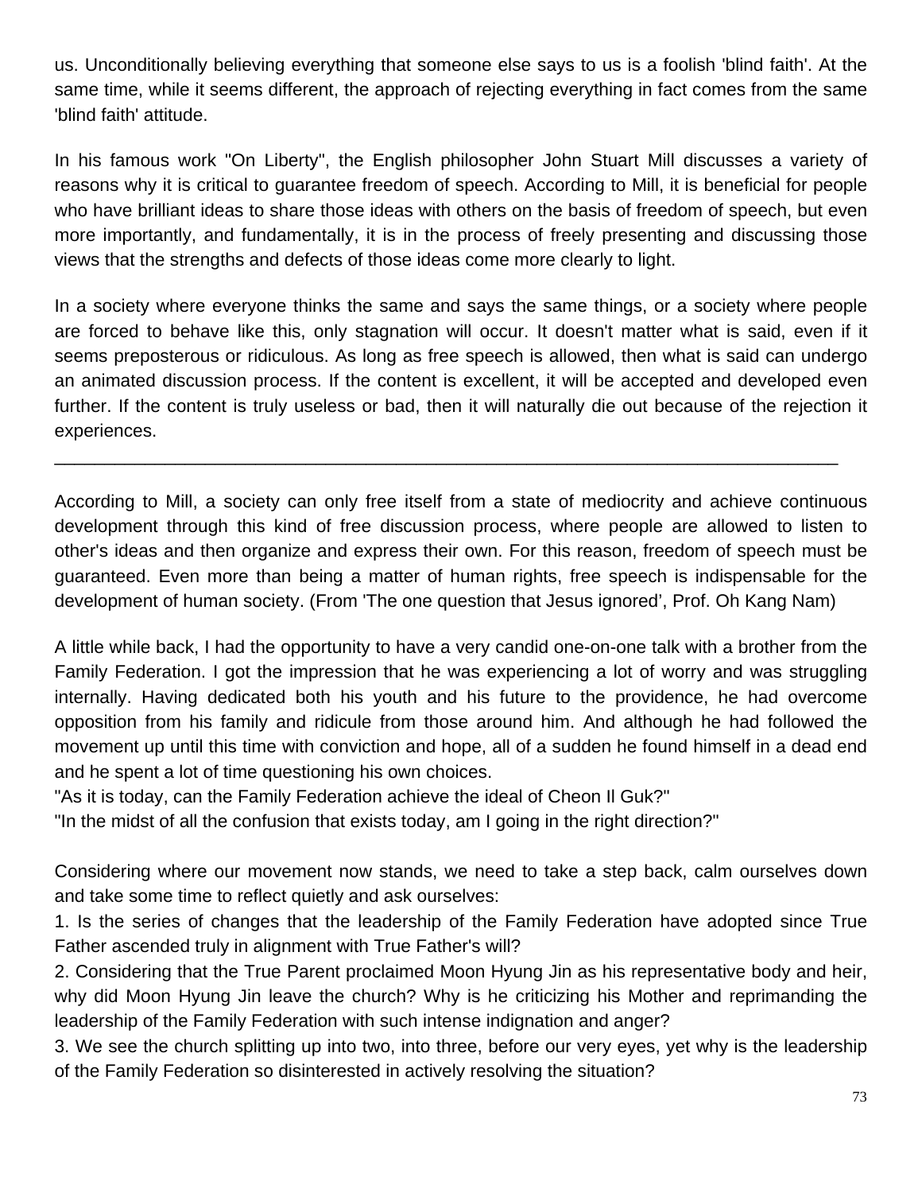us. Unconditionally believing everything that someone else says to us is a foolish 'blind faith'. At the same time, while it seems different, the approach of rejecting everything in fact comes from the same 'blind faith' attitude.

In his famous work "On Liberty", the English philosopher John Stuart Mill discusses a variety of reasons why it is critical to guarantee freedom of speech. According to Mill, it is beneficial for people who have brilliant ideas to share those ideas with others on the basis of freedom of speech, but even more importantly, and fundamentally, it is in the process of freely presenting and discussing those views that the strengths and defects of those ideas come more clearly to light.

In a society where everyone thinks the same and says the same things, or a society where people are forced to behave like this, only stagnation will occur. It doesn't matter what is said, even if it seems preposterous or ridiculous. As long as free speech is allowed, then what is said can undergo an animated discussion process. If the content is excellent, it will be accepted and developed even further. If the content is truly useless or bad, then it will naturally die out because of the rejection it experiences.

\_\_\_\_\_\_\_\_\_\_\_\_\_\_\_\_\_\_\_\_\_\_\_\_\_\_\_\_\_\_\_\_\_\_\_\_\_\_\_\_\_\_\_\_\_\_\_\_\_\_\_\_\_\_\_\_\_\_\_\_\_\_\_\_\_\_\_\_\_\_\_\_\_\_\_\_\_\_

According to Mill, a society can only free itself from a state of mediocrity and achieve continuous development through this kind of free discussion process, where people are allowed to listen to other's ideas and then organize and express their own. For this reason, freedom of speech must be guaranteed. Even more than being a matter of human rights, free speech is indispensable for the development of human society. (From 'The one question that Jesus ignored', Prof. Oh Kang Nam)

A little while back, I had the opportunity to have a very candid one-on-one talk with a brother from the Family Federation. I got the impression that he was experiencing a lot of worry and was struggling internally. Having dedicated both his youth and his future to the providence, he had overcome opposition from his family and ridicule from those around him. And although he had followed the movement up until this time with conviction and hope, all of a sudden he found himself in a dead end and he spent a lot of time questioning his own choices.

"As it is today, can the Family Federation achieve the ideal of Cheon Il Guk?"

"In the midst of all the confusion that exists today, am I going in the right direction?"

Considering where our movement now stands, we need to take a step back, calm ourselves down and take some time to reflect quietly and ask ourselves:

1. Is the series of changes that the leadership of the Family Federation have adopted since True Father ascended truly in alignment with True Father's will?

2. Considering that the True Parent proclaimed Moon Hyung Jin as his representative body and heir, why did Moon Hyung Jin leave the church? Why is he criticizing his Mother and reprimanding the leadership of the Family Federation with such intense indignation and anger?

3. We see the church splitting up into two, into three, before our very eyes, yet why is the leadership of the Family Federation so disinterested in actively resolving the situation?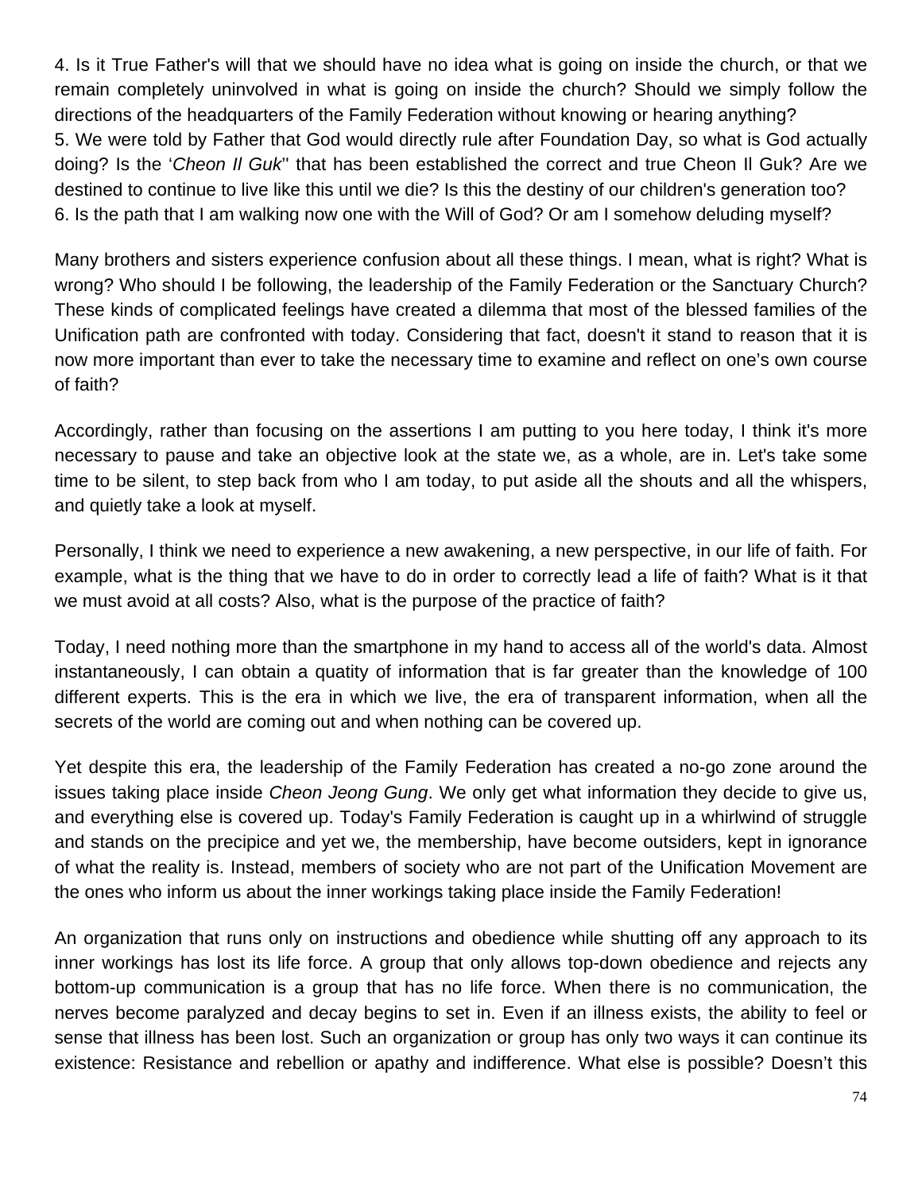4. Is it True Father's will that we should have no idea what is going on inside the church, or that we remain completely uninvolved in what is going on inside the church? Should we simply follow the directions of the headquarters of the Family Federation without knowing or hearing anything? 5. We were told by Father that God would directly rule after Foundation Day, so what is God actually doing? Is the '*Cheon Il Guk*'' that has been established the correct and true Cheon Il Guk? Are we destined to continue to live like this until we die? Is this the destiny of our children's generation too? 6. Is the path that I am walking now one with the Will of God? Or am I somehow deluding myself?

Many brothers and sisters experience confusion about all these things. I mean, what is right? What is wrong? Who should I be following, the leadership of the Family Federation or the Sanctuary Church? These kinds of complicated feelings have created a dilemma that most of the blessed families of the Unification path are confronted with today. Considering that fact, doesn't it stand to reason that it is now more important than ever to take the necessary time to examine and reflect on one's own course of faith?

Accordingly, rather than focusing on the assertions I am putting to you here today, I think it's more necessary to pause and take an objective look at the state we, as a whole, are in. Let's take some time to be silent, to step back from who I am today, to put aside all the shouts and all the whispers, and quietly take a look at myself.

Personally, I think we need to experience a new awakening, a new perspective, in our life of faith. For example, what is the thing that we have to do in order to correctly lead a life of faith? What is it that we must avoid at all costs? Also, what is the purpose of the practice of faith?

Today, I need nothing more than the smartphone in my hand to access all of the world's data. Almost instantaneously, I can obtain a quatity of information that is far greater than the knowledge of 100 different experts. This is the era in which we live, the era of transparent information, when all the secrets of the world are coming out and when nothing can be covered up.

Yet despite this era, the leadership of the Family Federation has created a no-go zone around the issues taking place inside *Cheon Jeong Gung*. We only get what information they decide to give us, and everything else is covered up. Today's Family Federation is caught up in a whirlwind of struggle and stands on the precipice and yet we, the membership, have become outsiders, kept in ignorance of what the reality is. Instead, members of society who are not part of the Unification Movement are the ones who inform us about the inner workings taking place inside the Family Federation!

An organization that runs only on instructions and obedience while shutting off any approach to its inner workings has lost its life force. A group that only allows top-down obedience and rejects any bottom-up communication is a group that has no life force. When there is no communication, the nerves become paralyzed and decay begins to set in. Even if an illness exists, the ability to feel or sense that illness has been lost. Such an organization or group has only two ways it can continue its existence: Resistance and rebellion or apathy and indifference. What else is possible? Doesn't this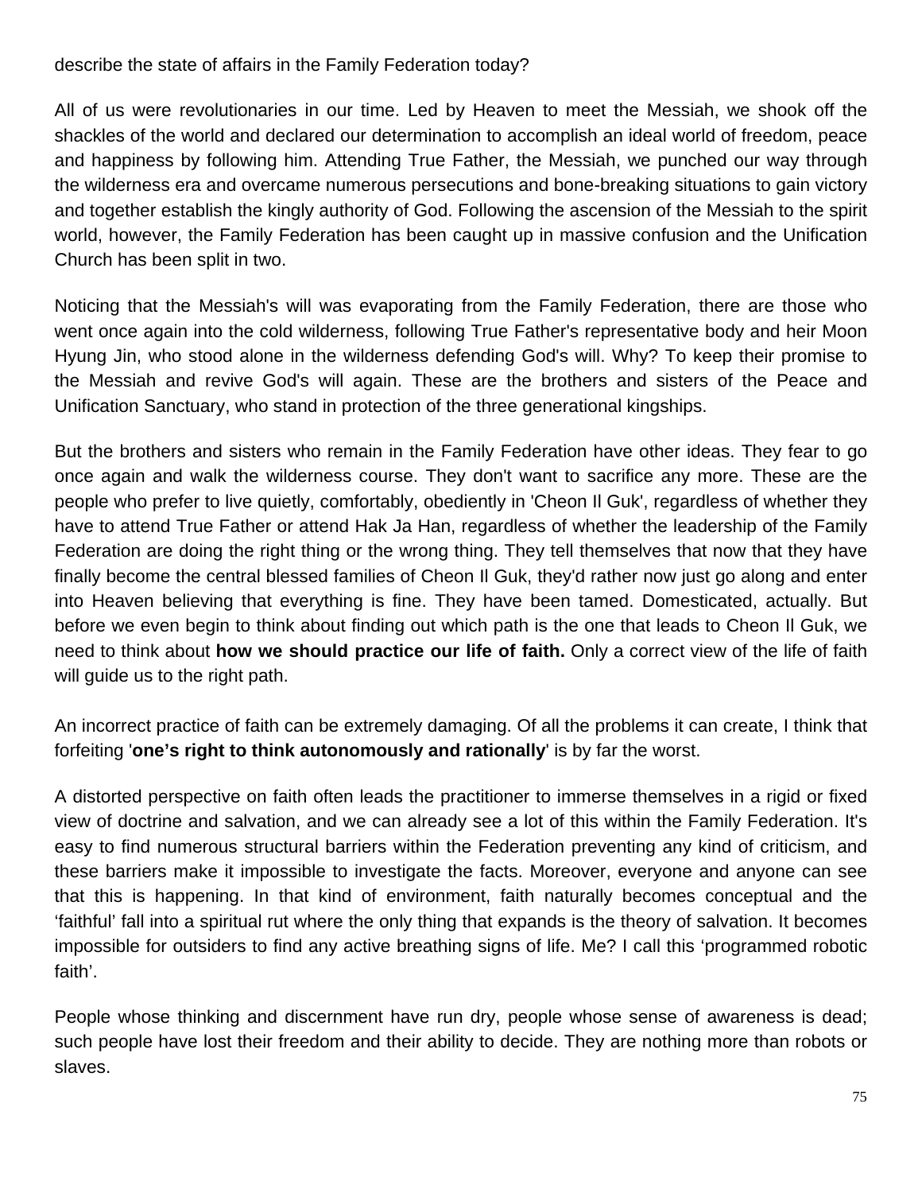#### describe the state of affairs in the Family Federation today?

All of us were revolutionaries in our time. Led by Heaven to meet the Messiah, we shook off the shackles of the world and declared our determination to accomplish an ideal world of freedom, peace and happiness by following him. Attending True Father, the Messiah, we punched our way through the wilderness era and overcame numerous persecutions and bone-breaking situations to gain victory and together establish the kingly authority of God. Following the ascension of the Messiah to the spirit world, however, the Family Federation has been caught up in massive confusion and the Unification Church has been split in two.

Noticing that the Messiah's will was evaporating from the Family Federation, there are those who went once again into the cold wilderness, following True Father's representative body and heir Moon Hyung Jin, who stood alone in the wilderness defending God's will. Why? To keep their promise to the Messiah and revive God's will again. These are the brothers and sisters of the Peace and Unification Sanctuary, who stand in protection of the three generational kingships.

But the brothers and sisters who remain in the Family Federation have other ideas. They fear to go once again and walk the wilderness course. They don't want to sacrifice any more. These are the people who prefer to live quietly, comfortably, obediently in 'Cheon Il Guk', regardless of whether they have to attend True Father or attend Hak Ja Han, regardless of whether the leadership of the Family Federation are doing the right thing or the wrong thing. They tell themselves that now that they have finally become the central blessed families of Cheon Il Guk, they'd rather now just go along and enter into Heaven believing that everything is fine. They have been tamed. Domesticated, actually. But before we even begin to think about finding out which path is the one that leads to Cheon Il Guk, we need to think about **how we should practice our life of faith.** Only a correct view of the life of faith will guide us to the right path.

An incorrect practice of faith can be extremely damaging. Of all the problems it can create, I think that forfeiting '**one's right to think autonomously and rationally**' is by far the worst.

A distorted perspective on faith often leads the practitioner to immerse themselves in a rigid or fixed view of doctrine and salvation, and we can already see a lot of this within the Family Federation. It's easy to find numerous structural barriers within the Federation preventing any kind of criticism, and these barriers make it impossible to investigate the facts. Moreover, everyone and anyone can see that this is happening. In that kind of environment, faith naturally becomes conceptual and the 'faithful' fall into a spiritual rut where the only thing that expands is the theory of salvation. It becomes impossible for outsiders to find any active breathing signs of life. Me? I call this 'programmed robotic faith'.

People whose thinking and discernment have run dry, people whose sense of awareness is dead; such people have lost their freedom and their ability to decide. They are nothing more than robots or slaves.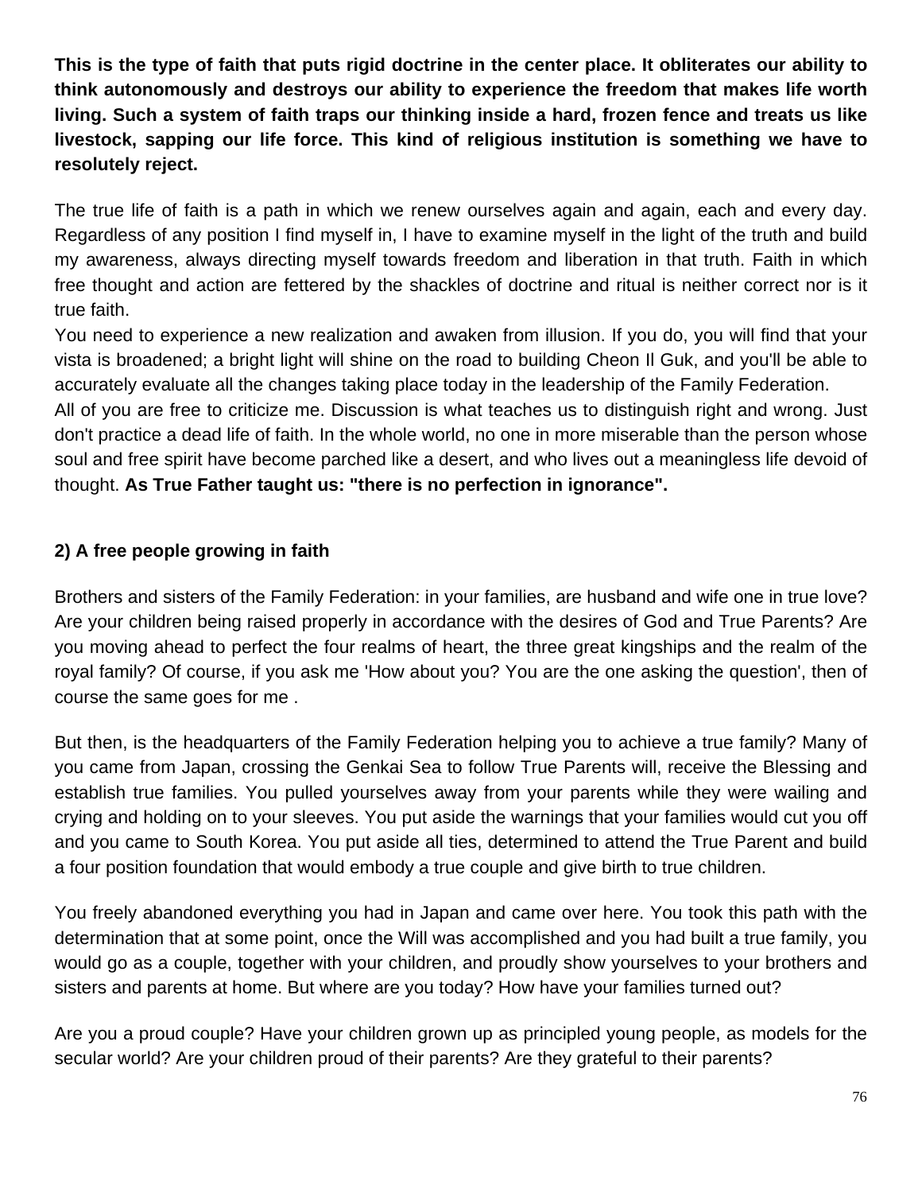**This is the type of faith that puts rigid doctrine in the center place. It obliterates our ability to think autonomously and destroys our ability to experience the freedom that makes life worth living. Such a system of faith traps our thinking inside a hard, frozen fence and treats us like livestock, sapping our life force. This kind of religious institution is something we have to resolutely reject.** 

The true life of faith is a path in which we renew ourselves again and again, each and every day. Regardless of any position I find myself in, I have to examine myself in the light of the truth and build my awareness, always directing myself towards freedom and liberation in that truth. Faith in which free thought and action are fettered by the shackles of doctrine and ritual is neither correct nor is it true faith.

You need to experience a new realization and awaken from illusion. If you do, you will find that your vista is broadened; a bright light will shine on the road to building Cheon Il Guk, and you'll be able to accurately evaluate all the changes taking place today in the leadership of the Family Federation.

All of you are free to criticize me. Discussion is what teaches us to distinguish right and wrong. Just don't practice a dead life of faith. In the whole world, no one in more miserable than the person whose soul and free spirit have become parched like a desert, and who lives out a meaningless life devoid of thought. **As True Father taught us: "there is no perfection in ignorance".** 

### **2) A free people growing in faith**

Brothers and sisters of the Family Federation: in your families, are husband and wife one in true love? Are your children being raised properly in accordance with the desires of God and True Parents? Are you moving ahead to perfect the four realms of heart, the three great kingships and the realm of the royal family? Of course, if you ask me 'How about you? You are the one asking the question', then of course the same goes for me .

But then, is the headquarters of the Family Federation helping you to achieve a true family? Many of you came from Japan, crossing the Genkai Sea to follow True Parents will, receive the Blessing and establish true families. You pulled yourselves away from your parents while they were wailing and crying and holding on to your sleeves. You put aside the warnings that your families would cut you off and you came to South Korea. You put aside all ties, determined to attend the True Parent and build a four position foundation that would embody a true couple and give birth to true children.

You freely abandoned everything you had in Japan and came over here. You took this path with the determination that at some point, once the Will was accomplished and you had built a true family, you would go as a couple, together with your children, and proudly show yourselves to your brothers and sisters and parents at home. But where are you today? How have your families turned out?

Are you a proud couple? Have your children grown up as principled young people, as models for the secular world? Are your children proud of their parents? Are they grateful to their parents?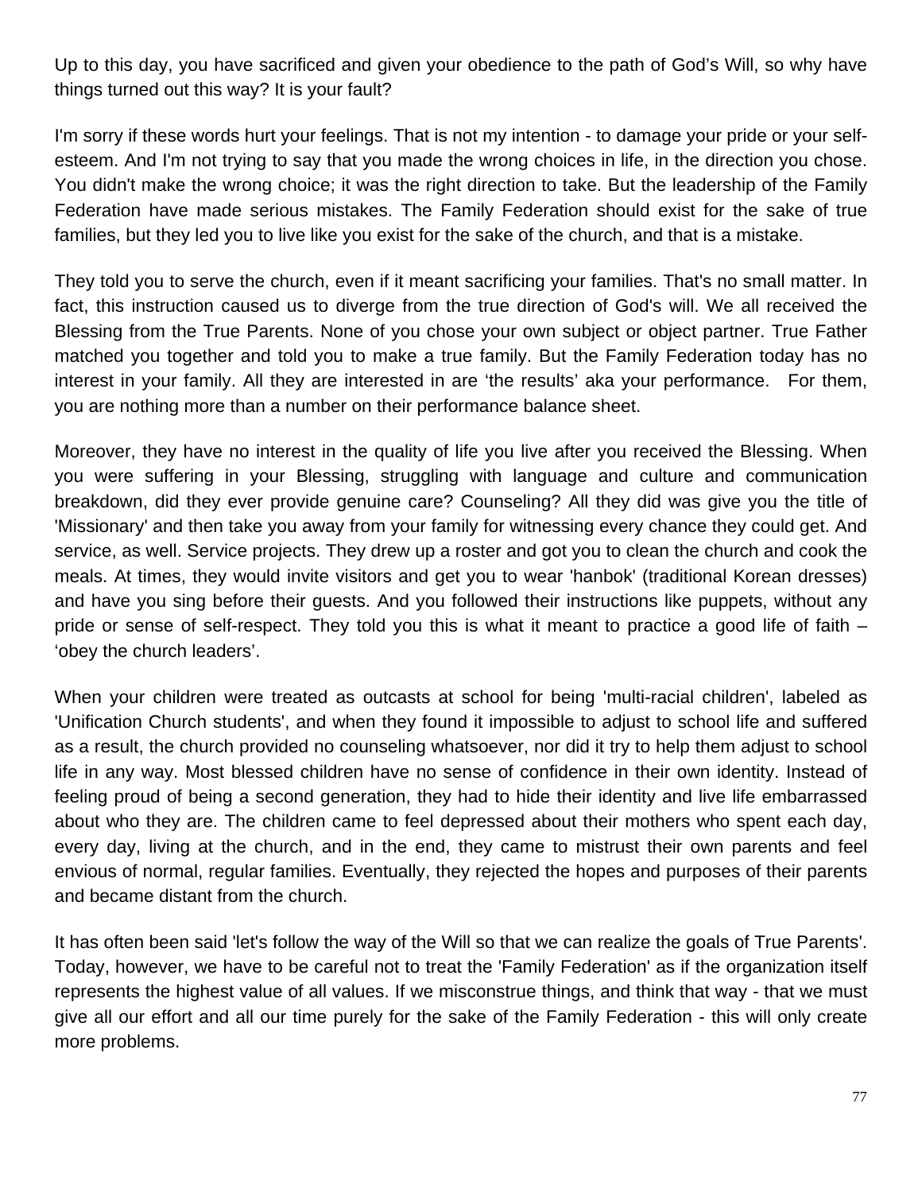Up to this day, you have sacrificed and given your obedience to the path of God's Will, so why have things turned out this way? It is your fault?

I'm sorry if these words hurt your feelings. That is not my intention - to damage your pride or your selfesteem. And I'm not trying to say that you made the wrong choices in life, in the direction you chose. You didn't make the wrong choice; it was the right direction to take. But the leadership of the Family Federation have made serious mistakes. The Family Federation should exist for the sake of true families, but they led you to live like you exist for the sake of the church, and that is a mistake.

They told you to serve the church, even if it meant sacrificing your families. That's no small matter. In fact, this instruction caused us to diverge from the true direction of God's will. We all received the Blessing from the True Parents. None of you chose your own subject or object partner. True Father matched you together and told you to make a true family. But the Family Federation today has no interest in your family. All they are interested in are 'the results' aka your performance. For them, you are nothing more than a number on their performance balance sheet.

Moreover, they have no interest in the quality of life you live after you received the Blessing. When you were suffering in your Blessing, struggling with language and culture and communication breakdown, did they ever provide genuine care? Counseling? All they did was give you the title of 'Missionary' and then take you away from your family for witnessing every chance they could get. And service, as well. Service projects. They drew up a roster and got you to clean the church and cook the meals. At times, they would invite visitors and get you to wear 'hanbok' (traditional Korean dresses) and have you sing before their guests. And you followed their instructions like puppets, without any pride or sense of self-respect. They told you this is what it meant to practice a good life of faith – 'obey the church leaders'.

When your children were treated as outcasts at school for being 'multi-racial children', labeled as 'Unification Church students', and when they found it impossible to adjust to school life and suffered as a result, the church provided no counseling whatsoever, nor did it try to help them adjust to school life in any way. Most blessed children have no sense of confidence in their own identity. Instead of feeling proud of being a second generation, they had to hide their identity and live life embarrassed about who they are. The children came to feel depressed about their mothers who spent each day, every day, living at the church, and in the end, they came to mistrust their own parents and feel envious of normal, regular families. Eventually, they rejected the hopes and purposes of their parents and became distant from the church.

It has often been said 'let's follow the way of the Will so that we can realize the goals of True Parents'. Today, however, we have to be careful not to treat the 'Family Federation' as if the organization itself represents the highest value of all values. If we misconstrue things, and think that way - that we must give all our effort and all our time purely for the sake of the Family Federation - this will only create more problems.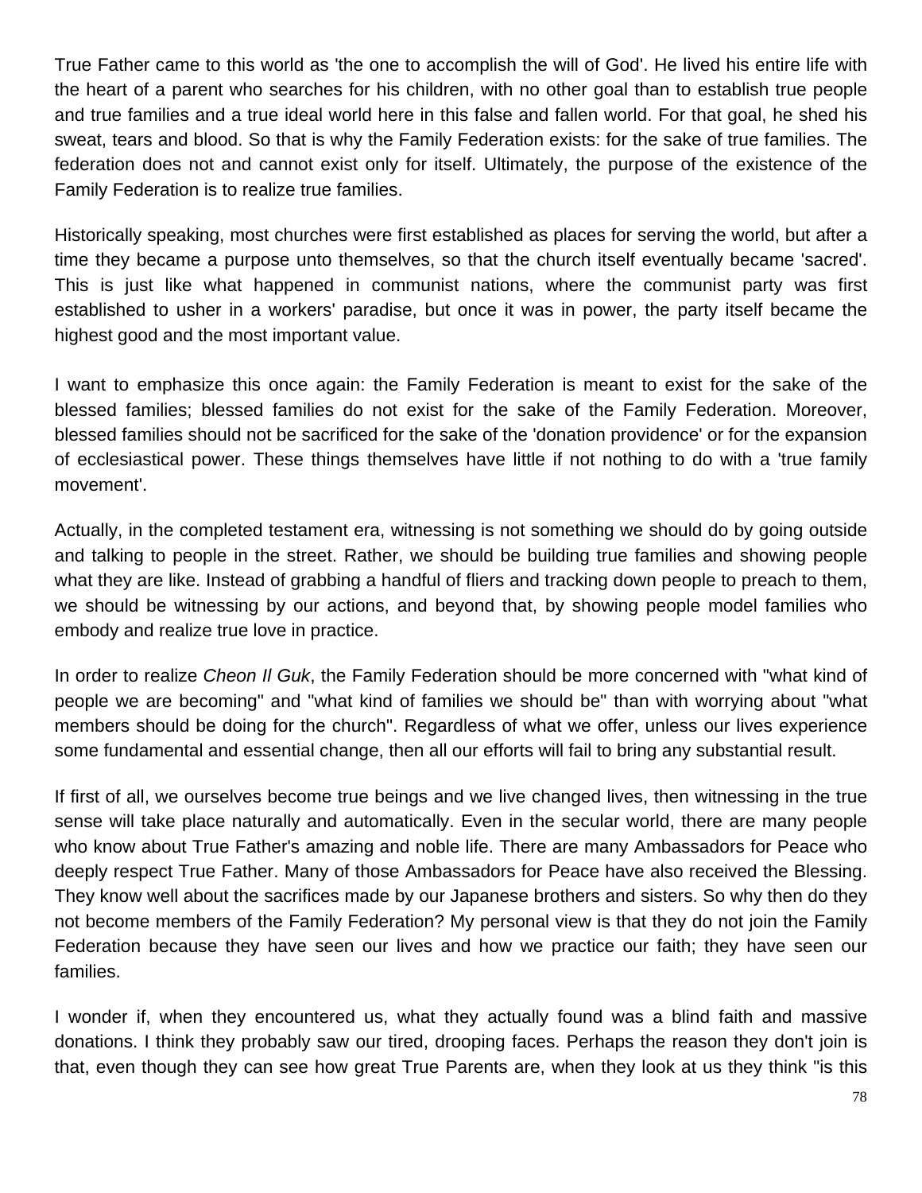True Father came to this world as 'the one to accomplish the will of God'. He lived his entire life with the heart of a parent who searches for his children, with no other goal than to establish true people and true families and a true ideal world here in this false and fallen world. For that goal, he shed his sweat, tears and blood. So that is why the Family Federation exists: for the sake of true families. The federation does not and cannot exist only for itself. Ultimately, the purpose of the existence of the Family Federation is to realize true families.

Historically speaking, most churches were first established as places for serving the world, but after a time they became a purpose unto themselves, so that the church itself eventually became 'sacred'. This is just like what happened in communist nations, where the communist party was first established to usher in a workers' paradise, but once it was in power, the party itself became the highest good and the most important value.

I want to emphasize this once again: the Family Federation is meant to exist for the sake of the blessed families; blessed families do not exist for the sake of the Family Federation. Moreover, blessed families should not be sacrificed for the sake of the 'donation providence' or for the expansion of ecclesiastical power. These things themselves have little if not nothing to do with a 'true family movement'.

Actually, in the completed testament era, witnessing is not something we should do by going outside and talking to people in the street. Rather, we should be building true families and showing people what they are like. Instead of grabbing a handful of fliers and tracking down people to preach to them, we should be witnessing by our actions, and beyond that, by showing people model families who embody and realize true love in practice.

In order to realize *Cheon Il Guk*, the Family Federation should be more concerned with "what kind of people we are becoming" and "what kind of families we should be" than with worrying about "what members should be doing for the church". Regardless of what we offer, unless our lives experience some fundamental and essential change, then all our efforts will fail to bring any substantial result.

If first of all, we ourselves become true beings and we live changed lives, then witnessing in the true sense will take place naturally and automatically. Even in the secular world, there are many people who know about True Father's amazing and noble life. There are many Ambassadors for Peace who deeply respect True Father. Many of those Ambassadors for Peace have also received the Blessing. They know well about the sacrifices made by our Japanese brothers and sisters. So why then do they not become members of the Family Federation? My personal view is that they do not join the Family Federation because they have seen our lives and how we practice our faith; they have seen our families.

I wonder if, when they encountered us, what they actually found was a blind faith and massive donations. I think they probably saw our tired, drooping faces. Perhaps the reason they don't join is that, even though they can see how great True Parents are, when they look at us they think "is this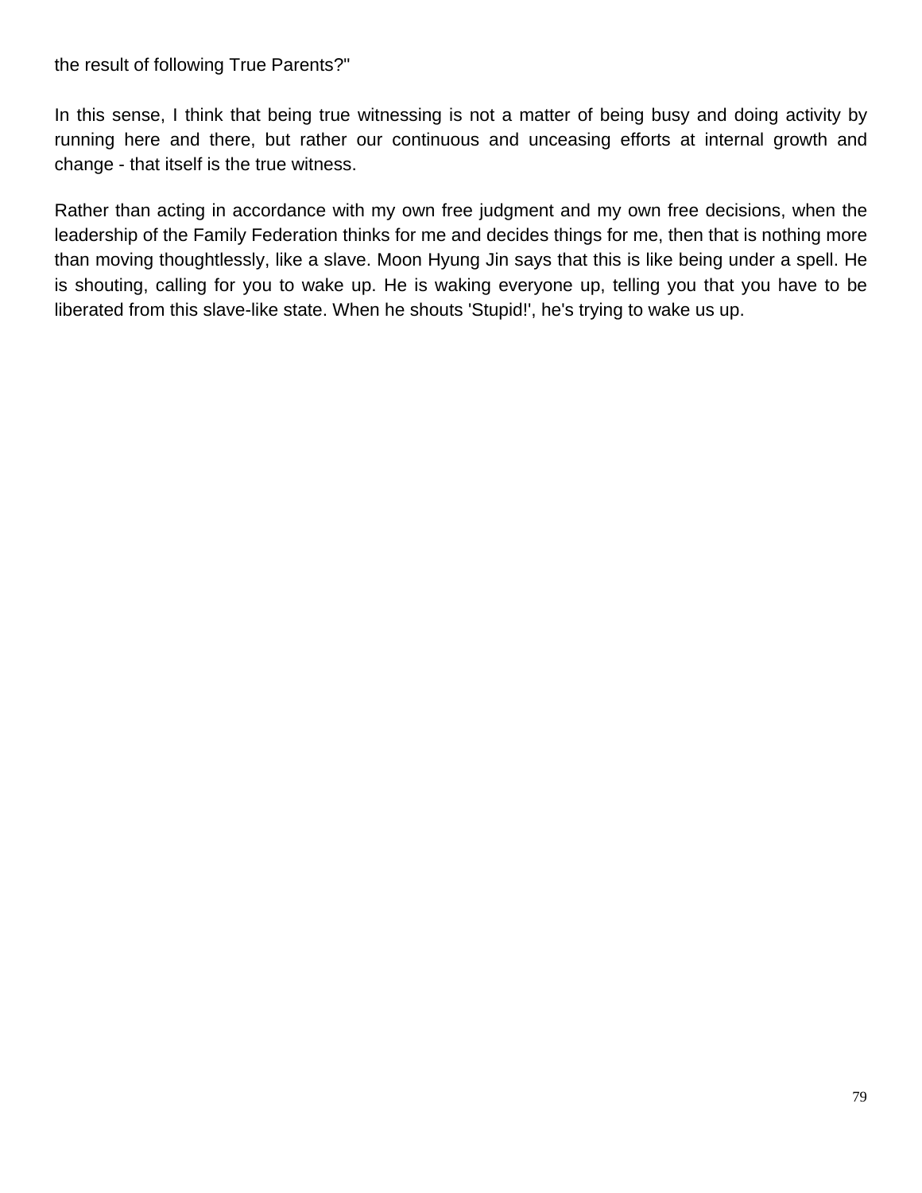#### the result of following True Parents?"

In this sense, I think that being true witnessing is not a matter of being busy and doing activity by running here and there, but rather our continuous and unceasing efforts at internal growth and change - that itself is the true witness.

Rather than acting in accordance with my own free judgment and my own free decisions, when the leadership of the Family Federation thinks for me and decides things for me, then that is nothing more than moving thoughtlessly, like a slave. Moon Hyung Jin says that this is like being under a spell. He is shouting, calling for you to wake up. He is waking everyone up, telling you that you have to be liberated from this slave-like state. When he shouts 'Stupid!', he's trying to wake us up.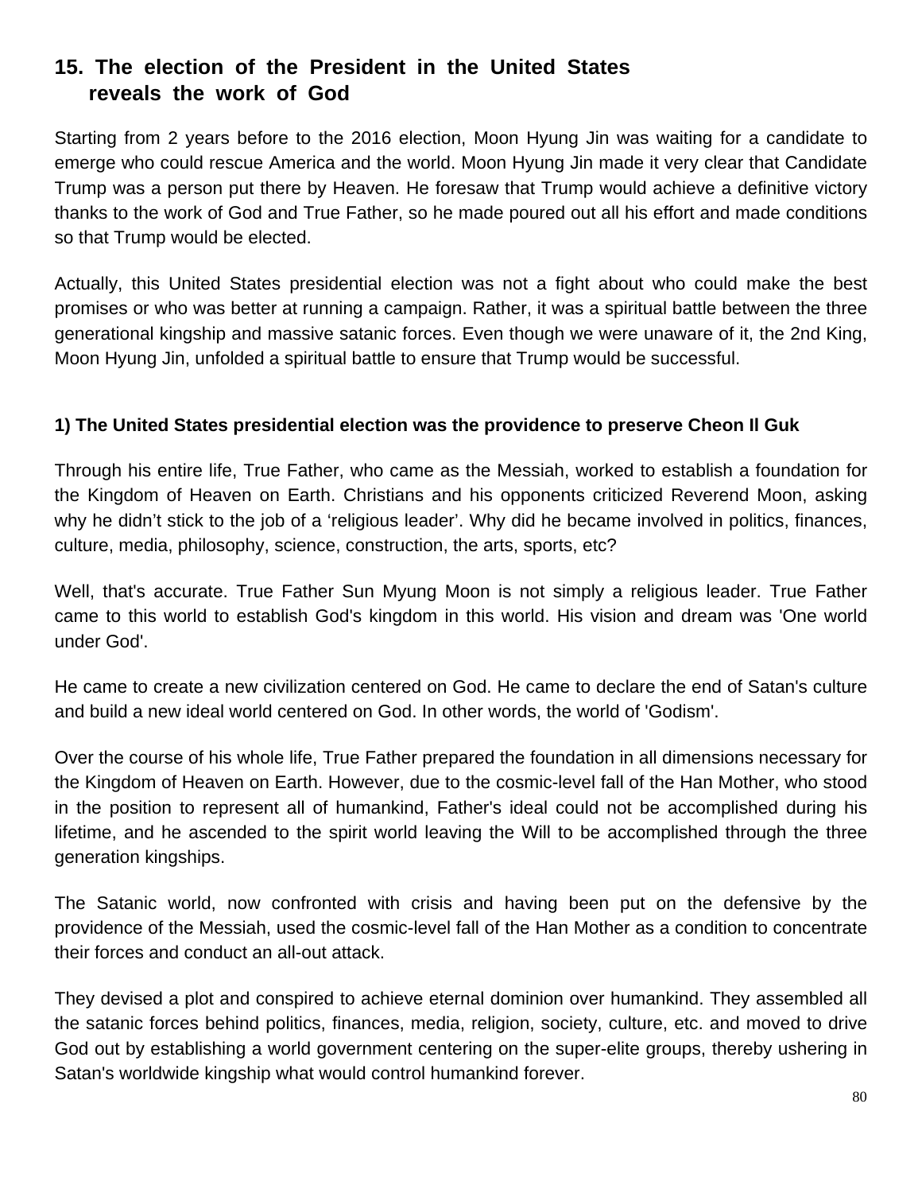# **15. The election of the President in the United States reveals the work of God**

Starting from 2 years before to the 2016 election, Moon Hyung Jin was waiting for a candidate to emerge who could rescue America and the world. Moon Hyung Jin made it very clear that Candidate Trump was a person put there by Heaven. He foresaw that Trump would achieve a definitive victory thanks to the work of God and True Father, so he made poured out all his effort and made conditions so that Trump would be elected.

Actually, this United States presidential election was not a fight about who could make the best promises or who was better at running a campaign. Rather, it was a spiritual battle between the three generational kingship and massive satanic forces. Even though we were unaware of it, the 2nd King, Moon Hyung Jin, unfolded a spiritual battle to ensure that Trump would be successful.

#### **1) The United States presidential election was the providence to preserve Cheon Il Guk**

Through his entire life, True Father, who came as the Messiah, worked to establish a foundation for the Kingdom of Heaven on Earth. Christians and his opponents criticized Reverend Moon, asking why he didn't stick to the job of a 'religious leader'. Why did he became involved in politics, finances, culture, media, philosophy, science, construction, the arts, sports, etc?

Well, that's accurate. True Father Sun Myung Moon is not simply a religious leader. True Father came to this world to establish God's kingdom in this world. His vision and dream was 'One world under God'.

He came to create a new civilization centered on God. He came to declare the end of Satan's culture and build a new ideal world centered on God. In other words, the world of 'Godism'.

Over the course of his whole life, True Father prepared the foundation in all dimensions necessary for the Kingdom of Heaven on Earth. However, due to the cosmic-level fall of the Han Mother, who stood in the position to represent all of humankind, Father's ideal could not be accomplished during his lifetime, and he ascended to the spirit world leaving the Will to be accomplished through the three generation kingships.

The Satanic world, now confronted with crisis and having been put on the defensive by the providence of the Messiah, used the cosmic-level fall of the Han Mother as a condition to concentrate their forces and conduct an all-out attack.

They devised a plot and conspired to achieve eternal dominion over humankind. They assembled all the satanic forces behind politics, finances, media, religion, society, culture, etc. and moved to drive God out by establishing a world government centering on the super-elite groups, thereby ushering in Satan's worldwide kingship what would control humankind forever.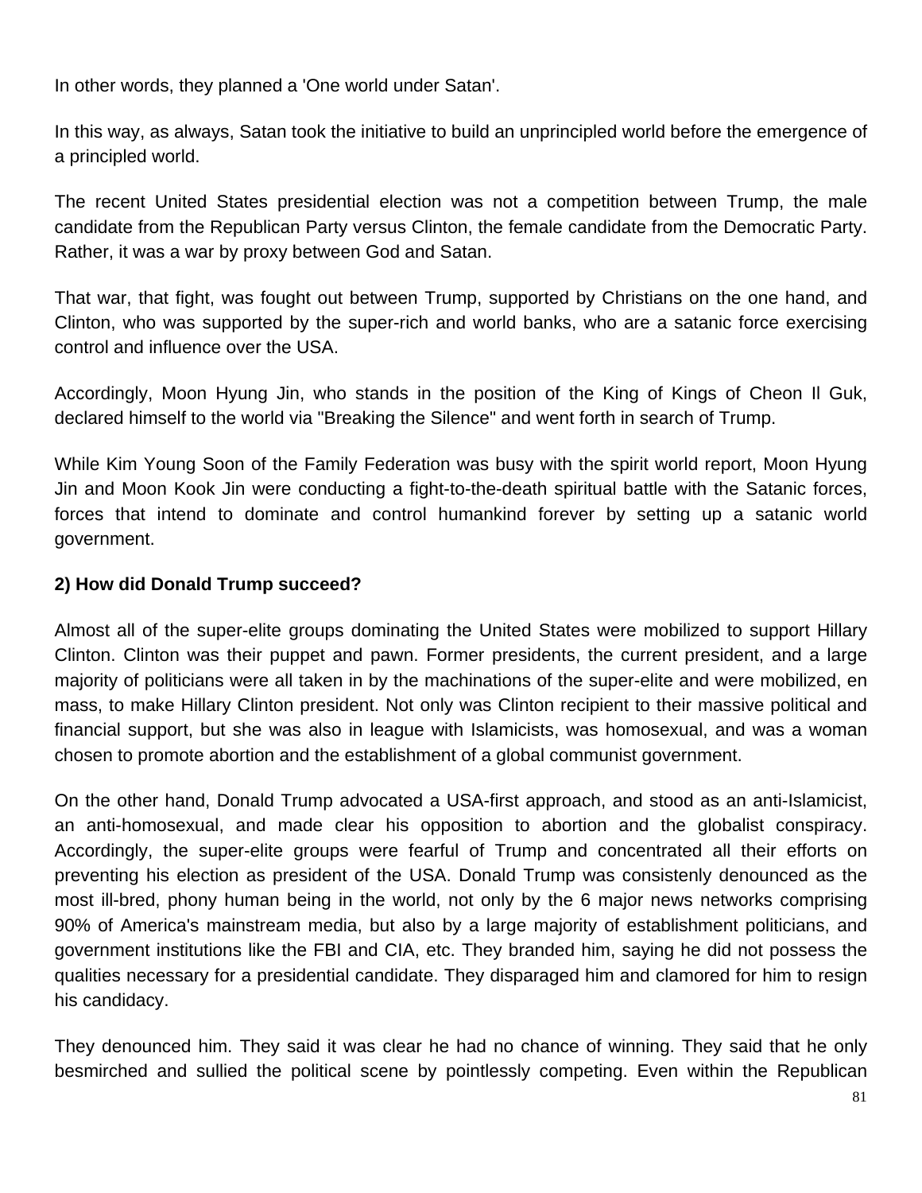In other words, they planned a 'One world under Satan'.

In this way, as always, Satan took the initiative to build an unprincipled world before the emergence of a principled world.

The recent United States presidential election was not a competition between Trump, the male candidate from the Republican Party versus Clinton, the female candidate from the Democratic Party. Rather, it was a war by proxy between God and Satan.

That war, that fight, was fought out between Trump, supported by Christians on the one hand, and Clinton, who was supported by the super-rich and world banks, who are a satanic force exercising control and influence over the USA.

Accordingly, Moon Hyung Jin, who stands in the position of the King of Kings of Cheon Il Guk, declared himself to the world via "Breaking the Silence" and went forth in search of Trump.

While Kim Young Soon of the Family Federation was busy with the spirit world report, Moon Hyung Jin and Moon Kook Jin were conducting a fight-to-the-death spiritual battle with the Satanic forces, forces that intend to dominate and control humankind forever by setting up a satanic world government.

#### **2) How did Donald Trump succeed?**

Almost all of the super-elite groups dominating the United States were mobilized to support Hillary Clinton. Clinton was their puppet and pawn. Former presidents, the current president, and a large majority of politicians were all taken in by the machinations of the super-elite and were mobilized, en mass, to make Hillary Clinton president. Not only was Clinton recipient to their massive political and financial support, but she was also in league with Islamicists, was homosexual, and was a woman chosen to promote abortion and the establishment of a global communist government.

On the other hand, Donald Trump advocated a USA-first approach, and stood as an anti-Islamicist, an anti-homosexual, and made clear his opposition to abortion and the globalist conspiracy. Accordingly, the super-elite groups were fearful of Trump and concentrated all their efforts on preventing his election as president of the USA. Donald Trump was consistenly denounced as the most ill-bred, phony human being in the world, not only by the 6 major news networks comprising 90% of America's mainstream media, but also by a large majority of establishment politicians, and government institutions like the FBI and CIA, etc. They branded him, saying he did not possess the qualities necessary for a presidential candidate. They disparaged him and clamored for him to resign his candidacy.

They denounced him. They said it was clear he had no chance of winning. They said that he only besmirched and sullied the political scene by pointlessly competing. Even within the Republican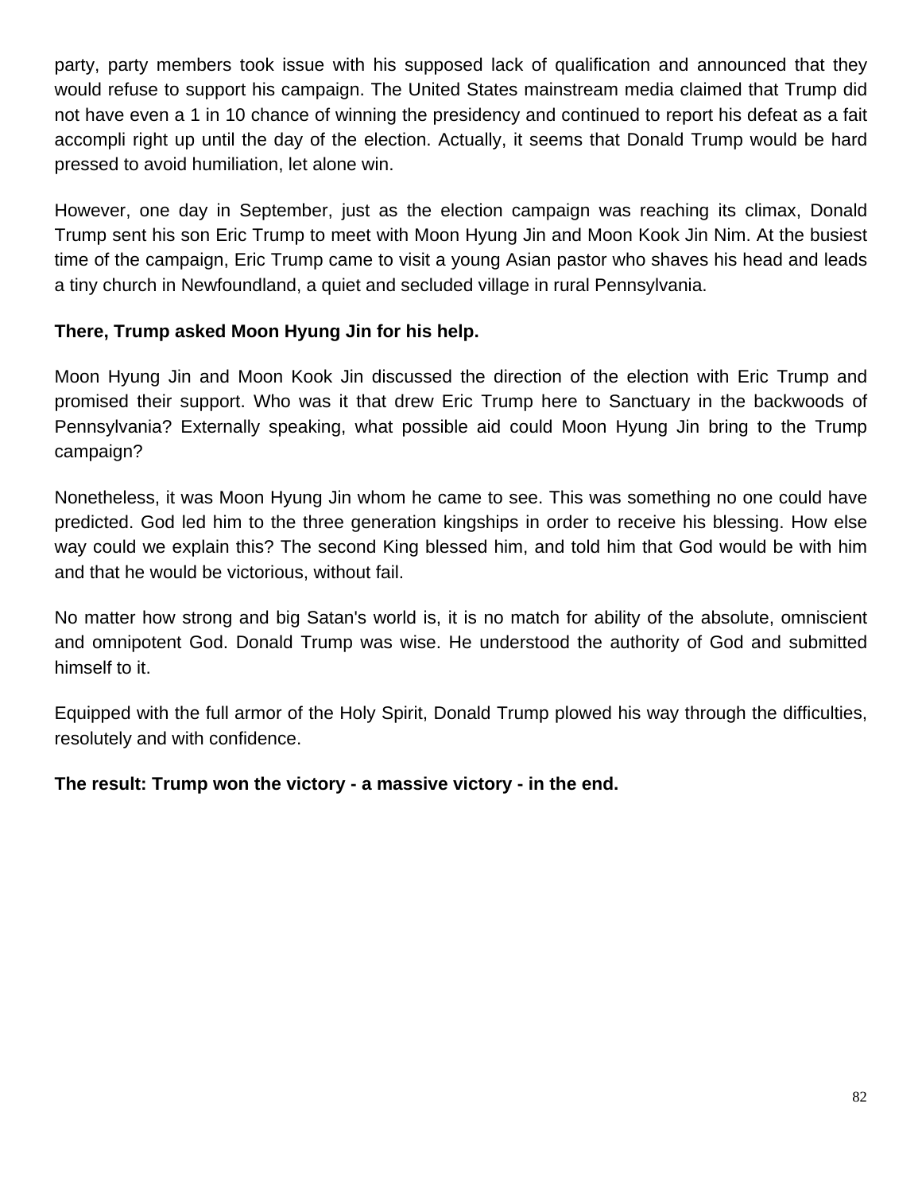party, party members took issue with his supposed lack of qualification and announced that they would refuse to support his campaign. The United States mainstream media claimed that Trump did not have even a 1 in 10 chance of winning the presidency and continued to report his defeat as a fait accompli right up until the day of the election. Actually, it seems that Donald Trump would be hard pressed to avoid humiliation, let alone win.

However, one day in September, just as the election campaign was reaching its climax, Donald Trump sent his son Eric Trump to meet with Moon Hyung Jin and Moon Kook Jin Nim. At the busiest time of the campaign, Eric Trump came to visit a young Asian pastor who shaves his head and leads a tiny church in Newfoundland, a quiet and secluded village in rural Pennsylvania.

### **There, Trump asked Moon Hyung Jin for his help.**

Moon Hyung Jin and Moon Kook Jin discussed the direction of the election with Eric Trump and promised their support. Who was it that drew Eric Trump here to Sanctuary in the backwoods of Pennsylvania? Externally speaking, what possible aid could Moon Hyung Jin bring to the Trump campaign?

Nonetheless, it was Moon Hyung Jin whom he came to see. This was something no one could have predicted. God led him to the three generation kingships in order to receive his blessing. How else way could we explain this? The second King blessed him, and told him that God would be with him and that he would be victorious, without fail.

No matter how strong and big Satan's world is, it is no match for ability of the absolute, omniscient and omnipotent God. Donald Trump was wise. He understood the authority of God and submitted himself to it.

Equipped with the full armor of the Holy Spirit, Donald Trump plowed his way through the difficulties, resolutely and with confidence.

#### **The result: Trump won the victory - a massive victory - in the end.**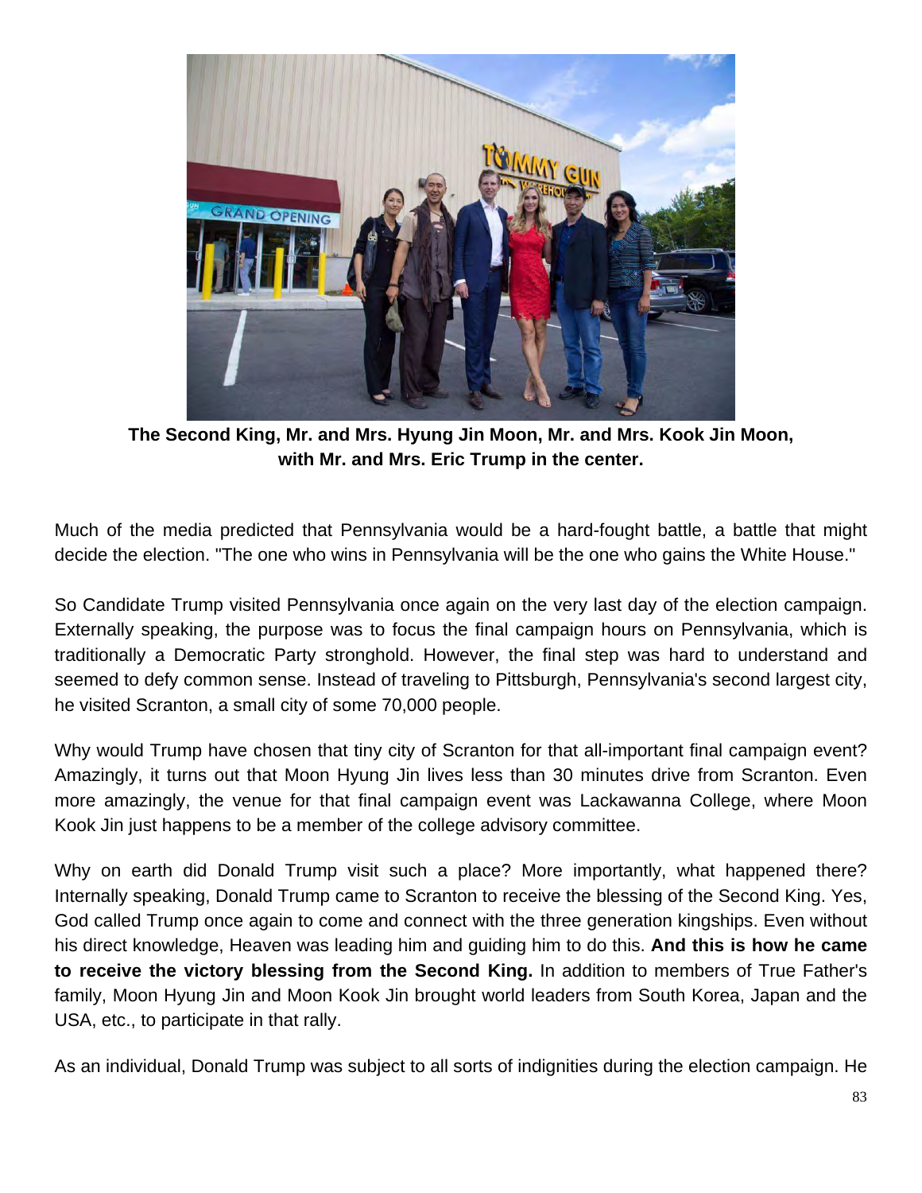

**The Second King, Mr. and Mrs. Hyung Jin Moon, Mr. and Mrs. Kook Jin Moon, with Mr. and Mrs. Eric Trump in the center.**

Much of the media predicted that Pennsylvania would be a hard-fought battle, a battle that might decide the election. "The one who wins in Pennsylvania will be the one who gains the White House."

So Candidate Trump visited Pennsylvania once again on the very last day of the election campaign. Externally speaking, the purpose was to focus the final campaign hours on Pennsylvania, which is traditionally a Democratic Party stronghold. However, the final step was hard to understand and seemed to defy common sense. Instead of traveling to Pittsburgh, Pennsylvania's second largest city, he visited Scranton, a small city of some 70,000 people.

Why would Trump have chosen that tiny city of Scranton for that all-important final campaign event? Amazingly, it turns out that Moon Hyung Jin lives less than 30 minutes drive from Scranton. Even more amazingly, the venue for that final campaign event was Lackawanna College, where Moon Kook Jin just happens to be a member of the college advisory committee.

Why on earth did Donald Trump visit such a place? More importantly, what happened there? Internally speaking, Donald Trump came to Scranton to receive the blessing of the Second King. Yes, God called Trump once again to come and connect with the three generation kingships. Even without his direct knowledge, Heaven was leading him and guiding him to do this. **And this is how he came to receive the victory blessing from the Second King.** In addition to members of True Father's family, Moon Hyung Jin and Moon Kook Jin brought world leaders from South Korea, Japan and the USA, etc., to participate in that rally.

As an individual, Donald Trump was subject to all sorts of indignities during the election campaign. He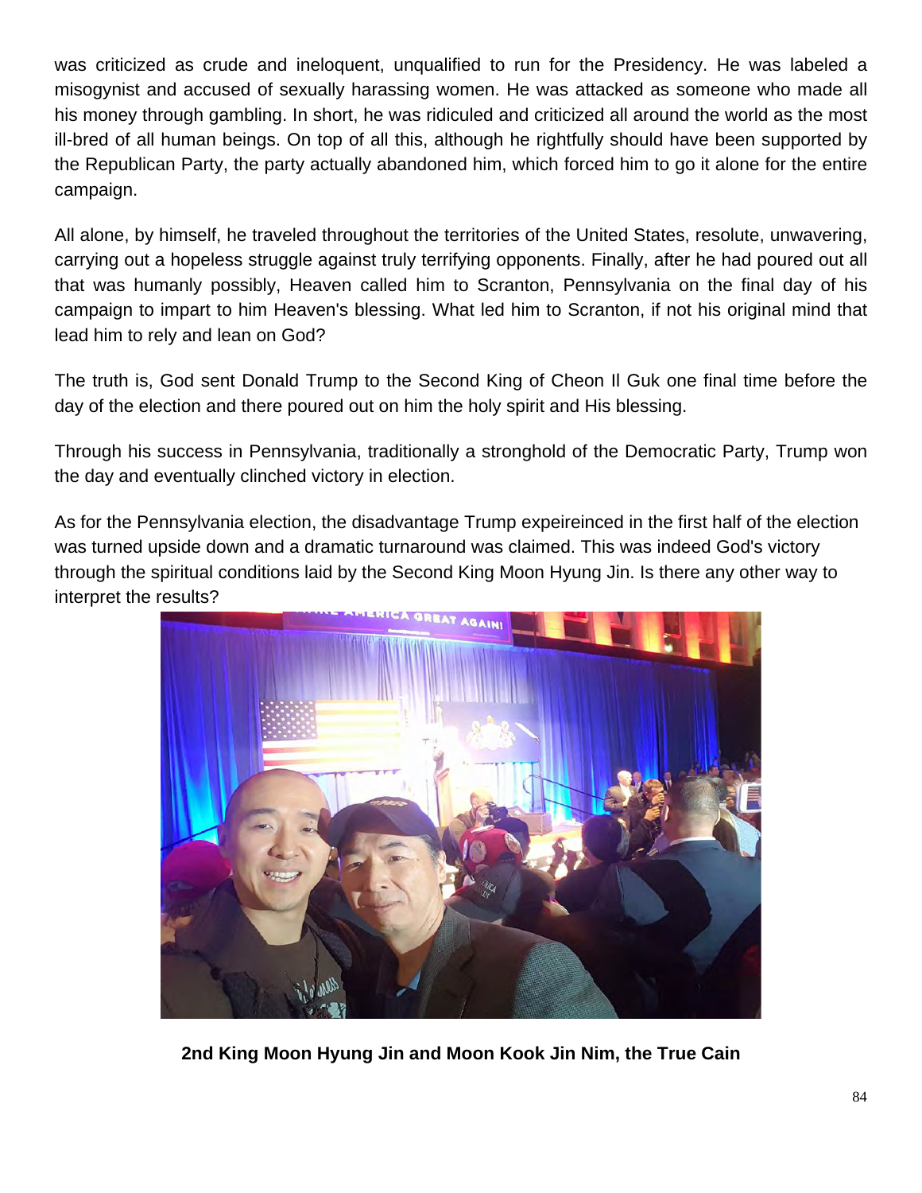was criticized as crude and ineloquent, unqualified to run for the Presidency. He was labeled a misogynist and accused of sexually harassing women. He was attacked as someone who made all his money through gambling. In short, he was ridiculed and criticized all around the world as the most ill-bred of all human beings. On top of all this, although he rightfully should have been supported by the Republican Party, the party actually abandoned him, which forced him to go it alone for the entire campaign.

All alone, by himself, he traveled throughout the territories of the United States, resolute, unwavering, carrying out a hopeless struggle against truly terrifying opponents. Finally, after he had poured out all that was humanly possibly, Heaven called him to Scranton, Pennsylvania on the final day of his campaign to impart to him Heaven's blessing. What led him to Scranton, if not his original mind that lead him to rely and lean on God?

The truth is, God sent Donald Trump to the Second King of Cheon Il Guk one final time before the day of the election and there poured out on him the holy spirit and His blessing.

Through his success in Pennsylvania, traditionally a stronghold of the Democratic Party, Trump won the day and eventually clinched victory in election.

As for the Pennsylvania election, the disadvantage Trump expeireinced in the first half of the election was turned upside down and a dramatic turnaround was claimed. This was indeed God's victory through the spiritual conditions laid by the Second King Moon Hyung Jin. Is there any other way to interpret the results?



**2nd King Moon Hyung Jin and Moon Kook Jin Nim, the True Cain**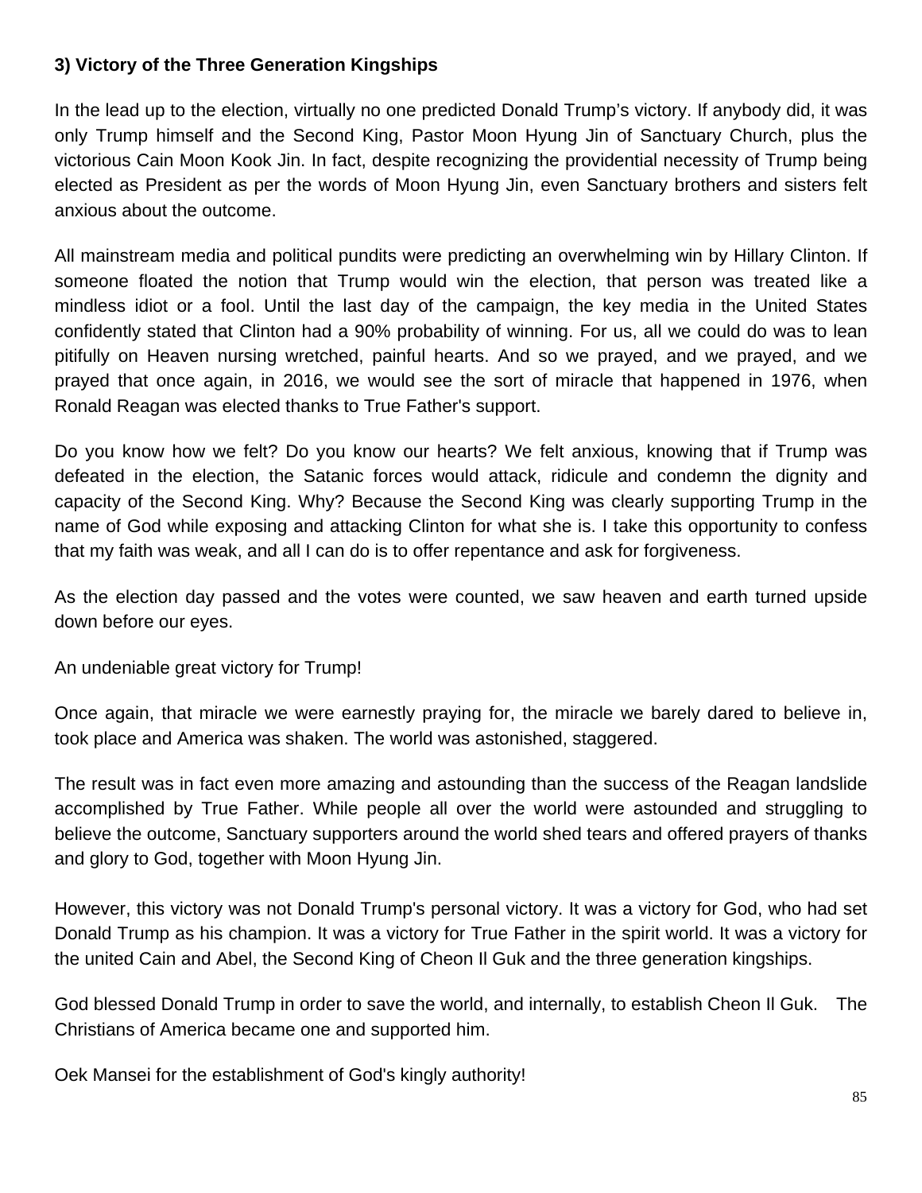### **3) Victory of the Three Generation Kingships**

In the lead up to the election, virtually no one predicted Donald Trump's victory. If anybody did, it was only Trump himself and the Second King, Pastor Moon Hyung Jin of Sanctuary Church, plus the victorious Cain Moon Kook Jin. In fact, despite recognizing the providential necessity of Trump being elected as President as per the words of Moon Hyung Jin, even Sanctuary brothers and sisters felt anxious about the outcome.

All mainstream media and political pundits were predicting an overwhelming win by Hillary Clinton. If someone floated the notion that Trump would win the election, that person was treated like a mindless idiot or a fool. Until the last day of the campaign, the key media in the United States confidently stated that Clinton had a 90% probability of winning. For us, all we could do was to lean pitifully on Heaven nursing wretched, painful hearts. And so we prayed, and we prayed, and we prayed that once again, in 2016, we would see the sort of miracle that happened in 1976, when Ronald Reagan was elected thanks to True Father's support.

Do you know how we felt? Do you know our hearts? We felt anxious, knowing that if Trump was defeated in the election, the Satanic forces would attack, ridicule and condemn the dignity and capacity of the Second King. Why? Because the Second King was clearly supporting Trump in the name of God while exposing and attacking Clinton for what she is. I take this opportunity to confess that my faith was weak, and all I can do is to offer repentance and ask for forgiveness.

As the election day passed and the votes were counted, we saw heaven and earth turned upside down before our eyes.

An undeniable great victory for Trump!

Once again, that miracle we were earnestly praying for, the miracle we barely dared to believe in, took place and America was shaken. The world was astonished, staggered.

The result was in fact even more amazing and astounding than the success of the Reagan landslide accomplished by True Father. While people all over the world were astounded and struggling to believe the outcome, Sanctuary supporters around the world shed tears and offered prayers of thanks and glory to God, together with Moon Hyung Jin.

However, this victory was not Donald Trump's personal victory. It was a victory for God, who had set Donald Trump as his champion. It was a victory for True Father in the spirit world. It was a victory for the united Cain and Abel, the Second King of Cheon Il Guk and the three generation kingships.

God blessed Donald Trump in order to save the world, and internally, to establish Cheon Il Guk. The Christians of America became one and supported him.

Oek Mansei for the establishment of God's kingly authority!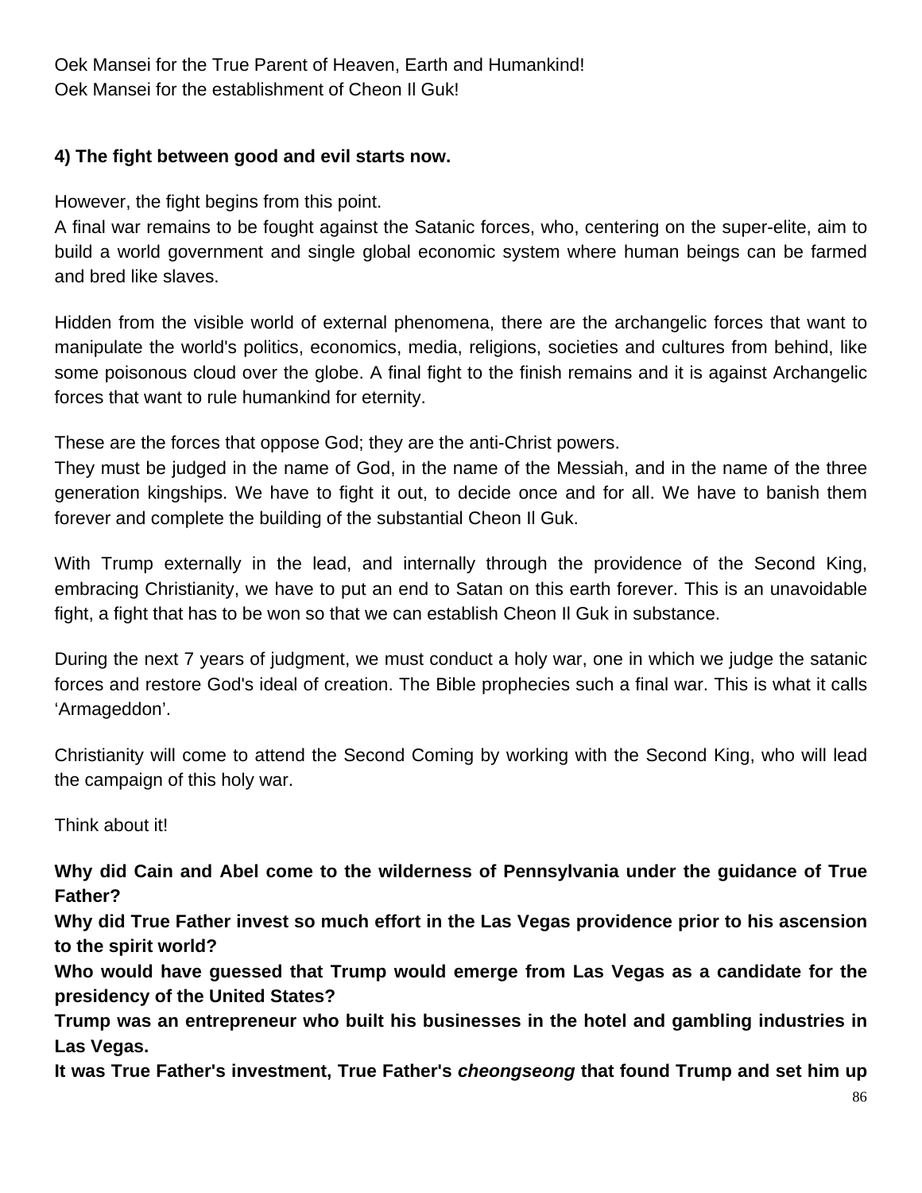Oek Mansei for the True Parent of Heaven, Earth and Humankind! Oek Mansei for the establishment of Cheon Il Guk!

### **4) The fight between good and evil starts now.**

However, the fight begins from this point.

A final war remains to be fought against the Satanic forces, who, centering on the super-elite, aim to build a world government and single global economic system where human beings can be farmed and bred like slaves.

Hidden from the visible world of external phenomena, there are the archangelic forces that want to manipulate the world's politics, economics, media, religions, societies and cultures from behind, like some poisonous cloud over the globe. A final fight to the finish remains and it is against Archangelic forces that want to rule humankind for eternity.

These are the forces that oppose God; they are the anti-Christ powers.

They must be judged in the name of God, in the name of the Messiah, and in the name of the three generation kingships. We have to fight it out, to decide once and for all. We have to banish them forever and complete the building of the substantial Cheon Il Guk.

With Trump externally in the lead, and internally through the providence of the Second King, embracing Christianity, we have to put an end to Satan on this earth forever. This is an unavoidable fight, a fight that has to be won so that we can establish Cheon Il Guk in substance.

During the next 7 years of judgment, we must conduct a holy war, one in which we judge the satanic forces and restore God's ideal of creation. The Bible prophecies such a final war. This is what it calls 'Armageddon'.

Christianity will come to attend the Second Coming by working with the Second King, who will lead the campaign of this holy war.

Think about it!

**Why did Cain and Abel come to the wilderness of Pennsylvania under the guidance of True Father?**

**Why did True Father invest so much effort in the Las Vegas providence prior to his ascension to the spirit world?** 

**Who would have guessed that Trump would emerge from Las Vegas as a candidate for the presidency of the United States?** 

**Trump was an entrepreneur who built his businesses in the hotel and gambling industries in Las Vegas.** 

**It was True Father's investment, True Father's** *cheongseong* **that found Trump and set him up**